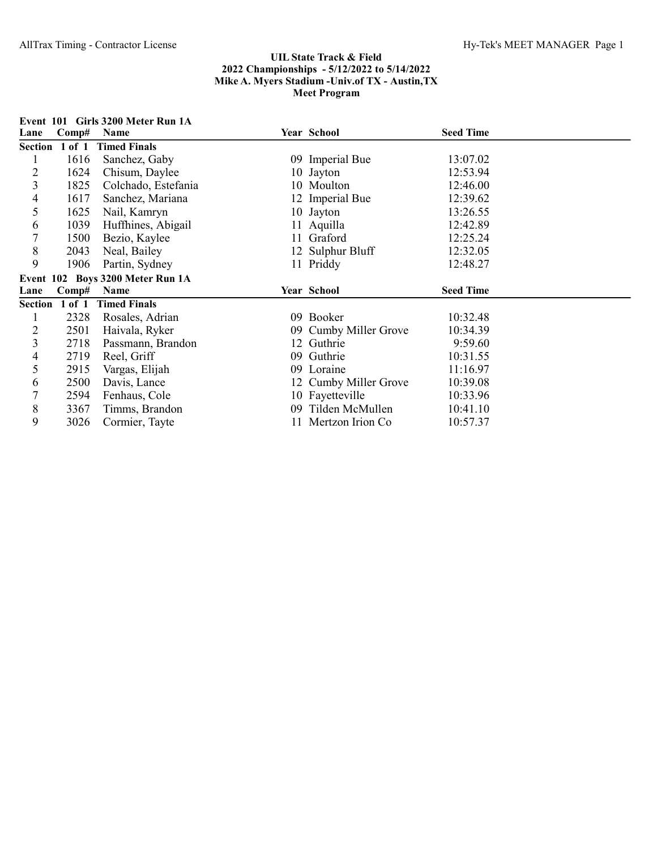|                | Event 101 Girls 3200 Meter Run 1A |                                  |  |                                           |                  |  |  |
|----------------|-----------------------------------|----------------------------------|--|-------------------------------------------|------------------|--|--|
| Lane           | Comp#                             | Name                             |  | Year School                               | <b>Seed Time</b> |  |  |
|                |                                   | Section 1 of 1 Timed Finals      |  |                                           |                  |  |  |
|                | 1616                              | Sanchez, Gaby                    |  | 09 Imperial Bue                           | 13:07.02         |  |  |
| $\overline{c}$ | 1624                              | Chisum, Daylee                   |  | 10 Jayton                                 | 12:53.94         |  |  |
| 3              | 1825                              | Colchado, Estefania              |  | 10 Moulton                                | 12:46.00         |  |  |
| 4              | 1617                              | Sanchez, Mariana                 |  | 12 Imperial Bue                           | 12:39.62         |  |  |
| 5              | 1625                              | Nail, Kamryn                     |  | 10 Jayton                                 | 13:26.55         |  |  |
| 6              | 1039                              | Huffhines, Abigail               |  | 11 Aquilla                                | 12:42.89         |  |  |
| 7              | 1500                              | Bezio, Kaylee                    |  | 11 Graford                                | 12:25.24         |  |  |
| $\,8\,$        | 2043                              | Neal, Bailey                     |  | 12 Sulphur Bluff                          | 12:32.05         |  |  |
| 9              | 1906                              | Partin, Sydney                   |  | 11 Priddy                                 | 12:48.27         |  |  |
|                |                                   | Event 102 Boys 3200 Meter Run 1A |  |                                           |                  |  |  |
| Lane           | Comp#                             | Name                             |  | Year School                               | <b>Seed Time</b> |  |  |
| Section 1 of 1 |                                   | <b>Timed Finals</b>              |  |                                           |                  |  |  |
|                | 2328                              |                                  |  |                                           |                  |  |  |
|                |                                   | Rosales, Adrian                  |  | 09 Booker                                 | 10:32.48         |  |  |
| $\overline{c}$ | 2501                              | Haivala, Ryker                   |  | 09 Cumby Miller Grove                     | 10:34.39         |  |  |
| 3              | 2718                              | Passmann, Brandon                |  | 12 Guthrie                                | 9:59.60          |  |  |
| 4              | 2719                              | Reel, Griff                      |  | 09 Guthrie                                | 10:31.55         |  |  |
| 5              | 2915                              | Vargas, Elijah                   |  | 09 Loraine                                | 11:16.97         |  |  |
| 6              | 2500                              | Davis, Lance                     |  | 12 Cumby Miller Grove                     | 10:39.08         |  |  |
| 7              | 2594                              | Fenhaus, Cole                    |  | 10 Fayetteville                           | 10:33.96         |  |  |
| 8<br>9         | 3367<br>3026                      | Timms, Brandon                   |  | 09 Tilden McMullen<br>11 Mertzon Irion Co | 10:41.10         |  |  |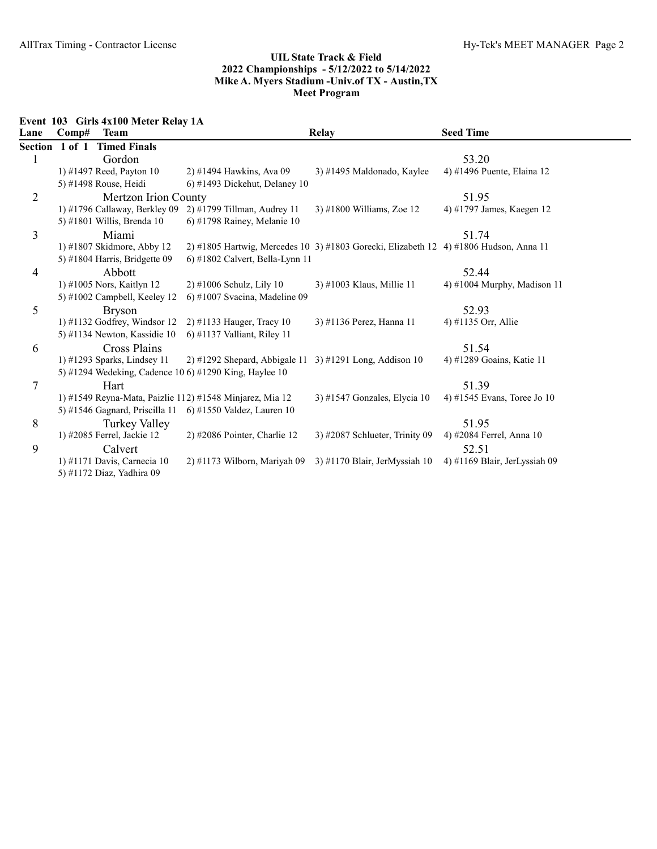Event 103 Girls 4x100 Meter Relay 1A

| Lane           | Comp#          | <b>Team</b>                    |                                                          | <b>Relay</b>                                                                          | <b>Seed Time</b>              |
|----------------|----------------|--------------------------------|----------------------------------------------------------|---------------------------------------------------------------------------------------|-------------------------------|
|                | Section 1 of 1 | <b>Timed Finals</b>            |                                                          |                                                                                       |                               |
| 1              |                | Gordon                         |                                                          |                                                                                       | 53.20                         |
|                |                | 1) #1497 Reed, Payton 10       | 2) #1494 Hawkins, Ava 09                                 | 3) #1495 Maldonado, Kaylee                                                            | 4) #1496 Puente, Elaina 12    |
|                |                | 5) #1498 Rouse, Heidi          | 6) #1493 Dickehut, Delaney $10$                          |                                                                                       |                               |
| $\overline{2}$ |                | Mertzon Irion County           |                                                          |                                                                                       | 51.95                         |
|                |                | 1) #1796 Callaway, Berkley 09  | $2)$ #1799 Tillman, Audrey 11                            | $3)$ #1800 Williams, Zoe 12                                                           | 4) #1797 James, Kaegen 12     |
|                |                | 5) #1801 Willis, Brenda $10$   | 6) #1798 Rainey, Melanie 10                              |                                                                                       |                               |
| 3              |                | Miami                          |                                                          |                                                                                       | 51.74                         |
|                |                | 1) #1807 Skidmore, Abby 12     |                                                          | 2) #1805 Hartwig, Mercedes 10 3) #1803 Gorecki, Elizabeth 12 4) #1806 Hudson, Anna 11 |                               |
|                |                | 5) #1804 Harris, Bridgette 09  | $6$ ) #1802 Calvert, Bella-Lynn 11                       |                                                                                       |                               |
| 4              |                | Abbott                         |                                                          |                                                                                       | 52.44                         |
|                |                | 1) #1005 Nors, Kaitlyn 12      | $2)$ #1006 Schulz, Lily 10                               | 3) #1003 Klaus, Millie 11                                                             | 4) #1004 Murphy, Madison 11   |
|                |                | 5) #1002 Campbell, Keeley 12   | $6$ ) #1007 Svacina, Madeline 09                         |                                                                                       |                               |
| 5              |                | <b>Bryson</b>                  |                                                          |                                                                                       | 52.93                         |
|                |                | 1) #1132 Godfrey, Windsor $12$ | $2)$ #1133 Hauger, Tracy 10                              | 3) #1136 Perez, Hanna 11                                                              | 4) #1135 Orr, Allie           |
|                |                | 5) #1134 Newton, Kassidie 10   | $(6)$ #1137 Valliant, Riley 11                           |                                                                                       |                               |
| 6              |                | Cross Plains                   |                                                          |                                                                                       | 51.54                         |
|                |                | $1)$ #1293 Sparks, Lindsey 11  | $2)$ #1292 Shepard, Abbigale 11                          | 3) #1291 Long, Addison $10$                                                           | 4) #1289 Goains, Katie 11     |
|                |                |                                | 5) #1294 Wedeking, Cadence 10 6) #1290 King, Haylee 10   |                                                                                       |                               |
| 7              |                | Hart                           |                                                          |                                                                                       | 51.39                         |
|                |                |                                | 1) #1549 Reyna-Mata, Paizlie 112) #1548 Minjarez, Mia 12 | 3) #1547 Gonzales, Elycia 10                                                          | 4) #1545 Evans, Toree Jo 10   |
|                |                | 5) #1546 Gagnard, Priscilla 11 | $(6)$ #1550 Valdez, Lauren 10                            |                                                                                       |                               |
| 8              |                | Turkey Valley                  |                                                          |                                                                                       | 51.95                         |
|                |                | 1) #2085 Ferrel, Jackie 12     | $2)$ #2086 Pointer, Charlie 12                           | 3) #2087 Schlueter, Trinity 09                                                        | 4) #2084 Ferrel, Anna 10      |
| 9              |                | Calvert                        |                                                          |                                                                                       | 52.51                         |
|                |                | 1) #1171 Davis, Carnecia 10    | $2)$ #1173 Wilborn, Mariyah 09                           | 3) #1170 Blair, JerMyssiah 10                                                         | 4) #1169 Blair, JerLyssiah 09 |
|                |                | 5) #1172 Diaz, Yadhira 09      |                                                          |                                                                                       |                               |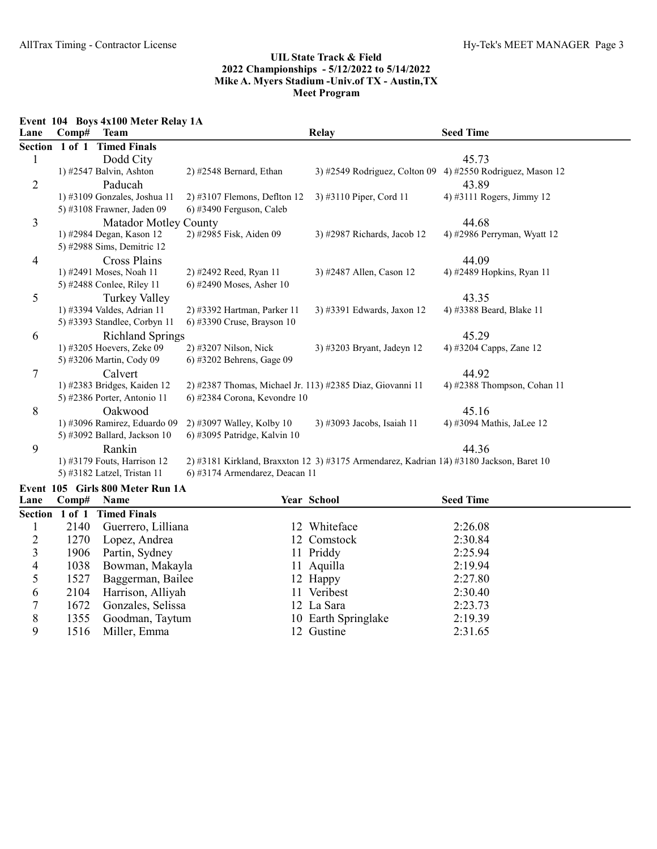Event 104 Boys 4x100 Meter Relay 1A

| Lane           | Comp#          | <b>Team</b>                  |                                                           | Relay                                                                                   | <b>Seed Time</b>             |
|----------------|----------------|------------------------------|-----------------------------------------------------------|-----------------------------------------------------------------------------------------|------------------------------|
|                | Section 1 of 1 | <b>Timed Finals</b>          |                                                           |                                                                                         |                              |
|                |                | Dodd City                    |                                                           |                                                                                         | 45.73                        |
|                |                | 1) #2547 Balvin, Ashton      | 2) #2548 Bernard, Ethan                                   | $3)$ #2549 Rodriguez, Colton 09                                                         | 4) #2550 Rodriguez, Mason 12 |
| $\overline{2}$ |                | Paducah                      |                                                           |                                                                                         | 43.89                        |
|                |                | 1) #3109 Gonzales, Joshua 11 | $2)$ #3107 Flemons, Deflton 12                            | 3) #3110 Piper, Cord 11                                                                 | 4) #3111 Rogers, Jimmy 12    |
|                |                | 5) #3108 Frawner, Jaden 09   | 6) #3490 Ferguson, Caleb                                  |                                                                                         |                              |
| 3              |                | <b>Matador Motley County</b> |                                                           |                                                                                         | 44.68                        |
|                |                | 1) #2984 Degan, Kason 12     | 2) #2985 Fisk, Aiden 09                                   | 3) #2987 Richards, Jacob 12                                                             | 4) #2986 Perryman, Wyatt 12  |
|                |                | 5) #2988 Sims, Demitric 12   |                                                           |                                                                                         |                              |
| 4              |                | Cross Plains                 |                                                           |                                                                                         | 44.09                        |
|                |                | 1) #2491 Moses, Noah 11      | 2) #2492 Reed, Ryan 11                                    | 3) #2487 Allen, Cason 12                                                                | 4) #2489 Hopkins, Ryan 11    |
|                |                | 5) #2488 Conlee, Riley 11    | 6) #2490 Moses, Asher $10$                                |                                                                                         |                              |
| 5              |                | Turkey Valley                |                                                           |                                                                                         | 43.35                        |
|                |                | 1) #3394 Valdes, Adrian 11   | 2) #3392 Hartman, Parker 11                               | 3) #3391 Edwards, Jaxon 12                                                              | 4) #3388 Beard, Blake 11     |
|                |                | 5) #3393 Standlee, Corbyn 11 | 6) #3390 Cruse, Brayson 10                                |                                                                                         |                              |
| 6              |                | <b>Richland Springs</b>      |                                                           |                                                                                         | 45.29                        |
|                |                | 1) #3205 Hoevers, Zeke 09    | 2) #3207 Nilson, Nick                                     | 3) #3203 Bryant, Jadeyn 12                                                              | 4) #3204 Capps, Zane 12      |
|                |                | 5) #3206 Martin, Cody 09     | 6) #3202 Behrens, Gage 09                                 |                                                                                         |                              |
| 7              |                | Calvert                      |                                                           |                                                                                         | 44.92                        |
|                |                | 1) #2383 Bridges, Kaiden 12  | 2) #2387 Thomas, Michael Jr. 113) #2385 Diaz, Giovanni 11 |                                                                                         | 4) #2388 Thompson, Cohan 11  |
|                |                | 5) #2386 Porter, Antonio 11  | 6) #2384 Corona, Kevondre 10                              |                                                                                         |                              |
| 8              |                | Oakwood                      |                                                           |                                                                                         | 45.16                        |
|                |                | 1) #3096 Ramirez, Eduardo 09 | 2) #3097 Walley, Kolby 10                                 | 3) #3093 Jacobs, Isaiah 11                                                              | 4) #3094 Mathis, JaLee 12    |
|                |                | 5) #3092 Ballard, Jackson 10 | 6) #3095 Patridge, Kalvin 10                              |                                                                                         |                              |
| 9              |                | Rankin                       |                                                           |                                                                                         | 44.36                        |
|                |                | 1) #3179 Fouts, Harrison 12  |                                                           | 2) #3181 Kirkland, Braxxton 12 3) #3175 Armendarez, Kadrian 14) #3180 Jackson, Baret 10 |                              |
|                |                | 5) #3182 Latzel, Tristan 11  | 6) #3174 Armendarez, Deacan 11                            |                                                                                         |                              |

# Event 105 Girls 800 Meter Run 1A

| Lane           |      | Comp# Name                  | Year School         | <b>Seed Time</b> |  |
|----------------|------|-----------------------------|---------------------|------------------|--|
|                |      | Section 1 of 1 Timed Finals |                     |                  |  |
|                | 2140 | Guerrero, Lilliana          | 12 Whiteface        | 2:26.08          |  |
|                | 1270 | Lopez, Andrea               | 12 Comstock         | 2:30.84          |  |
| 3 <sup>1</sup> |      | 1906 Partin, Sydney         | 11 Priddy           | 2:25.94          |  |
| 4              | 1038 | Bowman, Makayla             | 11 Aquilla          | 2:19.94          |  |
|                | 1527 | Baggerman, Bailee           | 12 Happy            | 2:27.80          |  |
| 6              | 2104 | Harrison, Alliyah           | 11 Veribest         | 2:30.40          |  |
|                | 1672 | Gonzales, Selissa           | 12 La Sara          | 2:23.73          |  |
| 8              | 1355 | Goodman, Taytum             | 10 Earth Springlake | 2:19.39          |  |
| 9              | 1516 | Miller, Emma                | 12 Gustine          | 2:31.65          |  |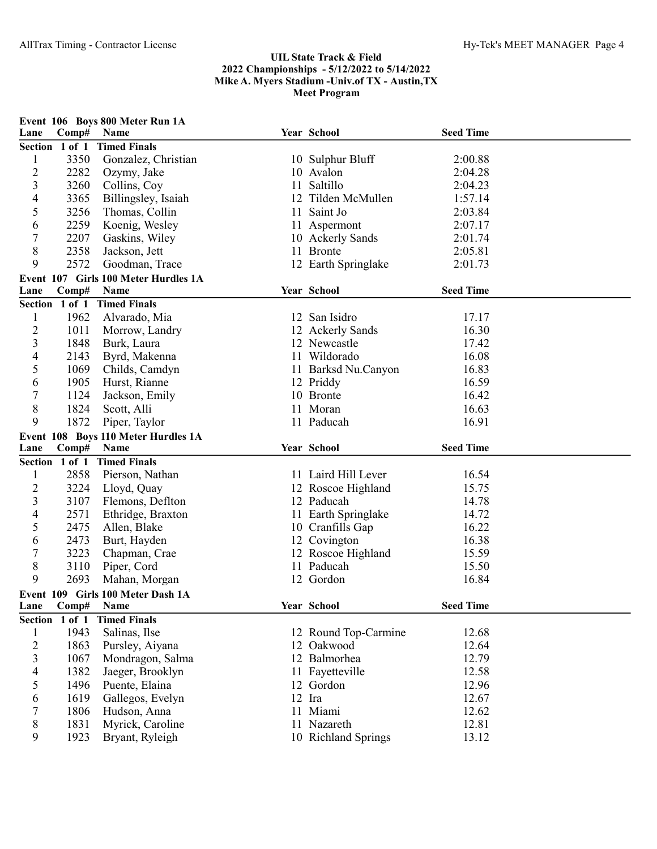| Lane                    | Comp#          | Event 106 Boys 800 Meter Run 1A<br>Name |    | Year School          | <b>Seed Time</b> |  |
|-------------------------|----------------|-----------------------------------------|----|----------------------|------------------|--|
|                         | Section 1 of 1 | <b>Timed Finals</b>                     |    |                      |                  |  |
| $\mathbf{1}$            | 3350           | Gonzalez, Christian                     |    | 10 Sulphur Bluff     | 2:00.88          |  |
| 2                       | 2282           | Ozymy, Jake                             |    | 10 Avalon            | 2:04.28          |  |
| 3                       | 3260           | Collins, Coy                            | 11 | Saltillo             | 2:04.23          |  |
| 4                       | 3365           | Billingsley, Isaiah                     |    | 12 Tilden McMullen   | 1:57.14          |  |
| 5                       | 3256           | Thomas, Collin                          | 11 | Saint Jo             | 2:03.84          |  |
| 6                       | 2259           | Koenig, Wesley                          |    | 11 Aspermont         | 2:07.17          |  |
| 7                       | 2207           | Gaskins, Wiley                          |    | 10 Ackerly Sands     | 2:01.74          |  |
| 8                       | 2358           | Jackson, Jett                           |    | 11 Bronte            | 2:05.81          |  |
| 9                       | 2572           | Goodman, Trace                          |    | 12 Earth Springlake  | 2:01.73          |  |
|                         |                | Event 107 Girls 100 Meter Hurdles 1A    |    |                      |                  |  |
| Lane                    | Comp#          | Name                                    |    | Year School          | <b>Seed Time</b> |  |
|                         | Section 1 of 1 | <b>Timed Finals</b>                     |    |                      |                  |  |
| $\mathbf{1}$            | 1962           | Alvarado, Mia                           |    | 12 San Isidro        | 17.17            |  |
| $\overline{c}$          | 1011           | Morrow, Landry                          |    | 12 Ackerly Sands     | 16.30            |  |
| $\mathfrak{Z}$          | 1848           | Burk, Laura                             |    | 12 Newcastle         | 17.42            |  |
| $\overline{4}$          | 2143           | Byrd, Makenna                           |    | 11 Wildorado         | 16.08            |  |
| 5                       | 1069           | Childs, Camdyn                          |    | 11 Barksd Nu.Canyon  | 16.83            |  |
| 6                       | 1905           | Hurst, Rianne                           |    | 12 Priddy            | 16.59            |  |
| $\boldsymbol{7}$        | 1124           | Jackson, Emily                          |    | 10 Bronte            | 16.42            |  |
| $8\,$                   | 1824           | Scott, Alli                             |    | 11 Moran             | 16.63            |  |
| 9                       | 1872           | Piper, Taylor                           |    | 11 Paducah           | 16.91            |  |
|                         |                | Event 108 Boys 110 Meter Hurdles 1A     |    |                      |                  |  |
| Lane                    | Comp#          | Name                                    |    | Year School          | <b>Seed Time</b> |  |
|                         | Section 1 of 1 | <b>Timed Finals</b>                     |    |                      |                  |  |
| $\mathbf{1}$            | 2858           | Pierson, Nathan                         |    | 11 Laird Hill Lever  | 16.54            |  |
| $\overline{c}$          | 3224           | Lloyd, Quay                             |    | 12 Roscoe Highland   | 15.75            |  |
| 3                       | 3107           | Flemons, Deflton                        |    | 12 Paducah           | 14.78            |  |
| 4                       | 2571           | Ethridge, Braxton                       |    | 11 Earth Springlake  | 14.72            |  |
| 5                       | 2475           | Allen, Blake                            |    | 10 Cranfills Gap     | 16.22            |  |
| 6                       | 2473           | Burt, Hayden                            |    | 12 Covington         | 16.38            |  |
| $\overline{7}$          | 3223           | Chapman, Crae                           |    | 12 Roscoe Highland   | 15.59            |  |
| 8                       | 3110           | Piper, Cord                             |    | 11 Paducah           | 15.50            |  |
| 9                       | 2693           | Mahan, Morgan                           |    | 12 Gordon            | 16.84            |  |
|                         |                | Event 109 Girls 100 Meter Dash 1A       |    |                      |                  |  |
| Lane                    | Comp#          | Name                                    |    | Year School          | <b>Seed Time</b> |  |
|                         | Section 1 of 1 | <b>Timed Finals</b>                     |    |                      |                  |  |
| 1                       | 1943           | Salinas, Ilse                           |    | 12 Round Top-Carmine | 12.68            |  |
| $\overline{c}$          | 1863           | Pursley, Aiyana                         |    | 12 Oakwood           | 12.64            |  |
| $\overline{\mathbf{3}}$ | 1067           | Mondragon, Salma                        |    | 12 Balmorhea         | 12.79            |  |
| 4                       | 1382           | Jaeger, Brooklyn                        |    | 11 Fayetteville      | 12.58            |  |
| 5                       | 1496           | Puente, Elaina                          |    | 12 Gordon            | 12.96            |  |
| 6                       | 1619           | Gallegos, Evelyn                        |    | 12 Ira               | 12.67            |  |
| 7                       | 1806           | Hudson, Anna                            |    | 11 Miami             | 12.62            |  |
| 8                       | 1831           | Myrick, Caroline                        |    | 11 Nazareth          | 12.81            |  |
| 9                       | 1923           | Bryant, Ryleigh                         |    | 10 Richland Springs  | 13.12            |  |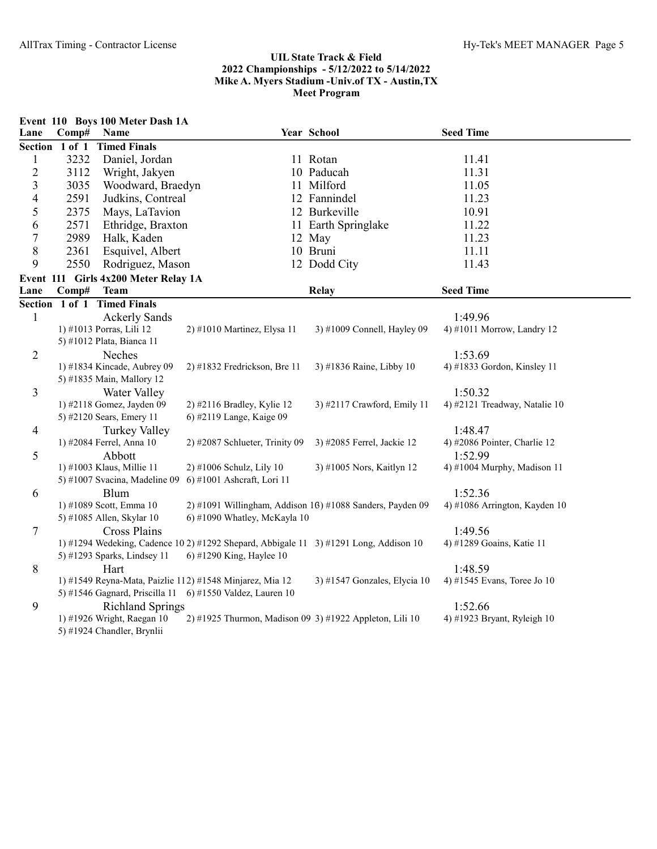|                |                | Event 110 Boys 100 Meter Dash 1A                 |                                                              |                                                                                       |                                         |
|----------------|----------------|--------------------------------------------------|--------------------------------------------------------------|---------------------------------------------------------------------------------------|-----------------------------------------|
| Lane           | Comp#          | Name                                             |                                                              | Year School                                                                           | <b>Seed Time</b>                        |
|                | Section 1 of 1 | <b>Timed Finals</b>                              |                                                              |                                                                                       |                                         |
| $\mathbf{1}$   | 3232           | Daniel, Jordan                                   |                                                              | 11 Rotan                                                                              | 11.41                                   |
| $\overline{2}$ | 3112           | Wright, Jakyen                                   |                                                              | 10 Paducah                                                                            | 11.31                                   |
| 3              | 3035           | Woodward, Braedyn                                |                                                              | 11 Milford                                                                            | 11.05                                   |
| 4              | 2591           | Judkins, Contreal                                |                                                              | 12 Fannindel                                                                          | 11.23                                   |
| 5              | 2375           | Mays, LaTavion                                   |                                                              | 12 Burkeville                                                                         | 10.91                                   |
| 6              | 2571           | Ethridge, Braxton                                |                                                              | 11 Earth Springlake                                                                   | 11.22                                   |
| $\sqrt{ }$     | 2989           | Halk, Kaden                                      |                                                              | 12 May                                                                                | 11.23                                   |
| $\,$ $\,$      | 2361           | Esquivel, Albert                                 |                                                              | 10 Bruni                                                                              | 11.11                                   |
| 9              | 2550           | Rodriguez, Mason                                 |                                                              | 12 Dodd City                                                                          | 11.43                                   |
|                |                | Event 111 Girls 4x200 Meter Relay 1A             |                                                              |                                                                                       |                                         |
| Lane           | Comp#          | <b>Team</b>                                      |                                                              | <b>Relay</b>                                                                          | <b>Seed Time</b>                        |
|                |                | Section 1 of 1 Timed Finals                      |                                                              |                                                                                       |                                         |
| $\mathbf{1}$   |                | <b>Ackerly Sands</b>                             |                                                              |                                                                                       | 1:49.96                                 |
|                |                | 1) #1013 Porras, Lili 12                         | 2) #1010 Martinez, Elysa 11                                  | 3) #1009 Connell, Hayley 09                                                           | 4) #1011 Morrow, Landry 12              |
|                |                | 5) #1012 Plata, Bianca 11                        |                                                              |                                                                                       |                                         |
| $\overline{2}$ |                | Neches                                           |                                                              |                                                                                       | 1:53.69                                 |
|                |                | 1) #1834 Kincade, Aubrey 09                      | 2) #1832 Fredrickson, Bre 11                                 | 3) #1836 Raine, Libby 10                                                              | 4) #1833 Gordon, Kinsley 11             |
|                |                | 5) #1835 Main, Mallory 12                        |                                                              |                                                                                       |                                         |
| 3              |                | <b>Water Valley</b>                              |                                                              |                                                                                       | 1:50.32                                 |
|                |                | 1) #2118 Gomez, Jayden 09                        | 2) #2116 Bradley, Kylie 12                                   | 3) #2117 Crawford, Emily 11                                                           | 4) #2121 Treadway, Natalie 10           |
|                |                | 5) #2120 Sears, Emery 11                         | 6) #2119 Lange, Kaige 09                                     |                                                                                       |                                         |
| $\overline{4}$ |                | <b>Turkey Valley</b><br>1) #2084 Ferrel, Anna 10 | 2) #2087 Schlueter, Trinity 09                               | 3) #2085 Ferrel, Jackie 12                                                            | 1:48.47<br>4) #2086 Pointer, Charlie 12 |
|                |                |                                                  |                                                              |                                                                                       | 1:52.99                                 |
| 5              |                | Abbott<br>1) #1003 Klaus, Millie 11              | 2) #1006 Schulz, Lily 10                                     | 3) #1005 Nors, Kaitlyn 12                                                             | 4) #1004 Murphy, Madison 11             |
|                |                | 5) #1007 Svacina, Madeline 09                    | 6) #1001 Ashcraft, Lori 11                                   |                                                                                       |                                         |
| 6              |                | <b>Blum</b>                                      |                                                              |                                                                                       | 1:52.36                                 |
|                |                | 1) #1089 Scott, Emma 10                          |                                                              | 2) #1091 Willingham, Addison 16) #1088 Sanders, Payden 09                             | 4) #1086 Arrington, Kayden 10           |
|                |                | 5) #1085 Allen, Skylar 10                        | 6) #1090 Whatley, McKayla 10                                 |                                                                                       |                                         |
| $\tau$         |                | <b>Cross Plains</b>                              |                                                              |                                                                                       | 1:49.56                                 |
|                |                |                                                  |                                                              | 1) #1294 Wedeking, Cadence 10 2) #1292 Shepard, Abbigale 11 3) #1291 Long, Addison 10 | 4) #1289 Goains, Katie 11               |
|                |                | 5) #1293 Sparks, Lindsey 11                      | 6) #1290 King, Haylee 10                                     |                                                                                       |                                         |
| 8              |                | Hart                                             |                                                              |                                                                                       | 1:48.59                                 |
|                |                |                                                  | 1) #1549 Reyna-Mata, Paizlie 112) #1548 Minjarez, Mia 12     | 3) #1547 Gonzales, Elycia 10                                                          | 4) #1545 Evans, Toree Jo 10             |
|                |                |                                                  | 5) #1546 Gagnard, Priscilla 11    6) #1550 Valdez, Lauren 10 |                                                                                       |                                         |
| 9              |                | <b>Richland Springs</b>                          |                                                              |                                                                                       | 1:52.66                                 |
|                |                | 1) #1926 Wright, Raegan 10                       |                                                              | 2) #1925 Thurmon, Madison 09 3) #1922 Appleton, Lili 10                               | 4) #1923 Bryant, Ryleigh 10             |
|                |                | 5) #1924 Chandler, Brynlii                       |                                                              |                                                                                       |                                         |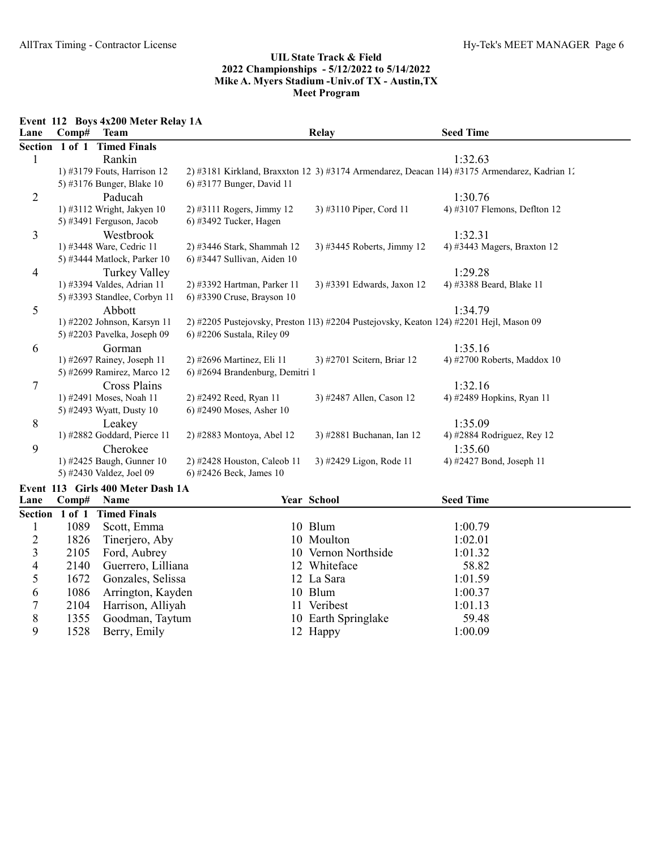Event 112 Boys 4x200 Meter Relay 1A

| Lane | Comp#          | <b>Team</b>                       |                                 | <b>Relay</b>                                                                           | <b>Seed Time</b>                                                                             |
|------|----------------|-----------------------------------|---------------------------------|----------------------------------------------------------------------------------------|----------------------------------------------------------------------------------------------|
|      | Section 1 of 1 | <b>Timed Finals</b>               |                                 |                                                                                        |                                                                                              |
| 1    |                | Rankin                            |                                 |                                                                                        | 1:32.63                                                                                      |
|      |                | 1) #3179 Fouts, Harrison 12       |                                 |                                                                                        | 2) #3181 Kirkland, Braxxton 12 3) #3174 Armendarez, Deacan 114) #3175 Armendarez, Kadrian 1. |
|      |                | 5) #3176 Bunger, Blake 10         | 6) #3177 Bunger, David 11       |                                                                                        |                                                                                              |
| 2    |                | Paducah                           |                                 |                                                                                        | 1:30.76                                                                                      |
|      |                | 1) #3112 Wright, Jakyen 10        | $2)$ #3111 Rogers, Jimmy 12     | 3) #3110 Piper, Cord 11                                                                | 4) #3107 Flemons, Deflton $12$                                                               |
|      |                | 5) #3491 Ferguson, Jacob          | $(6)$ #3492 Tucker, Hagen       |                                                                                        |                                                                                              |
| 3    |                | Westbrook                         |                                 |                                                                                        | 1:32.31                                                                                      |
|      |                | 1) #3448 Ware, Cedric 11          | 2) #3446 Stark, Shammah 12      | 3) #3445 Roberts, Jimmy 12                                                             | 4) #3443 Magers, Braxton 12                                                                  |
|      |                | 5) #3444 Matlock, Parker 10       | 6) #3447 Sullivan, Aiden 10     |                                                                                        |                                                                                              |
| 4    |                | Turkey Valley                     |                                 |                                                                                        | 1:29.28                                                                                      |
|      |                | 1) #3394 Valdes, Adrian 11        | 2) #3392 Hartman, Parker 11     | 3) #3391 Edwards, Jaxon 12                                                             | 4) #3388 Beard, Blake 11                                                                     |
|      |                | 5) #3393 Standlee, Corbyn 11      | 6) #3390 Cruse, Brayson 10      |                                                                                        |                                                                                              |
| 5    |                | Abbott                            |                                 |                                                                                        | 1:34.79                                                                                      |
|      |                | 1) #2202 Johnson, Karsyn 11       |                                 | 2) #2205 Pustejovsky, Preston 113) #2204 Pustejovsky, Keaton 124) #2201 Hejl, Mason 09 |                                                                                              |
|      |                | 5) #2203 Pavelka, Joseph 09       | 6) #2206 Sustala, Riley 09      |                                                                                        |                                                                                              |
| 6    |                | Gorman                            |                                 |                                                                                        | 1:35.16                                                                                      |
|      |                | 1) #2697 Rainey, Joseph 11        | 2) #2696 Martinez, Eli 11       | 3) #2701 Scitern, Briar 12                                                             | 4) #2700 Roberts, Maddox $10$                                                                |
|      |                | 5) #2699 Ramirez, Marco 12        | 6) #2694 Brandenburg, Demitri 1 |                                                                                        |                                                                                              |
| 7    |                | <b>Cross Plains</b>               |                                 |                                                                                        | 1:32.16                                                                                      |
|      |                | 1) #2491 Moses, Noah 11           | 2) #2492 Reed, Ryan 11          | 3) #2487 Allen, Cason 12                                                               | 4) #2489 Hopkins, Ryan 11                                                                    |
|      |                | 5) #2493 Wyatt, Dusty 10          | 6) #2490 Moses, Asher 10        |                                                                                        |                                                                                              |
| 8    |                | Leakey                            |                                 |                                                                                        | 1:35.09                                                                                      |
|      |                | 1) #2882 Goddard, Pierce 11       | 2) #2883 Montoya, Abel 12       | 3) #2881 Buchanan, Ian 12                                                              | 4) #2884 Rodriguez, Rey 12                                                                   |
| 9    |                | Cherokee                          |                                 |                                                                                        | 1:35.60                                                                                      |
|      |                | 1) #2425 Baugh, Gunner 10         | 2) #2428 Houston, Caleob 11     | 3) #2429 Ligon, Rode 11                                                                | 4) #2427 Bond, Joseph 11                                                                     |
|      |                | 5) #2430 Valdez, Joel 09          | 6) #2426 Beck, James 10         |                                                                                        |                                                                                              |
|      |                | Event 113 Girls 400 Meter Dash 1A |                                 |                                                                                        |                                                                                              |

| Lane |      | Comp# Name                  | <b>Year School</b>  | <b>Seed Time</b> |  |
|------|------|-----------------------------|---------------------|------------------|--|
|      |      | Section 1 of 1 Timed Finals |                     |                  |  |
|      | 1089 | Scott, Emma                 | 10 Blum             | 1:00.79          |  |
|      |      | 1826 Tinerjero, Aby         | 10 Moulton          | 1:02.01          |  |
| 3    |      | 2105 Ford, Aubrey           | 10 Vernon Northside | 1:01.32          |  |
| 4    |      | 2140 Guerrero, Lilliana     | 12 Whiteface        | 58.82            |  |
|      |      | 1672 Gonzales, Selissa      | 12 La Sara          | 1:01.59          |  |
| 6    |      | 1086 Arrington, Kayden      | 10 Blum             | 1:00.37          |  |
|      | 2104 | Harrison, Alliyah           | 11 Veribest         | 1:01.13          |  |
| 8    |      | 1355 Goodman, Taytum        | 10 Earth Springlake | 59.48            |  |
| 9    |      | 1528 Berry, Emily           | 12 Happy            | 1:00.09          |  |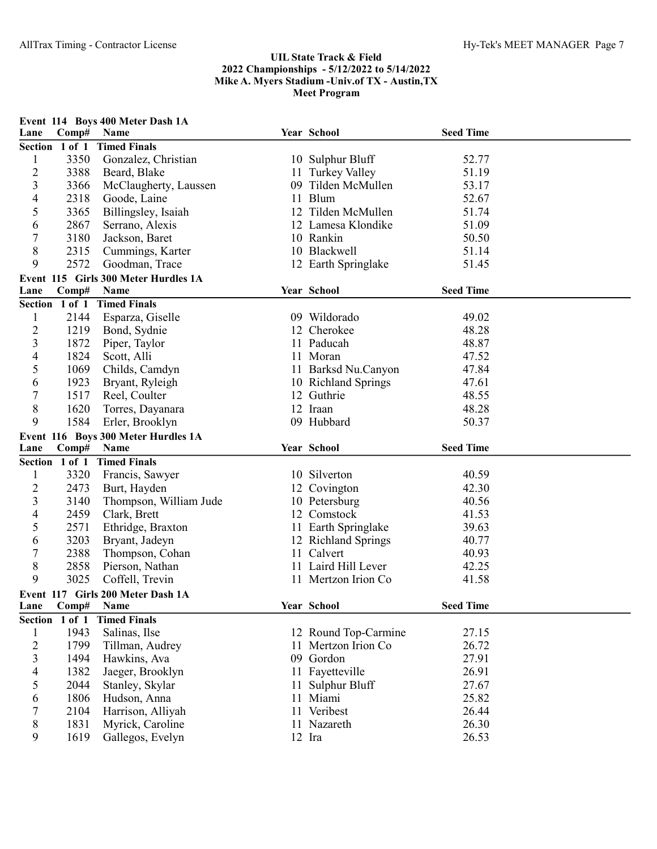|                |              | Event 114 Boys 400 Meter Dash 1A                 |    |                       |                  |  |
|----------------|--------------|--------------------------------------------------|----|-----------------------|------------------|--|
| Lane           | Comp#        | Name                                             |    | Year School           | <b>Seed Time</b> |  |
| Section 1 of 1 |              | <b>Timed Finals</b>                              |    |                       |                  |  |
| 1              | 3350         | Gonzalez, Christian                              |    | 10 Sulphur Bluff      | 52.77            |  |
| $\overline{c}$ | 3388         | Beard, Blake                                     |    | 11 Turkey Valley      | 51.19            |  |
| 3              | 3366         | McClaugherty, Laussen                            |    | 09 Tilden McMullen    | 53.17            |  |
| 4              | 2318         | Goode, Laine                                     |    | 11 Blum               | 52.67            |  |
| 5              | 3365         | Billingsley, Isaiah                              |    | 12 Tilden McMullen    | 51.74            |  |
| 6              | 2867         | Serrano, Alexis                                  |    | 12 Lamesa Klondike    | 51.09            |  |
| 7              | 3180         | Jackson, Baret                                   |    | 10 Rankin             | 50.50            |  |
| 8              | 2315         | Cummings, Karter                                 |    | 10 Blackwell          | 51.14            |  |
| 9              | 2572         | Goodman, Trace                                   |    | 12 Earth Springlake   | 51.45            |  |
|                |              | Event 115 Girls 300 Meter Hurdles 1A             |    |                       |                  |  |
| Lane           | Comp#        | Name                                             |    | Year School           | <b>Seed Time</b> |  |
| Section 1 of 1 |              | <b>Timed Finals</b>                              |    |                       |                  |  |
| $\mathbf{1}$   | 2144         | Esparza, Giselle                                 |    | 09 Wildorado          | 49.02            |  |
| $\overline{c}$ | 1219         | Bond, Sydnie                                     |    | 12 Cherokee           | 48.28            |  |
| 3              | 1872         | Piper, Taylor                                    |    | 11 Paducah            | 48.87            |  |
| 4              | 1824         | Scott, Alli                                      |    | 11 Moran              | 47.52            |  |
| 5              | 1069         | Childs, Camdyn                                   |    | 11 Barksd Nu.Canyon   | 47.84            |  |
| 6              | 1923         | Bryant, Ryleigh                                  |    | 10 Richland Springs   | 47.61            |  |
| 7              | 1517         | Reel, Coulter                                    |    | 12 Guthrie            | 48.55            |  |
| 8              | 1620         | Torres, Dayanara                                 |    | 12 Iraan              | 48.28            |  |
| 9              | 1584         | Erler, Brooklyn                                  |    | 09 Hubbard            | 50.37            |  |
|                |              | Event 116 Boys 300 Meter Hurdles 1A              |    |                       |                  |  |
| Lane           | Comp#        | Name                                             |    | Year School           | <b>Seed Time</b> |  |
| Section 1 of 1 |              | <b>Timed Finals</b>                              |    |                       |                  |  |
| 1              | 3320         | Francis, Sawyer                                  |    | 10 Silverton          | 40.59            |  |
| $\overline{c}$ | 2473         | Burt, Hayden                                     |    | 12 Covington          | 42.30            |  |
| 3              | 3140         | Thompson, William Jude                           |    | 10 Petersburg         | 40.56            |  |
| 4              | 2459         | Clark, Brett                                     |    | 12 Comstock           | 41.53            |  |
| 5              | 2571         | Ethridge, Braxton                                |    | 11 Earth Springlake   | 39.63            |  |
| 6              | 3203         | Bryant, Jadeyn                                   |    | 12 Richland Springs   | 40.77            |  |
| 7              | 2388         | Thompson, Cohan                                  |    | 11 Calvert            | 40.93            |  |
| 8              | 2858         | Pierson, Nathan                                  |    | 11 Laird Hill Lever   | 42.25            |  |
| 9              | 3025         | Coffell, Trevin                                  |    | 11 Mertzon Irion Co   | 41.58            |  |
|                |              |                                                  |    |                       |                  |  |
| Lane           | Comp#        | Event 117 Girls 200 Meter Dash 1A<br><b>Name</b> |    | Year School           | <b>Seed Time</b> |  |
| <b>Section</b> | 1 of 1       | <b>Timed Finals</b>                              |    |                       |                  |  |
| 1              | 1943         | Salinas, Ilse                                    |    | 12 Round Top-Carmine  | 27.15            |  |
| 2              | 1799         | Tillman, Audrey                                  |    | Mertzon Irion Co      | 26.72            |  |
| 3              |              |                                                  |    |                       |                  |  |
|                |              |                                                  |    |                       |                  |  |
|                | 1494         | Hawkins, Ava                                     |    | 09 Gordon             | 27.91            |  |
| 4              | 1382         | Jaeger, Brooklyn                                 |    | 11 Fayetteville       | 26.91            |  |
| 5              | 2044         | Stanley, Skylar                                  |    | Sulphur Bluff         | 27.67            |  |
| 6              | 1806         | Hudson, Anna                                     | 11 | Miami                 | 25.82            |  |
| 7              | 2104         | Harrison, Alliyah                                |    | 11 Veribest           | 26.44            |  |
| 8<br>9         | 1831<br>1619 | Myrick, Caroline<br>Gallegos, Evelyn             |    | 11 Nazareth<br>12 Ira | 26.30<br>26.53   |  |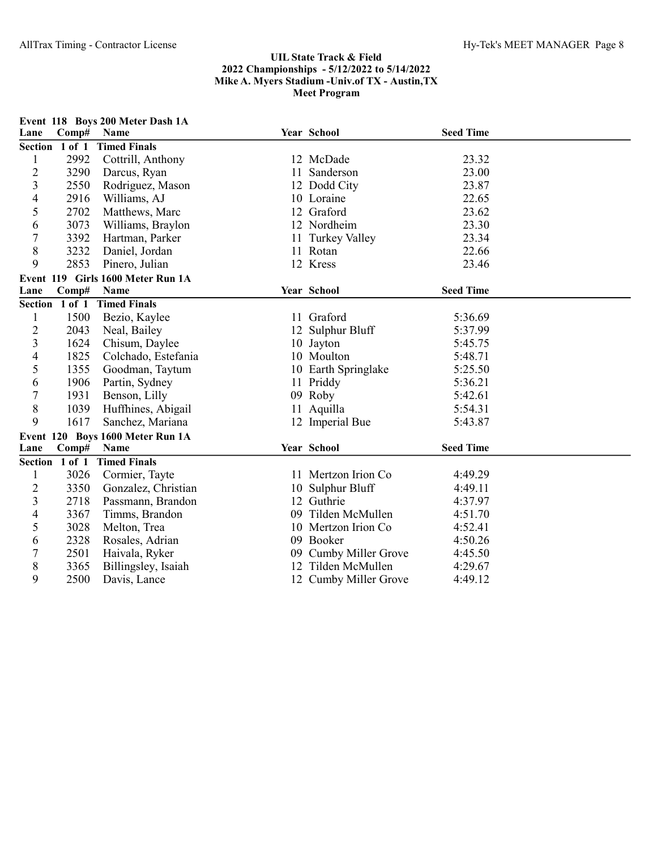| Lane           | Comp#          | Event 118 Boys 200 Meter Dash 1A<br>Name |    | Year School           | <b>Seed Time</b> |  |
|----------------|----------------|------------------------------------------|----|-----------------------|------------------|--|
|                | Section 1 of 1 | <b>Timed Finals</b>                      |    |                       |                  |  |
| $\mathbf{1}$   | 2992           | Cottrill, Anthony                        |    | 12 McDade             | 23.32            |  |
| $\overline{c}$ | 3290           | Darcus, Ryan                             |    | 11 Sanderson          | 23.00            |  |
| 3              | 2550           | Rodriguez, Mason                         |    | 12 Dodd City          | 23.87            |  |
| $\overline{4}$ | 2916           | Williams, AJ                             |    | 10 Loraine            | 22.65            |  |
| 5              | 2702           | Matthews, Marc                           |    | 12 Graford            | 23.62            |  |
| 6              | 3073           | Williams, Braylon                        |    | 12 Nordheim           | 23.30            |  |
| $\overline{7}$ | 3392           | Hartman, Parker                          |    | 11 Turkey Valley      | 23.34            |  |
| 8              | 3232           | Daniel, Jordan                           |    | 11 Rotan              | 22.66            |  |
| 9              | 2853           | Pinero, Julian                           |    | 12 Kress              | 23.46            |  |
|                |                | Event 119 Girls 1600 Meter Run 1A        |    |                       |                  |  |
| Lane           | Comp#          | Name                                     |    | Year School           | <b>Seed Time</b> |  |
|                | Section 1 of 1 | <b>Timed Finals</b>                      |    |                       |                  |  |
| $\mathbf{1}$   | 1500           | Bezio, Kaylee                            |    | 11 Graford            | 5:36.69          |  |
| $\overline{2}$ | 2043           | Neal, Bailey                             |    | 12 Sulphur Bluff      | 5:37.99          |  |
| 3              | 1624           | Chisum, Daylee                           |    | 10 Jayton             | 5:45.75          |  |
| $\overline{4}$ | 1825           | Colchado, Estefania                      |    | 10 Moulton            | 5:48.71          |  |
| 5              | 1355           | Goodman, Taytum                          |    | 10 Earth Springlake   | 5:25.50          |  |
| 6              | 1906           | Partin, Sydney                           |    | 11 Priddy             | 5:36.21          |  |
| $\overline{7}$ | 1931           | Benson, Lilly                            |    | 09 Roby               | 5:42.61          |  |
| 8              | 1039           | Huffhines, Abigail                       |    | 11 Aquilla            | 5:54.31          |  |
| 9              | 1617           | Sanchez, Mariana                         |    | 12 Imperial Bue       | 5:43.87          |  |
|                |                | Event 120 Boys 1600 Meter Run 1A         |    |                       |                  |  |
| Lane           | Comp#          | Name                                     |    | Year School           | <b>Seed Time</b> |  |
|                | Section 1 of 1 | <b>Timed Finals</b>                      |    |                       |                  |  |
| $\mathbf{1}$   | 3026           | Cormier, Tayte                           |    | 11 Mertzon Irion Co   | 4:49.29          |  |
| $\overline{c}$ | 3350           | Gonzalez, Christian                      |    | 10 Sulphur Bluff      | 4:49.11          |  |
| 3              | 2718           | Passmann, Brandon                        |    | 12 Guthrie            | 4:37.97          |  |
| 4              | 3367           | Timms, Brandon                           | 09 | Tilden McMullen       | 4:51.70          |  |
| 5              | 3028           | Melton, Trea                             |    | 10 Mertzon Irion Co   | 4:52.41          |  |
| 6              | 2328           | Rosales, Adrian                          |    | 09 Booker             | 4:50.26          |  |
| 7              | 2501           | Haivala, Ryker                           |    | 09 Cumby Miller Grove | 4:45.50          |  |
| 8              | 3365           | Billingsley, Isaiah                      |    | 12 Tilden McMullen    | 4:29.67          |  |
| 9              | 2500           | Davis, Lance                             |    | 12 Cumby Miller Grove | 4:49.12          |  |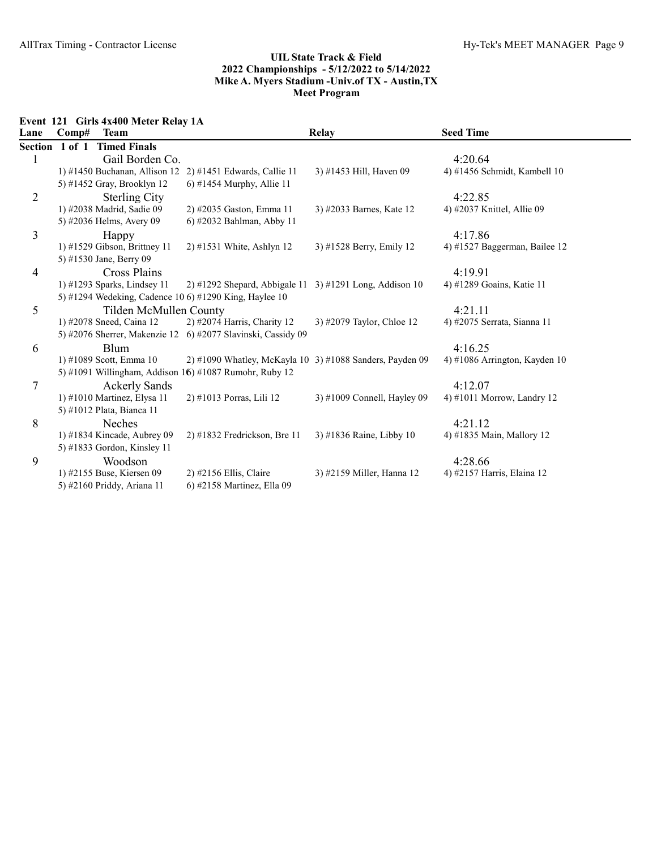Event 121 Girls 4x400 Meter Relay 1A

| Lane           | Comp# | <b>Team</b>                  |                                                              | <b>Relay</b>                | <b>Seed Time</b>                |
|----------------|-------|------------------------------|--------------------------------------------------------------|-----------------------------|---------------------------------|
| Section 1 of 1 |       | <b>Timed Finals</b>          |                                                              |                             |                                 |
|                |       | Gail Borden Co.              |                                                              |                             | 4:20.64                         |
|                |       |                              | 1) #1450 Buchanan, Allison 12 2) #1451 Edwards, Callie 11    | 3) #1453 Hill, Haven 09     | 4) #1456 Schmidt, Kambell 10    |
|                |       | 5) #1452 Gray, Brooklyn 12   | 6) #1454 Murphy, Allie 11                                    |                             |                                 |
| 2              |       | <b>Sterling City</b>         |                                                              |                             | 4:22.85                         |
|                |       | 1) #2038 Madrid, Sadie 09    | 2) #2035 Gaston, Emma 11                                     | 3) #2033 Barnes, Kate 12    | 4) #2037 Knittel, Allie 09      |
|                |       | 5) #2036 Helms, Avery 09     | 6) #2032 Bahlman, Abby 11                                    |                             |                                 |
| 3              |       | Happy                        |                                                              |                             | 4:17.86                         |
|                |       | 1) #1529 Gibson, Brittney 11 | $2)$ #1531 White, Ashlyn 12                                  | 3) #1528 Berry, Emily 12    | 4) #1527 Baggerman, Bailee 12   |
|                |       | 5) #1530 Jane, Berry 09      |                                                              |                             |                                 |
| 4              |       | <b>Cross Plains</b>          |                                                              |                             | 4:19.91                         |
|                |       | 1) #1293 Sparks, Lindsey 11  | 2) #1292 Shepard, Abbigale 11 3) #1291 Long, Addison 10      |                             | 4) #1289 Goains, Katie 11       |
|                |       |                              | 5) #1294 Wedeking, Cadence 10 6) #1290 King, Haylee 10       |                             |                                 |
| 5              |       | Tilden McMullen County       |                                                              |                             | 4:21.11                         |
|                |       | 1) #2078 Sneed, Caina 12     | 2) #2074 Harris, Charity 12                                  | 3) #2079 Taylor, Chloe 12   | 4) #2075 Serrata, Sianna 11     |
|                |       |                              | 5) #2076 Sherrer, Makenzie 12 6) #2077 Slavinski, Cassidy 09 |                             |                                 |
| 6              |       | <b>Blum</b>                  |                                                              |                             | 4:16.25                         |
|                |       | 1) #1089 Scott, Emma 10      | 2) #1090 Whatley, McKayla 10 $3$ ) #1088 Sanders, Payden 09  |                             | 4) #1086 Arrington, Kayden $10$ |
|                |       |                              | 5) #1091 Willingham, Addison 16) #1087 Rumohr, Ruby 12       |                             |                                 |
| 7              |       | <b>Ackerly Sands</b>         |                                                              |                             | 4:12.07                         |
|                |       | 1) #1010 Martinez, Elysa 11  | 2) #1013 Porras, Lili 12                                     | 3) #1009 Connell, Hayley 09 | 4) #1011 Morrow, Landry 12      |
|                |       | 5) #1012 Plata, Bianca 11    |                                                              |                             |                                 |
| 8              |       | Neches                       |                                                              |                             | 4:21.12                         |
|                |       | 1) #1834 Kincade, Aubrey 09  | $2)$ #1832 Fredrickson, Bre 11                               | 3) #1836 Raine, Libby 10    | 4) #1835 Main, Mallory 12       |
|                |       | 5) #1833 Gordon, Kinsley 11  |                                                              |                             |                                 |
| 9              |       | Woodson                      |                                                              |                             | 4:28.66                         |
|                |       | 1) #2155 Buse, Kiersen 09    | $2)$ #2156 Ellis, Claire                                     | 3) #2159 Miller, Hanna 12   | 4) #2157 Harris, Elaina 12      |
|                |       | 5) #2160 Priddy, Ariana 11   | 6) #2158 Martinez, Ella 09                                   |                             |                                 |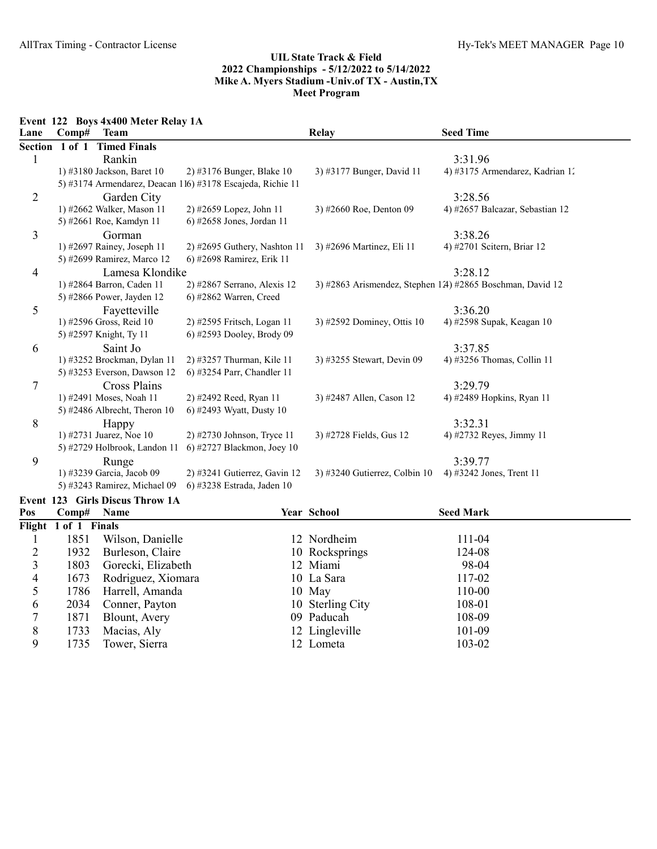Event 122 Boys 4x400 Meter Relay 1A

1735 Tower, Sierra

| Lane           | Comp#                | <b>Team</b>                     |                                                            | Relay                         | <b>Seed Time</b>                                          |
|----------------|----------------------|---------------------------------|------------------------------------------------------------|-------------------------------|-----------------------------------------------------------|
| <b>Section</b> | 1 of 1               | <b>Timed Finals</b>             |                                                            |                               |                                                           |
| $\mathbf{1}$   |                      | Rankin                          |                                                            |                               | 3:31.96                                                   |
|                |                      | 1) #3180 Jackson, Baret 10      | 2) #3176 Bunger, Blake 10                                  | 3) #3177 Bunger, David 11     | 4) #3175 Armendarez, Kadrian 1.                           |
|                |                      |                                 | 5) #3174 Armendarez, Deacan 116) #3178 Escajeda, Richie 11 |                               |                                                           |
| $\overline{2}$ |                      | Garden City                     |                                                            |                               | 3:28.56                                                   |
|                |                      | 1) #2662 Walker, Mason 11       | 2) #2659 Lopez, John 11                                    | 3) #2660 Roe, Denton 09       | 4) #2657 Balcazar, Sebastian 12                           |
|                |                      | 5) #2661 Roe, Kamdyn 11         | 6) #2658 Jones, Jordan 11                                  |                               |                                                           |
| 3              |                      | Gorman                          |                                                            |                               | 3:38.26                                                   |
|                |                      | 1) #2697 Rainey, Joseph 11      | 2) #2695 Guthery, Nashton 11                               | 3) #2696 Martinez, Eli 11     | 4) #2701 Scitern, Briar 12                                |
|                |                      | 5) #2699 Ramirez, Marco 12      | 6) #2698 Ramirez, Erik 11                                  |                               |                                                           |
| $\overline{4}$ |                      | Lamesa Klondike                 |                                                            |                               | 3:28.12                                                   |
|                |                      | 1) #2864 Barron, Caden 11       | 2) #2867 Serrano, Alexis 12                                |                               | 3) #2863 Arismendez, Stephen 12) #2865 Boschman, David 12 |
|                |                      | 5) #2866 Power, Jayden 12       | 6) #2862 Warren, Creed                                     |                               |                                                           |
| 5              |                      | Fayetteville                    |                                                            |                               | 3:36.20                                                   |
|                |                      | 1) #2596 Gross, Reid 10         | 2) #2595 Fritsch, Logan 11                                 | 3) #2592 Dominey, Ottis 10    | 4) #2598 Supak, Keagan 10                                 |
|                |                      | 5) #2597 Knight, Ty 11          | 6) #2593 Dooley, Brody 09                                  |                               |                                                           |
| 6              |                      | Saint Jo                        |                                                            |                               | 3:37.85                                                   |
|                |                      | 1) #3252 Brockman, Dylan 11     | 2) #3257 Thurman, Kile 11                                  | 3) #3255 Stewart, Devin 09    | 4) #3256 Thomas, Collin 11                                |
|                |                      | 5) #3253 Everson, Dawson 12     | 6) #3254 Parr, Chandler 11                                 |                               |                                                           |
| 7              |                      | <b>Cross Plains</b>             |                                                            |                               | 3:29.79                                                   |
|                |                      | 1) #2491 Moses, Noah 11         | 2) #2492 Reed, Ryan 11                                     | 3) #2487 Allen, Cason 12      | 4) #2489 Hopkins, Ryan 11                                 |
|                |                      | 5) #2486 Albrecht, Theron 10    | 6) #2493 Wyatt, Dusty 10                                   |                               |                                                           |
| 8              |                      | Happy                           |                                                            |                               | 3:32.31                                                   |
|                |                      | 1) #2731 Juarez, Noe 10         | 2) #2730 Johnson, Tryce 11                                 | 3) #2728 Fields, Gus 12       | 4) #2732 Reyes, Jimmy 11                                  |
|                |                      |                                 | 5) #2729 Holbrook, Landon 11 6) #2727 Blackmon, Joey 10    |                               |                                                           |
| 9              |                      | Runge                           |                                                            |                               | 3:39.77                                                   |
|                |                      | 1) #3239 Garcia, Jacob 09       | 2) #3241 Gutierrez, Gavin 12                               | 3) #3240 Gutierrez, Colbin 10 | 4) #3242 Jones, Trent 11                                  |
|                |                      | 5) #3243 Ramirez, Michael 09    | 6) #3238 Estrada, Jaden 10                                 |                               |                                                           |
|                |                      | Event 123 Girls Discus Throw 1A |                                                            |                               |                                                           |
| Pos            | Comp#                | Name                            |                                                            | Year School                   | <b>Seed Mark</b>                                          |
|                | Flight 1 of 1 Finals |                                 |                                                            |                               |                                                           |
| 1              | 1851                 | Wilson, Danielle                |                                                            | 12 Nordheim                   | 111-04                                                    |
| $\overline{2}$ | 1932                 | Burleson, Claire                |                                                            | 10 Rocksprings                | 124-08                                                    |
| 3              | 1803                 | Gorecki, Elizabeth              |                                                            | 12 Miami                      | 98-04                                                     |
| 4              | 1673                 | Rodriguez, Xiomara              |                                                            | 10 La Sara                    | 117-02                                                    |
| 5              | 1786                 | Harrell, Amanda                 |                                                            | 10 May                        | 110-00                                                    |
| 6              | 2034                 | Conner, Payton                  |                                                            | 10 Sterling City              | 108-01                                                    |
| $\overline{7}$ | 1871                 | Blount, Avery                   |                                                            | 09 Paducah                    | 108-09                                                    |
| $\,$ $\,$      | 1733                 | Macias, Aly                     |                                                            | 12 Lingleville                | 101-09                                                    |
| 9              | 1735                 | Tower, Sierra                   |                                                            | 12 Lometa                     | 103-02                                                    |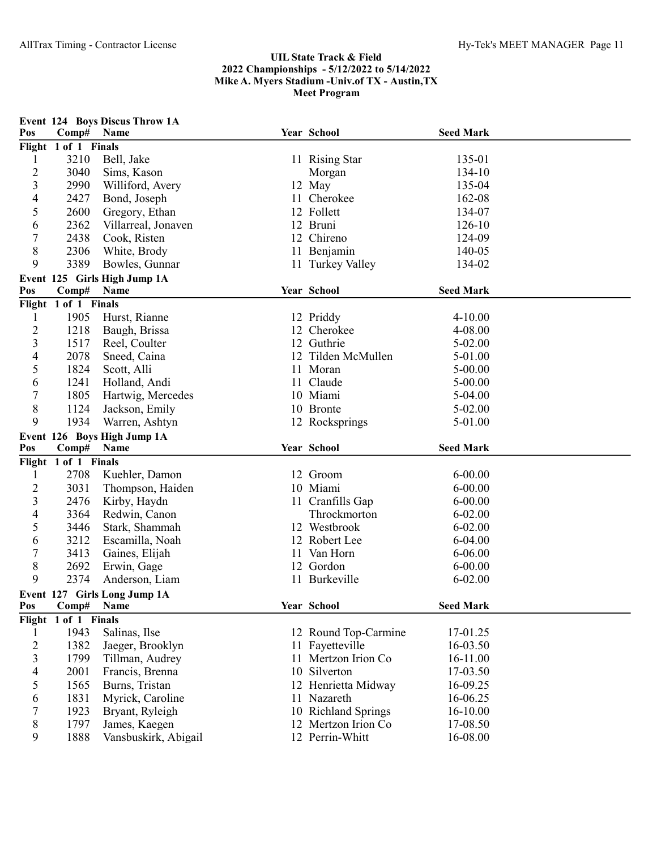| Pos                     | Comp#                | <b>Event 124 Boys Discus Throw 1A</b><br>Name | Year School          | <b>Seed Mark</b> |  |
|-------------------------|----------------------|-----------------------------------------------|----------------------|------------------|--|
|                         | Flight 1 of 1 Finals |                                               |                      |                  |  |
| 1                       | 3210                 | Bell, Jake                                    | 11 Rising Star       | 135-01           |  |
| $\overline{c}$          | 3040                 | Sims, Kason                                   | Morgan               | 134-10           |  |
| 3                       | 2990                 | Williford, Avery                              | 12 May               | 135-04           |  |
| $\overline{4}$          | 2427                 | Bond, Joseph                                  | 11 Cherokee          | 162-08           |  |
| 5                       | 2600                 | Gregory, Ethan                                | 12 Follett           | 134-07           |  |
| 6                       | 2362                 | Villarreal, Jonaven                           | 12 Bruni             | 126-10           |  |
| 7                       | 2438                 | Cook, Risten                                  | 12 Chireno           | 124-09           |  |
| $8\,$                   | 2306                 | White, Brody                                  | 11 Benjamin          | 140-05           |  |
| 9                       | 3389                 | Bowles, Gunnar                                | 11 Turkey Valley     | 134-02           |  |
|                         |                      | Event 125 Girls High Jump 1A                  |                      |                  |  |
| Pos                     | Comp#                | Name                                          | Year School          | <b>Seed Mark</b> |  |
|                         | Flight 1 of 1 Finals |                                               |                      |                  |  |
| 1                       | 1905                 | Hurst, Rianne                                 | 12 Priddy            | 4-10.00          |  |
| $\overline{c}$          | 1218                 | Baugh, Brissa                                 | 12 Cherokee          | 4-08.00          |  |
| 3                       | 1517                 | Reel, Coulter                                 | 12 Guthrie           | 5-02.00          |  |
| 4                       | 2078                 | Sneed, Caina                                  | 12 Tilden McMullen   | 5-01.00          |  |
| 5                       | 1824                 | Scott, Alli                                   | 11 Moran             | $5 - 00.00$      |  |
| 6                       | 1241                 | Holland, Andi                                 | 11 Claude            | 5-00.00          |  |
| $\overline{7}$          | 1805                 | Hartwig, Mercedes                             | 10 Miami             | 5-04.00          |  |
| $8\,$                   | 1124                 | Jackson, Emily                                | 10 Bronte            | 5-02.00          |  |
| 9                       | 1934                 | Warren, Ashtyn                                | 12 Rocksprings       | 5-01.00          |  |
|                         |                      | Event 126 Boys High Jump 1A                   |                      |                  |  |
| Pos                     | Comp#                | Name                                          | Year School          | <b>Seed Mark</b> |  |
|                         | Flight 1 of 1 Finals |                                               |                      |                  |  |
| 1                       | 2708                 | Kuehler, Damon                                | 12 Groom             | $6 - 00.00$      |  |
| $\overline{c}$          | 3031                 | Thompson, Haiden                              | 10 Miami             | $6 - 00.00$      |  |
| $\overline{3}$          | 2476                 | Kirby, Haydn                                  | 11 Cranfills Gap     | $6 - 00.00$      |  |
| $\overline{\mathbf{4}}$ | 3364                 | Redwin, Canon                                 | Throckmorton         | $6 - 02.00$      |  |
| 5                       | 3446                 | Stark, Shammah                                | 12 Westbrook         | $6 - 02.00$      |  |
| 6                       | 3212                 | Escamilla, Noah                               | 12 Robert Lee        | 6-04.00          |  |
| $\overline{7}$          | 3413                 | Gaines, Elijah                                | 11 Van Horn          | $6 - 06.00$      |  |
| $8\,$                   | 2692                 | Erwin, Gage                                   | 12 Gordon            | $6 - 00.00$      |  |
| 9                       | 2374                 | Anderson, Liam                                | 11 Burkeville        | $6 - 02.00$      |  |
|                         |                      | Event 127 Girls Long Jump 1A                  |                      |                  |  |
| Pos                     | Comp# Name           |                                               | Year School          | <b>Seed Mark</b> |  |
|                         | Flight 1 of 1 Finals |                                               |                      |                  |  |
| 1                       | 1943                 | Salinas, Ilse                                 | 12 Round Top-Carmine | 17-01.25         |  |
| $\overline{c}$          | 1382                 | Jaeger, Brooklyn                              | 11 Fayetteville      | 16-03.50         |  |
| 3                       | 1799                 | Tillman, Audrey                               | 11 Mertzon Irion Co  | 16-11.00         |  |
| 4                       | 2001                 | Francis, Brenna                               | 10 Silverton         | 17-03.50         |  |
| 5                       | 1565                 | Burns, Tristan                                | 12 Henrietta Midway  | 16-09.25         |  |
| 6                       | 1831                 | Myrick, Caroline                              | 11 Nazareth          | 16-06.25         |  |
| 7                       | 1923                 | Bryant, Ryleigh                               | 10 Richland Springs  | 16-10.00         |  |
| 8                       | 1797                 | James, Kaegen                                 | 12 Mertzon Irion Co  | 17-08.50         |  |
| 9                       | 1888                 | Vansbuskirk, Abigail                          | 12 Perrin-Whitt      | 16-08.00         |  |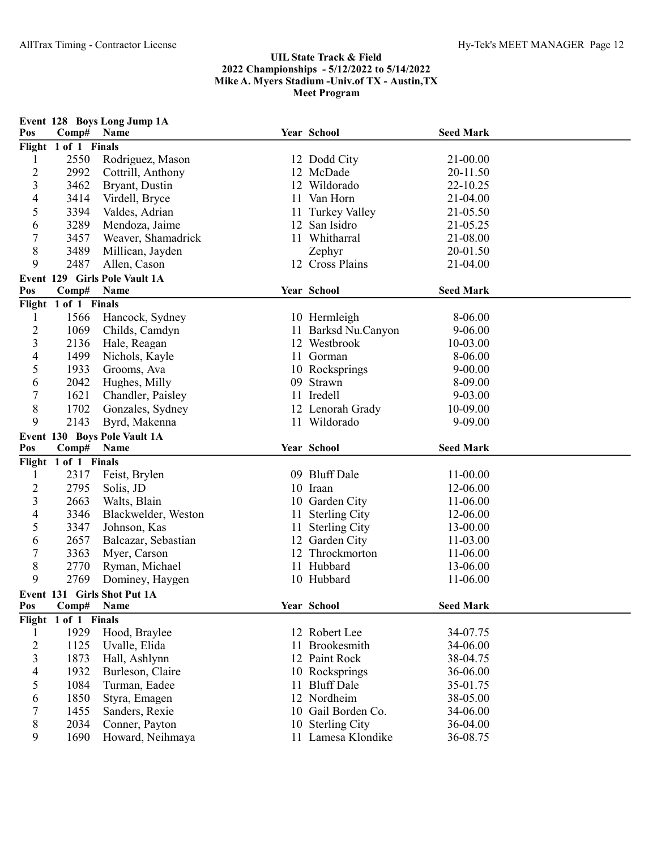|                                |                              | Event 128 Boys Long Jump 1A   |    |                           |                  |  |
|--------------------------------|------------------------------|-------------------------------|----|---------------------------|------------------|--|
| Pos                            | Comp#                        | <b>Name</b>                   |    | Year School               | <b>Seed Mark</b> |  |
|                                | Flight 1 of 1 Finals<br>2550 | Rodriguez, Mason              |    |                           | 21-00.00         |  |
| $\mathbf{1}$<br>$\overline{c}$ | 2992                         | Cottrill, Anthony             |    | 12 Dodd City<br>12 McDade | 20-11.50         |  |
| 3                              | 3462                         | Bryant, Dustin                |    | 12 Wildorado              | 22-10.25         |  |
| 4                              | 3414                         | Virdell, Bryce                |    | 11 Van Horn               | 21-04.00         |  |
| 5                              | 3394                         | Valdes, Adrian                |    | 11 Turkey Valley          | 21-05.50         |  |
| 6                              | 3289                         | Mendoza, Jaime                |    | 12 San Isidro             | 21-05.25         |  |
| 7                              | 3457                         | Weaver, Shamadrick            |    | 11 Whitharral             | 21-08.00         |  |
| 8                              | 3489                         | Millican, Jayden              |    | Zephyr                    | 20-01.50         |  |
| 9                              | 2487                         | Allen, Cason                  |    | 12 Cross Plains           | 21-04.00         |  |
|                                |                              | Event 129 Girls Pole Vault 1A |    |                           |                  |  |
| Pos                            | Comp#                        | Name                          |    | Year School               | <b>Seed Mark</b> |  |
|                                | Flight 1 of 1 Finals         |                               |    |                           |                  |  |
| $\mathbf{l}$                   | 1566                         | Hancock, Sydney               |    | 10 Hermleigh              | 8-06.00          |  |
| $\overline{c}$                 | 1069                         | Childs, Camdyn                |    | Barksd Nu.Canyon          | $9 - 06.00$      |  |
| 3                              | 2136                         | Hale, Reagan                  |    | 12 Westbrook              | 10-03.00         |  |
| 4                              | 1499                         | Nichols, Kayle                |    | 11 Gorman                 | 8-06.00          |  |
| 5                              | 1933                         | Grooms, Ava                   |    | 10 Rocksprings            | $9 - 00.00$      |  |
| 6                              | 2042                         | Hughes, Milly                 | 09 | Strawn                    | 8-09.00          |  |
| 7                              | 1621                         | Chandler, Paisley             |    | 11 Iredell                | 9-03.00          |  |
| 8                              | 1702                         | Gonzales, Sydney              |    | 12 Lenorah Grady          | 10-09.00         |  |
| 9                              | 2143                         | Byrd, Makenna                 |    | 11 Wildorado              | 9-09.00          |  |
|                                |                              | Event 130 Boys Pole Vault 1A  |    |                           |                  |  |
| Pos                            | Comp#                        | Name                          |    | Year School               | <b>Seed Mark</b> |  |
|                                | Flight 1 of 1 Finals         |                               |    |                           |                  |  |
| 1                              | 2317                         | Feist, Brylen                 |    | 09 Bluff Dale             | 11-00.00         |  |
| $\overline{c}$                 | 2795                         | Solis, JD                     |    | 10 Iraan                  | 12-06.00         |  |
| 3                              | 2663                         | Walts, Blain                  |    | 10 Garden City            | 11-06.00         |  |
| 4                              | 3346                         | Blackwelder, Weston           | 11 | <b>Sterling City</b>      | 12-06.00         |  |
| 5                              | 3347                         | Johnson, Kas                  |    | 11 Sterling City          | 13-00.00         |  |
| 6                              | 2657                         | Balcazar, Sebastian           |    | 12 Garden City            | 11-03.00         |  |
| 7                              | 3363                         | Myer, Carson                  |    | 12 Throckmorton           | 11-06.00         |  |
| 8                              | 2770                         | Ryman, Michael                |    | 11 Hubbard                | 13-06.00         |  |
| 9                              | 2769                         | Dominey, Haygen               |    | 10 Hubbard                | 11-06.00         |  |
|                                |                              | Event 131 Girls Shot Put 1A   |    |                           |                  |  |
| Pos                            | Comp#                        | Name                          |    | Year School               | <b>Seed Mark</b> |  |
|                                | Flight 1 of 1 Finals         |                               |    |                           |                  |  |
| 1                              | 1929                         | Hood, Braylee                 |    | 12 Robert Lee             | 34-07.75         |  |
| $\overline{2}$                 | 1125                         | Uvalle, Elida                 | 11 | Brookesmith               | 34-06.00         |  |
| 3                              | 1873                         | Hall, Ashlynn                 |    | 12 Paint Rock             | 38-04.75         |  |
| 4                              | 1932                         | Burleson, Claire              |    | 10 Rocksprings            | 36-06.00         |  |
| 5                              | 1084                         | Turman, Eadee                 | 11 | <b>Bluff</b> Dale         | 35-01.75         |  |
| 6                              | 1850                         | Styra, Emagen                 |    | 12 Nordheim               | 38-05.00         |  |
| 7                              | 1455                         | Sanders, Rexie                |    | 10 Gail Borden Co.        | 34-06.00         |  |
| 8                              | 2034                         | Conner, Payton                |    | 10 Sterling City          | 36-04.00         |  |
| 9                              | 1690                         | Howard, Neihmaya              |    | 11 Lamesa Klondike        | 36-08.75         |  |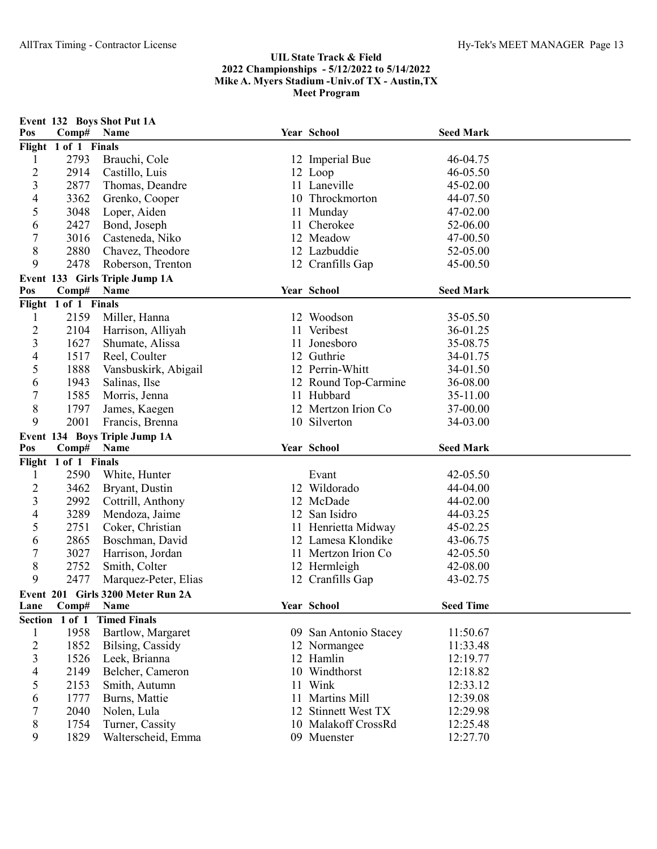| Pos                 | Comp#                        | Event 132 Boys Shot Put 1A<br>Name    | Year School                           | <b>Seed Mark</b> |  |
|---------------------|------------------------------|---------------------------------------|---------------------------------------|------------------|--|
|                     | Flight 1 of 1 Finals         |                                       |                                       |                  |  |
| $\mathbf{1}$        | 2793                         | Brauchi, Cole                         | 12 Imperial Bue                       | 46-04.75         |  |
| $\overline{c}$      | 2914                         | Castillo, Luis                        | 12 Loop                               | 46-05.50         |  |
| 3                   | 2877                         | Thomas, Deandre                       | 11 Laneville                          | 45-02.00         |  |
| 4                   | 3362                         | Grenko, Cooper                        | 10 Throckmorton                       | 44-07.50         |  |
| 5                   | 3048                         | Loper, Aiden                          | 11 Munday                             | 47-02.00         |  |
| 6                   | 2427                         | Bond, Joseph                          | 11 Cherokee                           | 52-06.00         |  |
| 7                   | 3016                         | Casteneda, Niko                       | 12 Meadow                             | 47-00.50         |  |
| 8                   | 2880                         | Chavez, Theodore                      | 12 Lazbuddie                          | 52-05.00         |  |
| 9                   | 2478                         | Roberson, Trenton                     | 12 Cranfills Gap                      | 45-00.50         |  |
|                     |                              | Event 133 Girls Triple Jump 1A        |                                       |                  |  |
| Pos                 | Comp#                        | Name                                  | Year School                           | <b>Seed Mark</b> |  |
|                     | Flight 1 of 1 Finals         |                                       |                                       |                  |  |
| 1                   | 2159                         | Miller, Hanna                         | 12 Woodson                            | 35-05.50         |  |
| $\overline{c}$      | 2104                         | Harrison, Alliyah                     | 11 Veribest                           | 36-01.25         |  |
| 3                   | 1627                         | Shumate, Alissa                       | 11 Jonesboro                          | 35-08.75         |  |
| 4                   | 1517                         | Reel, Coulter                         | 12 Guthrie                            | 34-01.75         |  |
| 5                   | 1888                         | Vansbuskirk, Abigail                  | 12 Perrin-Whitt                       | 34-01.50         |  |
| 6                   | 1943                         | Salinas, Ilse                         | 12 Round Top-Carmine                  | 36-08.00         |  |
| 7                   | 1585                         | Morris, Jenna                         | 11 Hubbard                            | 35-11.00         |  |
| $8\,$               | 1797                         | James, Kaegen                         | 12 Mertzon Irion Co                   | 37-00.00         |  |
| 9                   | 2001                         | Francis, Brenna                       | 10 Silverton                          | 34-03.00         |  |
|                     |                              |                                       |                                       |                  |  |
|                     |                              |                                       |                                       |                  |  |
| Pos                 | Comp#                        | Event 134 Boys Triple Jump 1A<br>Name | Year School                           | <b>Seed Mark</b> |  |
|                     |                              |                                       |                                       |                  |  |
| 1                   | Flight 1 of 1 Finals<br>2590 | White, Hunter                         | Evant                                 | 42-05.50         |  |
|                     | 3462                         |                                       | 12 Wildorado                          | 44-04.00         |  |
| $\overline{c}$<br>3 | 2992                         | Bryant, Dustin                        | 12 McDade                             | 44-02.00         |  |
| 4                   | 3289                         | Cottrill, Anthony<br>Mendoza, Jaime   | 12 San Isidro                         | 44-03.25         |  |
| 5                   | 2751                         | Coker, Christian                      | 11 Henrietta Midway                   | 45-02.25         |  |
| 6                   | 2865                         | Boschman, David                       | 12 Lamesa Klondike                    | 43-06.75         |  |
| 7                   | 3027                         |                                       | 11 Mertzon Irion Co                   | 42-05.50         |  |
| 8                   | 2752                         | Harrison, Jordan<br>Smith, Colter     |                                       | 42-08.00         |  |
| 9                   | 2477                         |                                       | 12 Hermleigh                          | 43-02.75         |  |
|                     |                              | Marquez-Peter, Elias                  | 12 Cranfills Gap                      |                  |  |
| Lane                | Comp# Name                   | Event 201 Girls 3200 Meter Run 2A     | Year School                           | <b>Seed Time</b> |  |
|                     | Section 1 of 1               | <b>Timed Finals</b>                   |                                       |                  |  |
| $\mathbf{1}$        | 1958                         | Bartlow, Margaret                     |                                       | 11:50.67         |  |
|                     | 1852                         | Bilsing, Cassidy                      | 09 San Antonio Stacey<br>12 Normangee | 11:33.48         |  |
| $\overline{c}$<br>3 | 1526                         | Leek, Brianna                         | 12 Hamlin                             | 12:19.77         |  |
|                     | 2149                         | Belcher, Cameron                      | 10 Windthorst                         | 12:18.82         |  |
| 4<br>5              | 2153                         | Smith, Autumn                         | 11 Wink                               | 12:33.12         |  |
| 6                   | 1777                         |                                       | 11 Martins Mill                       | 12:39.08         |  |
| 7                   | 2040                         | Burns, Mattie                         | 12 Stinnett West TX                   | 12:29.98         |  |
| 8                   | 1754                         | Nolen, Lula<br>Turner, Cassity        | 10 Malakoff CrossRd                   | 12:25.48         |  |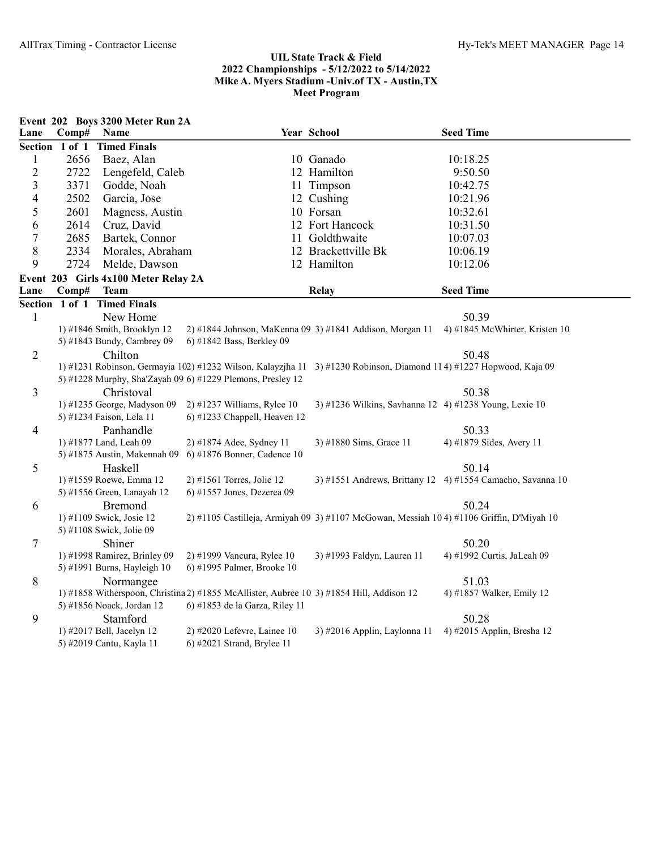|                         |                | Event 202 Boys 3200 Meter Run 2A           |                                                                                          |                                                                                                                    |                                                            |
|-------------------------|----------------|--------------------------------------------|------------------------------------------------------------------------------------------|--------------------------------------------------------------------------------------------------------------------|------------------------------------------------------------|
| Lane                    | Comp#          | Name                                       |                                                                                          | Year School                                                                                                        | <b>Seed Time</b>                                           |
|                         | Section 1 of 1 | <b>Timed Finals</b>                        |                                                                                          |                                                                                                                    |                                                            |
| $\mathbf{1}$            | 2656           | Baez, Alan                                 |                                                                                          | 10 Ganado                                                                                                          | 10:18.25                                                   |
| $\overline{c}$          | 2722           | Lengefeld, Caleb                           |                                                                                          | 12 Hamilton                                                                                                        | 9:50.50                                                    |
| $\overline{\mathbf{3}}$ | 3371           | Godde, Noah                                |                                                                                          | 11 Timpson                                                                                                         | 10:42.75                                                   |
| $\overline{4}$          | 2502           | Garcia, Jose                               |                                                                                          | 12 Cushing                                                                                                         | 10:21.96                                                   |
| 5                       | 2601           | Magness, Austin                            |                                                                                          | 10 Forsan                                                                                                          | 10:32.61                                                   |
| 6                       | 2614           | Cruz, David                                |                                                                                          | 12 Fort Hancock                                                                                                    | 10:31.50                                                   |
| $\boldsymbol{7}$        | 2685           | Bartek, Connor                             |                                                                                          | 11 Goldthwaite                                                                                                     | 10:07.03                                                   |
| 8                       | 2334           | Morales, Abraham                           |                                                                                          | 12 Brackettville Bk                                                                                                | 10:06.19                                                   |
| 9                       | 2724           | Melde, Dawson                              |                                                                                          | 12 Hamilton                                                                                                        | 10:12.06                                                   |
|                         |                | Event 203 Girls 4x100 Meter Relay 2A       |                                                                                          |                                                                                                                    |                                                            |
| Lane                    | Comp#          | <b>Team</b>                                |                                                                                          | <b>Relay</b>                                                                                                       | <b>Seed Time</b>                                           |
|                         | Section 1 of 1 | <b>Timed Finals</b>                        |                                                                                          |                                                                                                                    |                                                            |
| $\mathbf{1}$            |                | New Home                                   |                                                                                          |                                                                                                                    | 50.39                                                      |
|                         |                | 1) #1846 Smith, Brooklyn 12                |                                                                                          | 2) #1844 Johnson, MaKenna 09 3) #1841 Addison, Morgan 11                                                           | 4) #1845 McWhirter, Kristen 10                             |
|                         |                | 5) #1843 Bundy, Cambrey 09                 | 6) #1842 Bass, Berkley 09                                                                |                                                                                                                    |                                                            |
| $\overline{2}$          |                | Chilton                                    |                                                                                          |                                                                                                                    | 50.48                                                      |
|                         |                |                                            |                                                                                          | 1) #1231 Robinson, Germayia 102) #1232 Wilson, Kalayzjha 11 3) #1230 Robinson, Diamond 114) #1227 Hopwood, Kaja 09 |                                                            |
|                         |                |                                            | 5) #1228 Murphy, Sha'Zayah 09 6) #1229 Plemons, Presley 12                               |                                                                                                                    |                                                            |
| 3                       |                | Christoval                                 |                                                                                          |                                                                                                                    | 50.38                                                      |
|                         |                | 1) #1235 George, Madyson 09                | $2)$ #1237 Williams, Rylee 10                                                            | 3) #1236 Wilkins, Savhanna 12 4) #1238 Young, Lexie 10                                                             |                                                            |
|                         |                | 5) #1234 Faison, Lela 11                   | 6) #1233 Chappell, Heaven 12                                                             |                                                                                                                    |                                                            |
| 4                       |                | Panhandle                                  |                                                                                          |                                                                                                                    | 50.33                                                      |
|                         |                | 1) #1877 Land, Leah 09                     | 2) #1874 Adee, Sydney 11                                                                 | 3) #1880 Sims, Grace 11                                                                                            | 4) #1879 Sides, Avery 11                                   |
|                         |                | 5) #1875 Austin, Makennah 09               | 6) #1876 Bonner, Cadence 10                                                              |                                                                                                                    |                                                            |
| 5                       |                | Haskell                                    |                                                                                          |                                                                                                                    | 50.14                                                      |
|                         |                | 1) #1559 Roewe, Emma 12                    | 2) #1561 Torres, Jolie 12<br>6) #1557 Jones, Dezerea 09                                  |                                                                                                                    | 3) #1551 Andrews, Brittany 12 4) #1554 Camacho, Savanna 10 |
|                         |                | 5) #1556 Green, Lanayah 12                 |                                                                                          |                                                                                                                    |                                                            |
| 6                       |                | <b>Bremond</b><br>1) #1109 Swick, Josie 12 |                                                                                          | 2) #1105 Castilleja, Armiyah 09 3) #1107 McGowan, Messiah 104) #1106 Griffin, D'Miyah 10                           | 50.24                                                      |
|                         |                | 5) #1108 Swick, Jolie 09                   |                                                                                          |                                                                                                                    |                                                            |
| 7                       |                | Shiner                                     |                                                                                          |                                                                                                                    | 50.20                                                      |
|                         |                | 1) #1998 Ramirez, Brinley 09               | 2) #1999 Vancura, Rylee 10                                                               | 3) #1993 Faldyn, Lauren 11                                                                                         | 4) #1992 Curtis, JaLeah 09                                 |
|                         |                | 5) #1991 Burns, Hayleigh 10                | 6) #1995 Palmer, Brooke 10                                                               |                                                                                                                    |                                                            |
| 8                       |                | Normangee                                  |                                                                                          |                                                                                                                    | 51.03                                                      |
|                         |                |                                            | 1) #1858 Witherspoon, Christina 2) #1855 McAllister, Aubree 10 3) #1854 Hill, Addison 12 |                                                                                                                    | 4) #1857 Walker, Emily 12                                  |
|                         |                | 5) #1856 Noack, Jordan 12                  | 6) #1853 de la Garza, Riley 11                                                           |                                                                                                                    |                                                            |
| 9                       |                | Stamford                                   |                                                                                          |                                                                                                                    | 50.28                                                      |
|                         |                | 1) #2017 Bell, Jacelyn 12                  | 2) #2020 Lefevre, Lainee 10                                                              | 3) #2016 Applin, Laylonna 11                                                                                       | 4) #2015 Applin, Bresha 12                                 |
|                         |                | 5) #2019 Cantu, Kayla 11                   | 6) #2021 Strand, Brylee 11                                                               |                                                                                                                    |                                                            |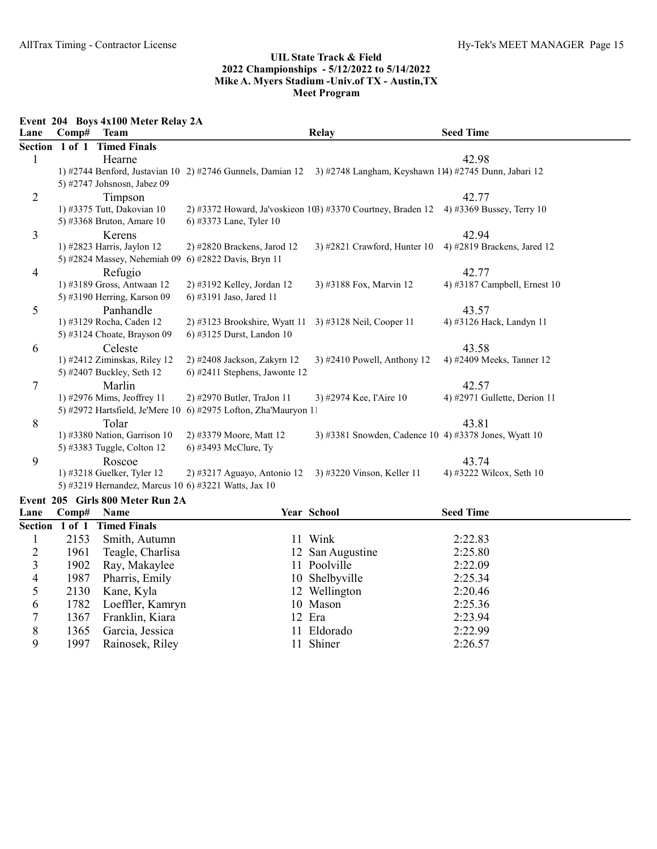Event 204 Boys 4x100 Meter Relay 2A

| Lane | Comp#          | <b>Team</b>                     |                                                        | <b>Relay</b>                                                                                                     | <b>Seed Time</b>               |
|------|----------------|---------------------------------|--------------------------------------------------------|------------------------------------------------------------------------------------------------------------------|--------------------------------|
|      | Section 1 of 1 | <b>Timed Finals</b>             |                                                        |                                                                                                                  |                                |
| 1    |                | Hearne                          |                                                        |                                                                                                                  | 42.98                          |
|      |                |                                 |                                                        | 1) #2744 Benford, Justavian 10 2) #2746 Gunnels, Damian 12 3) #2748 Langham, Keyshawn 114) #2745 Dunn, Jabari 12 |                                |
|      |                | 5) #2747 Johsnosn, Jabez 09     |                                                        |                                                                                                                  |                                |
| 2    |                | Timpson                         |                                                        |                                                                                                                  | 42.77                          |
|      |                | 1) #3375 Tutt, Dakovian 10      |                                                        | 2) #3372 Howard, Ja'voskieon 103) #3370 Courtney, Braden 12                                                      | 4) #3369 Bussey, Terry 10      |
|      |                | 5) #3368 Bruton, Amare 10       | 6) #3373 Lane, Tyler 10                                |                                                                                                                  |                                |
| 3    |                | Kerens                          |                                                        |                                                                                                                  | 42.94                          |
|      |                | 1) #2823 Harris, Jaylon 12      | $2)$ #2820 Brackens, Jarod 12                          | 3) #2821 Crawford, Hunter $10$                                                                                   | 4) #2819 Brackens, Jared 12    |
|      |                | 5) #2824 Massey, Nehemiah 09    | 6) #2822 Davis, Bryn 11                                |                                                                                                                  |                                |
| 4    |                | Refugio                         |                                                        |                                                                                                                  | 42.77                          |
|      |                | 1) #3189 Gross, Antwaan 12      | 2) #3192 Kelley, Jordan 12                             | 3) #3188 Fox, Marvin 12                                                                                          | 4) #3187 Campbell, Ernest $10$ |
|      |                | 5) #3190 Herring, Karson 09     | 6) #3191 Jaso, Jared 11                                |                                                                                                                  |                                |
| 5    |                | Panhandle                       |                                                        |                                                                                                                  | 43.57                          |
|      |                | 1) #3129 Rocha, Caden 12        | 2) #3123 Brookshire, Wyatt 11 3) #3128 Neil, Cooper 11 |                                                                                                                  | 4) #3126 Hack, Landyn 11       |
|      |                | 5) #3124 Choate, Brayson 09     | 6) #3125 Durst, Landon 10                              |                                                                                                                  |                                |
| 6    |                | Celeste                         |                                                        |                                                                                                                  | 43.58                          |
|      |                | 1) #2412 Ziminskas, Riley 12    | 2) #2408 Jackson, Zakyrn 12                            | $3)$ #2410 Powell, Anthony 12                                                                                    | 4) #2409 Meeks, Tanner 12      |
|      |                | 5) #2407 Buckley, Seth 12       | 6) #2411 Stephens, Jawonte 12                          |                                                                                                                  |                                |
| 7    |                | Marlin                          |                                                        |                                                                                                                  | 42.57                          |
|      |                | 1) #2976 Mims, Jeoffrey 11      | 2) #2970 Butler, TraJon 11                             | 3) #2974 Kee, l'Aire 10                                                                                          | 4) #2971 Gullette, Derion 11   |
|      |                | 5) #2972 Hartsfield, Je'Mere 10 | 6) #2975 Lofton, Zha'Mauryon 11                        |                                                                                                                  |                                |
| 8    |                | Tolar                           |                                                        |                                                                                                                  | 43.81                          |
|      |                | 1) #3380 Nation, Garrison 10    | 2) #3379 Moore, Matt 12                                | 3) #3381 Snowden, Cadence 10 4) #3378 Jones, Wyatt 10                                                            |                                |
|      |                | 5) #3383 Tuggle, Colton 12      | 6) #3493 McClure, Ty                                   |                                                                                                                  |                                |
| 9    |                | Roscoe                          |                                                        |                                                                                                                  | 43.74                          |
|      |                | 1) #3218 Guelker, Tyler 12      | $2)$ #3217 Aguayo, Antonio 12                          | 3) #3220 Vinson, Keller 11                                                                                       | 4) #3222 Wilcox, Seth 10       |
|      |                |                                 | 5) #3219 Hernandez, Marcus 10 6) #3221 Watts, Jax 10   |                                                                                                                  |                                |

# Event 205 Girls 800 Meter Run 2A

| Lane | $\bf Comp#$    | <b>Name</b>         |     | <b>Year School</b> | <b>Seed Time</b> |  |
|------|----------------|---------------------|-----|--------------------|------------------|--|
|      | Section 1 of 1 | <b>Timed Finals</b> |     |                    |                  |  |
|      | 2153           | Smith, Autumn       |     | 11 Wink            | 2:22.83          |  |
|      | 1961           | Teagle, Charlisa    |     | 12 San Augustine   | 2:25.80          |  |
|      | 1902           | Ray, Makaylee       |     | 11 Poolville       | 2:22.09          |  |
| 4    | 1987           | Pharris, Emily      |     | 10 Shelbyville     | 2:25.34          |  |
|      | 2130           | Kane, Kyla          |     | 12 Wellington      | 2:20.46          |  |
| 6    | 1782           | Loeffler, Kamryn    |     | 10 Mason           | 2:25.36          |  |
|      | 1367           | Franklin, Kiara     |     | 12 Era             | 2:23.94          |  |
| 8    | 1365           | Garcia, Jessica     |     | 11 Eldorado        | 2:22.99          |  |
| 9    | 1997           | Rainosek, Riley     | 11. | Shiner             | 2:26.57          |  |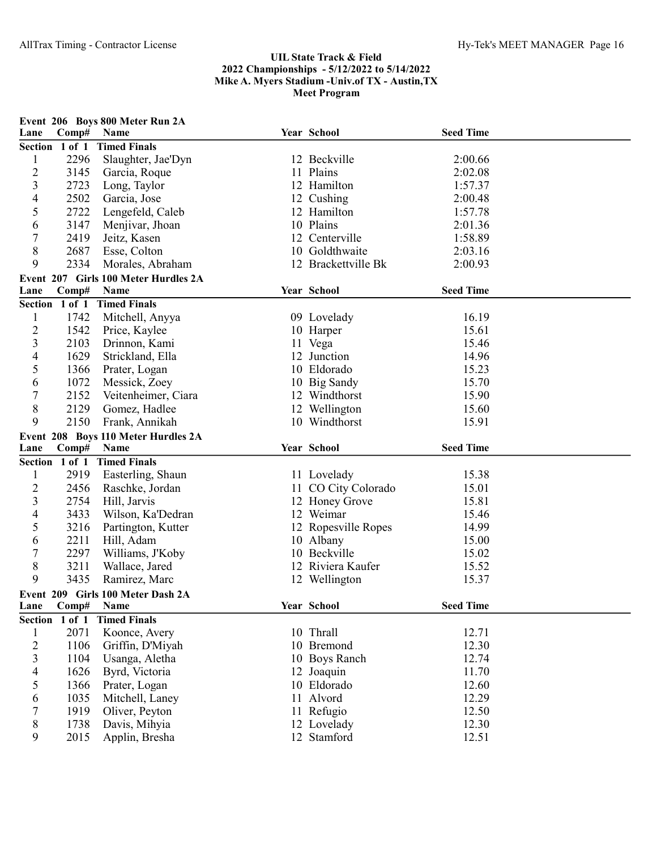| Lane                    | Comp#          | Event 206 Boys 800 Meter Run 2A<br>Name | Year School         | <b>Seed Time</b> |  |
|-------------------------|----------------|-----------------------------------------|---------------------|------------------|--|
|                         | Section 1 of 1 | <b>Timed Finals</b>                     |                     |                  |  |
| $\mathbf{1}$            | 2296           | Slaughter, Jae'Dyn                      | 12 Beckville        | 2:00.66          |  |
| $\overline{c}$          | 3145           | Garcia, Roque                           | 11 Plains           | 2:02.08          |  |
| 3                       | 2723           | Long, Taylor                            | 12 Hamilton         | 1:57.37          |  |
| 4                       | 2502           | Garcia, Jose                            | 12 Cushing          | 2:00.48          |  |
| 5                       | 2722           | Lengefeld, Caleb                        | 12 Hamilton         | 1:57.78          |  |
| 6                       | 3147           | Menjivar, Jhoan                         | 10 Plains           | 2:01.36          |  |
| $\overline{7}$          | 2419           | Jeitz, Kasen                            | 12 Centerville      | 1:58.89          |  |
| 8                       | 2687           | Esse, Colton                            | 10 Goldthwaite      | 2:03.16          |  |
| 9                       | 2334           | Morales, Abraham                        | 12 Brackettville Bk | 2:00.93          |  |
|                         |                | Event 207 Girls 100 Meter Hurdles 2A    |                     |                  |  |
| Lane                    | Comp#          | Name                                    | Year School         | <b>Seed Time</b> |  |
|                         | Section 1 of 1 | <b>Timed Finals</b>                     |                     |                  |  |
| $\mathbf{1}$            | 1742           | Mitchell, Anyya                         | 09 Lovelady         | 16.19            |  |
| $\overline{c}$          | 1542           | Price, Kaylee                           | 10 Harper           | 15.61            |  |
| $\mathfrak{Z}$          | 2103           | Drinnon, Kami                           | 11 Vega             | 15.46            |  |
| 4                       | 1629           | Strickland, Ella                        | 12 Junction         | 14.96            |  |
| 5                       | 1366           | Prater, Logan                           | 10 Eldorado         | 15.23            |  |
| 6                       | 1072           | Messick, Zoey                           | 10 Big Sandy        | 15.70            |  |
| $\boldsymbol{7}$        | 2152           | Veitenheimer, Ciara                     | 12 Windthorst       | 15.90            |  |
| 8                       | 2129           | Gomez, Hadlee                           | 12 Wellington       | 15.60            |  |
| 9                       | 2150           | Frank, Annikah                          | 10 Windthorst       | 15.91            |  |
|                         |                | Event 208 Boys 110 Meter Hurdles 2A     |                     |                  |  |
| Lane                    | Comp#          | Name                                    | Year School         | <b>Seed Time</b> |  |
|                         | Section 1 of 1 | <b>Timed Finals</b>                     |                     |                  |  |
| $\mathbf{1}$            | 2919           | Easterling, Shaun                       | 11 Lovelady         | 15.38            |  |
| $\overline{c}$          | 2456           | Raschke, Jordan                         | 11 CO City Colorado | 15.01            |  |
| 3                       | 2754           | Hill, Jarvis                            | 12 Honey Grove      | 15.81            |  |
| 4                       | 3433           | Wilson, Ka'Dedran                       | 12 Weimar           | 15.46            |  |
| 5                       | 3216           | Partington, Kutter                      | 12 Ropesville Ropes | 14.99            |  |
| 6                       | 2211           | Hill, Adam                              | 10 Albany           | 15.00            |  |
| $\overline{7}$          | 2297           | Williams, J'Koby                        | 10 Beckville        | 15.02            |  |
| 8                       | 3211           | Wallace, Jared                          | 12 Riviera Kaufer   | 15.52            |  |
| 9                       | 3435           | Ramirez, Marc                           | 12 Wellington       | 15.37            |  |
|                         |                | Event 209 Girls 100 Meter Dash 2A       |                     |                  |  |
| Lane                    | Comp#          | Name                                    | Year School         | <b>Seed Time</b> |  |
|                         | Section 1 of 1 | <b>Timed Finals</b>                     |                     |                  |  |
| $\mathbf{1}$            | 2071           | Koonce, Avery                           | 10 Thrall           | 12.71            |  |
| $\overline{c}$          | 1106           | Griffin, D'Miyah                        | 10 Bremond          | 12.30            |  |
| $\overline{\mathbf{3}}$ | 1104           | Usanga, Aletha                          | 10 Boys Ranch       | 12.74            |  |
| $\overline{4}$          | 1626           | Byrd, Victoria                          | 12 Joaquin          | 11.70            |  |
| 5                       | 1366           | Prater, Logan                           | 10 Eldorado         | 12.60            |  |
| 6                       | 1035           | Mitchell, Laney                         | 11 Alvord           | 12.29            |  |
| 7                       | 1919           | Oliver, Peyton                          | 11 Refugio          | 12.50            |  |
| 8                       | 1738           | Davis, Mihyia                           | 12 Lovelady         | 12.30            |  |
| 9                       | 2015           | Applin, Bresha                          | 12 Stamford         | 12.51            |  |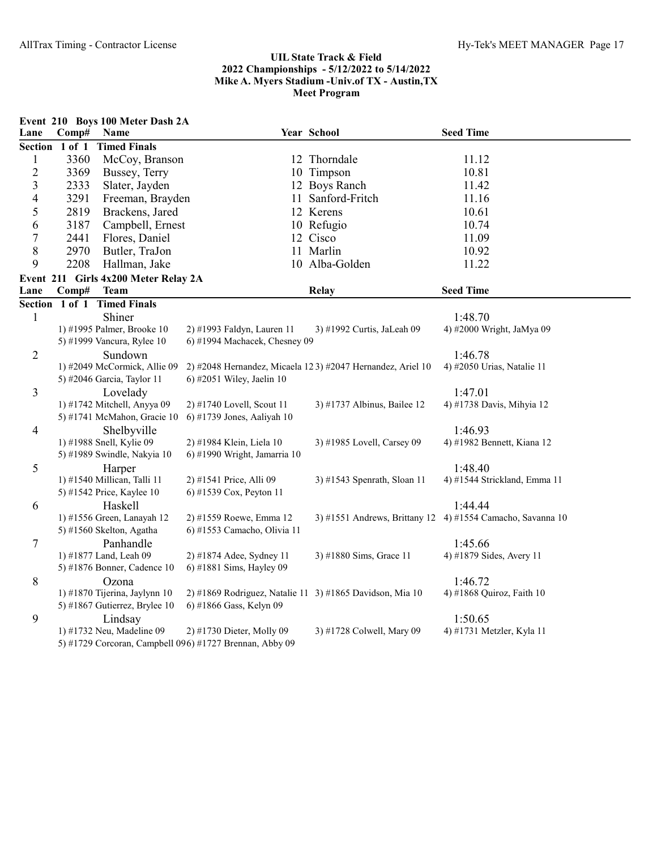|                         |                | Event 210 Boys 100 Meter Dash 2A      |                                                          |                                                            |                                                                       |
|-------------------------|----------------|---------------------------------------|----------------------------------------------------------|------------------------------------------------------------|-----------------------------------------------------------------------|
| Lane                    | Comp#          | Name                                  |                                                          | Year School                                                | <b>Seed Time</b>                                                      |
|                         | Section 1 of 1 | <b>Timed Finals</b>                   |                                                          |                                                            |                                                                       |
| $\mathbf{1}$            | 3360           | McCoy, Branson                        |                                                          | 12 Thorndale                                               | 11.12                                                                 |
| $\overline{c}$          | 3369           | Bussey, Terry                         |                                                          | 10 Timpson                                                 | 10.81                                                                 |
| $\overline{\mathbf{3}}$ | 2333           | Slater, Jayden                        |                                                          | 12 Boys Ranch                                              | 11.42                                                                 |
| $\overline{4}$          | 3291           | Freeman, Brayden                      |                                                          | 11 Sanford-Fritch                                          | 11.16                                                                 |
| 5                       | 2819           | Brackens, Jared                       |                                                          | 12 Kerens                                                  | 10.61                                                                 |
| 6                       | 3187           | Campbell, Ernest                      |                                                          | 10 Refugio                                                 | 10.74                                                                 |
| $\boldsymbol{7}$        | 2441           | Flores, Daniel                        |                                                          | 12 Cisco                                                   | 11.09                                                                 |
| 8                       | 2970           | Butler, TraJon                        |                                                          | 11 Marlin                                                  | 10.92                                                                 |
| 9                       | 2208           | Hallman, Jake                         |                                                          | 10 Alba-Golden                                             | 11.22                                                                 |
|                         |                | Event 211 Girls 4x200 Meter Relay 2A  |                                                          |                                                            |                                                                       |
| Lane                    | Comp#          | <b>Team</b>                           |                                                          | <b>Relay</b>                                               | <b>Seed Time</b>                                                      |
|                         |                | Section 1 of 1 Timed Finals           |                                                          |                                                            |                                                                       |
| $\mathbf{1}$            |                | Shiner                                |                                                          |                                                            | 1:48.70                                                               |
|                         |                | 1) #1995 Palmer, Brooke 10            | 2) #1993 Faldyn, Lauren 11                               | 3) #1992 Curtis, JaLeah 09                                 | 4) #2000 Wright, JaMya 09                                             |
|                         |                | 5) #1999 Vancura, Rylee 10            | 6) #1994 Machacek, Chesney 09                            |                                                            |                                                                       |
| $\overline{2}$          |                | Sundown                               |                                                          |                                                            | 1:46.78                                                               |
|                         |                | 1) #2049 McCormick, Allie 09          |                                                          | 2) #2048 Hernandez, Micaela 123) #2047 Hernandez, Ariel 10 | 4) #2050 Urias, Natalie 11                                            |
|                         |                | 5) #2046 Garcia, Taylor 11            | 6) #2051 Wiley, Jaelin 10                                |                                                            |                                                                       |
| 3                       |                | Lovelady                              |                                                          |                                                            | 1:47.01                                                               |
|                         |                | 1) #1742 Mitchell, Anyya 09           | 2) #1740 Lovell, Scout 11                                | 3) #1737 Albinus, Bailee 12                                | 4) #1738 Davis, Mihyia 12                                             |
|                         |                | 5) #1741 McMahon, Gracie 10           | 6) #1739 Jones, Aaliyah 10                               |                                                            |                                                                       |
| 4                       |                | Shelbyville                           |                                                          |                                                            | 1:46.93                                                               |
|                         |                | 1) #1988 Snell, Kylie 09              | 2) #1984 Klein, Liela 10                                 | 3) #1985 Lovell, Carsey 09                                 | 4) #1982 Bennett, Kiana 12                                            |
|                         |                | 5) #1989 Swindle, Nakyia 10           | 6) #1990 Wright, Jamarria 10                             |                                                            |                                                                       |
| 5                       |                | Harper                                |                                                          |                                                            | 1:48.40                                                               |
|                         |                | 1) #1540 Millican, Talli 11           | 2) #1541 Price, Alli 09                                  | 3) #1543 Spenrath, Sloan 11                                | 4) #1544 Strickland, Emma 11                                          |
|                         |                | 5) #1542 Price, Kaylee 10             | 6) #1539 Cox, Peyton 11                                  |                                                            |                                                                       |
| 6                       |                | Haskell<br>1) #1556 Green, Lanayah 12 | 2) #1559 Roewe, Emma 12                                  |                                                            | 1:44.44<br>3) #1551 Andrews, Brittany 12 4) #1554 Camacho, Savanna 10 |
|                         |                | 5) #1560 Skelton, Agatha              | 6) #1553 Camacho, Olivia 11                              |                                                            |                                                                       |
| 7                       |                | Panhandle                             |                                                          |                                                            | 1:45.66                                                               |
|                         |                | 1) #1877 Land, Leah 09                | 2) #1874 Adee, Sydney 11                                 | 3) #1880 Sims, Grace 11                                    | 4) #1879 Sides, Avery 11                                              |
|                         |                | 5) #1876 Bonner, Cadence 10           | 6) #1881 Sims, Hayley 09                                 |                                                            |                                                                       |
| 8                       |                | Ozona                                 |                                                          |                                                            | 1:46.72                                                               |
|                         |                | 1) #1870 Tijerina, Jaylynn 10         | 2) #1869 Rodriguez, Natalie 11 3) #1865 Davidson, Mia 10 |                                                            | 4) #1868 Quiroz, Faith 10                                             |
|                         |                | 5) #1867 Gutierrez, Brylee 10         | 6) #1866 Gass, Kelyn 09                                  |                                                            |                                                                       |
| 9                       |                | Lindsay                               |                                                          |                                                            | 1:50.65                                                               |
|                         |                | 1) #1732 Neu, Madeline 09             | 2) #1730 Dieter, Molly 09                                | 3) #1728 Colwell, Mary 09                                  | 4) #1731 Metzler, Kyla 11                                             |
|                         |                |                                       | 5) #1729 Corcoran, Campbell 096) #1727 Brennan, Abby 09  |                                                            |                                                                       |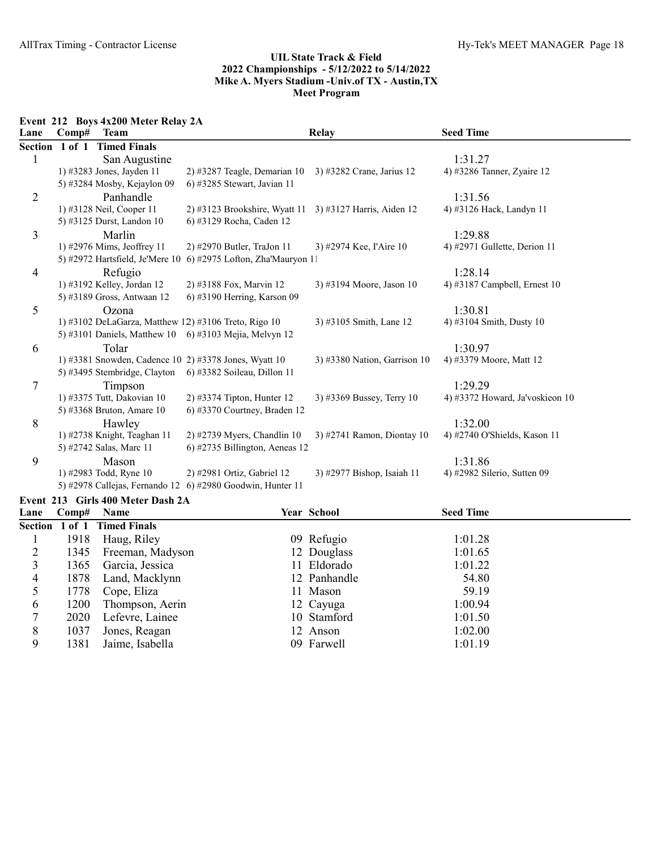Event 212 Boys 4x200 Meter Relay 2A

| Lane    | Comp#      | <b>Team</b>                     |                                                          | <b>Relay</b>                 | <b>Seed Time</b>                |
|---------|------------|---------------------------------|----------------------------------------------------------|------------------------------|---------------------------------|
| Section | $1$ of $1$ | <b>Timed Finals</b>             |                                                          |                              |                                 |
|         |            | San Augustine                   |                                                          |                              | 1:31.27                         |
|         |            | 1) #3283 Jones, Jayden 11       | $2)$ #3287 Teagle, Demarian 10                           | 3) #3282 Crane, Jarius 12    | 4) #3286 Tanner, Zyaire 12      |
|         |            | 5) #3284 Mosby, Kejaylon 09     | 6) #3285 Stewart, Javian 11                              |                              |                                 |
| 2       |            | Panhandle                       |                                                          |                              | 1:31.56                         |
|         |            | 1) #3128 Neil, Cooper 11        | $2)$ #3123 Brookshire, Wyatt 11                          | 3) #3127 Harris, Aiden 12    | 4) #3126 Hack, Landyn 11        |
|         |            | 5) #3125 Durst, Landon 10       | 6) #3129 Rocha, Caden 12                                 |                              |                                 |
| 3       |            | Marlin                          |                                                          |                              | 1:29.88                         |
|         |            | 1) #2976 Mims, Jeoffrey 11      | 2) #2970 Butler, TraJon 11                               | 3) #2974 Kee, l'Aire 10      | 4) #2971 Gullette, Derion $11$  |
|         |            | 5) #2972 Hartsfield, Je'Mere 10 | 6) #2975 Lofton, Zha'Mauryon 11                          |                              |                                 |
| 4       |            | Refugio                         |                                                          |                              | 1:28.14                         |
|         |            | 1) #3192 Kelley, Jordan 12      | 2) #3188 Fox, Marvin 12                                  | 3) #3194 Moore, Jason 10     | 4) #3187 Campbell, Ernest $10$  |
|         |            | 5) #3189 Gross, Antwaan 12      | 6) #3190 Herring, Karson 09                              |                              |                                 |
| 5       |            | Ozona                           |                                                          |                              | 1:30.81                         |
|         |            |                                 | 1) #3102 DeLaGarza, Matthew 12) #3106 Treto, Rigo 10     | 3) #3105 Smith, Lane 12      | 4) #3104 Smith, Dusty 10        |
|         |            |                                 | 5) #3101 Daniels, Matthew 10 6) #3103 Mejia, Melvyn 12   |                              |                                 |
| 6       |            | Tolar                           |                                                          |                              | 1:30.97                         |
|         |            |                                 | 1) #3381 Snowden, Cadence 10 2) #3378 Jones, Wyatt 10    | 3) #3380 Nation, Garrison 10 | 4) #3379 Moore, Matt 12         |
|         |            |                                 | 5) #3495 Stembridge, Clayton 6) #3382 Soileau, Dillon 11 |                              |                                 |
| 7       |            | Timpson                         |                                                          |                              | 1:29.29                         |
|         |            | 1) #3375 Tutt, Dakovian 10      | $2)$ #3374 Tipton, Hunter 12                             | 3) #3369 Bussey, Terry 10    | 4) #3372 Howard, Ja'voskieon 10 |
|         |            | 5) #3368 Bruton, Amare 10       | $(6)$ #3370 Courtney, Braden 12                          |                              |                                 |
| 8       |            | Hawley                          |                                                          |                              | 1:32.00                         |
|         |            | 1) #2738 Knight, Teaghan 11     | $2)$ #2739 Myers, Chandlin 10                            | 3) #2741 Ramon, Diontay 10   | 4) #2740 O'Shields, Kason 11    |
|         |            | 5) #2742 Salas, Marc 11         | $(6)$ #2735 Billington, Aeneas 12                        |                              |                                 |
| 9       |            | Mason                           |                                                          |                              | 1:31.86                         |
|         |            | 1) #2983 Todd, Ryne 10          | 2) #2981 Ortiz, Gabriel 12                               | 3) #2977 Bishop, Isaiah 11   | 4) #2982 Silerio, Sutten 09     |
|         |            | 5) #2978 Callejas, Fernando 12  | 6) #2980 Goodwin, Hunter 11                              |                              |                                 |

# Event 213 Girls 400 Meter Dash 2A

| Lane | $\bf Comp#$ | <b>Name</b>                 | <b>Year School</b> | <b>Seed Time</b> |  |
|------|-------------|-----------------------------|--------------------|------------------|--|
|      |             | Section 1 of 1 Timed Finals |                    |                  |  |
|      | 1918        | Haug, Riley                 | 09 Refugio         | 1:01.28          |  |
|      |             | 1345 Freeman, Madyson       | 12 Douglass        | 1:01.65          |  |
| 3    | 1365        | Garcia, Jessica             | 11 Eldorado        | 1:01.22          |  |
| 4    | 1878        | Land, Macklynn              | 12 Panhandle       | 54.80            |  |
|      | 1778        | Cope, Eliza                 | 11 Mason           | 59.19            |  |
| 6    | 1200        | Thompson, Aerin             | 12 Cayuga          | 1:00.94          |  |
|      | 2020        | Lefevre, Lainee             | 10 Stamford        | 1:01.50          |  |
| 8    | 1037        | Jones, Reagan               | 12 Anson           | 1:02.00          |  |
| 9    | 1381        | Jaime, Isabella             | 09 Farwell         | 1:01.19          |  |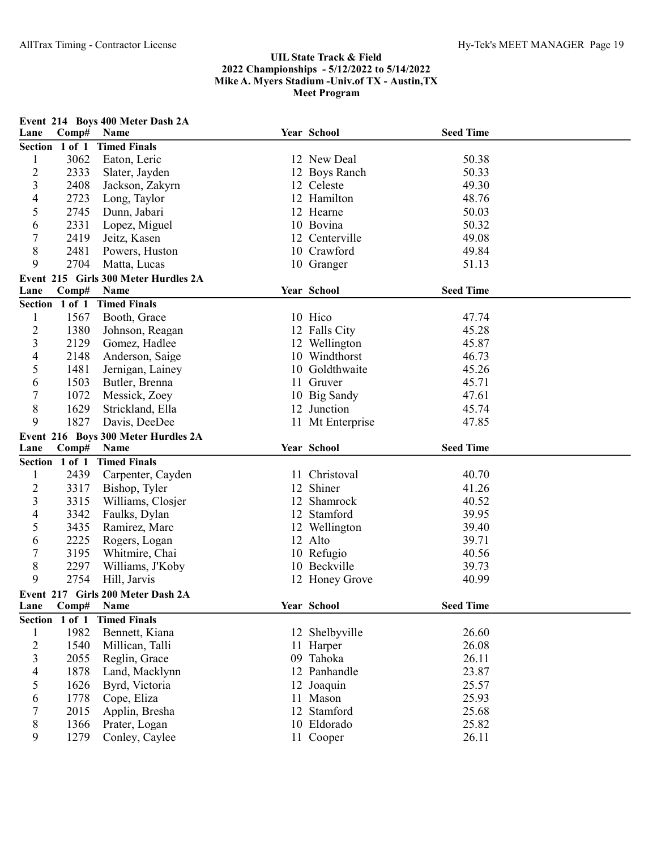|                          |                | Event 214 Boys 400 Meter Dash 2A     |                  |                  |  |
|--------------------------|----------------|--------------------------------------|------------------|------------------|--|
| Lane                     | Comp#          | Name                                 | Year School      | <b>Seed Time</b> |  |
|                          | Section 1 of 1 | <b>Timed Finals</b>                  |                  |                  |  |
| 1                        | 3062           | Eaton, Leric                         | 12 New Deal      | 50.38            |  |
| $\overline{c}$           | 2333           | Slater, Jayden                       | 12 Boys Ranch    | 50.33            |  |
| 3                        | 2408           | Jackson, Zakyrn                      | 12 Celeste       | 49.30            |  |
| 4                        | 2723           | Long, Taylor                         | 12 Hamilton      | 48.76            |  |
| 5                        | 2745           | Dunn, Jabari                         | 12 Hearne        | 50.03            |  |
| 6                        | 2331           | Lopez, Miguel                        | 10 Bovina        | 50.32            |  |
| 7                        | 2419           | Jeitz, Kasen                         | 12 Centerville   | 49.08            |  |
| 8                        | 2481           | Powers, Huston                       | 10 Crawford      | 49.84            |  |
| 9                        | 2704           | Matta, Lucas                         | 10 Granger       | 51.13            |  |
|                          |                | Event 215 Girls 300 Meter Hurdles 2A |                  |                  |  |
| Lane                     | Comp#          | Name                                 | Year School      | <b>Seed Time</b> |  |
|                          | Section 1 of 1 | <b>Timed Finals</b>                  |                  |                  |  |
| 1                        | 1567           | Booth, Grace                         | 10 Hico          | 47.74            |  |
| $\overline{c}$           | 1380           | Johnson, Reagan                      | 12 Falls City    | 45.28            |  |
| 3                        | 2129           | Gomez, Hadlee                        | 12 Wellington    | 45.87            |  |
| 4                        | 2148           | Anderson, Saige                      | 10 Windthorst    | 46.73            |  |
| 5                        | 1481           | Jernigan, Lainey                     | 10 Goldthwaite   | 45.26            |  |
| 6                        | 1503           | Butler, Brenna                       | 11 Gruver        | 45.71            |  |
| $\overline{7}$           | 1072           | Messick, Zoey                        | 10 Big Sandy     | 47.61            |  |
| $8\,$                    | 1629           | Strickland, Ella                     | 12 Junction      | 45.74            |  |
| 9                        | 1827           | Davis, DeeDee                        | 11 Mt Enterprise | 47.85            |  |
|                          |                | Event 216 Boys 300 Meter Hurdles 2A  |                  |                  |  |
| Lane                     | Comp#          | Name                                 | Year School      | <b>Seed Time</b> |  |
|                          | Section 1 of 1 | <b>Timed Finals</b>                  |                  |                  |  |
| $\mathbf{l}$             | 2439           | Carpenter, Cayden                    | 11 Christoval    | 40.70            |  |
| $\overline{c}$           | 3317           | Bishop, Tyler                        | 12 Shiner        | 41.26            |  |
| 3                        | 3315           | Williams, Closjer                    | 12 Shamrock      | 40.52            |  |
| 4                        | 3342           | Faulks, Dylan                        | 12 Stamford      | 39.95            |  |
| 5                        | 3435           | Ramirez, Marc                        | 12 Wellington    | 39.40            |  |
| 6                        | 2225           | Rogers, Logan                        | 12 Alto          | 39.71            |  |
| 7                        | 3195           | Whitmire, Chai                       | 10 Refugio       | 40.56            |  |
| 8                        | 2297           | Williams, J'Koby                     | 10 Beckville     | 39.73            |  |
| 9                        | 2754           | Hill, Jarvis                         | 12 Honey Grove   | 40.99            |  |
|                          |                | Event 217 Girls 200 Meter Dash 2A    |                  |                  |  |
| Lane                     | Comp# Name     |                                      | Year School      | <b>Seed Time</b> |  |
|                          | Section 1 of 1 | <b>Timed Finals</b>                  |                  |                  |  |
| $\mathbf{1}$             | 1982           | Bennett, Kiana                       | 12 Shelbyville   | 26.60            |  |
| $\overline{c}$           | 1540           | Millican, Talli                      | 11 Harper        | 26.08            |  |
| 3                        | 2055           | Reglin, Grace                        | 09 Tahoka        | 26.11            |  |
| $\overline{\mathcal{A}}$ | 1878           | Land, Macklynn                       | 12 Panhandle     | 23.87            |  |
| 5                        | 1626           | Byrd, Victoria                       | 12 Joaquin       | 25.57            |  |
| 6                        | 1778           | Cope, Eliza                          | 11 Mason         | 25.93            |  |
| 7                        | 2015           | Applin, Bresha                       | 12 Stamford      | 25.68            |  |
| 8                        | 1366           | Prater, Logan                        | 10 Eldorado      | 25.82            |  |
|                          |                |                                      |                  |                  |  |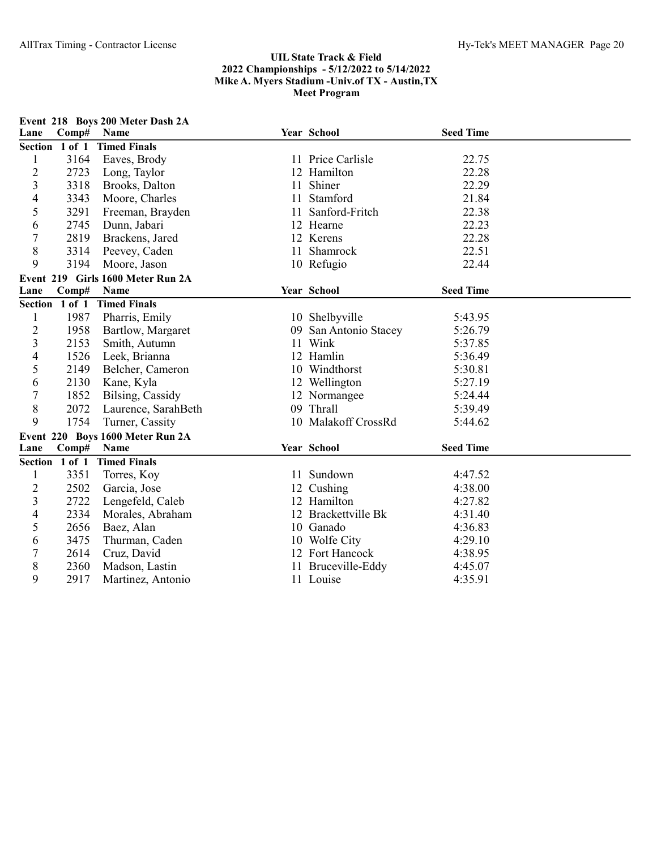|                |                | Event 218 Boys 200 Meter Dash 2A  |    |                     |                  |  |
|----------------|----------------|-----------------------------------|----|---------------------|------------------|--|
| Lane           | Comp#          | Name                              |    | Year School         | <b>Seed Time</b> |  |
|                | Section 1 of 1 | <b>Timed Finals</b>               |    |                     |                  |  |
| 1              | 3164           | Eaves, Brody                      |    | 11 Price Carlisle   | 22.75            |  |
| $\overline{c}$ | 2723           | Long, Taylor                      |    | 12 Hamilton         | 22.28            |  |
| 3              | 3318           | Brooks, Dalton                    |    | 11 Shiner           | 22.29            |  |
| 4              | 3343           | Moore, Charles                    |    | 11 Stamford         | 21.84            |  |
| 5              | 3291           | Freeman, Brayden                  |    | 11 Sanford-Fritch   | 22.38            |  |
| 6              | 2745           | Dunn, Jabari                      |    | 12 Hearne           | 22.23            |  |
| $\overline{7}$ | 2819           | Brackens, Jared                   |    | 12 Kerens           | 22.28            |  |
| 8              | 3314           | Peevey, Caden                     |    | 11 Shamrock         | 22.51            |  |
| 9              | 3194           | Moore, Jason                      |    | 10 Refugio          | 22.44            |  |
|                |                | Event 219 Girls 1600 Meter Run 2A |    |                     |                  |  |
| Lane           | Comp#          | Name                              |    | Year School         | <b>Seed Time</b> |  |
|                | Section 1 of 1 | <b>Timed Finals</b>               |    |                     |                  |  |
| 1              | 1987           | Pharris, Emily                    |    | 10 Shelbyville      | 5:43.95          |  |
| $\overline{c}$ | 1958           | Bartlow, Margaret                 | 09 | San Antonio Stacey  | 5:26.79          |  |
| 3              | 2153           | Smith, Autumn                     |    | 11 Wink             | 5:37.85          |  |
| 4              | 1526           | Leek, Brianna                     |    | 12 Hamlin           | 5:36.49          |  |
| 5              | 2149           | Belcher, Cameron                  |    | 10 Windthorst       | 5:30.81          |  |
| 6              | 2130           | Kane, Kyla                        |    | 12 Wellington       | 5:27.19          |  |
| $\overline{7}$ | 1852           | Bilsing, Cassidy                  |    | 12 Normangee        | 5:24.44          |  |
| 8              | 2072           | Laurence, SarahBeth               |    | 09 Thrall           | 5:39.49          |  |
| 9              | 1754           | Turner, Cassity                   |    | 10 Malakoff CrossRd | 5:44.62          |  |
|                |                | Event 220 Boys 1600 Meter Run 2A  |    |                     |                  |  |
| Lane           | Comp#          | Name                              |    | Year School         | <b>Seed Time</b> |  |
|                | Section 1 of 1 | <b>Timed Finals</b>               |    |                     |                  |  |
| 1              | 3351           | Torres, Koy                       |    | 11 Sundown          | 4:47.52          |  |
| $\overline{2}$ | 2502           | Garcia, Jose                      |    | 12 Cushing          | 4:38.00          |  |
| 3              | 2722           | Lengefeld, Caleb                  |    | 12 Hamilton         | 4:27.82          |  |
| 4              | 2334           | Morales, Abraham                  |    | 12 Brackettville Bk | 4:31.40          |  |
| 5              | 2656           | Baez, Alan                        |    | 10 Ganado           | 4:36.83          |  |
| 6              | 3475           | Thurman, Caden                    |    | 10 Wolfe City       | 4:29.10          |  |
| $\overline{7}$ | 2614           | Cruz, David                       |    | 12 Fort Hancock     | 4:38.95          |  |
| 8              | 2360           | Madson, Lastin                    |    | 11 Bruceville-Eddy  | 4:45.07          |  |
| 9              | 2917           | Martinez, Antonio                 |    | 11 Louise           | 4:35.91          |  |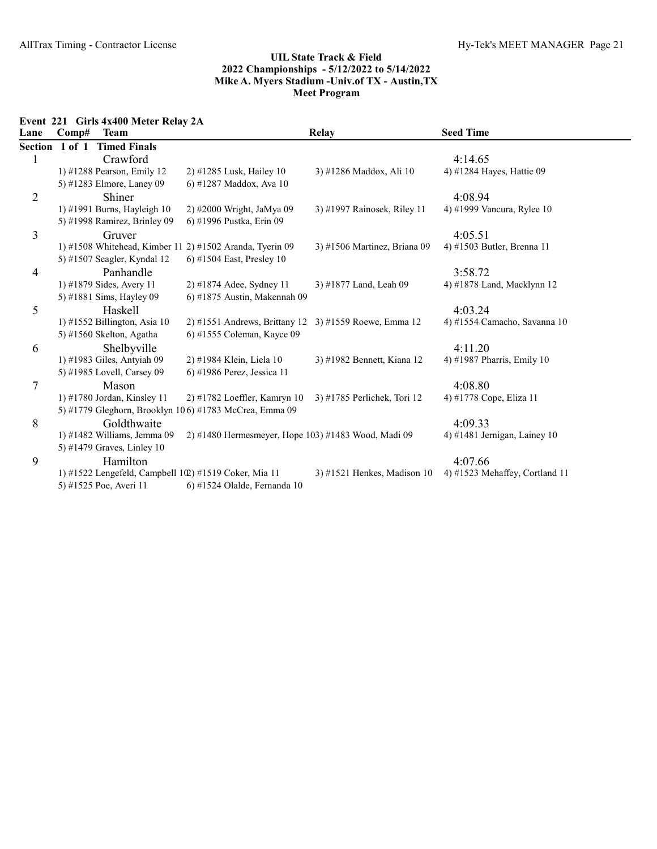Event 221 Girls 4x400 Meter Relay 2A

| Lane           | Comp#          | <b>Team</b>                    |                                                                  | <b>Relay</b>                  | <b>Seed Time</b>               |
|----------------|----------------|--------------------------------|------------------------------------------------------------------|-------------------------------|--------------------------------|
|                | Section 1 of 1 | <b>Timed Finals</b>            |                                                                  |                               |                                |
|                |                | Crawford                       |                                                                  |                               | 4:14.65                        |
|                |                | 1) #1288 Pearson, Emily 12     | 2) #1285 Lusk, Hailey 10                                         | 3) #1286 Maddox, Ali 10       | 4) #1284 Hayes, Hattie 09      |
|                |                | 5) #1283 Elmore, Laney 09      | 6) #1287 Maddox, Ava 10                                          |                               |                                |
| $\overline{2}$ |                | Shiner                         |                                                                  |                               | 4:08.94                        |
|                |                | 1) #1991 Burns, Hayleigh 10    | 2) #2000 Wright, JaMya 09                                        | 3) #1997 Rainosek, Riley 11   | 4) #1999 Vancura, Rylee 10     |
|                |                | 5) #1998 Ramirez, Brinley 09   | 6) #1996 Pustka, Erin 09                                         |                               |                                |
| 3              |                | Gruver                         |                                                                  |                               | 4:05.51                        |
|                |                |                                | 1) #1508 Whitehead, Kimber 11 2) #1502 Aranda, Tyerin 09         | 3) #1506 Martinez, Briana 09  | 4) #1503 Butler, Brenna 11     |
|                |                | 5) #1507 Seagler, Kyndal 12    | 6) #1504 East, Presley 10                                        |                               |                                |
| 4              |                | Panhandle                      |                                                                  |                               | 3:58.72                        |
|                |                | 1) #1879 Sides, Avery 11       | 2) #1874 Adee, Sydney 11                                         | 3) #1877 Land, Leah 09        | 4) #1878 Land, Macklynn 12     |
|                |                | 5) #1881 Sims, Hayley 09       | 6) #1875 Austin, Makennah 09                                     |                               |                                |
| 5              |                | Haskell                        |                                                                  |                               | 4:03.24                        |
|                |                | 1) #1552 Billington, Asia $10$ | 2) #1551 Andrews, Brittany 12 3) #1559 Roewe, Emma 12            |                               | 4) #1554 Camacho, Savanna 10   |
|                |                | 5) #1560 Skelton, Agatha       | 6) #1555 Coleman, Kayce 09                                       |                               |                                |
| 6              |                | Shelbyville                    |                                                                  |                               | 4:11.20                        |
|                |                | 1) #1983 Giles, Antyiah 09     | 2) #1984 Klein, Liela 10                                         | 3) #1982 Bennett, Kiana 12    | 4) #1987 Pharris, Emily 10     |
|                |                | 5) #1985 Lovell, Carsey 09     | 6) #1986 Perez, Jessica 11                                       |                               |                                |
| 7              |                | Mason                          |                                                                  |                               | 4:08.80                        |
|                |                | 1) #1780 Jordan, Kinsley 11    | 2) #1782 Loeffler, Kamryn 10                                     | 3) #1785 Perlichek, Tori 12   | 4) #1778 Cope, Eliza 11        |
|                |                |                                | 5) #1779 Gleghorn, Brooklyn 106) #1783 McCrea, Emma 09           |                               |                                |
| 8              |                | Goldthwaite                    |                                                                  |                               | 4:09.33                        |
|                |                | 1) #1482 Williams, Jemma $09$  | 2) #1480 Hermesmeyer, Hope 103) #1483 Wood, Madi 09              |                               | 4) #1481 Jernigan, Lainey $10$ |
|                |                | 5) #1479 Graves, Linley 10     |                                                                  |                               |                                |
| 9              |                | Hamilton                       |                                                                  |                               | 4:07.66                        |
|                |                |                                | 1) #1522 Lengefeld, Campbell $1(\mathbb{Q})$ #1519 Coker, Mia 11 | $3)$ #1521 Henkes, Madison 10 | 4) #1523 Mehaffey, Cortland 11 |
|                |                | 5) #1525 Poe, Averi 11         | 6) #1524 Olalde, Fernanda 10                                     |                               |                                |
|                |                |                                |                                                                  |                               |                                |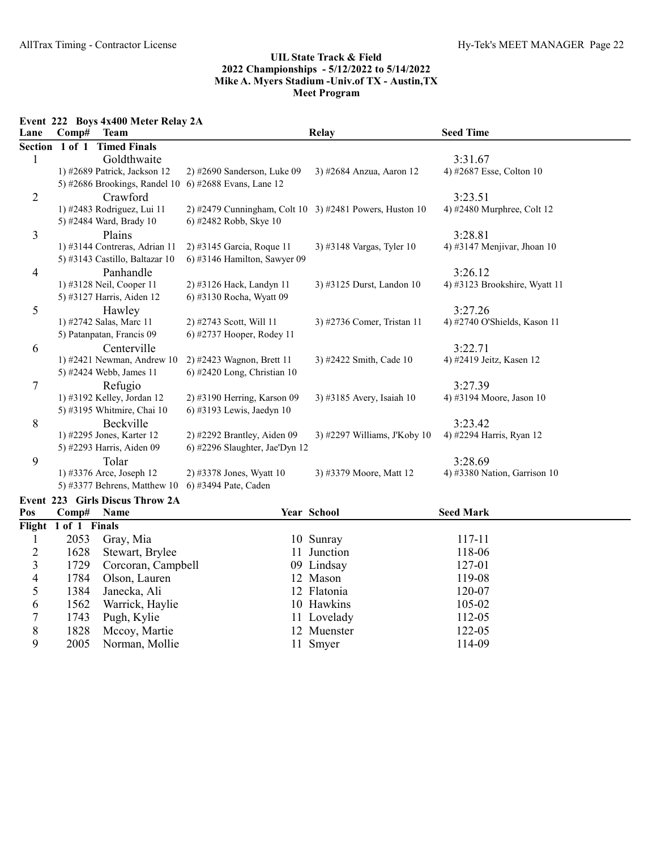Event 222 Boys 4x400 Meter Relay 2A

| <b>Team</b>         |                                                                                                                                                                                                                                                                                                                                                                                                                                                                                                                                                                                                   |                                                                                                                                                                                            | <b>Seed Time</b>                                                                                                                 |
|---------------------|---------------------------------------------------------------------------------------------------------------------------------------------------------------------------------------------------------------------------------------------------------------------------------------------------------------------------------------------------------------------------------------------------------------------------------------------------------------------------------------------------------------------------------------------------------------------------------------------------|--------------------------------------------------------------------------------------------------------------------------------------------------------------------------------------------|----------------------------------------------------------------------------------------------------------------------------------|
| <b>Timed Finals</b> |                                                                                                                                                                                                                                                                                                                                                                                                                                                                                                                                                                                                   |                                                                                                                                                                                            |                                                                                                                                  |
| Goldthwaite         |                                                                                                                                                                                                                                                                                                                                                                                                                                                                                                                                                                                                   |                                                                                                                                                                                            | 3:31.67                                                                                                                          |
|                     | $2)$ #2690 Sanderson, Luke 09                                                                                                                                                                                                                                                                                                                                                                                                                                                                                                                                                                     | 3) #2684 Anzua, Aaron 12                                                                                                                                                                   | 4) #2687 Esse, Colton 10                                                                                                         |
|                     | 6) #2688 Evans, Lane 12                                                                                                                                                                                                                                                                                                                                                                                                                                                                                                                                                                           |                                                                                                                                                                                            |                                                                                                                                  |
| Crawford            |                                                                                                                                                                                                                                                                                                                                                                                                                                                                                                                                                                                                   |                                                                                                                                                                                            | 3:23.51                                                                                                                          |
|                     |                                                                                                                                                                                                                                                                                                                                                                                                                                                                                                                                                                                                   |                                                                                                                                                                                            | 4) #2480 Murphree, Colt 12                                                                                                       |
|                     | 6) #2482 Robb, Skye 10                                                                                                                                                                                                                                                                                                                                                                                                                                                                                                                                                                            |                                                                                                                                                                                            |                                                                                                                                  |
| Plains              |                                                                                                                                                                                                                                                                                                                                                                                                                                                                                                                                                                                                   |                                                                                                                                                                                            | 3:28.81                                                                                                                          |
|                     | 2) #3145 Garcia, Roque 11                                                                                                                                                                                                                                                                                                                                                                                                                                                                                                                                                                         | 3) #3148 Vargas, Tyler 10                                                                                                                                                                  | 4) #3147 Menjivar, Jhoan 10                                                                                                      |
|                     | $(6)$ #3146 Hamilton, Sawyer 09                                                                                                                                                                                                                                                                                                                                                                                                                                                                                                                                                                   |                                                                                                                                                                                            |                                                                                                                                  |
| Panhandle           |                                                                                                                                                                                                                                                                                                                                                                                                                                                                                                                                                                                                   |                                                                                                                                                                                            | 3:26.12                                                                                                                          |
|                     | 2) #3126 Hack, Landyn 11                                                                                                                                                                                                                                                                                                                                                                                                                                                                                                                                                                          | 3) #3125 Durst, Landon 10                                                                                                                                                                  | 4) #3123 Brookshire, Wyatt 11                                                                                                    |
|                     | 6) #3130 Rocha, Wyatt 09                                                                                                                                                                                                                                                                                                                                                                                                                                                                                                                                                                          |                                                                                                                                                                                            |                                                                                                                                  |
| Hawley              |                                                                                                                                                                                                                                                                                                                                                                                                                                                                                                                                                                                                   |                                                                                                                                                                                            | 3:27.26                                                                                                                          |
|                     | 2) #2743 Scott, Will 11                                                                                                                                                                                                                                                                                                                                                                                                                                                                                                                                                                           | 3) #2736 Comer, Tristan 11                                                                                                                                                                 | 4) #2740 O'Shields, Kason 11                                                                                                     |
|                     | 6) #2737 Hooper, Rodey 11                                                                                                                                                                                                                                                                                                                                                                                                                                                                                                                                                                         |                                                                                                                                                                                            |                                                                                                                                  |
| Centerville         |                                                                                                                                                                                                                                                                                                                                                                                                                                                                                                                                                                                                   |                                                                                                                                                                                            | 3:22.71                                                                                                                          |
|                     |                                                                                                                                                                                                                                                                                                                                                                                                                                                                                                                                                                                                   | 3) #2422 Smith, Cade 10                                                                                                                                                                    | 4) #2419 Jeitz, Kasen 12                                                                                                         |
|                     |                                                                                                                                                                                                                                                                                                                                                                                                                                                                                                                                                                                                   |                                                                                                                                                                                            |                                                                                                                                  |
|                     |                                                                                                                                                                                                                                                                                                                                                                                                                                                                                                                                                                                                   |                                                                                                                                                                                            | 3:27.39                                                                                                                          |
|                     |                                                                                                                                                                                                                                                                                                                                                                                                                                                                                                                                                                                                   |                                                                                                                                                                                            | 4) #3194 Moore, Jason 10                                                                                                         |
|                     |                                                                                                                                                                                                                                                                                                                                                                                                                                                                                                                                                                                                   |                                                                                                                                                                                            |                                                                                                                                  |
|                     |                                                                                                                                                                                                                                                                                                                                                                                                                                                                                                                                                                                                   |                                                                                                                                                                                            | 3:23.42                                                                                                                          |
|                     |                                                                                                                                                                                                                                                                                                                                                                                                                                                                                                                                                                                                   |                                                                                                                                                                                            | 4) #2294 Harris, Ryan 12                                                                                                         |
|                     |                                                                                                                                                                                                                                                                                                                                                                                                                                                                                                                                                                                                   |                                                                                                                                                                                            |                                                                                                                                  |
|                     |                                                                                                                                                                                                                                                                                                                                                                                                                                                                                                                                                                                                   |                                                                                                                                                                                            | 3:28.69                                                                                                                          |
|                     | 2) #3378 Jones, Wyatt 10                                                                                                                                                                                                                                                                                                                                                                                                                                                                                                                                                                          | 3) #3379 Moore, Matt 12                                                                                                                                                                    | 4) #3380 Nation, Garrison $10$                                                                                                   |
|                     | 6) #3494 Pate, Caden                                                                                                                                                                                                                                                                                                                                                                                                                                                                                                                                                                              |                                                                                                                                                                                            |                                                                                                                                  |
| Section 1 of 1      | Comp#<br>1) #2689 Patrick, Jackson 12<br>5) #2686 Brookings, Randel 10<br>1) #2483 Rodriguez, Lui 11<br>5) #2484 Ward, Brady 10<br>1) #3144 Contreras, Adrian 11<br>5) #3143 Castillo, Baltazar 10<br>1) #3128 Neil, Cooper 11<br>5) #3127 Harris, Aiden 12<br>1) #2742 Salas, Marc 11<br>5) Patanpatan, Francis 09<br>1) #2421 Newman, Andrew 10<br>5) #2424 Webb, James 11<br>Refugio<br>1) #3192 Kelley, Jordan 12<br>5) #3195 Whitmire, Chai 10<br>Beckville<br>1) #2295 Jones, Karter 12<br>5) #2293 Harris, Aiden 09<br>Tolar<br>1) #3376 Arce, Joseph 12<br>5) #3377 Behrens, Matthew $10$ | 2) #2423 Wagnon, Brett 11<br>$(6)$ #2420 Long, Christian 10<br>2) #3190 Herring, Karson 09<br>6) #3193 Lewis, Jaedyn 10<br>$2)$ #2292 Brantley, Aiden 09<br>6) #2296 Slaughter, Jae'Dyn 12 | Relay<br>2) #2479 Cunningham, Colt 10 $3$ ) #2481 Powers, Huston 10<br>3) #3185 Avery, Isaiah 10<br>3) #2297 Williams, J'Koby 10 |

# Event 223 Girls Discus Throw 2A

| Pos | Comp#                | <b>Name</b>        | <b>Year School</b> | <b>Seed Mark</b> |
|-----|----------------------|--------------------|--------------------|------------------|
|     | Flight 1 of 1 Finals |                    |                    |                  |
|     | 2053                 | Gray, Mia          | 10 Sunray          | 117-11           |
|     | 1628                 | Stewart, Brylee    | 11 Junction        | 118-06           |
|     | 1729                 | Corcoran, Campbell | 09 Lindsay         | 127-01           |
| 4   | 1784                 | Olson, Lauren      | 12 Mason           | 119-08           |
|     | 1384                 | Janecka, Ali       | 12 Flatonia        | 120-07           |
| 6   | 1562                 | Warrick, Haylie    | 10 Hawkins         | 105-02           |
|     | 1743                 | Pugh, Kylie        | 11 Lovelady        | 112-05           |
| 8   | 1828                 | Mccoy, Martie      | 12 Muenster        | 122-05           |
| 9   | 2005                 | Norman, Mollie     | 11 Smyer           | 114-09           |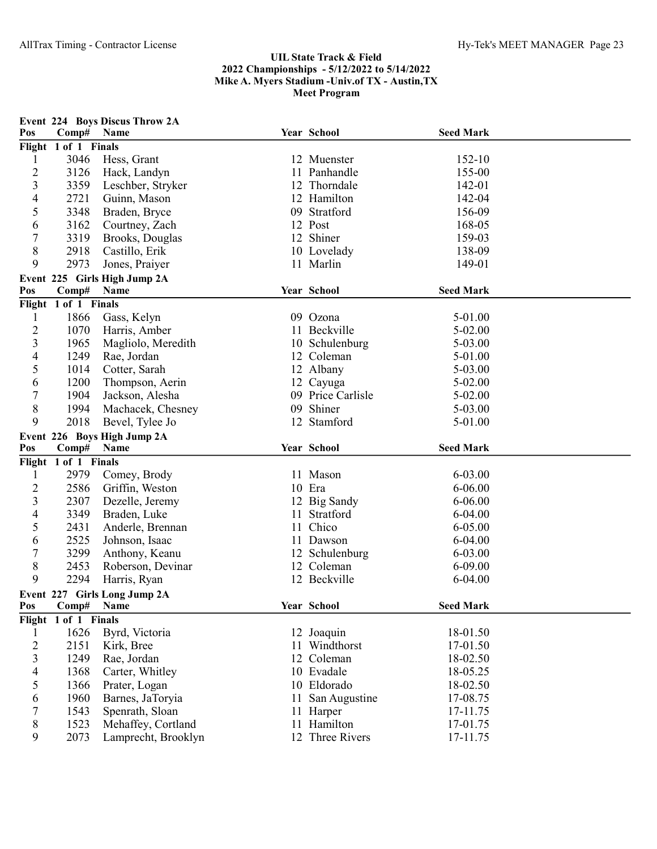| Pos                     | Comp#                | <b>Event 224 Boys Discus Throw 2A</b><br>Name |    | Year School                    | <b>Seed Mark</b>     |  |
|-------------------------|----------------------|-----------------------------------------------|----|--------------------------------|----------------------|--|
|                         | Flight 1 of 1 Finals |                                               |    |                                |                      |  |
| 1                       | 3046                 | Hess, Grant                                   |    | 12 Muenster                    | 152-10               |  |
| $\overline{c}$          | 3126                 | Hack, Landyn                                  |    | 11 Panhandle                   | 155-00               |  |
| 3                       | 3359                 | Leschber, Stryker                             |    | 12 Thorndale                   | 142-01               |  |
| 4                       | 2721                 | Guinn, Mason                                  |    | 12 Hamilton                    | 142-04               |  |
| 5                       | 3348                 | Braden, Bryce                                 |    | 09 Stratford                   | 156-09               |  |
| 6                       | 3162                 | Courtney, Zach                                |    | 12 Post                        | 168-05               |  |
| 7                       | 3319                 | Brooks, Douglas                               |    | 12 Shiner                      | 159-03               |  |
| 8                       | 2918                 | Castillo, Erik                                |    | 10 Lovelady                    | 138-09               |  |
| 9                       | 2973                 | Jones, Praiyer                                |    | 11 Marlin                      | 149-01               |  |
|                         |                      | Event 225 Girls High Jump 2A                  |    |                                |                      |  |
| Pos                     | Comp#                | Name                                          |    | Year School                    | <b>Seed Mark</b>     |  |
|                         | Flight 1 of 1 Finals |                                               |    |                                |                      |  |
| 1                       | 1866                 | Gass, Kelyn                                   |    | 09 Ozona                       | 5-01.00              |  |
| $\overline{c}$          | 1070                 | Harris, Amber                                 |    | 11 Beckville                   | 5-02.00              |  |
| 3                       | 1965                 | Magliolo, Meredith                            |    | 10 Schulenburg                 | 5-03.00              |  |
| 4                       | 1249                 | Rae, Jordan                                   |    | 12 Coleman                     | 5-01.00              |  |
| 5                       | 1014                 | Cotter, Sarah                                 |    | 12 Albany                      | 5-03.00              |  |
| 6                       | 1200                 | Thompson, Aerin                               |    | 12 Cayuga                      | 5-02.00              |  |
| $\overline{7}$          | 1904                 | Jackson, Alesha                               |    | 09 Price Carlisle              | 5-02.00              |  |
| $8\,$                   | 1994                 | Machacek, Chesney                             | 09 | Shiner                         | 5-03.00              |  |
| 9                       | 2018                 | Bevel, Tylee Jo                               |    | 12 Stamford                    | 5-01.00              |  |
|                         |                      | Event 226 Boys High Jump 2A                   |    |                                |                      |  |
| Pos                     | Comp#                | Name                                          |    | Year School                    | <b>Seed Mark</b>     |  |
|                         | Flight 1 of 1 Finals |                                               |    |                                |                      |  |
| 1                       | 2979                 | Comey, Brody                                  |    | 11 Mason                       | $6 - 03.00$          |  |
| $\overline{c}$          | 2586                 | Griffin, Weston                               |    | 10 Era                         | $6 - 06.00$          |  |
| 3                       | 2307                 | Dezelle, Jeremy                               |    | 12 Big Sandy                   | 6-06.00              |  |
| 4                       | 3349                 | Braden, Luke                                  |    | 11 Stratford                   | $6 - 04.00$          |  |
| 5                       | 2431                 | Anderle, Brennan                              |    | 11 Chico                       | $6 - 05.00$          |  |
| 6                       | 2525                 | Johnson, Isaac                                |    | 11 Dawson                      | $6 - 04.00$          |  |
| 7                       | 3299                 | Anthony, Keanu                                |    | 12 Schulenburg                 | $6 - 03.00$          |  |
| 8                       | 2453                 | Roberson, Devinar                             |    | 12 Coleman                     | $6 - 09.00$          |  |
| 9                       | 2294                 | Harris, Ryan                                  |    | 12 Beckville                   | $6 - 04.00$          |  |
|                         |                      | Event 227 Girls Long Jump 2A                  |    | Year School                    | <b>Seed Mark</b>     |  |
| Pos                     |                      | Name                                          |    |                                |                      |  |
|                         | Comp#                |                                               |    |                                |                      |  |
|                         | Flight 1 of 1 Finals |                                               |    |                                |                      |  |
| 1                       | 1626                 | Byrd, Victoria                                |    | 12 Joaquin                     | 18-01.50             |  |
| $\overline{c}$          | 2151                 | Kirk, Bree                                    |    | 11 Windthorst                  | 17-01.50             |  |
| 3                       | 1249                 | Rae, Jordan                                   |    | 12 Coleman                     | 18-02.50             |  |
| $\overline{\mathbf{4}}$ | 1368                 | Carter, Whitley                               |    | 10 Evadale                     | 18-05.25             |  |
| 5                       | 1366                 | Prater, Logan                                 |    | 10 Eldorado                    | 18-02.50             |  |
| 6                       | 1960                 | Barnes, JaToryia                              |    | 11 San Augustine               | 17-08.75             |  |
| 7                       | 1543                 | Spenrath, Sloan                               |    | 11 Harper                      | 17-11.75             |  |
| 8<br>9                  | 1523<br>2073         | Mehaffey, Cortland<br>Lamprecht, Brooklyn     |    | 11 Hamilton<br>12 Three Rivers | 17-01.75<br>17-11.75 |  |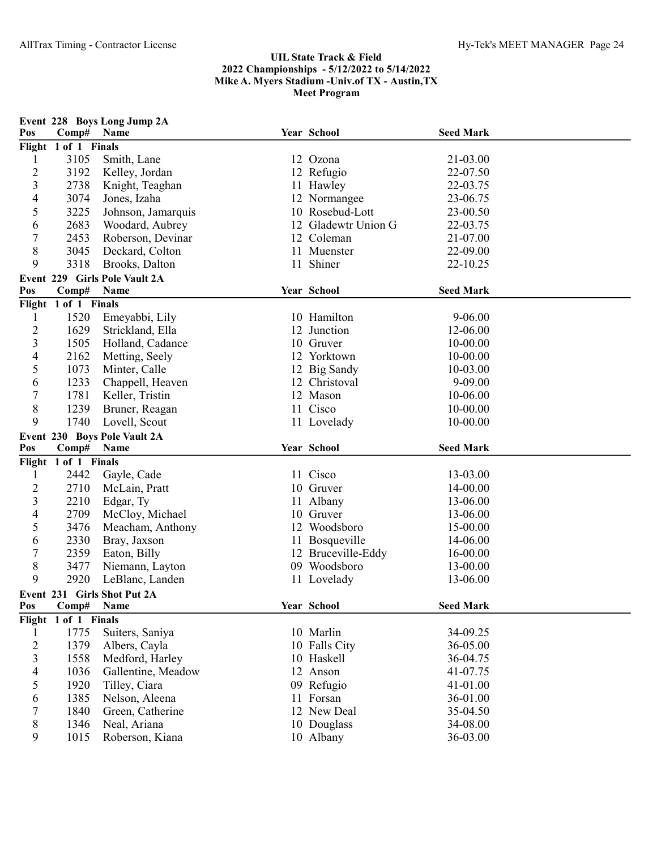| Pos                      | Comp#                | Event 228 Boys Long Jump 2A<br>Name  | Year School              | <b>Seed Mark</b>     |  |
|--------------------------|----------------------|--------------------------------------|--------------------------|----------------------|--|
|                          | Flight 1 of 1 Finals |                                      |                          |                      |  |
| 1                        | 3105                 | Smith, Lane                          | 12 Ozona                 | 21-03.00             |  |
| $\overline{c}$           | 3192                 | Kelley, Jordan                       | 12 Refugio               | 22-07.50             |  |
| 3                        | 2738                 | Knight, Teaghan                      | 11 Hawley                | 22-03.75             |  |
| $\overline{4}$           | 3074                 | Jones, Izaha                         | 12 Normangee             | 23-06.75             |  |
| 5                        | 3225                 | Johnson, Jamarquis                   | 10 Rosebud-Lott          | 23-00.50             |  |
| 6                        | 2683                 | Woodard, Aubrey                      | 12 Gladewtr Union G      | 22-03.75             |  |
| $\sqrt{ }$               | 2453                 | Roberson, Devinar                    | 12 Coleman               | 21-07.00             |  |
| 8                        | 3045                 | Deckard, Colton                      | 11 Muenster              | 22-09.00             |  |
| 9                        | 3318                 | Brooks, Dalton                       | 11 Shiner                | 22-10.25             |  |
|                          |                      | Event 229 Girls Pole Vault 2A        |                          |                      |  |
| Pos                      | Comp#                | Name                                 | Year School              | <b>Seed Mark</b>     |  |
|                          | Flight 1 of 1 Finals |                                      |                          |                      |  |
| $\mathbf{1}$             | 1520                 | Emeyabbi, Lily                       | 10 Hamilton              | $9 - 06.00$          |  |
| $\overline{2}$           | 1629                 | Strickland, Ella                     | 12 Junction              | 12-06.00             |  |
| $\overline{3}$           | 1505                 | Holland, Cadance                     | 10 Gruver                | 10-00.00             |  |
| 4                        | 2162                 | Metting, Seely                       | 12 Yorktown              | 10-00.00             |  |
| 5                        | 1073                 | Minter, Calle                        | 12 Big Sandy             | 10-03.00             |  |
| 6                        | 1233                 | Chappell, Heaven                     | 12 Christoval            | 9-09.00              |  |
| $\boldsymbol{7}$         | 1781                 | Keller, Tristin                      | 12 Mason                 | 10-06.00             |  |
| $8\,$                    | 1239                 | Bruner, Reagan                       | 11 Cisco                 | 10-00.00             |  |
| 9                        | 1740                 | Lovell, Scout                        | 11 Lovelady              | 10-00.00             |  |
|                          |                      |                                      |                          |                      |  |
|                          |                      |                                      |                          |                      |  |
| Pos                      | Comp#                | Event 230 Boys Pole Vault 2A<br>Name | Year School              | <b>Seed Mark</b>     |  |
|                          | Flight 1 of 1 Finals |                                      |                          |                      |  |
| 1                        | 2442                 | Gayle, Cade                          | 11 Cisco                 | 13-03.00             |  |
| $\overline{c}$           | 2710                 | McLain, Pratt                        | 10 Gruver                | 14-00.00             |  |
| 3                        | 2210                 | Edgar, Ty                            | 11 Albany                | 13-06.00             |  |
| $\overline{4}$           | 2709                 | McCloy, Michael                      | 10 Gruver                | 13-06.00             |  |
| 5                        | 3476                 | Meacham, Anthony                     | 12 Woodsboro             | 15-00.00             |  |
| 6                        | 2330                 | Bray, Jaxson                         | 11 Bosqueville           | 14-06.00             |  |
| $\boldsymbol{7}$         | 2359                 | Eaton, Billy                         | 12 Bruceville-Eddy       | 16-00.00             |  |
| 8                        | 3477                 | Niemann, Layton                      | 09 Woodsboro             | 13-00.00             |  |
| 9                        | 2920                 | LeBlanc, Landen                      | 11 Lovelady              | 13-06.00             |  |
|                          |                      | Event 231 Girls Shot Put 2A          |                          |                      |  |
| Pos                      | Comp#                | Name                                 | Year School              | <b>Seed Mark</b>     |  |
|                          | Flight 1 of 1 Finals |                                      |                          |                      |  |
| 1                        | 1775                 | Suiters, Saniya                      | 10 Marlin                | 34-09.25             |  |
| $\overline{c}$           | 1379                 | Albers, Cayla                        | 10 Falls City            | 36-05.00             |  |
| 3                        | 1558                 | Medford, Harley                      | 10 Haskell               | 36-04.75             |  |
| $\overline{\mathcal{A}}$ | 1036                 | Gallentine, Meadow                   | 12 Anson                 | 41-07.75             |  |
| 5                        | 1920                 | Tilley, Ciara                        | 09 Refugio               | 41-01.00             |  |
| 6                        | 1385                 | Nelson, Aleena                       | 11 Forsan                | 36-01.00             |  |
| 7                        | 1840                 | Green, Catherine                     | 12 New Deal              | 35-04.50             |  |
| 8<br>9                   | 1346<br>1015         | Neal, Ariana<br>Roberson, Kiana      | 10 Douglass<br>10 Albany | 34-08.00<br>36-03.00 |  |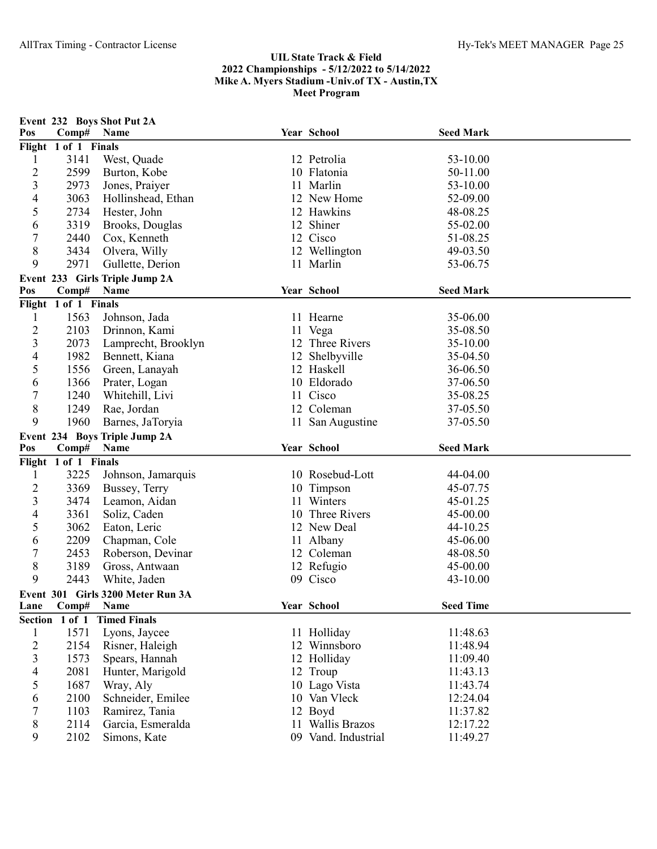| Pos                              | Comp#                | Event 232 Boys Shot Put 2A<br>Name        | Year School                 | <b>Seed Mark</b> |  |
|----------------------------------|----------------------|-------------------------------------------|-----------------------------|------------------|--|
|                                  | Flight 1 of 1 Finals |                                           |                             |                  |  |
| 1                                | 3141                 | West, Quade                               | 12 Petrolia                 | 53-10.00         |  |
| $\overline{c}$                   | 2599                 | Burton, Kobe                              | 10 Flatonia                 | 50-11.00         |  |
| 3                                | 2973                 | Jones, Praiyer                            | 11 Marlin                   | 53-10.00         |  |
| 4                                | 3063                 | Hollinshead, Ethan                        | 12 New Home                 | 52-09.00         |  |
| 5                                | 2734                 | Hester, John                              | 12 Hawkins                  | 48-08.25         |  |
| 6                                | 3319                 | Brooks, Douglas                           | 12 Shiner                   | 55-02.00         |  |
| 7                                | 2440                 | Cox, Kenneth                              | 12 Cisco                    | 51-08.25         |  |
| 8                                | 3434                 | Olvera, Willy                             | 12 Wellington               | 49-03.50         |  |
| 9                                | 2971                 | Gullette, Derion                          | 11 Marlin                   | 53-06.75         |  |
|                                  |                      | Event 233 Girls Triple Jump 2A            |                             |                  |  |
| Pos                              | Comp#                | Name                                      | Year School                 | <b>Seed Mark</b> |  |
|                                  | Flight 1 of 1 Finals |                                           |                             |                  |  |
| 1                                | 1563                 | Johnson, Jada                             | 11 Hearne                   | 35-06.00         |  |
| $\overline{c}$                   | 2103                 | Drinnon, Kami                             | 11 Vega                     | 35-08.50         |  |
| $\overline{\mathbf{3}}$          | 2073                 | Lamprecht, Brooklyn                       | 12 Three Rivers             | 35-10.00         |  |
| 4                                | 1982                 | Bennett, Kiana                            | 12 Shelbyville              | 35-04.50         |  |
| 5                                | 1556                 | Green, Lanayah                            | 12 Haskell                  | 36-06.50         |  |
| 6                                | 1366                 | Prater, Logan                             | 10 Eldorado                 | 37-06.50         |  |
| $\boldsymbol{7}$                 | 1240                 | Whitehill, Livi                           | 11 Cisco                    | 35-08.25         |  |
| $8\,$                            | 1249                 | Rae, Jordan                               | 12 Coleman                  | 37-05.50         |  |
| 9                                | 1960                 | Barnes, JaToryia                          | 11 San Augustine            | 37-05.50         |  |
|                                  |                      | Event 234 Boys Triple Jump 2A             |                             |                  |  |
| Pos                              | Comp#                | Name                                      | Year School                 | <b>Seed Mark</b> |  |
|                                  | Flight 1 of 1 Finals |                                           |                             |                  |  |
| 1                                | 3225                 | Johnson, Jamarquis                        | 10 Rosebud-Lott             | 44-04.00         |  |
| $\overline{c}$                   | 3369                 | Bussey, Terry                             | 10 Timpson                  | 45-07.75         |  |
| 3                                | 3474                 | Leamon, Aidan                             | 11 Winters                  | 45-01.25         |  |
| 4                                | 3361                 | Soliz, Caden                              | 10 Three Rivers             | 45-00.00         |  |
| 5                                | 3062                 | Eaton, Leric                              | 12 New Deal                 | 44-10.25         |  |
| 6                                | 2209                 | Chapman, Cole                             |                             |                  |  |
| 7                                |                      |                                           |                             | 45-06.00         |  |
|                                  | 2453                 | Roberson, Devinar                         | 11 Albany<br>12 Coleman     | 48-08.50         |  |
| 8                                | 3189                 | Gross, Antwaan                            |                             | 45-00.00         |  |
| 9                                | 2443                 | White, Jaden                              | 12 Refugio<br>09 Cisco      | 43-10.00         |  |
|                                  |                      |                                           |                             |                  |  |
| Lane                             | Comp#                | Event 301 Girls 3200 Meter Run 3A<br>Name | Year School                 | <b>Seed Time</b> |  |
|                                  | Section 1 of 1       | <b>Timed Finals</b>                       |                             |                  |  |
| $\mathbf{1}$                     | 1571                 |                                           |                             | 11:48.63         |  |
|                                  | 2154                 | Lyons, Jaycee<br>Risner, Haleigh          | 11 Holliday<br>12 Winnsboro | 11:48.94         |  |
| $\overline{2}$<br>$\mathfrak{Z}$ | 1573                 | Spears, Hannah                            | 12 Holliday                 | 11:09.40         |  |
| $\overline{\mathcal{A}}$         | 2081                 | Hunter, Marigold                          | 12 Troup                    | 11:43.13         |  |
| 5                                | 1687                 | Wray, Aly                                 | 10 Lago Vista               | 11:43.74         |  |
| 6                                | 2100                 | Schneider, Emilee                         | 10 Van Vleck                | 12:24.04         |  |
| 7                                | 1103                 | Ramirez, Tania                            | 12 Boyd                     | 11:37.82         |  |
| 8                                | 2114                 | Garcia, Esmeralda                         | 11 Wallis Brazos            | 12:17.22         |  |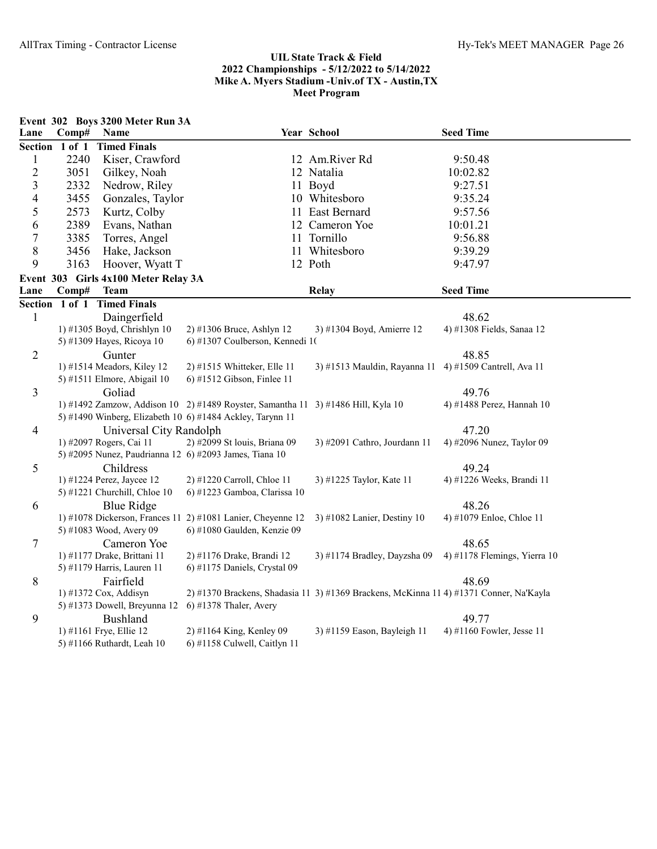|                         |                | Event 302 Boys 3200 Meter Run 3A                   |                                                                                  |                                                                                        |                                    |
|-------------------------|----------------|----------------------------------------------------|----------------------------------------------------------------------------------|----------------------------------------------------------------------------------------|------------------------------------|
| Lane                    | Comp#          | Name                                               |                                                                                  | Year School                                                                            | <b>Seed Time</b>                   |
|                         | Section 1 of 1 | <b>Timed Finals</b>                                |                                                                                  |                                                                                        |                                    |
| $\mathbf{1}$            | 2240           | Kiser, Crawford                                    |                                                                                  | 12 Am.River Rd                                                                         | 9:50.48                            |
| $\overline{2}$          | 3051           | Gilkey, Noah                                       |                                                                                  | 12 Natalia                                                                             | 10:02.82                           |
| $\overline{3}$          | 2332           | Nedrow, Riley                                      |                                                                                  | 11 Boyd                                                                                | 9:27.51                            |
| $\overline{\mathbf{4}}$ | 3455           | Gonzales, Taylor                                   |                                                                                  | 10 Whitesboro                                                                          | 9:35.24                            |
| 5                       | 2573           | Kurtz, Colby                                       |                                                                                  | 11 East Bernard                                                                        | 9:57.56                            |
| 6                       | 2389           | Evans, Nathan                                      |                                                                                  | 12 Cameron Yoe                                                                         | 10:01.21                           |
| $\tau$                  | 3385           | Torres, Angel                                      |                                                                                  | 11 Tornillo                                                                            | 9:56.88                            |
| 8                       | 3456           | Hake, Jackson                                      |                                                                                  | 11 Whitesboro                                                                          | 9:39.29                            |
| 9                       | 3163           | Hoover, Wyatt T                                    |                                                                                  | 12 Poth                                                                                | 9:47.97                            |
|                         |                | Event 303 Girls 4x100 Meter Relay 3A               |                                                                                  |                                                                                        |                                    |
| Lane                    | Comp#          | <b>Team</b>                                        |                                                                                  | Relay                                                                                  | <b>Seed Time</b>                   |
|                         | Section 1 of 1 | <b>Timed Finals</b>                                |                                                                                  |                                                                                        |                                    |
| $\mathbf{1}$            |                | Daingerfield                                       |                                                                                  |                                                                                        | 48.62                              |
|                         |                | 1) #1305 Boyd, Chrishlyn 10                        | 2) #1306 Bruce, Ashlyn 12                                                        | 3) #1304 Boyd, Amierre 12                                                              | 4) #1308 Fields, Sanaa 12          |
|                         |                | 5) #1309 Hayes, Ricoya 10                          | 6) #1307 Coulberson, Kennedi 10                                                  |                                                                                        |                                    |
| $\mathbf{2}$            |                | Gunter                                             |                                                                                  |                                                                                        | 48.85                              |
|                         |                | 1) #1514 Meadors, Kiley 12                         | 2) #1515 Whitteker, Elle 11                                                      | 3) #1513 Mauldin, Rayanna 11                                                           | 4) #1509 Cantrell, Ava 11          |
|                         |                | 5) #1511 Elmore, Abigail 10                        | 6) #1512 Gibson, Finlee 11                                                       |                                                                                        |                                    |
| 3                       |                | Goliad                                             |                                                                                  |                                                                                        | 49.76                              |
|                         |                |                                                    | 1) #1492 Zamzow, Addison 10 2) #1489 Royster, Samantha 11 3) #1486 Hill, Kyla 10 |                                                                                        | 4) #1488 Perez, Hannah 10          |
|                         |                |                                                    | 5) #1490 Winberg, Elizabeth 10 6) #1484 Ackley, Tarynn 11                        |                                                                                        |                                    |
| $\overline{4}$          |                | Universal City Randolph<br>1) #2097 Rogers, Cai 11 | 2) #2099 St louis, Briana 09                                                     | 3) #2091 Cathro, Jourdann 11                                                           | 47.20<br>4) #2096 Nunez, Taylor 09 |
|                         |                |                                                    | 5) #2095 Nunez, Paudrianna 12 6) #2093 James, Tiana 10                           |                                                                                        |                                    |
| 5                       |                | Childress                                          |                                                                                  |                                                                                        | 49.24                              |
|                         |                | 1) #1224 Perez, Jaycee 12                          | 2) #1220 Carroll, Chloe 11                                                       | 3) #1225 Taylor, Kate 11                                                               | 4) #1226 Weeks, Brandi 11          |
|                         |                | 5) #1221 Churchill, Chloe 10                       | 6) #1223 Gamboa, Clarissa 10                                                     |                                                                                        |                                    |
| 6                       |                | <b>Blue Ridge</b>                                  |                                                                                  |                                                                                        | 48.26                              |
|                         |                |                                                    | 1) #1078 Dickerson, Frances 11 2) #1081 Lanier, Cheyenne 12                      | 3) #1082 Lanier, Destiny 10                                                            | 4) #1079 Enloe, Chloe 11           |
|                         |                | 5) #1083 Wood, Avery 09                            | 6) #1080 Gaulden, Kenzie 09                                                      |                                                                                        |                                    |
| $\tau$                  |                | Cameron Yoe                                        |                                                                                  |                                                                                        | 48.65                              |
|                         |                | 1) #1177 Drake, Brittani 11                        | 2) #1176 Drake, Brandi 12                                                        | 3) #1174 Bradley, Dayzsha 09                                                           | 4) #1178 Flemings, Yierra 10       |
|                         |                | 5) #1179 Harris, Lauren 11                         | 6) #1175 Daniels, Crystal 09                                                     |                                                                                        |                                    |
| 8                       |                | Fairfield                                          |                                                                                  |                                                                                        | 48.69                              |
|                         |                | 1) #1372 Cox, Addisyn                              |                                                                                  | 2) #1370 Brackens, Shadasia 11 3) #1369 Brackens, McKinna 11 4) #1371 Conner, Na'Kayla |                                    |
|                         |                | 5) #1373 Dowell, Breyunna 12                       | 6) #1378 Thaler, Avery                                                           |                                                                                        |                                    |
| 9                       |                | Bushland                                           |                                                                                  |                                                                                        | 49.77                              |
|                         |                | 1) #1161 Frye, Ellie 12                            | 2) #1164 King, Kenley 09                                                         | 3) #1159 Eason, Bayleigh 11                                                            | 4) #1160 Fowler, Jesse 11          |
|                         |                | 5) #1166 Ruthardt, Leah 10                         | 6) #1158 Culwell, Caitlyn 11                                                     |                                                                                        |                                    |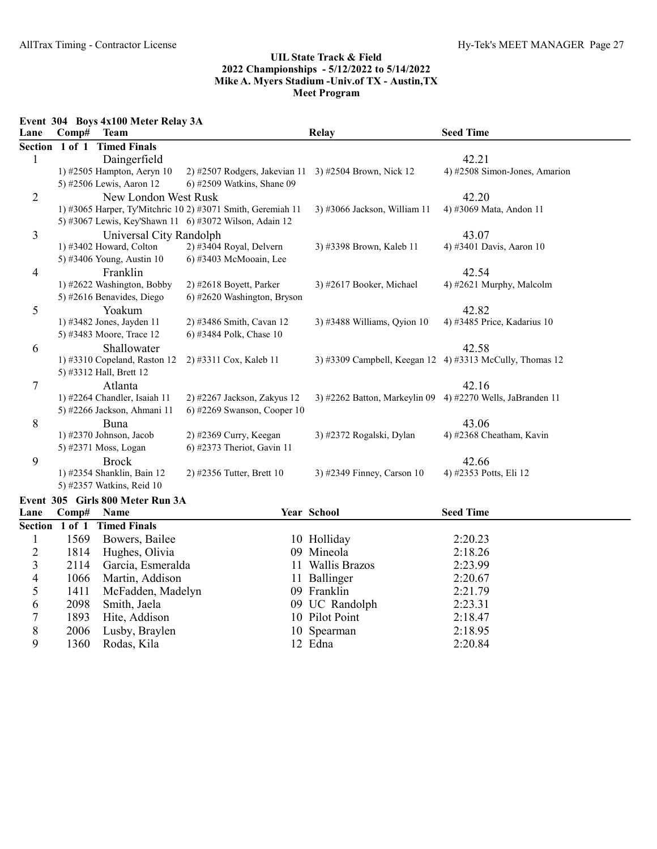Event 304 Boys 4x100 Meter Relay 3A

1411 McFadden, Madelyn<br>2098 Smith, Jaela

1360 Rodas, Kila

| Lane           | Comp#  | <b>Team</b>                      |                                                             | <b>Relay</b>                  | <b>Seed Time</b>                                         |
|----------------|--------|----------------------------------|-------------------------------------------------------------|-------------------------------|----------------------------------------------------------|
| <b>Section</b> | 1 of 1 | <b>Timed Finals</b>              |                                                             |                               |                                                          |
| 1              |        | Daingerfield                     |                                                             |                               | 42.21                                                    |
|                |        | 1) #2505 Hampton, Aeryn 10       | 2) #2507 Rodgers, Jakevian 11 3) #2504 Brown, Nick 12       |                               | 4) #2508 Simon-Jones, Amarion                            |
|                |        | 5) #2506 Lewis, Aaron 12         | 6) #2509 Watkins, Shane 09                                  |                               |                                                          |
| $\overline{2}$ |        | New London West Rusk             |                                                             |                               | 42.20                                                    |
|                |        |                                  | 1) #3065 Harper, Ty'Mitchric 10 2) #3071 Smith, Geremiah 11 | 3) #3066 Jackson, William 11  | 4) #3069 Mata, Andon 11                                  |
|                |        |                                  | 5) #3067 Lewis, Key'Shawn 11 6) #3072 Wilson, Adain 12      |                               |                                                          |
| 3              |        | Universal City Randolph          |                                                             |                               | 43.07                                                    |
|                |        | 1) #3402 Howard, Colton          | 2) #3404 Royal, Delvern                                     | 3) #3398 Brown, Kaleb 11      | 4) #3401 Davis, Aaron 10                                 |
|                |        | 5) #3406 Young, Austin 10        | 6) #3403 McMooain, Lee                                      |                               |                                                          |
| 4              |        | Franklin                         |                                                             |                               | 42.54                                                    |
|                |        | 1) #2622 Washington, Bobby       | 2) #2618 Boyett, Parker                                     | 3) #2617 Booker, Michael      | 4) #2621 Murphy, Malcolm                                 |
|                |        | 5) #2616 Benavides, Diego        | 6) #2620 Washington, Bryson                                 |                               |                                                          |
| 5              |        | Yoakum                           |                                                             |                               | 42.82                                                    |
|                |        | 1) #3482 Jones, Jayden 11        | 2) #3486 Smith, Cavan 12                                    | 3) #3488 Williams, Qyion 10   | 4) #3485 Price, Kadarius 10                              |
|                |        | 5) #3483 Moore, Trace 12         | 6) #3484 Polk, Chase 10                                     |                               |                                                          |
| 6              |        | Shallowater                      |                                                             |                               | 42.58                                                    |
|                |        | 1) #3310 Copeland, Raston 12     | 2) #3311 Cox, Kaleb 11                                      |                               | 3) #3309 Campbell, Keegan 12 4) #3313 McCully, Thomas 12 |
|                |        | 5) #3312 Hall, Brett 12          |                                                             |                               |                                                          |
| 7              |        | Atlanta                          |                                                             |                               | 42.16                                                    |
|                |        | 1) #2264 Chandler, Isaiah 11     | 2) #2267 Jackson, Zakyus 12                                 | 3) #2262 Batton, Markeylin 09 | 4) #2270 Wells, JaBranden 11                             |
|                |        | 5) #2266 Jackson, Ahmani 11      | 6) #2269 Swanson, Cooper $10$                               |                               |                                                          |
| 8              |        | Buna                             |                                                             |                               | 43.06                                                    |
|                |        | 1) #2370 Johnson, Jacob          | 2) #2369 Curry, Keegan                                      | 3) #2372 Rogalski, Dylan      | 4) #2368 Cheatham, Kavin                                 |
|                |        | 5) #2371 Moss, Logan             | 6) #2373 Theriot, Gavin 11                                  |                               |                                                          |
| 9              |        | <b>Brock</b>                     |                                                             |                               | 42.66                                                    |
|                |        | 1) #2354 Shanklin, Bain 12       | 2) #2356 Tutter, Brett 10                                   | 3) #2349 Finney, Carson 10    | 4) #2353 Potts, Eli 12                                   |
|                |        | 5) #2357 Watkins, Reid 10        |                                                             |                               |                                                          |
|                |        | Event 305 Girls 800 Meter Run 3A |                                                             |                               |                                                          |
| Lane           | Comp#  | <b>Name</b>                      |                                                             | Year School                   | <b>Seed Time</b>                                         |
| <b>Section</b> | 1 of 1 | <b>Timed Finals</b>              |                                                             |                               |                                                          |
| 1              | 1569   | Bowers, Bailee                   |                                                             | 10 Holliday                   | 2:20.23                                                  |
| $\overline{c}$ | 1814   | Hughes, Olivia                   | 09                                                          | Mineola                       | 2:18.26                                                  |
| 3              | 2114   | Garcia, Esmeralda                |                                                             | 11 Wallis Brazos              | 2:23.99                                                  |

3 2114 Garcia, Esmeralda 11 Wallis Brazos 2:23.99<br>4 1066 Martin, Addison 11 Ballinger 2:20.67 4 1066 Martin, Addison 11 Ballinger 2:20.67<br>5 1411 McFadden, Madelyn 09 Franklin 2:21.79

6 2098 Smith, Jaela 09 UC Randolph 2:23.31 7 1893 Hite, Addison 10 Pilot Point 2:18.47 8 2006 Lusby, Braylen 10 Spearman 2:18.95<br>
9 1360 Rodas, Kila 12 Edna 2:20.84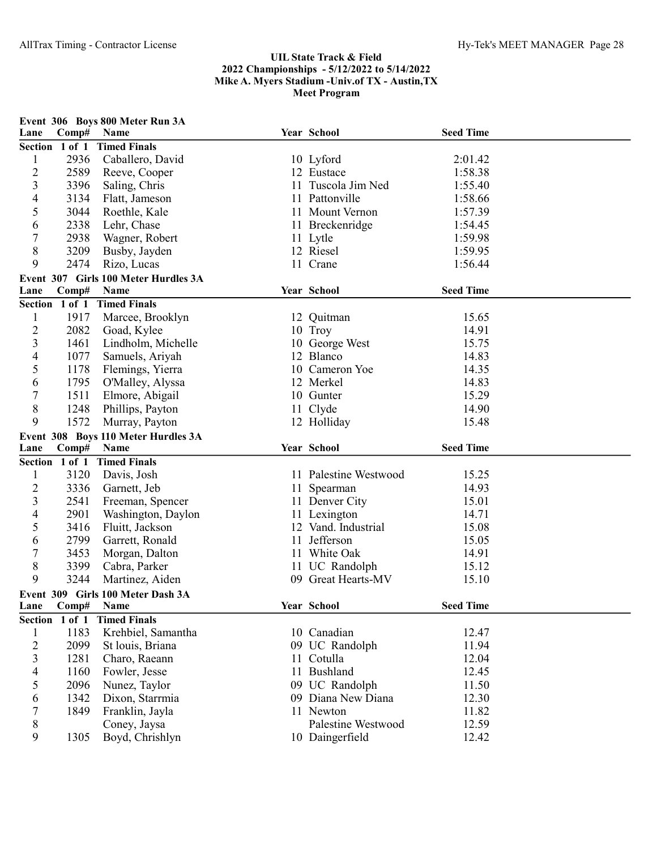| Lane                    | Comp#          | Event 306 Boys 800 Meter Run 3A<br>Name |     | Year School           | <b>Seed Time</b> |  |
|-------------------------|----------------|-----------------------------------------|-----|-----------------------|------------------|--|
| Section 1 of 1          |                | <b>Timed Finals</b>                     |     |                       |                  |  |
| $\mathbf{1}$            | 2936           | Caballero, David                        |     | 10 Lyford             | 2:01.42          |  |
| $\overline{\mathbf{c}}$ | 2589           | Reeve, Cooper                           |     | 12 Eustace            | 1:58.38          |  |
| 3                       | 3396           | Saling, Chris                           | 11. | Tuscola Jim Ned       | 1:55.40          |  |
| 4                       | 3134           | Flatt, Jameson                          |     | 11 Pattonville        | 1:58.66          |  |
| 5                       | 3044           | Roethle, Kale                           |     | 11 Mount Vernon       | 1:57.39          |  |
| 6                       | 2338           | Lehr, Chase                             |     | 11 Breckenridge       | 1:54.45          |  |
| 7                       | 2938           | Wagner, Robert                          |     |                       | 1:59.98          |  |
| 8                       | 3209           | Busby, Jayden                           |     | 11 Lytle<br>12 Riesel | 1:59.95          |  |
| 9                       | 2474           | Rizo, Lucas                             |     | 11 Crane              | 1:56.44          |  |
|                         |                | Event 307 Girls 100 Meter Hurdles 3A    |     |                       |                  |  |
| Lane                    | Comp#          | Name                                    |     | Year School           | <b>Seed Time</b> |  |
|                         |                | Section 1 of 1 Timed Finals             |     |                       |                  |  |
|                         | 1917           |                                         |     |                       | 15.65            |  |
| $\mathbf{1}$            |                | Marcee, Brooklyn                        |     | 12 Quitman            | 14.91            |  |
| $\overline{c}$          | 2082           | Goad, Kylee                             |     | 10 Troy               |                  |  |
| $\mathfrak{Z}$          | 1461           | Lindholm, Michelle                      |     | 10 George West        | 15.75            |  |
| 4                       | 1077           | Samuels, Ariyah                         |     | 12 Blanco             | 14.83            |  |
| 5                       | 1178           | Flemings, Yierra                        |     | 10 Cameron Yoe        | 14.35            |  |
| 6                       | 1795           | O'Malley, Alyssa                        |     | 12 Merkel             | 14.83            |  |
| 7                       | 1511           | Elmore, Abigail                         |     | 10 Gunter             | 15.29            |  |
| 8                       | 1248           | Phillips, Payton                        |     | 11 Clyde              | 14.90            |  |
| 9                       | 1572           | Murray, Payton                          |     | 12 Holliday           | 15.48            |  |
|                         |                | Event 308 Boys 110 Meter Hurdles 3A     |     |                       |                  |  |
| Lane                    | Comp#          | Name                                    |     | Year School           | <b>Seed Time</b> |  |
|                         | Section 1 of 1 | <b>Timed Finals</b>                     |     |                       |                  |  |
| 1                       | 3120           | Davis, Josh                             |     | 11 Palestine Westwood | 15.25            |  |
| 2                       | 3336           | Garnett, Jeb                            |     | 11 Spearman           | 14.93            |  |
| 3                       | 2541           | Freeman, Spencer                        |     | 11 Denver City        | 15.01            |  |
| 4                       | 2901           | Washington, Daylon                      |     | 11 Lexington          | 14.71            |  |
| 5                       | 3416           | Fluitt, Jackson                         |     | 12 Vand. Industrial   | 15.08            |  |
| 6                       | 2799           | Garrett, Ronald                         |     | 11 Jefferson          | 15.05            |  |
| 7                       | 3453           | Morgan, Dalton                          |     | 11 White Oak          | 14.91            |  |
| 8                       | 3399           | Cabra, Parker                           |     | 11 UC Randolph        | 15.12            |  |
| 9                       | 3244           | Martinez, Aiden                         |     | 09 Great Hearts-MV    | 15.10            |  |
|                         |                | Event 309 Girls 100 Meter Dash 3A       |     |                       |                  |  |
| Lane                    | Comp#          | Name                                    |     | Year School           | <b>Seed Time</b> |  |
| Section 1 of 1          |                | <b>Timed Finals</b>                     |     |                       |                  |  |
| $\mathbf{1}$            | 1183           | Krehbiel, Samantha                      |     | 10 Canadian           | 12.47            |  |
| $\overline{c}$          | 2099           | St louis, Briana                        |     | 09 UC Randolph        | 11.94            |  |
| $\overline{\mathbf{3}}$ | 1281           | Charo, Raeann                           |     | 11 Cotulla            | 12.04            |  |
| 4                       | 1160           | Fowler, Jesse                           |     | 11 Bushland           | 12.45            |  |
| 5                       | 2096           | Nunez, Taylor                           |     | 09 UC Randolph        | 11.50            |  |
| 6                       | 1342           | Dixon, Starrmia                         |     | 09 Diana New Diana    | 12.30            |  |
| 7                       | 1849           | Franklin, Jayla                         |     | 11 Newton             | 11.82            |  |
| 8                       |                | Coney, Jaysa                            |     | Palestine Westwood    | 12.59            |  |
| 9                       | 1305           | Boyd, Chrishlyn                         |     | 10 Daingerfield       | 12.42            |  |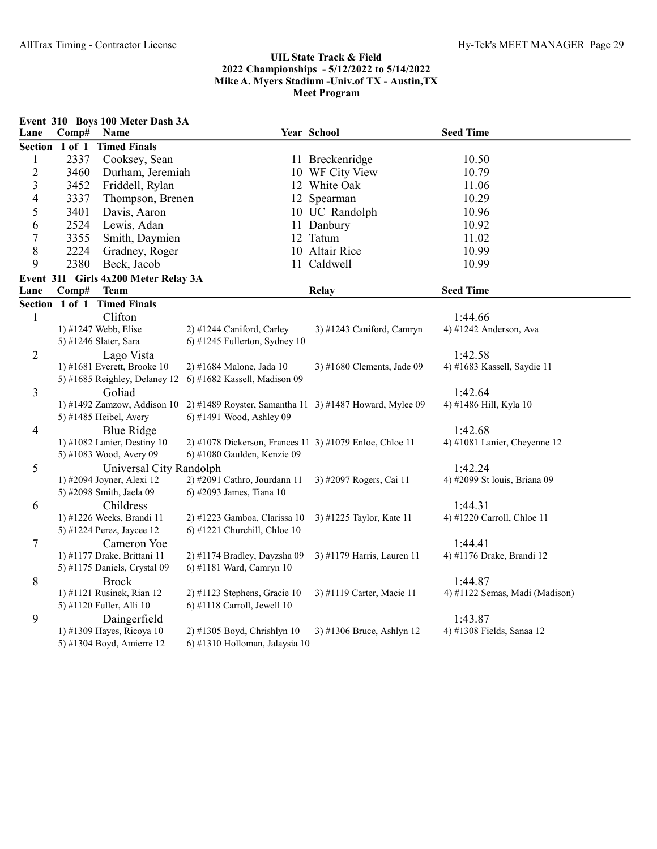|                          |                | Event 310 Boys 100 Meter Dash 3A                     |                                                                                        |                            |                                         |
|--------------------------|----------------|------------------------------------------------------|----------------------------------------------------------------------------------------|----------------------------|-----------------------------------------|
| Lane                     | Comp#          | Name                                                 |                                                                                        | Year School                | <b>Seed Time</b>                        |
|                          | Section 1 of 1 | <b>Timed Finals</b>                                  |                                                                                        |                            |                                         |
| $\mathbf{1}$             | 2337           | Cooksey, Sean                                        |                                                                                        | 11 Breckenridge            | 10.50                                   |
| $\sqrt{2}$               | 3460           | Durham, Jeremiah                                     |                                                                                        | 10 WF City View            | 10.79                                   |
| 3                        | 3452           | Friddell, Rylan                                      |                                                                                        | 12 White Oak               | 11.06                                   |
| $\overline{\mathcal{A}}$ | 3337           | Thompson, Brenen                                     |                                                                                        | 12 Spearman                | 10.29                                   |
| 5                        | 3401           | Davis, Aaron                                         |                                                                                        | 10 UC Randolph             | 10.96                                   |
| 6                        | 2524           | Lewis, Adan                                          |                                                                                        | 11 Danbury                 | 10.92                                   |
| $\tau$                   | 3355           | Smith, Daymien                                       |                                                                                        | 12 Tatum                   | 11.02                                   |
| $8\,$                    | 2224           | Gradney, Roger                                       |                                                                                        | 10 Altair Rice             | 10.99                                   |
| 9                        | 2380           | Beck, Jacob                                          |                                                                                        | 11 Caldwell                | 10.99                                   |
|                          |                | Event 311 Girls 4x200 Meter Relay 3A                 |                                                                                        |                            |                                         |
| Lane                     | Comp#          | <b>Team</b>                                          |                                                                                        | <b>Relay</b>               | <b>Seed Time</b>                        |
|                          |                | Section 1 of 1 Timed Finals                          |                                                                                        |                            |                                         |
| $\mathbf{1}$             |                | Clifton                                              |                                                                                        |                            | 1:44.66                                 |
|                          |                | 1) #1247 Webb, Elise                                 | 2) #1244 Caniford, Carley                                                              | 3) #1243 Caniford, Camryn  | 4) #1242 Anderson, Ava                  |
|                          |                | 5) #1246 Slater, Sara                                | 6) #1245 Fullerton, Sydney 10                                                          |                            |                                         |
| $\overline{2}$           |                | Lago Vista                                           |                                                                                        |                            | 1:42.58                                 |
|                          |                | 1) #1681 Everett, Brooke 10                          | 2) #1684 Malone, Jada 10                                                               | 3) #1680 Clements, Jade 09 | 4) #1683 Kassell, Saydie 11             |
|                          |                | 5) #1685 Reighley, Delaney 12                        | 6) #1682 Kassell, Madison 09                                                           |                            |                                         |
| 3                        |                | Goliad                                               |                                                                                        |                            | 1:42.64                                 |
|                          |                | 1) #1492 Zamzow, Addison 10                          | 2) #1489 Royster, Samantha 11 3) #1487 Howard, Mylee 09                                |                            | 4) #1486 Hill, Kyla 10                  |
|                          |                | 5) #1485 Heibel, Avery                               | 6) #1491 Wood, Ashley 09                                                               |                            |                                         |
| $\overline{4}$           |                | <b>Blue Ridge</b>                                    |                                                                                        |                            | 1:42.68                                 |
|                          |                | 1) #1082 Lanier, Destiny 10                          | 2) #1078 Dickerson, Frances 11 3) #1079 Enloe, Chloe 11<br>6) #1080 Gaulden, Kenzie 09 |                            | 4) #1081 Lanier, Cheyenne 12            |
|                          |                | 5) #1083 Wood, Avery 09                              |                                                                                        |                            |                                         |
| 5                        |                | Universal City Randolph<br>1) #2094 Joyner, Alexi 12 | 2) #2091 Cathro, Jourdann 11                                                           | 3) #2097 Rogers, Cai 11    | 1:42.24<br>4) #2099 St louis, Briana 09 |
|                          |                | 5) #2098 Smith, Jaela 09                             | 6) #2093 James, Tiana 10                                                               |                            |                                         |
| 6                        |                | Childress                                            |                                                                                        |                            | 1:44.31                                 |
|                          |                | 1) #1226 Weeks, Brandi 11                            | 2) #1223 Gamboa, Clarissa 10                                                           | 3) #1225 Taylor, Kate 11   | 4) #1220 Carroll, Chloe 11              |
|                          |                | 5) #1224 Perez, Jaycee 12                            | $6$ ) #1221 Churchill, Chloe 10                                                        |                            |                                         |
| $\tau$                   |                | Cameron Yoe                                          |                                                                                        |                            | 1:44.41                                 |
|                          |                | 1) #1177 Drake, Brittani 11                          | 2) #1174 Bradley, Dayzsha 09                                                           | 3) #1179 Harris, Lauren 11 | 4) #1176 Drake, Brandi 12               |
|                          |                | 5) #1175 Daniels, Crystal 09                         | 6) #1181 Ward, Camryn 10                                                               |                            |                                         |
| $8\,$                    |                | <b>Brock</b>                                         |                                                                                        |                            | 1:44.87                                 |
|                          |                | 1) #1121 Rusinek, Rian 12                            | $2)$ #1123 Stephens, Gracie 10                                                         | 3) #1119 Carter, Macie 11  | 4) #1122 Semas, Madi (Madison)          |
|                          |                | 5) #1120 Fuller, Alli 10                             | $6$ ) #1118 Carroll, Jewell 10                                                         |                            |                                         |
| 9                        |                | Daingerfield                                         |                                                                                        |                            | 1:43.87                                 |
|                          |                | 1) #1309 Hayes, Ricoya 10                            | 2) #1305 Boyd, Chrishlyn 10                                                            | 3) #1306 Bruce, Ashlyn 12  | 4) #1308 Fields, Sanaa 12               |
|                          |                | 5) #1304 Boyd, Amierre 12                            | 6) #1310 Holloman, Jalaysia 10                                                         |                            |                                         |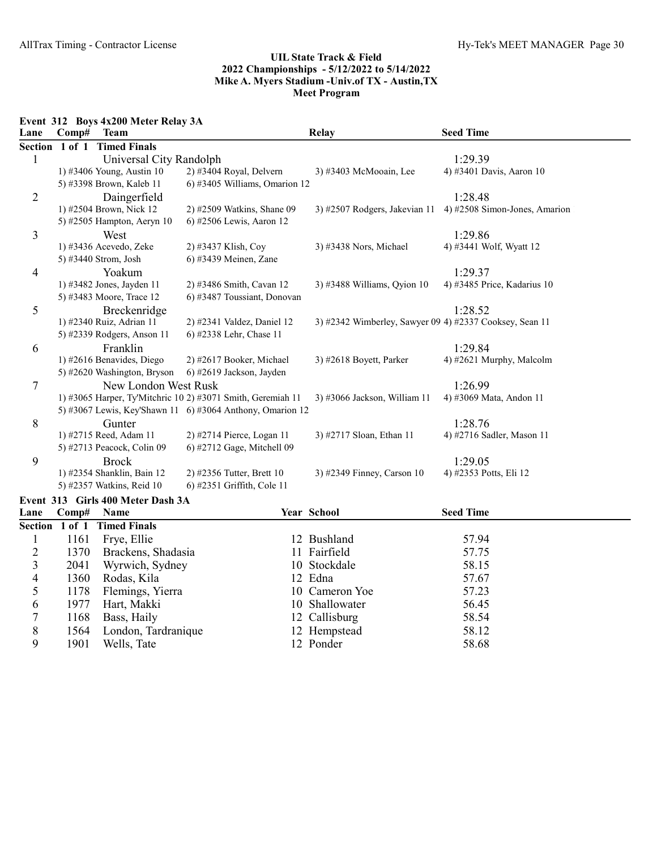Event 312 Boys 4x200 Meter Relay 3A

1178 Flemings, Yierra<br>1977 Hart, Makki

1901 Wells, Tate

| Lane           | Comp#          | <b>Team</b>                       |                                                             | <b>Relay</b>                                            | <b>Seed Time</b>              |
|----------------|----------------|-----------------------------------|-------------------------------------------------------------|---------------------------------------------------------|-------------------------------|
| <b>Section</b> | 1 of 1         | <b>Timed Finals</b>               |                                                             |                                                         |                               |
| 1              |                | Universal City Randolph           |                                                             |                                                         | 1:29.39                       |
|                |                | 1) #3406 Young, Austin 10         | 2) #3404 Royal, Delvern                                     | 3) #3403 McMooain, Lee                                  | 4) #3401 Davis, Aaron 10      |
|                |                | 5) #3398 Brown, Kaleb 11          | 6) #3405 Williams, Omarion 12                               |                                                         |                               |
| 2              |                | Daingerfield                      |                                                             |                                                         | 1:28.48                       |
|                |                | 1) #2504 Brown, Nick 12           | 2) #2509 Watkins, Shane 09                                  | 3) #2507 Rodgers, Jakevian 11                           | 4) #2508 Simon-Jones, Amarion |
|                |                | 5) #2505 Hampton, Aeryn 10        | 6) #2506 Lewis, Aaron 12                                    |                                                         |                               |
| 3              |                | West                              |                                                             |                                                         | 1:29.86                       |
|                |                | 1) #3436 Acevedo, Zeke            | 2) #3437 Klish, Coy                                         | 3) #3438 Nors, Michael                                  | 4) #3441 Wolf, Wyatt 12       |
|                |                | 5) #3440 Strom, Josh              | 6) #3439 Meinen, Zane                                       |                                                         |                               |
| 4              |                | Yoakum                            |                                                             |                                                         | 1:29.37                       |
|                |                | 1) #3482 Jones, Jayden 11         | 2) #3486 Smith, Cavan 12                                    | 3) #3488 Williams, Qyion 10                             | 4) #3485 Price, Kadarius 10   |
|                |                | 5) #3483 Moore, Trace 12          | 6) #3487 Toussiant, Donovan                                 |                                                         |                               |
| 5              |                | Breckenridge                      |                                                             |                                                         | 1:28.52                       |
|                |                | 1) #2340 Ruiz, Adrian 11          | 2) #2341 Valdez, Daniel 12                                  | 3) #2342 Wimberley, Sawyer 09 4) #2337 Cooksey, Sean 11 |                               |
|                |                | 5) #2339 Rodgers, Anson 11        | 6) #2338 Lehr, Chase 11                                     |                                                         |                               |
| 6              |                | Franklin                          |                                                             |                                                         | 1:29.84                       |
|                |                | 1) #2616 Benavides, Diego         | 2) #2617 Booker, Michael                                    | 3) #2618 Boyett, Parker                                 | 4) #2621 Murphy, Malcolm      |
|                |                | 5) #2620 Washington, Bryson       | 6) #2619 Jackson, Jayden                                    |                                                         |                               |
| 7              |                | New London West Rusk              |                                                             |                                                         | 1:26.99                       |
|                |                |                                   | 1) #3065 Harper, Ty'Mitchric 10 2) #3071 Smith, Geremiah 11 | 3) #3066 Jackson, William 11                            | 4) #3069 Mata, Andon 11       |
|                |                |                                   | 5) #3067 Lewis, Key'Shawn 11 6) #3064 Anthony, Omarion 12   |                                                         |                               |
| 8              |                | Gunter                            |                                                             |                                                         | 1:28.76                       |
|                |                | 1) #2715 Reed, Adam 11            | 2) #2714 Pierce, Logan 11                                   | 3) #2717 Sloan, Ethan 11                                | 4) #2716 Sadler, Mason 11     |
|                |                | 5) #2713 Peacock, Colin 09        | 6) #2712 Gage, Mitchell 09                                  |                                                         |                               |
| 9              |                | <b>Brock</b>                      |                                                             |                                                         | 1:29.05                       |
|                |                | 1) #2354 Shanklin, Bain 12        | 2) #2356 Tutter, Brett 10                                   | 3) #2349 Finney, Carson 10                              | 4) #2353 Potts, Eli 12        |
|                |                | 5) #2357 Watkins, Reid 10         | 6) #2351 Griffith, Cole 11                                  |                                                         |                               |
|                |                | Event 313 Girls 400 Meter Dash 3A |                                                             |                                                         |                               |
| Lane           | Comp#          | Name                              |                                                             | Year School                                             | <b>Seed Time</b>              |
|                | Section 1 of 1 | <b>Timed Finals</b>               |                                                             |                                                         |                               |
| 1              | 1161           | Frye, Ellie                       |                                                             | 12 Bushland                                             | 57.94                         |
| $\overline{c}$ | 1370           | Brackens, Shadasia                |                                                             | 11 Fairfield                                            | 57.75                         |
| 3              | 2041           | Wyrwich, Sydney                   |                                                             | 10 Stockdale                                            | 58.15                         |

3 2041 Wyrwich, Sydney 10 Stockdale 58.15<br>4 1360 Rodas, Kila 12 Edna 57.67 1360 Rodas, Kila 12 Edna 12 Edna 57.67<br>5 1178 Flemings, Yierra 10 Cameron Yoe 57.23

6 1977 Hart, Makki 10 Shallowater 56.45 7 1168 Bass, Haily 12 Callisburg 58.54 8 1564 London, Tardranique 12 Hempstead 58.12<br>9 1901 Wells, Tate 12 Ponder 58.68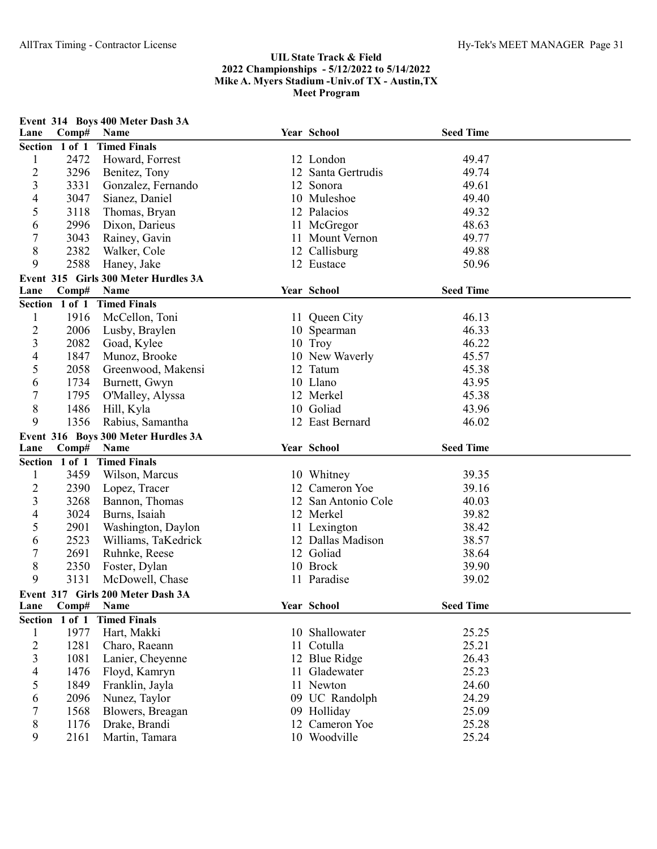| Year School<br>Lane<br>Section 1 of 1<br><b>Timed Finals</b><br>2472<br>12 London<br>49.47<br>1<br>Howard, Forrest<br>$\overline{2}$<br>49.74<br>3296<br>12 Santa Gertrudis<br>Benitez, Tony<br>3<br>3331<br>Gonzalez, Fernando<br>12 Sonora<br>49.61<br>3047<br>4<br>Sianez, Daniel<br>10 Muleshoe<br>49.40<br>5<br>3118<br>Thomas, Bryan<br>12 Palacios<br>49.32<br>2996<br>Dixon, Darieus<br>11 McGregor<br>48.63<br>6<br>7<br>3043<br>49.77<br>Rainey, Gavin<br>11 Mount Vernon<br>8<br>2382<br>49.88<br>Walker, Cole<br>12 Callisburg<br>9<br>2588<br>50.96<br>Haney, Jake<br>12 Eustace<br>Event 315 Girls 300 Meter Hurdles 3A<br><b>Seed Time</b><br>Year School<br>Lane<br>Comp#<br>Name<br>Section 1 of 1 Timed Finals<br>1916<br>McCellon, Toni<br>46.13<br>1<br>11 Queen City<br>$\overline{\mathbf{c}}$<br>46.33<br>2006<br>10 Spearman<br>Lusby, Braylen<br>3<br>46.22<br>2082<br>Goad, Kylee<br>10 Troy<br>45.57<br>4<br>1847<br>Munoz, Brooke<br>10 New Waverly<br>5<br>45.38<br>2058<br>Greenwood, Makensi<br>12 Tatum<br>1734<br>10 Llano<br>43.95<br>6<br>Burnett, Gwyn<br>7<br>1795<br>12 Merkel<br>45.38<br>O'Malley, Alyssa<br>$\,8\,$<br>1486<br>10 Goliad<br>43.96<br>Hill, Kyla<br>9<br>Rabius, Samantha<br>12 East Bernard<br>46.02<br>1356<br>Event 316 Boys 300 Meter Hurdles 3A<br>Year School<br><b>Seed Time</b><br>Lane<br>Comp#<br>Name<br>Section 1 of 1<br><b>Timed Finals</b><br>Wilson, Marcus<br>39.35<br>1<br>3459<br>10 Whitney<br>$\overline{2}$<br>12 Cameron Yoe<br>2390<br>Lopez, Tracer<br>39.16<br>3<br>3268<br>Bannon, Thomas<br>12 San Antonio Cole<br>40.03<br>3024<br>4<br>Burns, Isaiah<br>12 Merkel<br>39.82<br>38.42<br>5<br>2901<br>Washington, Daylon<br>11 Lexington<br>2523<br>38.57<br>Williams, TaKedrick<br>12 Dallas Madison<br>6<br>7<br>2691<br>38.64<br>12 Goliad<br>Ruhnke, Reese<br>8<br>10 Brock<br>39.90<br>2350<br>Foster, Dylan<br>9<br>3131<br>McDowell, Chase<br>11 Paradise<br>39.02<br>Event 317 Girls 200 Meter Dash 3A<br><b>Seed Time</b><br>Year School<br>Comp#<br>Lane<br>Name<br>Section 1 of 1<br><b>Timed Finals</b><br>1977<br>25.25<br>$\mathbf{1}$<br>Hart, Makki<br>10 Shallowater |                |              | Event 314 Boys 400 Meter Dash 3A  |                |                  |  |
|---------------------------------------------------------------------------------------------------------------------------------------------------------------------------------------------------------------------------------------------------------------------------------------------------------------------------------------------------------------------------------------------------------------------------------------------------------------------------------------------------------------------------------------------------------------------------------------------------------------------------------------------------------------------------------------------------------------------------------------------------------------------------------------------------------------------------------------------------------------------------------------------------------------------------------------------------------------------------------------------------------------------------------------------------------------------------------------------------------------------------------------------------------------------------------------------------------------------------------------------------------------------------------------------------------------------------------------------------------------------------------------------------------------------------------------------------------------------------------------------------------------------------------------------------------------------------------------------------------------------------------------------------------------------------------------------------------------------------------------------------------------------------------------------------------------------------------------------------------------------------------------------------------------------------------------------------------------------------------------------------------------------------------------------------------------------------------------------------------------------------------------------------------------------------|----------------|--------------|-----------------------------------|----------------|------------------|--|
|                                                                                                                                                                                                                                                                                                                                                                                                                                                                                                                                                                                                                                                                                                                                                                                                                                                                                                                                                                                                                                                                                                                                                                                                                                                                                                                                                                                                                                                                                                                                                                                                                                                                                                                                                                                                                                                                                                                                                                                                                                                                                                                                                                           |                | Comp#        | Name                              |                | <b>Seed Time</b> |  |
|                                                                                                                                                                                                                                                                                                                                                                                                                                                                                                                                                                                                                                                                                                                                                                                                                                                                                                                                                                                                                                                                                                                                                                                                                                                                                                                                                                                                                                                                                                                                                                                                                                                                                                                                                                                                                                                                                                                                                                                                                                                                                                                                                                           |                |              |                                   |                |                  |  |
|                                                                                                                                                                                                                                                                                                                                                                                                                                                                                                                                                                                                                                                                                                                                                                                                                                                                                                                                                                                                                                                                                                                                                                                                                                                                                                                                                                                                                                                                                                                                                                                                                                                                                                                                                                                                                                                                                                                                                                                                                                                                                                                                                                           |                |              |                                   |                |                  |  |
|                                                                                                                                                                                                                                                                                                                                                                                                                                                                                                                                                                                                                                                                                                                                                                                                                                                                                                                                                                                                                                                                                                                                                                                                                                                                                                                                                                                                                                                                                                                                                                                                                                                                                                                                                                                                                                                                                                                                                                                                                                                                                                                                                                           |                |              |                                   |                |                  |  |
|                                                                                                                                                                                                                                                                                                                                                                                                                                                                                                                                                                                                                                                                                                                                                                                                                                                                                                                                                                                                                                                                                                                                                                                                                                                                                                                                                                                                                                                                                                                                                                                                                                                                                                                                                                                                                                                                                                                                                                                                                                                                                                                                                                           |                |              |                                   |                |                  |  |
|                                                                                                                                                                                                                                                                                                                                                                                                                                                                                                                                                                                                                                                                                                                                                                                                                                                                                                                                                                                                                                                                                                                                                                                                                                                                                                                                                                                                                                                                                                                                                                                                                                                                                                                                                                                                                                                                                                                                                                                                                                                                                                                                                                           |                |              |                                   |                |                  |  |
|                                                                                                                                                                                                                                                                                                                                                                                                                                                                                                                                                                                                                                                                                                                                                                                                                                                                                                                                                                                                                                                                                                                                                                                                                                                                                                                                                                                                                                                                                                                                                                                                                                                                                                                                                                                                                                                                                                                                                                                                                                                                                                                                                                           |                |              |                                   |                |                  |  |
|                                                                                                                                                                                                                                                                                                                                                                                                                                                                                                                                                                                                                                                                                                                                                                                                                                                                                                                                                                                                                                                                                                                                                                                                                                                                                                                                                                                                                                                                                                                                                                                                                                                                                                                                                                                                                                                                                                                                                                                                                                                                                                                                                                           |                |              |                                   |                |                  |  |
|                                                                                                                                                                                                                                                                                                                                                                                                                                                                                                                                                                                                                                                                                                                                                                                                                                                                                                                                                                                                                                                                                                                                                                                                                                                                                                                                                                                                                                                                                                                                                                                                                                                                                                                                                                                                                                                                                                                                                                                                                                                                                                                                                                           |                |              |                                   |                |                  |  |
|                                                                                                                                                                                                                                                                                                                                                                                                                                                                                                                                                                                                                                                                                                                                                                                                                                                                                                                                                                                                                                                                                                                                                                                                                                                                                                                                                                                                                                                                                                                                                                                                                                                                                                                                                                                                                                                                                                                                                                                                                                                                                                                                                                           |                |              |                                   |                |                  |  |
|                                                                                                                                                                                                                                                                                                                                                                                                                                                                                                                                                                                                                                                                                                                                                                                                                                                                                                                                                                                                                                                                                                                                                                                                                                                                                                                                                                                                                                                                                                                                                                                                                                                                                                                                                                                                                                                                                                                                                                                                                                                                                                                                                                           |                |              |                                   |                |                  |  |
|                                                                                                                                                                                                                                                                                                                                                                                                                                                                                                                                                                                                                                                                                                                                                                                                                                                                                                                                                                                                                                                                                                                                                                                                                                                                                                                                                                                                                                                                                                                                                                                                                                                                                                                                                                                                                                                                                                                                                                                                                                                                                                                                                                           |                |              |                                   |                |                  |  |
|                                                                                                                                                                                                                                                                                                                                                                                                                                                                                                                                                                                                                                                                                                                                                                                                                                                                                                                                                                                                                                                                                                                                                                                                                                                                                                                                                                                                                                                                                                                                                                                                                                                                                                                                                                                                                                                                                                                                                                                                                                                                                                                                                                           |                |              |                                   |                |                  |  |
|                                                                                                                                                                                                                                                                                                                                                                                                                                                                                                                                                                                                                                                                                                                                                                                                                                                                                                                                                                                                                                                                                                                                                                                                                                                                                                                                                                                                                                                                                                                                                                                                                                                                                                                                                                                                                                                                                                                                                                                                                                                                                                                                                                           |                |              |                                   |                |                  |  |
|                                                                                                                                                                                                                                                                                                                                                                                                                                                                                                                                                                                                                                                                                                                                                                                                                                                                                                                                                                                                                                                                                                                                                                                                                                                                                                                                                                                                                                                                                                                                                                                                                                                                                                                                                                                                                                                                                                                                                                                                                                                                                                                                                                           |                |              |                                   |                |                  |  |
|                                                                                                                                                                                                                                                                                                                                                                                                                                                                                                                                                                                                                                                                                                                                                                                                                                                                                                                                                                                                                                                                                                                                                                                                                                                                                                                                                                                                                                                                                                                                                                                                                                                                                                                                                                                                                                                                                                                                                                                                                                                                                                                                                                           |                |              |                                   |                |                  |  |
|                                                                                                                                                                                                                                                                                                                                                                                                                                                                                                                                                                                                                                                                                                                                                                                                                                                                                                                                                                                                                                                                                                                                                                                                                                                                                                                                                                                                                                                                                                                                                                                                                                                                                                                                                                                                                                                                                                                                                                                                                                                                                                                                                                           |                |              |                                   |                |                  |  |
|                                                                                                                                                                                                                                                                                                                                                                                                                                                                                                                                                                                                                                                                                                                                                                                                                                                                                                                                                                                                                                                                                                                                                                                                                                                                                                                                                                                                                                                                                                                                                                                                                                                                                                                                                                                                                                                                                                                                                                                                                                                                                                                                                                           |                |              |                                   |                |                  |  |
|                                                                                                                                                                                                                                                                                                                                                                                                                                                                                                                                                                                                                                                                                                                                                                                                                                                                                                                                                                                                                                                                                                                                                                                                                                                                                                                                                                                                                                                                                                                                                                                                                                                                                                                                                                                                                                                                                                                                                                                                                                                                                                                                                                           |                |              |                                   |                |                  |  |
|                                                                                                                                                                                                                                                                                                                                                                                                                                                                                                                                                                                                                                                                                                                                                                                                                                                                                                                                                                                                                                                                                                                                                                                                                                                                                                                                                                                                                                                                                                                                                                                                                                                                                                                                                                                                                                                                                                                                                                                                                                                                                                                                                                           |                |              |                                   |                |                  |  |
|                                                                                                                                                                                                                                                                                                                                                                                                                                                                                                                                                                                                                                                                                                                                                                                                                                                                                                                                                                                                                                                                                                                                                                                                                                                                                                                                                                                                                                                                                                                                                                                                                                                                                                                                                                                                                                                                                                                                                                                                                                                                                                                                                                           |                |              |                                   |                |                  |  |
|                                                                                                                                                                                                                                                                                                                                                                                                                                                                                                                                                                                                                                                                                                                                                                                                                                                                                                                                                                                                                                                                                                                                                                                                                                                                                                                                                                                                                                                                                                                                                                                                                                                                                                                                                                                                                                                                                                                                                                                                                                                                                                                                                                           |                |              |                                   |                |                  |  |
|                                                                                                                                                                                                                                                                                                                                                                                                                                                                                                                                                                                                                                                                                                                                                                                                                                                                                                                                                                                                                                                                                                                                                                                                                                                                                                                                                                                                                                                                                                                                                                                                                                                                                                                                                                                                                                                                                                                                                                                                                                                                                                                                                                           |                |              |                                   |                |                  |  |
|                                                                                                                                                                                                                                                                                                                                                                                                                                                                                                                                                                                                                                                                                                                                                                                                                                                                                                                                                                                                                                                                                                                                                                                                                                                                                                                                                                                                                                                                                                                                                                                                                                                                                                                                                                                                                                                                                                                                                                                                                                                                                                                                                                           |                |              |                                   |                |                  |  |
|                                                                                                                                                                                                                                                                                                                                                                                                                                                                                                                                                                                                                                                                                                                                                                                                                                                                                                                                                                                                                                                                                                                                                                                                                                                                                                                                                                                                                                                                                                                                                                                                                                                                                                                                                                                                                                                                                                                                                                                                                                                                                                                                                                           |                |              |                                   |                |                  |  |
|                                                                                                                                                                                                                                                                                                                                                                                                                                                                                                                                                                                                                                                                                                                                                                                                                                                                                                                                                                                                                                                                                                                                                                                                                                                                                                                                                                                                                                                                                                                                                                                                                                                                                                                                                                                                                                                                                                                                                                                                                                                                                                                                                                           |                |              |                                   |                |                  |  |
|                                                                                                                                                                                                                                                                                                                                                                                                                                                                                                                                                                                                                                                                                                                                                                                                                                                                                                                                                                                                                                                                                                                                                                                                                                                                                                                                                                                                                                                                                                                                                                                                                                                                                                                                                                                                                                                                                                                                                                                                                                                                                                                                                                           |                |              |                                   |                |                  |  |
|                                                                                                                                                                                                                                                                                                                                                                                                                                                                                                                                                                                                                                                                                                                                                                                                                                                                                                                                                                                                                                                                                                                                                                                                                                                                                                                                                                                                                                                                                                                                                                                                                                                                                                                                                                                                                                                                                                                                                                                                                                                                                                                                                                           |                |              |                                   |                |                  |  |
|                                                                                                                                                                                                                                                                                                                                                                                                                                                                                                                                                                                                                                                                                                                                                                                                                                                                                                                                                                                                                                                                                                                                                                                                                                                                                                                                                                                                                                                                                                                                                                                                                                                                                                                                                                                                                                                                                                                                                                                                                                                                                                                                                                           |                |              |                                   |                |                  |  |
|                                                                                                                                                                                                                                                                                                                                                                                                                                                                                                                                                                                                                                                                                                                                                                                                                                                                                                                                                                                                                                                                                                                                                                                                                                                                                                                                                                                                                                                                                                                                                                                                                                                                                                                                                                                                                                                                                                                                                                                                                                                                                                                                                                           |                |              |                                   |                |                  |  |
|                                                                                                                                                                                                                                                                                                                                                                                                                                                                                                                                                                                                                                                                                                                                                                                                                                                                                                                                                                                                                                                                                                                                                                                                                                                                                                                                                                                                                                                                                                                                                                                                                                                                                                                                                                                                                                                                                                                                                                                                                                                                                                                                                                           |                |              |                                   |                |                  |  |
|                                                                                                                                                                                                                                                                                                                                                                                                                                                                                                                                                                                                                                                                                                                                                                                                                                                                                                                                                                                                                                                                                                                                                                                                                                                                                                                                                                                                                                                                                                                                                                                                                                                                                                                                                                                                                                                                                                                                                                                                                                                                                                                                                                           |                |              |                                   |                |                  |  |
|                                                                                                                                                                                                                                                                                                                                                                                                                                                                                                                                                                                                                                                                                                                                                                                                                                                                                                                                                                                                                                                                                                                                                                                                                                                                                                                                                                                                                                                                                                                                                                                                                                                                                                                                                                                                                                                                                                                                                                                                                                                                                                                                                                           |                |              |                                   |                |                  |  |
|                                                                                                                                                                                                                                                                                                                                                                                                                                                                                                                                                                                                                                                                                                                                                                                                                                                                                                                                                                                                                                                                                                                                                                                                                                                                                                                                                                                                                                                                                                                                                                                                                                                                                                                                                                                                                                                                                                                                                                                                                                                                                                                                                                           |                |              |                                   |                |                  |  |
|                                                                                                                                                                                                                                                                                                                                                                                                                                                                                                                                                                                                                                                                                                                                                                                                                                                                                                                                                                                                                                                                                                                                                                                                                                                                                                                                                                                                                                                                                                                                                                                                                                                                                                                                                                                                                                                                                                                                                                                                                                                                                                                                                                           |                |              |                                   |                |                  |  |
|                                                                                                                                                                                                                                                                                                                                                                                                                                                                                                                                                                                                                                                                                                                                                                                                                                                                                                                                                                                                                                                                                                                                                                                                                                                                                                                                                                                                                                                                                                                                                                                                                                                                                                                                                                                                                                                                                                                                                                                                                                                                                                                                                                           |                |              |                                   |                |                  |  |
|                                                                                                                                                                                                                                                                                                                                                                                                                                                                                                                                                                                                                                                                                                                                                                                                                                                                                                                                                                                                                                                                                                                                                                                                                                                                                                                                                                                                                                                                                                                                                                                                                                                                                                                                                                                                                                                                                                                                                                                                                                                                                                                                                                           |                |              |                                   |                |                  |  |
|                                                                                                                                                                                                                                                                                                                                                                                                                                                                                                                                                                                                                                                                                                                                                                                                                                                                                                                                                                                                                                                                                                                                                                                                                                                                                                                                                                                                                                                                                                                                                                                                                                                                                                                                                                                                                                                                                                                                                                                                                                                                                                                                                                           |                |              |                                   |                |                  |  |
|                                                                                                                                                                                                                                                                                                                                                                                                                                                                                                                                                                                                                                                                                                                                                                                                                                                                                                                                                                                                                                                                                                                                                                                                                                                                                                                                                                                                                                                                                                                                                                                                                                                                                                                                                                                                                                                                                                                                                                                                                                                                                                                                                                           |                |              |                                   |                |                  |  |
| 11 Cotulla                                                                                                                                                                                                                                                                                                                                                                                                                                                                                                                                                                                                                                                                                                                                                                                                                                                                                                                                                                                                                                                                                                                                                                                                                                                                                                                                                                                                                                                                                                                                                                                                                                                                                                                                                                                                                                                                                                                                                                                                                                                                                                                                                                |                |              |                                   |                |                  |  |
| 12 Blue Ridge                                                                                                                                                                                                                                                                                                                                                                                                                                                                                                                                                                                                                                                                                                                                                                                                                                                                                                                                                                                                                                                                                                                                                                                                                                                                                                                                                                                                                                                                                                                                                                                                                                                                                                                                                                                                                                                                                                                                                                                                                                                                                                                                                             |                |              |                                   |                |                  |  |
| 11 Gladewater                                                                                                                                                                                                                                                                                                                                                                                                                                                                                                                                                                                                                                                                                                                                                                                                                                                                                                                                                                                                                                                                                                                                                                                                                                                                                                                                                                                                                                                                                                                                                                                                                                                                                                                                                                                                                                                                                                                                                                                                                                                                                                                                                             | $\overline{2}$ | 1281         | Charo, Raeann                     |                | 25.21            |  |
| 11 Newton                                                                                                                                                                                                                                                                                                                                                                                                                                                                                                                                                                                                                                                                                                                                                                                                                                                                                                                                                                                                                                                                                                                                                                                                                                                                                                                                                                                                                                                                                                                                                                                                                                                                                                                                                                                                                                                                                                                                                                                                                                                                                                                                                                 | $\mathfrak{Z}$ | 1081         | Lanier, Cheyenne                  |                | 26.43            |  |
|                                                                                                                                                                                                                                                                                                                                                                                                                                                                                                                                                                                                                                                                                                                                                                                                                                                                                                                                                                                                                                                                                                                                                                                                                                                                                                                                                                                                                                                                                                                                                                                                                                                                                                                                                                                                                                                                                                                                                                                                                                                                                                                                                                           | $\overline{4}$ | 1476         | Floyd, Kamryn                     |                | 25.23            |  |
|                                                                                                                                                                                                                                                                                                                                                                                                                                                                                                                                                                                                                                                                                                                                                                                                                                                                                                                                                                                                                                                                                                                                                                                                                                                                                                                                                                                                                                                                                                                                                                                                                                                                                                                                                                                                                                                                                                                                                                                                                                                                                                                                                                           | 5              | 1849         | Franklin, Jayla                   |                | 24.60            |  |
| 12 Cameron Yoe                                                                                                                                                                                                                                                                                                                                                                                                                                                                                                                                                                                                                                                                                                                                                                                                                                                                                                                                                                                                                                                                                                                                                                                                                                                                                                                                                                                                                                                                                                                                                                                                                                                                                                                                                                                                                                                                                                                                                                                                                                                                                                                                                            | 6              | 2096         | Nunez, Taylor                     | 09 UC Randolph | 24.29            |  |
| $\boldsymbol{9}$<br>10 Woodville<br>Martin, Tamara<br>25.24<br>2161                                                                                                                                                                                                                                                                                                                                                                                                                                                                                                                                                                                                                                                                                                                                                                                                                                                                                                                                                                                                                                                                                                                                                                                                                                                                                                                                                                                                                                                                                                                                                                                                                                                                                                                                                                                                                                                                                                                                                                                                                                                                                                       | 7<br>8         | 1568<br>1176 | Blowers, Breagan<br>Drake, Brandi | 09 Holliday    | 25.09<br>25.28   |  |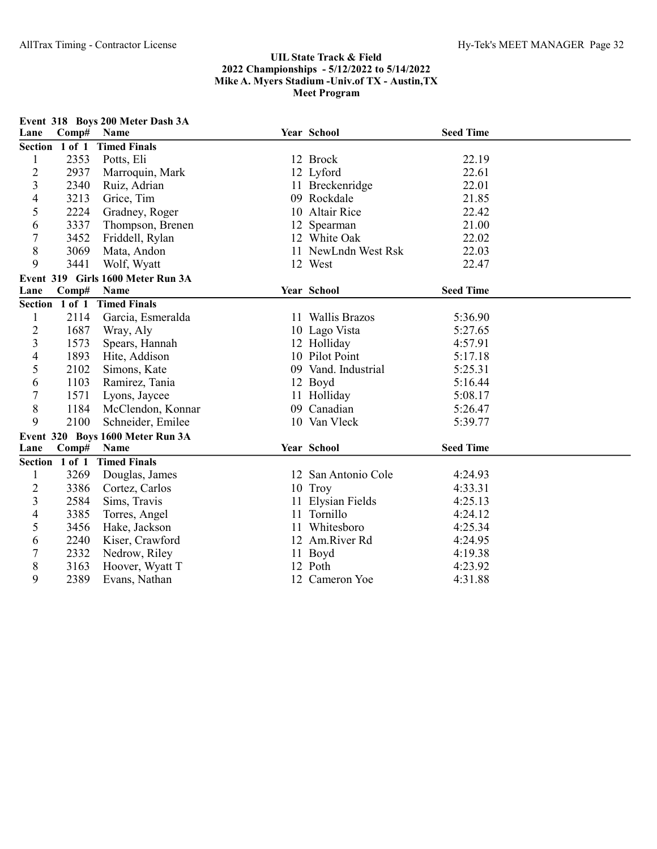|                |                | Event 318 Boys 200 Meter Dash 3A  |                     |                  |  |
|----------------|----------------|-----------------------------------|---------------------|------------------|--|
| Lane           | Comp#          | <b>Name</b>                       | Year School         | <b>Seed Time</b> |  |
|                | Section 1 of 1 | <b>Timed Finals</b>               |                     |                  |  |
| 1              | 2353           | Potts, Eli                        | 12 Brock            | 22.19            |  |
| $\overline{c}$ | 2937           | Marroquin, Mark                   | 12 Lyford           | 22.61            |  |
| 3              | 2340           | Ruiz, Adrian                      | 11 Breckenridge     | 22.01            |  |
| 4              | 3213           | Grice, Tim                        | 09 Rockdale         | 21.85            |  |
| 5              | 2224           | Gradney, Roger                    | 10 Altair Rice      | 22.42            |  |
| 6              | 3337           | Thompson, Brenen                  | 12 Spearman         | 21.00            |  |
| $\overline{7}$ | 3452           | Friddell, Rylan                   | 12 White Oak        | 22.02            |  |
| 8              | 3069           | Mata, Andon                       | 11 NewLndn West Rsk | 22.03            |  |
| 9              | 3441           | Wolf, Wyatt                       | 12 West             | 22.47            |  |
|                |                | Event 319 Girls 1600 Meter Run 3A |                     |                  |  |
| Lane           | Comp#          | Name                              | Year School         | <b>Seed Time</b> |  |
|                | Section 1 of 1 | <b>Timed Finals</b>               |                     |                  |  |
| 1              | 2114           | Garcia, Esmeralda                 | 11 Wallis Brazos    | 5:36.90          |  |
| $\overline{c}$ | 1687           | Wray, Aly                         | 10 Lago Vista       | 5:27.65          |  |
| 3              | 1573           | Spears, Hannah                    | 12 Holliday         | 4:57.91          |  |
| 4              | 1893           | Hite, Addison                     | 10 Pilot Point      | 5:17.18          |  |
| 5              | 2102           | Simons, Kate                      | 09 Vand. Industrial | 5:25.31          |  |
| 6              | 1103           | Ramirez, Tania                    | 12 Boyd             | 5:16.44          |  |
| $\overline{7}$ | 1571           | Lyons, Jaycee                     | 11 Holliday         | 5:08.17          |  |
| 8              | 1184           | McClendon, Konnar                 | 09 Canadian         | 5:26.47          |  |
| 9              | 2100           | Schneider, Emilee                 | 10 Van Vleck        | 5:39.77          |  |
|                |                | Event 320 Boys 1600 Meter Run 3A  |                     |                  |  |
| Lane           | Comp#          | Name                              | Year School         | <b>Seed Time</b> |  |
|                | Section 1 of 1 | <b>Timed Finals</b>               |                     |                  |  |
| 1              | 3269           | Douglas, James                    | 12 San Antonio Cole | 4:24.93          |  |
| $\overline{c}$ | 3386           | Cortez, Carlos                    | 10 Troy             | 4:33.31          |  |
| 3              | 2584           | Sims, Travis                      | 11 Elysian Fields   | 4:25.13          |  |
| 4              | 3385           | Torres, Angel                     | 11 Tornillo         | 4:24.12          |  |
| 5              | 3456           | Hake, Jackson                     | 11 Whitesboro       | 4:25.34          |  |
| 6              | 2240           | Kiser, Crawford                   | 12 Am.River Rd      | 4:24.95          |  |
| 7              | 2332           | Nedrow, Riley                     | 11 Boyd             | 4:19.38          |  |
| 8              | 3163           | Hoover, Wyatt T                   | 12 Poth             | 4:23.92          |  |
| 9              | 2389           | Evans, Nathan                     | 12 Cameron Yoe      | 4:31.88          |  |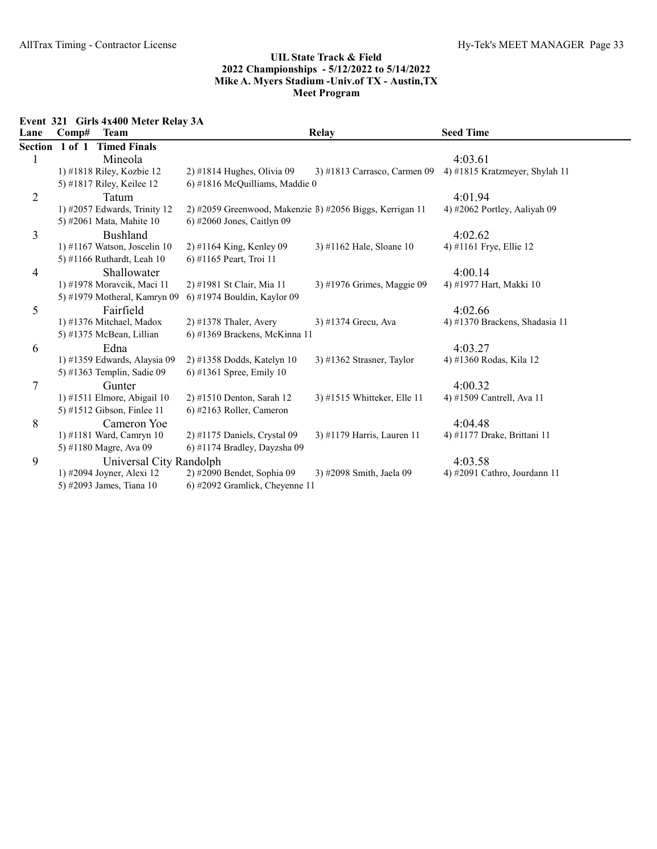Event 321 Girls 4x400 Meter Relay 3A

| Lane           | Comp#          | <b>Team</b>                  | Relay                                                    |                              | <b>Seed Time</b>               |
|----------------|----------------|------------------------------|----------------------------------------------------------|------------------------------|--------------------------------|
|                | Section 1 of 1 | <b>Timed Finals</b>          |                                                          |                              |                                |
| 1              |                | Mineola                      |                                                          |                              | 4:03.61                        |
|                |                | 1) #1818 Riley, Kozbie 12    | $2)$ #1814 Hughes, Olivia 09                             | 3) #1813 Carrasco, Carmen 09 | 4) #1815 Kratzmeyer, Shylah 11 |
|                |                | 5) #1817 Riley, Keilee 12    | $6$ ) #1816 McQuilliams, Maddie 0                        |                              |                                |
| $\overline{2}$ |                | Tatum                        |                                                          |                              | 4:01.94                        |
|                |                | 1) #2057 Edwards, Trinity 12 | 2) #2059 Greenwood, Makenzie B) #2056 Biggs, Kerrigan 11 |                              | 4) #2062 Portley, Aaliyah 09   |
|                |                | 5) #2061 Mata, Mahite 10     | $6$ ) #2060 Jones, Caitlyn 09                            |                              |                                |
| 3              |                | Bushland                     |                                                          |                              | 4:02.62                        |
|                |                | 1) #1167 Watson, Joscelin 10 | $2)$ #1164 King, Kenley 09                               | 3) #1162 Hale, Sloane 10     | 4) #1161 Frye, Ellie 12        |
|                |                | 5) #1166 Ruthardt, Leah 10   | 6) #1165 Peart, Troi 11                                  |                              |                                |
| 4              |                | Shallowater                  |                                                          |                              | 4:00.14                        |
|                |                | 1) #1978 Moravcik, Maci 11   | 2) #1981 St Clair, Mia 11                                | 3) #1976 Grimes, Maggie 09   | 4) #1977 Hart, Makki 10        |
|                |                | 5) #1979 Motheral, Kamryn 09 | 6) #1974 Bouldin, Kaylor 09                              |                              |                                |
| 5              |                | Fairfield                    |                                                          |                              | 4:02.66                        |
|                |                | 1) #1376 Mitchael, Madox     | $2)$ #1378 Thaler, Avery                                 | 3) #1374 Grecu, Ava          | 4) #1370 Brackens, Shadasia 11 |
|                |                | 5) #1375 McBean, Lillian     | 6) #1369 Brackens, McKinna 11                            |                              |                                |
| 6              |                | Edna                         |                                                          |                              | 4:03.27                        |
|                |                | 1) #1359 Edwards, Alaysia 09 | 2) #1358 Dodds, Katelyn 10                               | 3) #1362 Strasner, Taylor    | 4) #1360 Rodas, Kila 12        |
|                |                | 5) #1363 Templin, Sadie 09   | 6) #1361 Spree, Emily 10                                 |                              |                                |
| 7              |                | Gunter                       |                                                          |                              | 4:00.32                        |
|                |                | 1) #1511 Elmore, Abigail 10  | 2) #1510 Denton, Sarah 12                                | 3) #1515 Whitteker, Elle 11  | 4) #1509 Cantrell, Ava 11      |
|                |                | 5) #1512 Gibson, Finlee 11   | 6) #2163 Roller, Cameron                                 |                              |                                |
| 8              |                | Cameron Yoe                  |                                                          |                              | 4:04.48                        |
|                |                | 1) #1181 Ward, Camryn 10     | 2) #1175 Daniels, Crystal 09                             | 3) #1179 Harris, Lauren 11   | 4) #1177 Drake, Brittani 11    |
|                |                | 5) #1180 Magre, Ava 09       | 6) #1174 Bradley, Dayzsha 09                             |                              |                                |
| 9              |                | Universal City Randolph      |                                                          |                              | 4:03.58                        |
|                |                | 1) #2094 Joyner, Alexi 12    | 2) #2090 Bendet, Sophia 09                               | 3) #2098 Smith, Jaela 09     | 4) #2091 Cathro, Jourdann 11   |
|                |                | 5) #2093 James, Tiana 10     | 6) #2092 Gramlick, Cheyenne 11                           |                              |                                |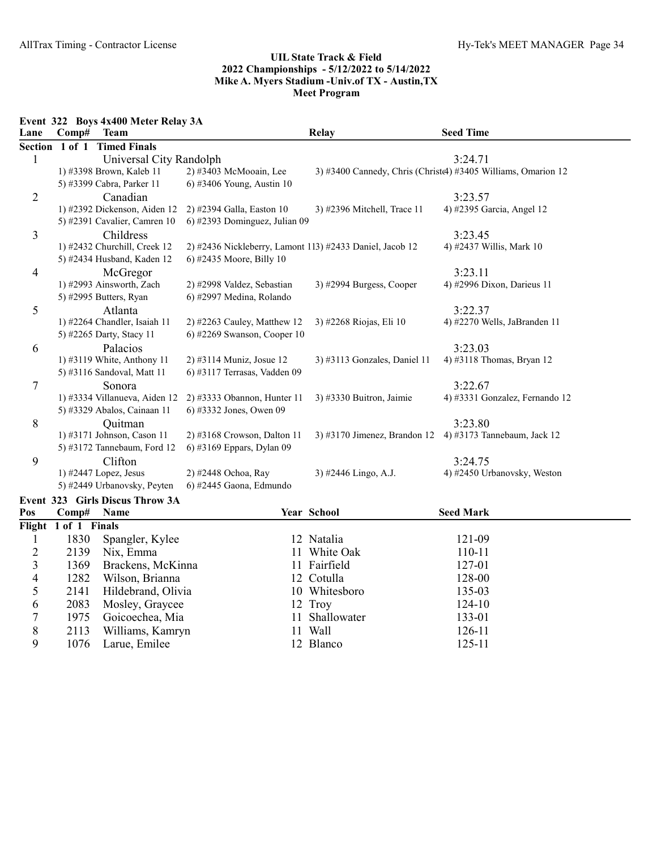Event 322 Boys 4x400 Meter Relay 3A

1076 Larue, Emilee

| Lane                    | Comp#                | <b>Team</b>                     |                                                          | Relay                        | <b>Seed Time</b>                                             |
|-------------------------|----------------------|---------------------------------|----------------------------------------------------------|------------------------------|--------------------------------------------------------------|
|                         | Section 1 of 1       | <b>Timed Finals</b>             |                                                          |                              |                                                              |
| 1                       |                      | Universal City Randolph         |                                                          |                              | 3:24.71                                                      |
|                         |                      | 1) #3398 Brown, Kaleb 11        | 2) #3403 McMooain, Lee                                   |                              | 3) #3400 Cannedy, Chris (Christe) #3405 Williams, Omarion 12 |
|                         |                      | 5) #3399 Cabra, Parker 11       | 6) #3406 Young, Austin 10                                |                              |                                                              |
| $\overline{2}$          |                      | Canadian                        |                                                          |                              | 3:23.57                                                      |
|                         |                      | 1) #2392 Dickenson, Aiden 12    | 2) #2394 Galla, Easton 10                                | 3) #2396 Mitchell, Trace 11  | 4) #2395 Garcia, Angel 12                                    |
|                         |                      | 5) #2391 Cavalier, Camren 10    | 6) #2393 Dominguez, Julian 09                            |                              |                                                              |
| 3                       |                      | Childress                       |                                                          |                              | 3:23.45                                                      |
|                         |                      | 1) #2432 Churchill, Creek 12    | 2) #2436 Nickleberry, Lamont 113) #2433 Daniel, Jacob 12 |                              | 4) #2437 Willis, Mark 10                                     |
|                         |                      | 5) #2434 Husband, Kaden 12      | 6) #2435 Moore, Billy 10                                 |                              |                                                              |
| $\overline{4}$          |                      | McGregor                        |                                                          |                              | 3:23.11                                                      |
|                         |                      | 1) #2993 Ainsworth, Zach        | 2) #2998 Valdez, Sebastian                               | 3) #2994 Burgess, Cooper     | 4) #2996 Dixon, Darieus 11                                   |
|                         |                      | 5) #2995 Butters, Ryan          | 6) #2997 Medina, Rolando                                 |                              |                                                              |
| 5                       |                      | Atlanta                         |                                                          |                              | 3:22.37                                                      |
|                         |                      | 1) #2264 Chandler, Isaiah 11    | 2) #2263 Cauley, Matthew 12                              | 3) #2268 Riojas, Eli 10      | 4) #2270 Wells, JaBranden 11                                 |
|                         |                      | 5) #2265 Darty, Stacy 11        | 6) #2269 Swanson, Cooper $10$                            |                              |                                                              |
| 6                       |                      | Palacios                        |                                                          |                              | 3:23.03                                                      |
|                         |                      | 1) #3119 White, Anthony 11      | 2) #3114 Muniz, Josue 12                                 | 3) #3113 Gonzales, Daniel 11 | 4) #3118 Thomas, Bryan 12                                    |
|                         |                      | 5) #3116 Sandoval, Matt 11      | 6) #3117 Terrasas, Vadden 09                             |                              |                                                              |
| 7                       |                      | Sonora                          |                                                          |                              | 3:22.67                                                      |
|                         |                      | 1) #3334 Villanueva, Aiden 12   | 2) #3333 Obannon, Hunter 11                              | 3) #3330 Buitron, Jaimie     | 4) #3331 Gonzalez, Fernando 12                               |
|                         |                      | 5) #3329 Abalos, Cainaan 11     | 6) #3332 Jones, Owen 09                                  |                              |                                                              |
| 8                       |                      | Quitman                         |                                                          |                              | 3:23.80                                                      |
|                         |                      | 1) #3171 Johnson, Cason 11      | 2) #3168 Crowson, Dalton 11                              |                              | 3) #3170 Jimenez, Brandon 12 4) #3173 Tannebaum, Jack 12     |
|                         |                      | 5) #3172 Tannebaum, Ford 12     | 6) #3169 Eppars, Dylan 09                                |                              |                                                              |
| 9                       |                      | Clifton                         |                                                          |                              | 3:24.75                                                      |
|                         |                      | 1) #2447 Lopez, Jesus           | 2) #2448 Ochoa, Ray                                      | 3) #2446 Lingo, A.J.         | 4) #2450 Urbanovsky, Weston                                  |
|                         |                      | 5) #2449 Urbanovsky, Peyten     | 6) #2445 Gaona, Edmundo                                  |                              |                                                              |
|                         |                      | Event 323 Girls Discus Throw 3A |                                                          |                              |                                                              |
| Pos                     | Comp#                | Name                            |                                                          | Year School                  | <b>Seed Mark</b>                                             |
|                         | Flight 1 of 1 Finals |                                 |                                                          |                              |                                                              |
| $\mathbf{l}$            | 1830                 | Spangler, Kylee                 |                                                          | 12 Natalia                   | 121-09                                                       |
| $\overline{c}$          | 2139                 | Nix, Emma                       |                                                          | 11 White Oak                 | 110-11                                                       |
| 3                       | 1369                 | Brackens, McKinna               |                                                          | 11 Fairfield                 | 127-01                                                       |
| $\overline{\mathbf{4}}$ | 1282                 | Wilson, Brianna                 |                                                          | 12 Cotulla                   | 128-00                                                       |
| 5                       | 2141                 | Hildebrand, Olivia              |                                                          | 10 Whitesboro                | 135-03                                                       |
| 6                       | 2083                 | Mosley, Graycee                 |                                                          | 12 Troy                      | 124-10                                                       |
| $\overline{7}$          | 1975                 | Goicoechea, Mia                 |                                                          | 11 Shallowater               | 133-01                                                       |

1975 Goicoechea, Mia 11 Shallowater 133-01<br>2113 Williams, Kamryn 11 Wall 126-11 8 2113 Williams, Kamryn 11 Wall 126-11<br>
9 1076 Larue, Emilee 12 Blanco 125-11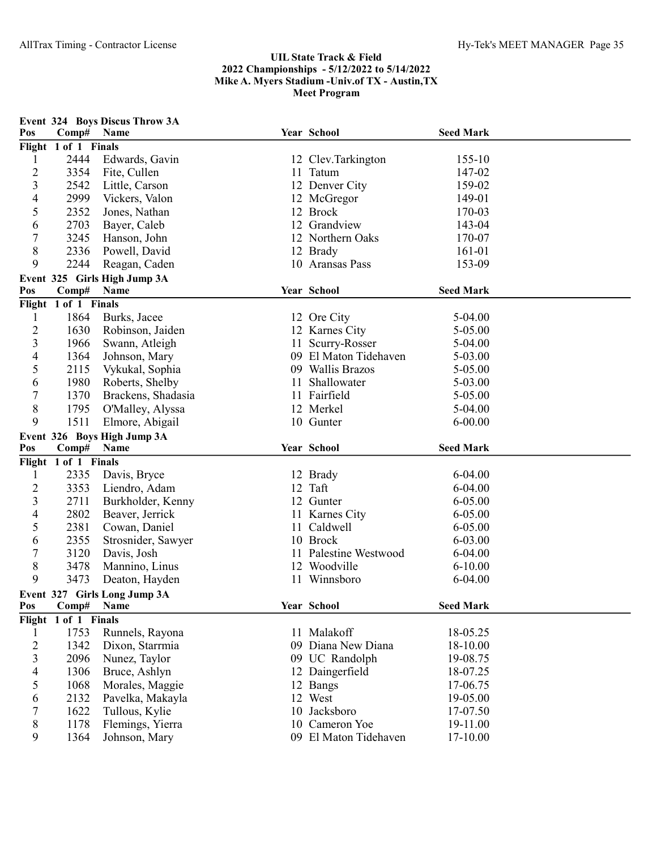| Pos                       | Comp#                         | Event 324 Boys Discus Throw 3A<br>Name | Year School                             | <b>Seed Mark</b>     |  |
|---------------------------|-------------------------------|----------------------------------------|-----------------------------------------|----------------------|--|
|                           | Flight 1 of 1 Finals          |                                        |                                         |                      |  |
| 1                         | 2444                          | Edwards, Gavin                         | 12 Clev.Tarkington                      | 155-10               |  |
| $\overline{c}$            | 3354                          | Fite, Cullen                           | 11 Tatum                                | 147-02               |  |
| 3                         | 2542                          | Little, Carson                         | 12 Denver City                          | 159-02               |  |
| 4                         | 2999                          | Vickers, Valon                         | 12 McGregor                             | 149-01               |  |
| 5                         | 2352                          | Jones, Nathan                          | 12 Brock                                | 170-03               |  |
| 6                         | 2703                          | Bayer, Caleb                           | 12 Grandview                            | 143-04               |  |
| 7                         | 3245                          | Hanson, John                           | 12 Northern Oaks                        | 170-07               |  |
| 8                         | 2336                          | Powell, David                          | 12 Brady                                | 161-01               |  |
| 9                         | 2244                          | Reagan, Caden                          | 10 Aransas Pass                         | 153-09               |  |
|                           |                               | Event 325 Girls High Jump 3A           |                                         |                      |  |
| Pos                       | Comp#                         | Name                                   | Year School                             | <b>Seed Mark</b>     |  |
|                           | Flight 1 of 1 Finals          |                                        |                                         |                      |  |
| 1                         | 1864                          | Burks, Jacee                           | 12 Ore City                             | 5-04.00              |  |
| $\overline{c}$            | 1630                          | Robinson, Jaiden                       | 12 Karnes City                          | 5-05.00              |  |
| 3                         | 1966                          | Swann, Atleigh                         | 11 Scurry-Rosser                        | 5-04.00              |  |
| 4                         | 1364                          | Johnson, Mary                          | 09 El Maton Tidehaven                   | 5-03.00              |  |
| 5                         | 2115                          | Vykukal, Sophia                        | 09 Wallis Brazos                        | 5-05.00              |  |
| 6                         | 1980                          | Roberts, Shelby                        | 11 Shallowater                          | 5-03.00              |  |
| 7                         | 1370                          | Brackens, Shadasia                     | 11 Fairfield                            | 5-05.00              |  |
| $\,8\,$                   | 1795                          | O'Malley, Alyssa                       | 12 Merkel                               | 5-04.00              |  |
| 9                         | 1511                          | Elmore, Abigail                        | 10 Gunter                               | $6 - 00.00$          |  |
|                           |                               |                                        |                                         |                      |  |
|                           |                               |                                        |                                         |                      |  |
| Pos                       |                               | Event 326 Boys High Jump 3A<br>Name    | Year School                             | <b>Seed Mark</b>     |  |
|                           | Comp#<br>Flight 1 of 1 Finals |                                        |                                         |                      |  |
| 1                         | 2335                          | Davis, Bryce                           | 12 Brady                                | $6 - 04.00$          |  |
| $\overline{2}$            | 3353                          | Liendro, Adam                          | 12 Taft                                 | 6-04.00              |  |
| 3                         | 2711                          | Burkholder, Kenny                      | 12 Gunter                               | 6-05.00              |  |
| 4                         | 2802                          | Beaver, Jerrick                        | 11 Karnes City                          | $6 - 05.00$          |  |
| 5                         | 2381                          | Cowan, Daniel                          | 11 Caldwell                             | $6 - 05.00$          |  |
| 6                         | 2355                          | Strosnider, Sawyer                     | 10 Brock                                | $6 - 03.00$          |  |
| 7                         | 3120                          | Davis, Josh                            | 11 Palestine Westwood                   | 6-04.00              |  |
| 8                         | 3478                          | Mannino, Linus                         | 12 Woodville                            | $6 - 10.00$          |  |
| 9                         | 3473                          | Deaton, Hayden                         | 11 Winnsboro                            | 6-04.00              |  |
|                           |                               | Event 327 Girls Long Jump 3A           |                                         |                      |  |
| Pos                       | Comp#                         | <b>Name</b>                            | Year School                             | <b>Seed Mark</b>     |  |
|                           | Flight 1 of 1 Finals          |                                        |                                         |                      |  |
| 1                         | 1753                          | Runnels, Rayona                        | 11 Malakoff                             | 18-05.25             |  |
| $\overline{2}$            | 1342                          | Dixon, Starrmia                        | 09 Diana New Diana                      | 18-10.00             |  |
| $\mathfrak{Z}$            | 2096                          | Nunez, Taylor                          | 09 UC Randolph                          | 19-08.75             |  |
| $\overline{4}$            | 1306                          | Bruce, Ashlyn                          | 12 Daingerfield                         | 18-07.25             |  |
| 5                         | 1068                          | Morales, Maggie                        | 12 Bangs                                | 17-06.75             |  |
| 6                         | 2132                          | Pavelka, Makayla                       | 12 West                                 | 19-05.00             |  |
| 7                         | 1622                          | Tullous, Kylie                         | 10 Jacksboro                            | 17-07.50             |  |
| $8\,$<br>$\boldsymbol{9}$ | 1178                          | Flemings, Yierra<br>Johnson, Mary      | 10 Cameron Yoe<br>09 El Maton Tidehaven | 19-11.00<br>17-10.00 |  |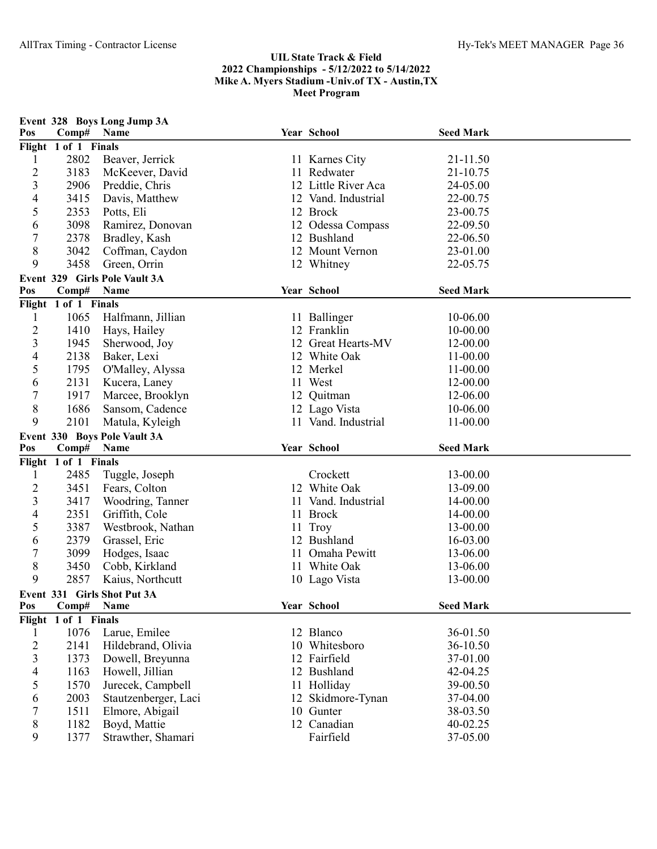|                |                      | Event 328 Boys Long Jump 3A   |                     |                  |  |
|----------------|----------------------|-------------------------------|---------------------|------------------|--|
| Pos            | Comp# Name           |                               | Year School         | <b>Seed Mark</b> |  |
|                | Flight 1 of 1 Finals |                               |                     |                  |  |
| 1              | 2802                 | Beaver, Jerrick               | 11 Karnes City      | 21-11.50         |  |
| $\overline{c}$ | 3183                 | McKeever, David               | 11 Redwater         | 21-10.75         |  |
| 3              | 2906                 | Preddie, Chris                | 12 Little River Aca | 24-05.00         |  |
| 4              | 3415                 | Davis, Matthew                | 12 Vand. Industrial | 22-00.75         |  |
| 5              | 2353                 | Potts, Eli                    | 12 Brock            | 23-00.75         |  |
| 6              | 3098                 | Ramirez, Donovan              | 12 Odessa Compass   | 22-09.50         |  |
| 7              | 2378                 | Bradley, Kash                 | 12 Bushland         | 22-06.50         |  |
| 8              | 3042                 | Coffman, Caydon               | 12 Mount Vernon     | 23-01.00         |  |
| 9              | 3458                 | Green, Orrin                  | 12 Whitney          | 22-05.75         |  |
|                |                      | Event 329 Girls Pole Vault 3A |                     |                  |  |
| Pos            | Comp#                | Name                          | Year School         | <b>Seed Mark</b> |  |
|                | Flight 1 of 1 Finals |                               |                     |                  |  |
| 1              | 1065                 | Halfmann, Jillian             | 11 Ballinger        | 10-06.00         |  |
| $\overline{c}$ | 1410                 | Hays, Hailey                  | 12 Franklin         | 10-00.00         |  |
| 3              | 1945                 | Sherwood, Joy                 | 12 Great Hearts-MV  | 12-00.00         |  |
| 4              | 2138                 | Baker, Lexi                   | 12 White Oak        | 11-00.00         |  |
| 5              | 1795                 | O'Malley, Alyssa              | 12 Merkel           | 11-00.00         |  |
| 6              | 2131                 | Kucera, Laney                 | 11 West             | 12-00.00         |  |
| 7              | 1917                 | Marcee, Brooklyn              | 12 Quitman          | 12-06.00         |  |
| 8              | 1686                 | Sansom, Cadence               | 12 Lago Vista       | 10-06.00         |  |
| 9              | 2101                 | Matula, Kyleigh               | 11 Vand. Industrial | 11-00.00         |  |
|                |                      |                               |                     |                  |  |
|                |                      | Event 330 Boys Pole Vault 3A  |                     |                  |  |
| Pos            | Comp# Name           |                               | Year School         | <b>Seed Mark</b> |  |
|                | Flight 1 of 1 Finals |                               |                     |                  |  |
| 1              | 2485                 | Tuggle, Joseph                | Crockett            | 13-00.00         |  |
| $\overline{c}$ | 3451                 | Fears, Colton                 | 12 White Oak        | 13-09.00         |  |
| 3              | 3417                 | Woodring, Tanner              | 11 Vand. Industrial | 14-00.00         |  |
| 4              | 2351                 | Griffith, Cole                | 11 Brock            | 14-00.00         |  |
| 5              | 3387                 | Westbrook, Nathan             | 11 Troy             | 13-00.00         |  |
| 6              | 2379                 | Grassel, Eric                 | 12 Bushland         | 16-03.00         |  |
| 7              | 3099                 | Hodges, Isaac                 | 11 Omaha Pewitt     | 13-06.00         |  |
| 8              | 3450                 | Cobb, Kirkland                | 11 White Oak        | 13-06.00         |  |
| 9              | 2857                 | Kaius, Northcutt              | 10 Lago Vista       | 13-00.00         |  |
|                |                      | Event 331 Girls Shot Put 3A   |                     |                  |  |
| Pos            | Comp#                | Name                          | Year School         | <b>Seed Mark</b> |  |
| Flight         | 1 of 1 Finals        |                               |                     |                  |  |
| 1              | 1076                 | Larue, Emilee                 | 12 Blanco           | 36-01.50         |  |
| $\overline{c}$ | 2141                 | Hildebrand, Olivia            | 10 Whitesboro       | 36-10.50         |  |
| 3              | 1373                 | Dowell, Breyunna              | 12 Fairfield        | 37-01.00         |  |
| 4              | 1163                 | Howell, Jillian               | 12 Bushland         | 42-04.25         |  |
| 5              | 1570                 | Jurecek, Campbell             | 11 Holliday         | 39-00.50         |  |
| 6              | 2003                 | Stautzenberger, Laci          | 12 Skidmore-Tynan   | 37-04.00         |  |
| 7              | 1511                 | Elmore, Abigail               | 10 Gunter           | 38-03.50         |  |
| 8              | 1182                 | Boyd, Mattie                  | 12 Canadian         | 40-02.25         |  |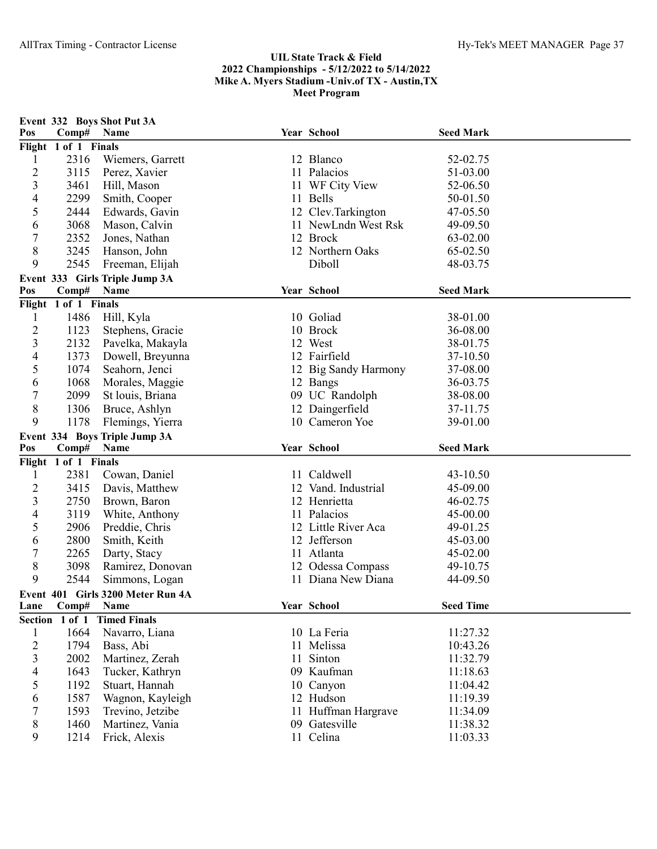| Pos                     | Comp#                | Event 332 Boys Shot Put 3A<br>Name | Year School                | <b>Seed Mark</b>     |  |
|-------------------------|----------------------|------------------------------------|----------------------------|----------------------|--|
|                         | Flight 1 of 1 Finals |                                    |                            |                      |  |
| 1                       | 2316                 | Wiemers, Garrett                   | 12 Blanco                  | 52-02.75             |  |
| $\overline{c}$          | 3115                 | Perez, Xavier                      | 11 Palacios                | 51-03.00             |  |
| $\overline{\mathbf{3}}$ | 3461                 | Hill, Mason                        | 11 WF City View            | 52-06.50             |  |
| 4                       | 2299                 | Smith, Cooper                      | 11 Bells                   | 50-01.50             |  |
| 5                       | 2444                 | Edwards, Gavin                     | 12 Clev.Tarkington         | 47-05.50             |  |
| 6                       | 3068                 | Mason, Calvin                      | 11 NewLndn West Rsk        | 49-09.50             |  |
| 7                       | 2352                 | Jones, Nathan                      | 12 Brock                   | 63-02.00             |  |
| 8                       | 3245                 | Hanson, John                       | 12 Northern Oaks           | 65-02.50             |  |
| 9                       | 2545                 | Freeman, Elijah                    | Diboll                     | 48-03.75             |  |
|                         |                      | Event 333 Girls Triple Jump 3A     |                            |                      |  |
| Pos                     | Comp#                | Name                               | Year School                | <b>Seed Mark</b>     |  |
|                         | Flight 1 of 1 Finals |                                    |                            |                      |  |
| 1                       | 1486                 | Hill, Kyla                         | 10 Goliad                  | 38-01.00             |  |
| $\overline{c}$          | 1123                 | Stephens, Gracie                   | 10 Brock                   | 36-08.00             |  |
| 3                       | 2132                 | Pavelka, Makayla                   | 12 West                    | 38-01.75             |  |
| 4                       | 1373                 | Dowell, Breyunna                   | 12 Fairfield               | 37-10.50             |  |
| 5                       | 1074                 | Seahorn, Jenci                     | 12 Big Sandy Harmony       | 37-08.00             |  |
| 6                       | 1068                 | Morales, Maggie                    | 12 Bangs                   | 36-03.75             |  |
| 7                       | 2099                 | St louis, Briana                   | 09 UC Randolph             | 38-08.00             |  |
| 8                       | 1306                 | Bruce, Ashlyn                      | 12 Daingerfield            | 37-11.75             |  |
| 9                       | 1178                 | Flemings, Yierra                   | 10 Cameron Yoe             | 39-01.00             |  |
|                         |                      |                                    |                            |                      |  |
|                         |                      | Event 334 Boys Triple Jump 3A      |                            |                      |  |
| Pos                     | Comp#                | Name                               | Year School                | <b>Seed Mark</b>     |  |
|                         | Flight 1 of 1 Finals |                                    |                            |                      |  |
| 1                       | 2381                 | Cowan, Daniel                      | 11 Caldwell                | 43-10.50             |  |
| $\overline{c}$          | 3415                 | Davis, Matthew                     | 12 Vand. Industrial        | 45-09.00             |  |
| $\overline{\mathbf{3}}$ | 2750                 | Brown, Baron                       | 12 Henrietta               | 46-02.75             |  |
| 4                       | 3119                 | White, Anthony                     | 11 Palacios                | 45-00.00             |  |
| 5                       | 2906                 | Preddie, Chris                     | 12 Little River Aca        | 49-01.25             |  |
| 6                       | 2800                 | Smith, Keith                       | 12 Jefferson               | 45-03.00             |  |
| 7                       | 2265                 | Darty, Stacy                       | 11 Atlanta                 | 45-02.00             |  |
| 8                       | 3098                 | Ramirez, Donovan                   | 12 Odessa Compass          | 49-10.75             |  |
| 9                       | 2544                 | Simmons, Logan                     | 11 Diana New Diana         | 44-09.50             |  |
|                         |                      | Event 401 Girls 3200 Meter Run 4A  |                            |                      |  |
| Lane                    | Comp# Name           |                                    | Year School                | <b>Seed Time</b>     |  |
|                         | Section 1 of 1       | <b>Timed Finals</b>                |                            |                      |  |
| $\mathbf{1}$            | 1664                 | Navarro, Liana                     | 10 La Feria                | 11:27.32             |  |
| $\overline{c}$          | 1794                 | Bass, Abi                          | 11 Melissa                 | 10:43.26             |  |
| 3                       | 2002                 | Martinez, Zerah                    | 11 Sinton                  | 11:32.79             |  |
| 4                       | 1643                 | Tucker, Kathryn                    | 09 Kaufman                 | 11:18.63             |  |
| 5                       | 1192                 | Stuart, Hannah                     | 10 Canyon                  | 11:04.42             |  |
| 6                       | 1587                 | Wagnon, Kayleigh                   | 12 Hudson                  | 11:19.39             |  |
| 7                       | 1593                 | Trevino, Jetzibe                   | 11 Huffman Hargrave        | 11:34.09             |  |
| 8<br>9                  | 1460<br>1214         | Martinez, Vania<br>Frick, Alexis   | 09 Gatesville<br>11 Celina | 11:38.32<br>11:03.33 |  |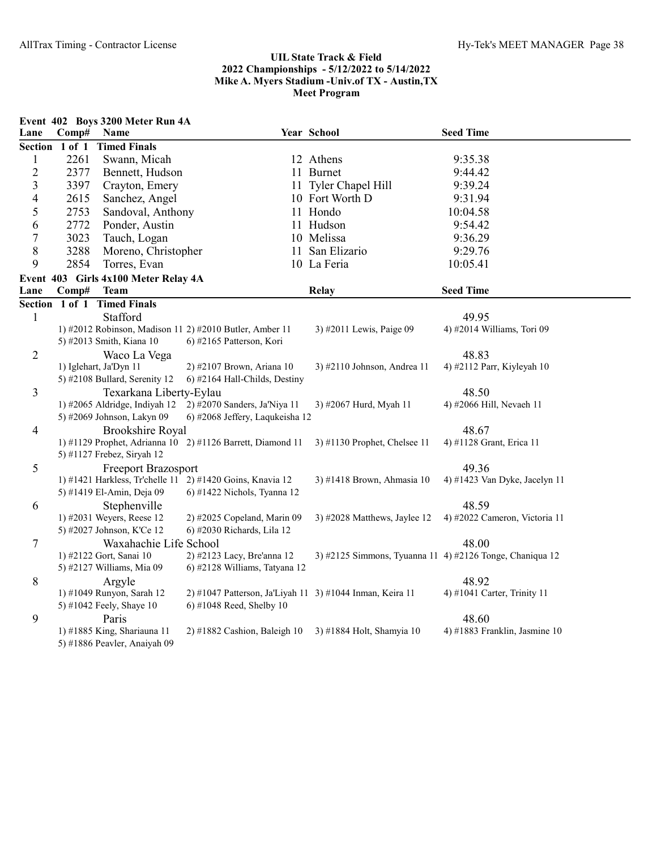|                          |       | Event 402 Boys 3200 Meter Run 4A     |                                                            |                                                          |                                        |
|--------------------------|-------|--------------------------------------|------------------------------------------------------------|----------------------------------------------------------|----------------------------------------|
| Lane                     | Comp# | Name                                 |                                                            | Year School                                              | <b>Seed Time</b>                       |
|                          |       | Section 1 of 1 Timed Finals          |                                                            |                                                          |                                        |
| $\mathbf{1}$             | 2261  | Swann, Micah                         |                                                            | 12 Athens                                                | 9:35.38                                |
| $\overline{2}$           | 2377  | Bennett, Hudson                      |                                                            | 11 Burnet                                                | 9:44.42                                |
| $\overline{\mathbf{3}}$  | 3397  | Crayton, Emery                       |                                                            | 11 Tyler Chapel Hill                                     | 9:39.24                                |
| $\overline{\mathcal{A}}$ | 2615  | Sanchez, Angel                       |                                                            | 10 Fort Worth D                                          | 9:31.94                                |
| 5                        | 2753  | Sandoval, Anthony                    |                                                            | 11 Hondo                                                 | 10:04.58                               |
| 6                        | 2772  | Ponder, Austin                       |                                                            | 11 Hudson                                                | 9:54.42                                |
| $\tau$                   | 3023  | Tauch, Logan                         |                                                            | 10 Melissa                                               | 9:36.29                                |
| $8\,$                    | 3288  | Moreno, Christopher                  |                                                            | 11 San Elizario                                          | 9:29.76                                |
| 9                        | 2854  | Torres, Evan                         |                                                            | 10 La Feria                                              | 10:05.41                               |
|                          |       | Event 403 Girls 4x100 Meter Relay 4A |                                                            |                                                          |                                        |
| Lane                     | Comp# | <b>Team</b>                          |                                                            | <b>Relay</b>                                             | <b>Seed Time</b>                       |
|                          |       | Section 1 of 1 Timed Finals          |                                                            |                                                          |                                        |
| $\mathbf 1$              |       | Stafford                             |                                                            |                                                          | 49.95                                  |
|                          |       |                                      | 1) #2012 Robinson, Madison 11 2) #2010 Butler, Amber 11    | 3) #2011 Lewis, Paige 09                                 | 4) #2014 Williams, Tori 09             |
|                          |       | 5) #2013 Smith, Kiana 10             | 6) #2165 Patterson, Kori                                   |                                                          |                                        |
| $\mathbf{2}$             |       | Waco La Vega                         |                                                            |                                                          | 48.83                                  |
|                          |       | 1) Iglehart, Ja'Dyn 11               | 2) #2107 Brown, Ariana 10                                  | 3) #2110 Johnson, Andrea 11                              | 4) #2112 Parr, Kiyleyah 10             |
|                          |       | 5) #2108 Bullard, Serenity 12        | 6) #2164 Hall-Childs, Destiny                              |                                                          |                                        |
| $\overline{3}$           |       | Texarkana Liberty-Eylau              |                                                            |                                                          | 48.50                                  |
|                          |       | 1) #2065 Aldridge, Indiyah 12        | 2) #2070 Sanders, Ja'Niya 11                               | 3) #2067 Hurd, Myah 11                                   | 4) #2066 Hill, Nevaeh 11               |
|                          |       | 5) #2069 Johnson, Lakyn 09           | 6) #2068 Jeffery, Laqukeisha 12                            |                                                          |                                        |
| $\overline{4}$           |       | <b>Brookshire Royal</b>              |                                                            |                                                          | 48.67                                  |
|                          |       |                                      | 1) #1129 Prophet, Adrianna 10 2) #1126 Barrett, Diamond 11 | 3) #1130 Prophet, Chelsee 11                             | 4) #1128 Grant, Erica 11               |
|                          |       | 5) #1127 Frebez, Siryah 12           |                                                            |                                                          |                                        |
| 5                        |       | <b>Freeport Brazosport</b>           | 1) #1421 Harkless, Tr'chelle 11 2) #1420 Goins, Knavia 12  | 3) #1418 Brown, Ahmasia 10                               | 49.36<br>4) #1423 Van Dyke, Jacelyn 11 |
|                          |       | 5) #1419 El-Amin, Deja 09            | 6) #1422 Nichols, Tyanna 12                                |                                                          |                                        |
| 6                        |       | Stephenville                         |                                                            |                                                          | 48.59                                  |
|                          |       | 1) #2031 Weyers, Reese 12            | 2) #2025 Copeland, Marin 09                                | 3) #2028 Matthews, Jaylee 12                             | 4) #2022 Cameron, Victoria 11          |
|                          |       | 5) #2027 Johnson, K'Ce 12            | 6) #2030 Richards, Lila 12                                 |                                                          |                                        |
| $\tau$                   |       | Waxahachie Life School               |                                                            |                                                          | 48.00                                  |
|                          |       | 1) #2122 Gort, Sanai 10              | 2) #2123 Lacy, Bre'anna 12                                 | 3) #2125 Simmons, Tyuanna 11 4) #2126 Tonge, Chaniqua 12 |                                        |
|                          |       | 5) #2127 Williams, Mia 09            | 6) #2128 Williams, Tatyana 12                              |                                                          |                                        |
| 8                        |       | Argyle                               |                                                            |                                                          | 48.92                                  |
|                          |       | 1) #1049 Runyon, Sarah 12            | 2) #1047 Patterson, Ja'Liyah 11 3) #1044 Inman, Keira 11   |                                                          | 4) #1041 Carter, Trinity 11            |
|                          |       | 5) #1042 Feely, Shaye 10             | 6) #1048 Reed, Shelby 10                                   |                                                          |                                        |
| 9                        |       | Paris                                |                                                            |                                                          | 48.60                                  |
|                          |       | 1) #1885 King, Shariauna 11          | $2)$ #1882 Cashion, Baleigh 10                             | 3) #1884 Holt, Shamyia 10                                | 4) #1883 Franklin, Jasmine 10          |
|                          |       | 5) #1886 Peavler, Anaiyah 09         |                                                            |                                                          |                                        |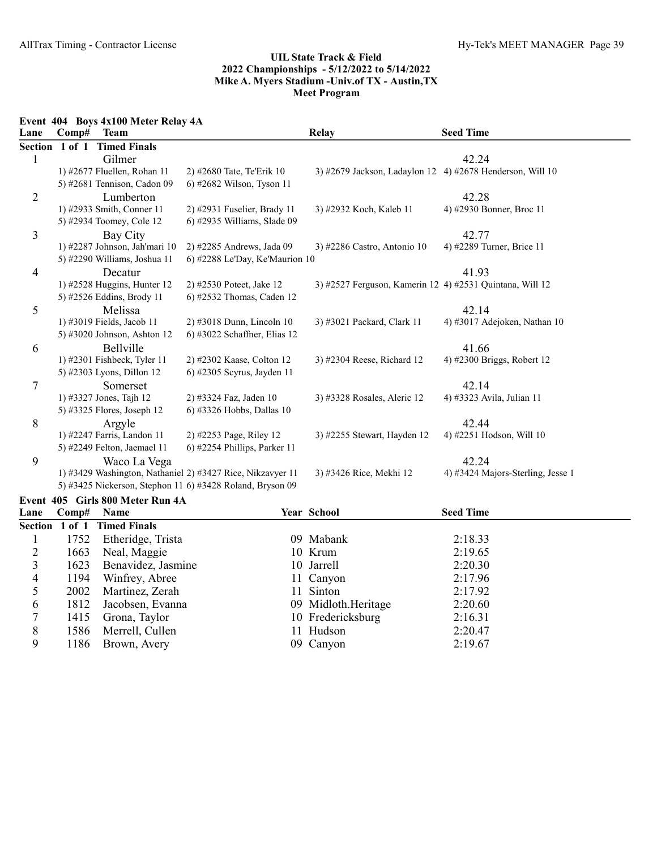Event 404 Boys 4x100 Meter Relay 4A

| Lane           | $\bf Comp#$ | <b>Team</b>                      |                                                            | <b>Relay</b>                                             | <b>Seed Time</b>                  |
|----------------|-------------|----------------------------------|------------------------------------------------------------|----------------------------------------------------------|-----------------------------------|
|                |             | Section 1 of 1 Timed Finals      |                                                            |                                                          |                                   |
|                |             | Gilmer                           |                                                            |                                                          | 42.24                             |
|                |             | 1) #2677 Fluellen, Rohan 11      | 2) #2680 Tate, Te'Erik 10                                  | 3) #2679 Jackson, Ladaylon 12                            | 4) #2678 Henderson, Will $10$     |
|                |             | 5) #2681 Tennison, Cadon 09      | 6) #2682 Wilson, Tyson 11                                  |                                                          |                                   |
| $\overline{2}$ |             | Lumberton                        |                                                            |                                                          | 42.28                             |
|                |             | 1) #2933 Smith, Conner 11        | 2) #2931 Fuselier, Brady 11                                | 3) #2932 Koch, Kaleb 11                                  | 4) #2930 Bonner, Broc 11          |
|                |             | 5) #2934 Toomey, Cole 12         | 6) #2935 Williams, Slade 09                                |                                                          |                                   |
| 3              |             | Bay City                         |                                                            |                                                          | 42.77                             |
|                |             | 1) #2287 Johnson, Jah'mari 10    | 2) #2285 Andrews, Jada 09                                  | 3) #2286 Castro, Antonio 10                              | 4) #2289 Turner, Brice 11         |
|                |             | 5) #2290 Williams, Joshua 11     | 6) #2288 Le'Day, Ke'Maurion 10                             |                                                          |                                   |
| 4              |             | Decatur                          |                                                            |                                                          | 41.93                             |
|                |             | 1) #2528 Huggins, Hunter 12      | 2) #2530 Poteet, Jake 12                                   | 3) #2527 Ferguson, Kamerin 12 4) #2531 Quintana, Will 12 |                                   |
|                |             | 5) #2526 Eddins, Brody 11        | 6) #2532 Thomas, Caden 12                                  |                                                          |                                   |
| 5              |             | Melissa                          |                                                            |                                                          | 42.14                             |
|                |             | 1) #3019 Fields, Jacob 11        | 2) #3018 Dunn, Lincoln 10                                  | 3) #3021 Packard, Clark 11                               | 4) #3017 Adejoken, Nathan 10      |
|                |             | 5) #3020 Johnson, Ashton 12      | 6) #3022 Schaffner, Elias 12                               |                                                          |                                   |
| 6              |             | Bellville                        |                                                            |                                                          | 41.66                             |
|                |             | 1) #2301 Fishbeck, Tyler 11      | 2) #2302 Kaase, Colton 12                                  | 3) #2304 Reese, Richard 12                               | 4) #2300 Briggs, Robert 12        |
|                |             | 5) #2303 Lyons, Dillon 12        | 6) #2305 Scyrus, Jayden 11                                 |                                                          |                                   |
| 7              |             | Somerset                         |                                                            |                                                          | 42.14                             |
|                |             | 1) #3327 Jones, Tajh 12          | 2) #3324 Faz, Jaden 10                                     | 3) #3328 Rosales, Aleric 12                              | 4) #3323 Avila, Julian 11         |
|                |             | 5) #3325 Flores, Joseph 12       | 6) #3326 Hobbs, Dallas 10                                  |                                                          |                                   |
| 8              |             | Argyle                           |                                                            |                                                          | 42.44                             |
|                |             | 1) #2247 Farris, Landon 11       | 2) #2253 Page, Riley 12                                    | 3) #2255 Stewart, Hayden 12                              | 4) #2251 Hodson, Will 10          |
|                |             | 5) #2249 Felton, Jaemael 11      | $(6)$ #2254 Phillips, Parker 11                            |                                                          |                                   |
| 9              |             | Waco La Vega                     |                                                            |                                                          | 42.24                             |
|                |             |                                  | 1) #3429 Washington, Nathaniel 2) #3427 Rice, Nikzavyer 11 | 3) #3426 Rice, Mekhi 12                                  | 4) #3424 Majors-Sterling, Jesse 1 |
|                |             |                                  | 5) #3425 Nickerson, Stephon 11 6) #3428 Roland, Bryson 09  |                                                          |                                   |
|                |             | Event 405 Girls 800 Meter Run 4A |                                                            |                                                          |                                   |

| Lane           | $\bf Comp#$ | <b>Name</b>                 | <b>Year School</b>  | <b>Seed Time</b> |  |
|----------------|-------------|-----------------------------|---------------------|------------------|--|
|                |             | Section 1 of 1 Timed Finals |                     |                  |  |
|                |             | 1752 Etheridge, Trista      | 09 Mabank           | 2:18.33          |  |
|                |             | 1663 Neal, Maggie           | 10 Krum             | 2:19.65          |  |
| 3 <sup>1</sup> |             | 1623 Benavidez, Jasmine     | 10 Jarrell          | 2:20.30          |  |
| 4              | 1194        | Winfrey, Abree              | 11 Canyon           | 2:17.96          |  |
|                | 2002        | Martinez, Zerah             | 11 Sinton           | 2:17.92          |  |
| 6              | 1812        | Jacobsen, Evanna            | 09 Midloth.Heritage | 2:20.60          |  |
|                | 1415        | Grona, Taylor               | 10 Fredericksburg   | 2:16.31          |  |
| 8              |             | 1586 Merrell, Cullen        | 11 Hudson           | 2:20.47          |  |
| 9              |             | 1186 Brown, Avery           | 09 Canyon           | 2:19.67          |  |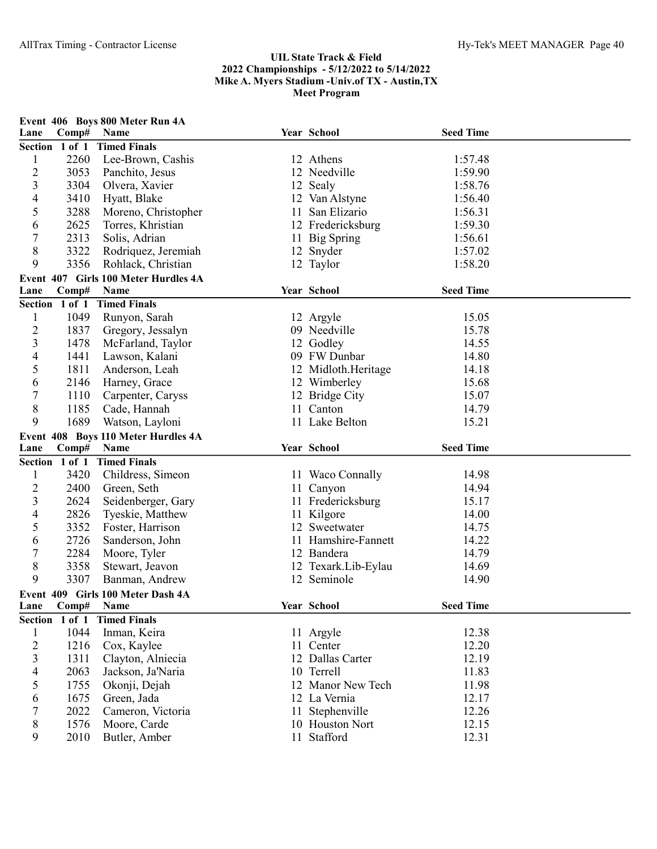| Lane           | Comp#          | Event 406 Boys 800 Meter Run 4A<br>Name |    | Year School         | <b>Seed Time</b> |  |
|----------------|----------------|-----------------------------------------|----|---------------------|------------------|--|
|                | Section 1 of 1 | <b>Timed Finals</b>                     |    |                     |                  |  |
| $\mathbf{1}$   | 2260           | Lee-Brown, Cashis                       |    | 12 Athens           | 1:57.48          |  |
| $\overline{c}$ | 3053           | Panchito, Jesus                         |    | 12 Needville        | 1:59.90          |  |
| 3              | 3304           | Olvera, Xavier                          |    | 12 Sealy            | 1:58.76          |  |
| 4              | 3410           | Hyatt, Blake                            |    | 12 Van Alstyne      | 1:56.40          |  |
| 5              | 3288           | Moreno, Christopher                     | 11 | San Elizario        | 1:56.31          |  |
| 6              | 2625           | Torres, Khristian                       |    | 12 Fredericksburg   | 1:59.30          |  |
| $\overline{7}$ | 2313           | Solis, Adrian                           |    | 11 Big Spring       | 1:56.61          |  |
| 8              | 3322           | Rodriquez, Jeremiah                     |    | 12 Snyder           | 1:57.02          |  |
| 9              | 3356           | Rohlack, Christian                      |    | 12 Taylor           | 1:58.20          |  |
|                |                | Event 407 Girls 100 Meter Hurdles 4A    |    |                     |                  |  |
| Lane           | Comp#          | Name                                    |    | Year School         | <b>Seed Time</b> |  |
|                | Section 1 of 1 | <b>Timed Finals</b>                     |    |                     |                  |  |
| $\mathbf{1}$   | 1049           | Runyon, Sarah                           |    | 12 Argyle           | 15.05            |  |
| $\overline{c}$ | 1837           | Gregory, Jessalyn                       |    | 09 Needville        | 15.78            |  |
| $\mathfrak{Z}$ | 1478           | McFarland, Taylor                       |    | 12 Godley           | 14.55            |  |
| $\overline{4}$ | 1441           | Lawson, Kalani                          |    | 09 FW Dunbar        | 14.80            |  |
| 5              | 1811           | Anderson, Leah                          |    | 12 Midloth.Heritage | 14.18            |  |
| 6              | 2146           | Harney, Grace                           |    | 12 Wimberley        | 15.68            |  |
| 7              | 1110           | Carpenter, Caryss                       |    | 12 Bridge City      | 15.07            |  |
| $8\,$          | 1185           | Cade, Hannah                            |    | 11 Canton           | 14.79            |  |
| 9              | 1689           | Watson, Layloni                         |    | 11 Lake Belton      | 15.21            |  |
|                |                | Event 408 Boys 110 Meter Hurdles 4A     |    |                     |                  |  |
| Lane           | Comp#          | Name                                    |    | Year School         | <b>Seed Time</b> |  |
|                | Section 1 of 1 | <b>Timed Finals</b>                     |    |                     |                  |  |
| $\mathbf{1}$   | 3420           | Childress, Simeon                       |    | 11 Waco Connally    | 14.98            |  |
| 2              | 2400           | Green, Seth                             |    | 11 Canyon           | 14.94            |  |
| 3              | 2624           | Seidenberger, Gary                      |    | 11 Fredericksburg   | 15.17            |  |
| 4              | 2826           | Tyeskie, Matthew                        |    | 11 Kilgore          | 14.00            |  |
| 5              | 3352           | Foster, Harrison                        |    | 12 Sweetwater       | 14.75            |  |
| 6              | 2726           | Sanderson, John                         |    | 11 Hamshire-Fannett | 14.22            |  |
| $\overline{7}$ | 2284           | Moore, Tyler                            |    | 12 Bandera          | 14.79            |  |
| 8              | 3358           | Stewart, Jeavon                         |    | 12 Texark.Lib-Eylau | 14.69            |  |
| 9              | 3307           | Banman, Andrew                          |    | 12 Seminole         | 14.90            |  |
|                |                | Event 409 Girls 100 Meter Dash 4A       |    |                     |                  |  |
| Lane           | Comp#          | Name                                    |    | Year School         | <b>Seed Time</b> |  |
|                | Section 1 of 1 | <b>Timed Finals</b>                     |    |                     |                  |  |
| 1              | 1044           | Inman, Keira                            |    | 11 Argyle           | 12.38            |  |
| $\overline{c}$ | 1216           | Cox, Kaylee                             |    | 11 Center           | 12.20            |  |
| $\mathfrak{Z}$ | 1311           | Clayton, Alniecia                       |    | 12 Dallas Carter    | 12.19            |  |
| 4              | 2063           | Jackson, Ja'Naria                       |    | 10 Terrell          | 11.83            |  |
| 5              | 1755           | Okonji, Dejah                           |    | 12 Manor New Tech   | 11.98            |  |
| 6              | 1675           | Green, Jada                             |    | 12 La Vernia        | 12.17            |  |
| 7              | 2022           | Cameron, Victoria                       | 11 | Stephenville        | 12.26            |  |
| 8              | 1576           | Moore, Carde                            |    | 10 Houston Nort     | 12.15            |  |
| 9              | 2010           | Butler, Amber                           | 11 | Stafford            | 12.31            |  |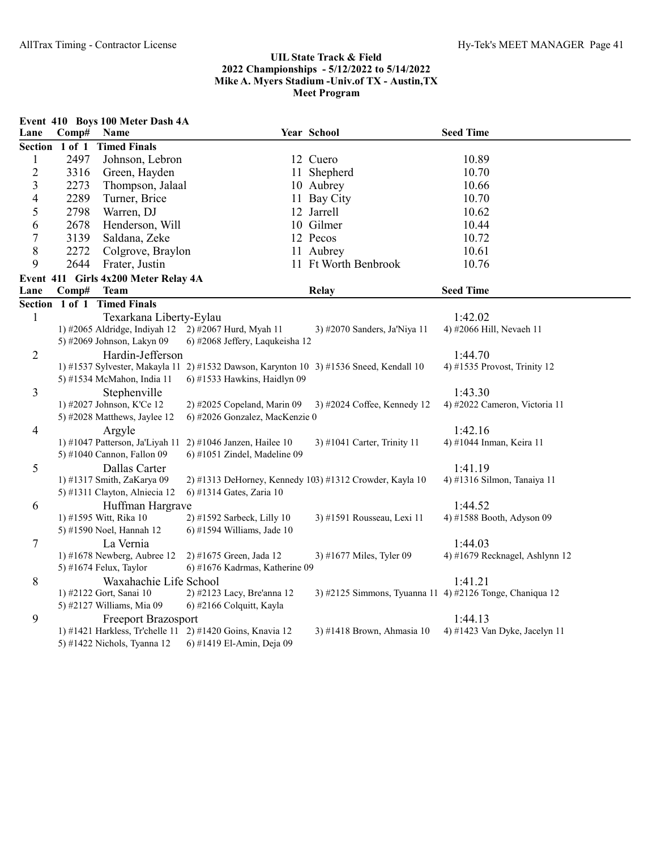|                          |       | Event 410 Boys 100 Meter Dash 4A                            |                                                                                        |                                                         |                                                          |
|--------------------------|-------|-------------------------------------------------------------|----------------------------------------------------------------------------------------|---------------------------------------------------------|----------------------------------------------------------|
| Lane                     | Comp# | Name                                                        |                                                                                        | Year School                                             | <b>Seed Time</b>                                         |
|                          |       | Section 1 of 1 Timed Finals                                 |                                                                                        |                                                         |                                                          |
| $\mathbf{1}$             | 2497  | Johnson, Lebron                                             |                                                                                        | 12 Cuero                                                | 10.89                                                    |
| $\sqrt{2}$               | 3316  | Green, Hayden                                               |                                                                                        | 11 Shepherd                                             | 10.70                                                    |
| $\overline{3}$           | 2273  | Thompson, Jalaal                                            |                                                                                        | 10 Aubrey                                               | 10.66                                                    |
| $\overline{\mathcal{A}}$ | 2289  | Turner, Brice                                               |                                                                                        | 11 Bay City                                             | 10.70                                                    |
| 5                        | 2798  | Warren, DJ                                                  |                                                                                        | 12 Jarrell                                              | 10.62                                                    |
| 6                        | 2678  | Henderson, Will                                             |                                                                                        | 10 Gilmer                                               | 10.44                                                    |
| 7                        | 3139  | Saldana, Zeke                                               |                                                                                        | 12 Pecos                                                | 10.72                                                    |
| $8\,$                    | 2272  | Colgrove, Braylon                                           |                                                                                        | 11 Aubrey                                               | 10.61                                                    |
| 9                        | 2644  | Frater, Justin                                              |                                                                                        | 11 Ft Worth Benbrook                                    | 10.76                                                    |
|                          |       | Event 411 Girls 4x200 Meter Relay 4A                        |                                                                                        |                                                         |                                                          |
| Lane                     | Comp# | <b>Team</b>                                                 |                                                                                        | <b>Relay</b>                                            | <b>Seed Time</b>                                         |
|                          |       | Section 1 of 1 Timed Finals                                 |                                                                                        |                                                         |                                                          |
| $\mathbf{1}$             |       | Texarkana Liberty-Eylau                                     |                                                                                        |                                                         | 1:42.02                                                  |
|                          |       | 1) #2065 Aldridge, Indiyah 12                               | 2) #2067 Hurd, Myah 11                                                                 | 3) #2070 Sanders, Ja'Niya 11                            | 4) #2066 Hill, Nevaeh 11                                 |
|                          |       | 5) #2069 Johnson, Lakyn 09                                  | 6) #2068 Jeffery, Laqukeisha 12                                                        |                                                         |                                                          |
| $\mathbf{2}$             |       | Hardin-Jefferson                                            |                                                                                        |                                                         | 1:44.70                                                  |
|                          |       |                                                             | 1) #1537 Sylvester, Makayla 11 2) #1532 Dawson, Karynton 10 3) #1536 Sneed, Kendall 10 |                                                         | 4) #1535 Provost, Trinity 12                             |
|                          |       | 5) #1534 McMahon, India 11                                  | 6) #1533 Hawkins, Haidlyn 09                                                           |                                                         |                                                          |
| $\overline{3}$           |       | Stephenville                                                |                                                                                        |                                                         | 1:43.30                                                  |
|                          |       | 1) #2027 Johnson, K'Ce 12                                   | 2) #2025 Copeland, Marin 09                                                            | 3) #2024 Coffee, Kennedy 12                             | 4) #2022 Cameron, Victoria 11                            |
|                          |       | 5) #2028 Matthews, Jaylee 12                                | 6) #2026 Gonzalez, MacKenzie 0                                                         |                                                         |                                                          |
| $\overline{4}$           |       | Argyle                                                      |                                                                                        |                                                         | 1:42.16                                                  |
|                          |       | 1) #1047 Patterson, Ja'Liyah 11                             | 2) #1046 Janzen, Hailee 10                                                             | 3) #1041 Carter, Trinity 11                             | 4) #1044 Inman, Keira 11                                 |
|                          |       | 5) #1040 Cannon, Fallon 09                                  | $6$ ) #1051 Zindel, Madeline 09                                                        |                                                         |                                                          |
| 5                        |       | Dallas Carter                                               |                                                                                        |                                                         | 1:41.19                                                  |
|                          |       | 1) #1317 Smith, ZaKarya 09<br>5) #1311 Clayton, Alniecia 12 | 6) #1314 Gates, Zaria 10                                                               | 2) #1313 DeHorney, Kennedy 103) #1312 Crowder, Kayla 10 | 4) #1316 Silmon, Tanaiya 11                              |
|                          |       |                                                             |                                                                                        |                                                         | 1:44.52                                                  |
| 6                        |       | Huffman Hargrave<br>1) #1595 Witt, Rika 10                  | 2) #1592 Sarbeck, Lilly 10                                                             | 3) #1591 Rousseau, Lexi 11                              | 4) #1588 Booth, Adyson 09                                |
|                          |       | 5) #1590 Noel, Hannah 12                                    | 6) #1594 Williams, Jade 10                                                             |                                                         |                                                          |
| $\tau$                   |       | La Vernia                                                   |                                                                                        |                                                         | 1:44.03                                                  |
|                          |       | 1) #1678 Newberg, Aubree 12                                 | 2) #1675 Green, Jada 12                                                                | 3) #1677 Miles, Tyler 09                                | 4) #1679 Recknagel, Ashlynn 12                           |
|                          |       | 5) #1674 Felux, Taylor                                      | 6) #1676 Kadrmas, Katherine 09                                                         |                                                         |                                                          |
| $8\phantom{.}$           |       | Waxahachie Life School                                      |                                                                                        |                                                         | 1:41.21                                                  |
|                          |       | 1) #2122 Gort, Sanai 10                                     | 2) #2123 Lacy, Bre'anna 12                                                             |                                                         | 3) #2125 Simmons, Tyuanna 11 4) #2126 Tonge, Chaniqua 12 |
|                          |       | 5) #2127 Williams, Mia 09                                   | 6) #2166 Colquitt, Kayla                                                               |                                                         |                                                          |
| 9                        |       | <b>Freeport Brazosport</b>                                  |                                                                                        |                                                         | 1:44.13                                                  |
|                          |       |                                                             | 1) #1421 Harkless, Tr'chelle 11 2) #1420 Goins, Knavia 12                              | 3) #1418 Brown, Ahmasia 10                              | 4) #1423 Van Dyke, Jacelyn 11                            |
|                          |       | 5) #1422 Nichols, Tyanna 12                                 | 6) #1419 El-Amin, Deja 09                                                              |                                                         |                                                          |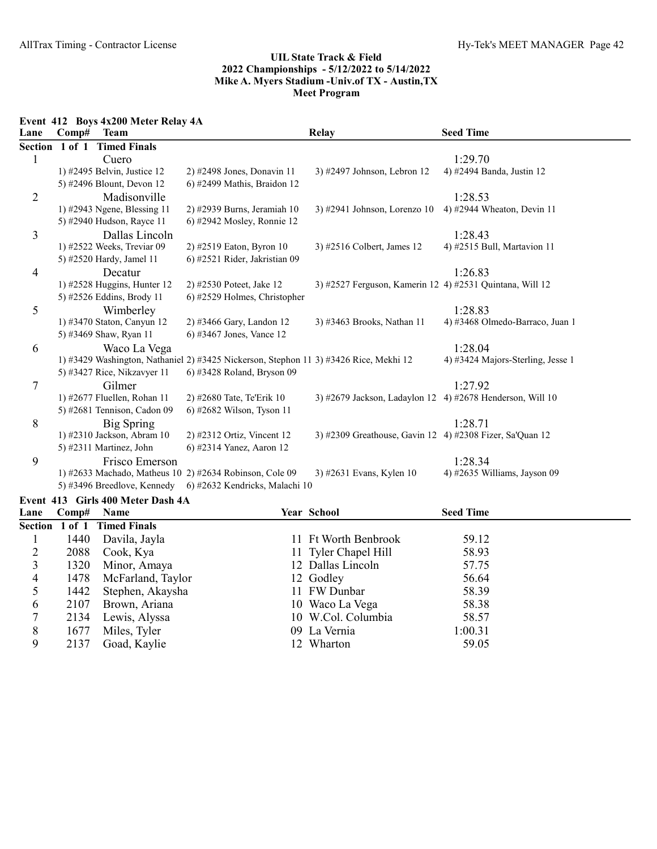Event 412 Boys 4x200 Meter Relay 4A

| Lane    | Comp#      | <b>Team</b>                   |                                                                                       | Relay                                                     | <b>Seed Time</b>                  |
|---------|------------|-------------------------------|---------------------------------------------------------------------------------------|-----------------------------------------------------------|-----------------------------------|
| Section | $1$ of $1$ | <b>Timed Finals</b>           |                                                                                       |                                                           |                                   |
|         |            | Cuero                         |                                                                                       |                                                           | 1:29.70                           |
|         |            | 1) #2495 Belvin, Justice 12   | $2)$ #2498 Jones, Donavin 11                                                          | 3) #2497 Johnson, Lebron 12                               | 4) #2494 Banda, Justin 12         |
|         |            | 5) #2496 Blount, Devon 12     | 6) #2499 Mathis, Braidon 12                                                           |                                                           |                                   |
| 2       |            | Madisonville                  |                                                                                       |                                                           | 1:28.53                           |
|         |            | 1) #2943 Ngene, Blessing 11   | 2) #2939 Burns, Jeramiah 10                                                           | 3) #2941 Johnson, Lorenzo $10$                            | 4) #2944 Wheaton, Devin 11        |
|         |            | 5) #2940 Hudson, Rayce 11     | 6) #2942 Mosley, Ronnie 12                                                            |                                                           |                                   |
| 3       |            | Dallas Lincoln                |                                                                                       |                                                           | 1:28.43                           |
|         |            | 1) #2522 Weeks, Treviar 09    | 2) #2519 Eaton, Byron 10                                                              | 3) #2516 Colbert, James 12                                | 4) #2515 Bull, Martavion 11       |
|         |            | 5) #2520 Hardy, Jamel 11      | 6) #2521 Rider, Jakristian 09                                                         |                                                           |                                   |
| 4       |            | Decatur                       |                                                                                       |                                                           | 1:26.83                           |
|         |            | 1) #2528 Huggins, Hunter $12$ | 2) #2530 Poteet, Jake 12                                                              | 3) #2527 Ferguson, Kamerin 12 4) #2531 Quintana, Will 12  |                                   |
|         |            | 5) #2526 Eddins, Brody 11     | 6) #2529 Holmes, Christopher                                                          |                                                           |                                   |
| 5       |            | Wimberley                     |                                                                                       |                                                           | 1:28.83                           |
|         |            | 1) #3470 Staton, Canyun 12    | 2) #3466 Gary, Landon 12                                                              | 3) #3463 Brooks, Nathan 11                                | 4) #3468 Olmedo-Barraco, Juan 1   |
|         |            | 5) #3469 Shaw, Ryan 11        | 6) #3467 Jones, Vance 12                                                              |                                                           |                                   |
| 6       |            | Waco La Vega                  |                                                                                       |                                                           | 1:28.04                           |
|         |            |                               | 1) #3429 Washington, Nathaniel 2) #3425 Nickerson, Stephon 11 3) #3426 Rice, Mekhi 12 |                                                           | 4) #3424 Majors-Sterling, Jesse 1 |
|         |            | 5) #3427 Rice, Nikzavyer 11   | 6) #3428 Roland, Bryson 09                                                            |                                                           |                                   |
| 7       |            | Gilmer                        |                                                                                       |                                                           | 1:27.92                           |
|         |            | 1) #2677 Fluellen, Rohan 11   | 2) #2680 Tate, Te'Erik 10                                                             | 3) #2679 Jackson, Ladaylon 12 4) #2678 Henderson, Will 10 |                                   |
|         |            | 5) #2681 Tennison, Cadon 09   | 6) #2682 Wilson, Tyson 11                                                             |                                                           |                                   |
| 8       |            | <b>Big Spring</b>             |                                                                                       |                                                           | 1:28.71                           |
|         |            | 1) #2310 Jackson, Abram 10    | 2) #2312 Ortiz, Vincent 12                                                            | 3) #2309 Greathouse, Gavin 12 4) #2308 Fizer, Sa'Quan 12  |                                   |
|         |            | 5) #2311 Martinez, John       | 6) #2314 Yanez, Aaron 12                                                              |                                                           |                                   |
| 9       |            | Frisco Emerson                |                                                                                       |                                                           | 1:28.34                           |
|         |            |                               | 1) #2633 Machado, Matheus 10 2) #2634 Robinson, Cole 09                               | 3) #2631 Evans, Kylen 10                                  | 4) #2635 Williams, Jayson 09      |
|         |            | 5) #3496 Breedlove, Kennedy   | 6) #2632 Kendricks, Malachi 10                                                        |                                                           |                                   |

#### Event 413 Girls 400 Meter Dash 4A

| Lane | $\bf Comp#$ | <b>Name</b>                 | <b>Year School</b>   | <b>Seed Time</b> |  |
|------|-------------|-----------------------------|----------------------|------------------|--|
|      |             | Section 1 of 1 Timed Finals |                      |                  |  |
|      | 1440        | Davila, Jayla               | 11 Ft Worth Benbrook | 59.12            |  |
|      | 2088        | Cook, Kya                   | 11 Tyler Chapel Hill | 58.93            |  |
|      | 1320        | Minor, Amaya                | 12 Dallas Lincoln    | 57.75            |  |
| 4    | 1478        | McFarland, Taylor           | 12 Godley            | 56.64            |  |
|      | 1442        | Stephen, Akaysha            | 11 FW Dunbar         | 58.39            |  |
| 6    | 2107        | Brown, Ariana               | 10 Waco La Vega      | 58.38            |  |
|      | 2134        | Lewis, Alyssa               | 10 W.Col. Columbia   | 58.57            |  |
| 8    | 1677        | Miles, Tyler                | 09 La Vernia         | 1:00.31          |  |
| 9    | 2137        | Goad, Kaylie                | 12 Wharton           | 59.05            |  |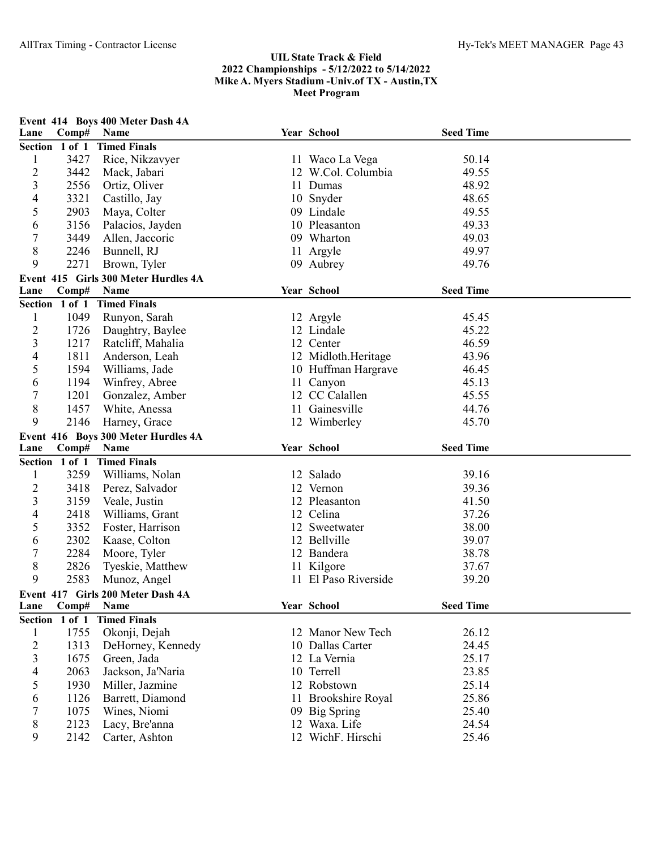| Lane                     | Comp#          | Event 414 Boys 400 Meter Dash 4A<br>Name | Year School          | <b>Seed Time</b> |  |
|--------------------------|----------------|------------------------------------------|----------------------|------------------|--|
|                          | Section 1 of 1 | <b>Timed Finals</b>                      |                      |                  |  |
| $\mathbf{1}$             | 3427           | Rice, Nikzavyer                          | 11 Waco La Vega      | 50.14            |  |
| $\overline{c}$           | 3442           | Mack, Jabari                             | 12 W.Col. Columbia   | 49.55            |  |
| 3                        | 2556           | Ortiz, Oliver                            | 11 Dumas             | 48.92            |  |
| 4                        | 3321           | Castillo, Jay                            | 10 Snyder            | 48.65            |  |
| 5                        | 2903           | Maya, Colter                             | 09 Lindale           | 49.55            |  |
| 6                        | 3156           | Palacios, Jayden                         | 10 Pleasanton        | 49.33            |  |
| $\overline{7}$           | 3449           | Allen, Jaccoric                          | 09 Wharton           | 49.03            |  |
| 8                        | 2246           | Bunnell, RJ                              | 11 Argyle            | 49.97            |  |
| 9                        | 2271           | Brown, Tyler                             | 09 Aubrey            | 49.76            |  |
|                          |                | Event 415 Girls 300 Meter Hurdles 4A     |                      |                  |  |
| Lane                     | Comp#          | Name                                     | Year School          | <b>Seed Time</b> |  |
|                          | Section 1 of 1 | <b>Timed Finals</b>                      |                      |                  |  |
| 1                        | 1049           | Runyon, Sarah                            | 12 Argyle            | 45.45            |  |
| $\overline{2}$           | 1726           | Daughtry, Baylee                         | 12 Lindale           | 45.22            |  |
| $\overline{3}$           | 1217           | Ratcliff, Mahalia                        | 12 Center            | 46.59            |  |
| 4                        | 1811           | Anderson, Leah                           | 12 Midloth.Heritage  | 43.96            |  |
| 5                        | 1594           | Williams, Jade                           | 10 Huffman Hargrave  | 46.45            |  |
| 6                        | 1194           | Winfrey, Abree                           | 11 Canyon            | 45.13            |  |
| $\boldsymbol{7}$         | 1201           | Gonzalez, Amber                          | 12 CC Calallen       | 45.55            |  |
| $8\,$                    | 1457           | White, Anessa                            | 11 Gainesville       | 44.76            |  |
| 9                        | 2146           | Harney, Grace                            | 12 Wimberley         | 45.70            |  |
|                          |                | Event 416 Boys 300 Meter Hurdles 4A      |                      |                  |  |
| Lane                     | Comp#          | Name                                     | Year School          | <b>Seed Time</b> |  |
|                          | Section 1 of 1 | <b>Timed Finals</b>                      |                      |                  |  |
| $\mathbf{1}$             | 3259           | Williams, Nolan                          | 12 Salado            | 39.16            |  |
| $\overline{c}$           | 3418           | Perez, Salvador                          | 12 Vernon            | 39.36            |  |
| 3                        | 3159           | Veale, Justin                            | 12 Pleasanton        | 41.50            |  |
| 4                        | 2418           | Williams, Grant                          | 12 Celina            | 37.26            |  |
| 5                        | 3352           | Foster, Harrison                         | 12 Sweetwater        | 38.00            |  |
| 6                        | 2302           | Kaase, Colton                            | 12 Bellville         | 39.07            |  |
| $\boldsymbol{7}$         | 2284           | Moore, Tyler                             | 12 Bandera           | 38.78            |  |
| 8                        | 2826           | Tyeskie, Matthew                         | 11 Kilgore           | 37.67            |  |
| 9                        | 2583           | Munoz, Angel                             | 11 El Paso Riverside | 39.20            |  |
|                          |                | Event 417 Girls 200 Meter Dash 4A        |                      |                  |  |
| Lane                     | Comp#          | Name                                     | Year School          | <b>Seed Time</b> |  |
|                          | Section 1 of 1 | <b>Timed Finals</b>                      |                      |                  |  |
| $\mathbf{1}$             | 1755           | Okonji, Dejah                            | 12 Manor New Tech    | 26.12            |  |
| $\overline{c}$           | 1313           | DeHorney, Kennedy                        | 10 Dallas Carter     | 24.45            |  |
| $\mathfrak{Z}$           | 1675           | Green, Jada                              | 12 La Vernia         | 25.17            |  |
| $\overline{\mathcal{A}}$ | 2063           | Jackson, Ja'Naria                        | 10 Terrell           | 23.85            |  |
| 5                        | 1930           | Miller, Jazmine                          | 12 Robstown          | 25.14            |  |
| 6                        | 1126           | Barrett, Diamond                         | 11 Brookshire Royal  | 25.86            |  |
| 7                        | 1075           | Wines, Niomi                             | 09 Big Spring        | 25.40            |  |
| 8                        | 2123           | Lacy, Bre'anna                           | 12 Waxa. Life        | 24.54            |  |
| 9                        | 2142           | Carter, Ashton                           | 12 WichF. Hirschi    | 25.46            |  |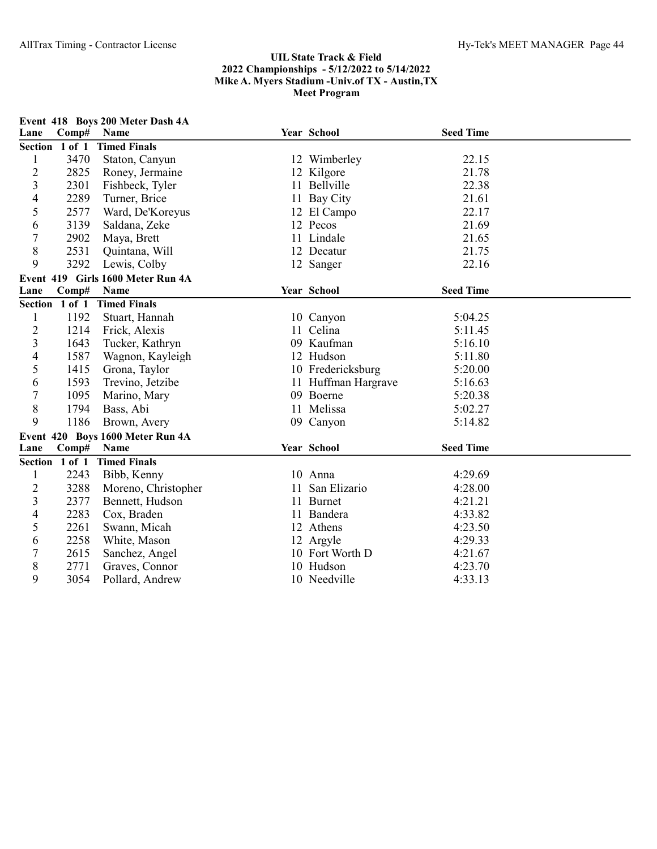| Lane             | Comp#          | Event 418 Boys 200 Meter Dash 4A<br><b>Name</b> | Year School         | <b>Seed Time</b> |  |
|------------------|----------------|-------------------------------------------------|---------------------|------------------|--|
| Section 1 of 1   |                | <b>Timed Finals</b>                             |                     |                  |  |
| 1                | 3470           | Staton, Canyun                                  | 12 Wimberley        | 22.15            |  |
| $\overline{c}$   | 2825           | Roney, Jermaine                                 | 12 Kilgore          | 21.78            |  |
| 3                | 2301           | Fishbeck, Tyler                                 | 11 Bellville        | 22.38            |  |
| 4                | 2289           | Turner, Brice                                   | 11 Bay City         | 21.61            |  |
| 5                | 2577           | Ward, De'Koreyus                                | 12 El Campo         | 22.17            |  |
| 6                | 3139           | Saldana, Zeke                                   | 12 Pecos            | 21.69            |  |
| $\boldsymbol{7}$ | 2902           | Maya, Brett                                     | 11 Lindale          | 21.65            |  |
| 8                | 2531           | Quintana, Will                                  | 12 Decatur          | 21.75            |  |
| 9                | 3292           | Lewis, Colby                                    | 12 Sanger           | 22.16            |  |
|                  |                | Event 419 Girls 1600 Meter Run 4A               |                     |                  |  |
| Lane             | Comp#          | Name                                            | Year School         | <b>Seed Time</b> |  |
|                  | Section 1 of 1 | <b>Timed Finals</b>                             |                     |                  |  |
| 1                | 1192           | Stuart, Hannah                                  | 10 Canyon           | 5:04.25          |  |
| $\overline{c}$   | 1214           | Frick, Alexis                                   | 11 Celina           | 5:11.45          |  |
| 3                | 1643           | Tucker, Kathryn                                 | 09 Kaufman          | 5:16.10          |  |
| 4                | 1587           | Wagnon, Kayleigh                                | 12 Hudson           | 5:11.80          |  |
| 5                | 1415           | Grona, Taylor                                   | 10 Fredericksburg   | 5:20.00          |  |
| 6                | 1593           | Trevino, Jetzibe                                | 11 Huffman Hargrave | 5:16.63          |  |
| $\overline{7}$   | 1095           | Marino, Mary                                    | 09 Boerne           | 5:20.38          |  |
| 8                | 1794           | Bass, Abi                                       | 11 Melissa          | 5:02.27          |  |
| 9                | 1186           | Brown, Avery                                    | 09 Canyon           | 5:14.82          |  |
|                  |                | Event 420 Boys 1600 Meter Run 4A                |                     |                  |  |
| Lane             | Comp#          | <b>Name</b>                                     | Year School         | <b>Seed Time</b> |  |
| Section 1 of 1   |                | <b>Timed Finals</b>                             |                     |                  |  |
| 1                | 2243           | Bibb, Kenny                                     | 10 Anna             | 4:29.69          |  |
| $\overline{2}$   | 3288           | Moreno, Christopher                             | 11 San Elizario     | 4:28.00          |  |
| 3                | 2377           | Bennett, Hudson                                 | 11 Burnet           | 4:21.21          |  |
| 4                | 2283           | Cox, Braden                                     | 11 Bandera          | 4:33.82          |  |
| 5                | 2261           | Swann, Micah                                    | 12 Athens           | 4:23.50          |  |
| 6                | 2258           | White, Mason                                    | 12 Argyle           | 4:29.33          |  |
| 7                | 2615           | Sanchez, Angel                                  | 10 Fort Worth D     | 4:21.67          |  |
| 8                | 2771           | Graves, Connor                                  | 10 Hudson           | 4:23.70          |  |
| 9                | 3054           | Pollard, Andrew                                 | 10 Needville        | 4:33.13          |  |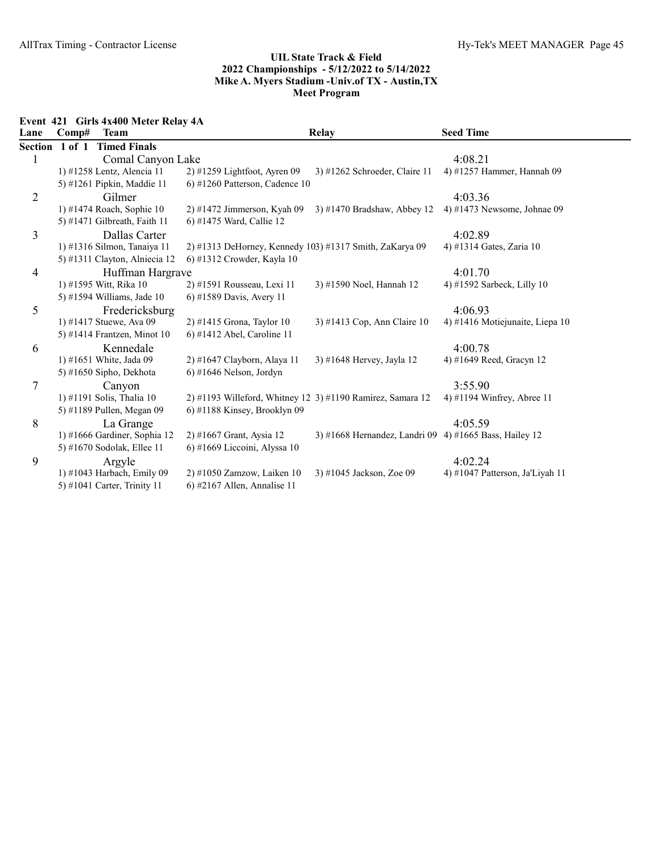Event 421 Girls 4x400 Meter Relay 4A

| Lane           | Comp# | <b>Team</b>                   |                                                            | <b>Relay</b>                                           | <b>Seed Time</b>                |
|----------------|-------|-------------------------------|------------------------------------------------------------|--------------------------------------------------------|---------------------------------|
| Section 1 of 1 |       | <b>Timed Finals</b>           |                                                            |                                                        |                                 |
|                |       | Comal Canyon Lake             |                                                            |                                                        | 4:08.21                         |
|                |       | 1) #1258 Lentz, Alencia 11    | $2)$ #1259 Lightfoot, Ayren 09                             | 3) #1262 Schroeder, Claire 11                          | 4) #1257 Hammer, Hannah 09      |
|                |       | 5) #1261 Pipkin, Maddie 11    | $(6)$ #1260 Patterson, Cadence 10                          |                                                        |                                 |
| $\overline{2}$ |       | Gilmer                        |                                                            |                                                        | 4:03.36                         |
|                |       | 1) #1474 Roach, Sophie 10     | $2)$ #1472 Jimmerson, Kyah 09                              | $3)$ #1470 Bradshaw, Abbey 12                          | 4) #1473 Newsome, Johnae $09$   |
|                |       | 5) #1471 Gilbreath, Faith 11  | 6) #1475 Ward, Callie 12                                   |                                                        |                                 |
| 3              |       | Dallas Carter                 |                                                            |                                                        | 4:02.89                         |
|                |       | 1) #1316 Silmon, Tanaiya 11   | 2) #1313 DeHorney, Kennedy 103) #1317 Smith, ZaKarya 09    |                                                        | 4) #1314 Gates, Zaria 10        |
|                |       | 5) #1311 Clayton, Alniecia 12 | 6) #1312 Crowder, Kayla 10                                 |                                                        |                                 |
| 4              |       | Huffman Hargrave              |                                                            |                                                        | 4:01.70                         |
|                |       | 1) #1595 Witt, Rika 10        | 2) #1591 Rousseau, Lexi 11                                 | 3) #1590 Noel, Hannah 12                               | 4) #1592 Sarbeck, Lilly $10$    |
|                |       | 5) #1594 Williams, Jade 10    | 6) #1589 Davis, Avery 11                                   |                                                        |                                 |
| 5              |       | Fredericksburg                |                                                            |                                                        | 4:06.93                         |
|                |       | 1) #1417 Stuewe, Ava 09       | $2)$ #1415 Grona, Taylor 10                                | 3) #1413 Cop, Ann Claire 10                            | 4) #1416 Motiejunaite, Liepa 10 |
|                |       | 5) #1414 Frantzen, Minot 10   | $6)$ #1412 Abel, Caroline 11                               |                                                        |                                 |
| 6              |       | Kennedale                     |                                                            |                                                        | 4:00.78                         |
|                |       | 1) #1651 White, Jada 09       | 2) #1647 Clayborn, Alaya 11                                | 3) #1648 Hervey, Jayla 12                              | 4) #1649 Reed, Gracyn 12        |
|                |       | 5) #1650 Sipho, Dekhota       | $6)$ #1646 Nelson, Jordyn                                  |                                                        |                                 |
| 7              |       | Canyon                        |                                                            |                                                        | 3:55.90                         |
|                |       | 1) #1191 Solis, Thalia 10     | 2) #1193 Willeford, Whitney 12 3) #1190 Ramirez, Samara 12 |                                                        | 4) #1194 Winfrey, Abree 11      |
|                |       | 5) #1189 Pullen, Megan 09     | $6$ ) #1188 Kinsey, Brooklyn 09                            |                                                        |                                 |
| 8              |       | La Grange                     |                                                            |                                                        | 4:05.59                         |
|                |       | 1) #1666 Gardiner, Sophia 12  | 2) #1667 Grant, Aysia 12                                   | 3) #1668 Hernandez, Landri 09 4) #1665 Bass, Hailey 12 |                                 |
|                |       | 5) #1670 Sodolak, Ellee 11    | 6) #1669 Liccoini, Alyssa 10                               |                                                        |                                 |
| 9              |       | Argyle                        |                                                            |                                                        | 4:02.24                         |
|                |       | 1) #1043 Harbach, Emily 09    | 2) #1050 Zamzow, Laiken 10                                 | 3) #1045 Jackson, Zoe 09                               | 4) #1047 Patterson, Ja'Liyah 11 |
|                |       | 5) #1041 Carter, Trinity 11   | $(6)$ #2167 Allen, Annalise 11                             |                                                        |                                 |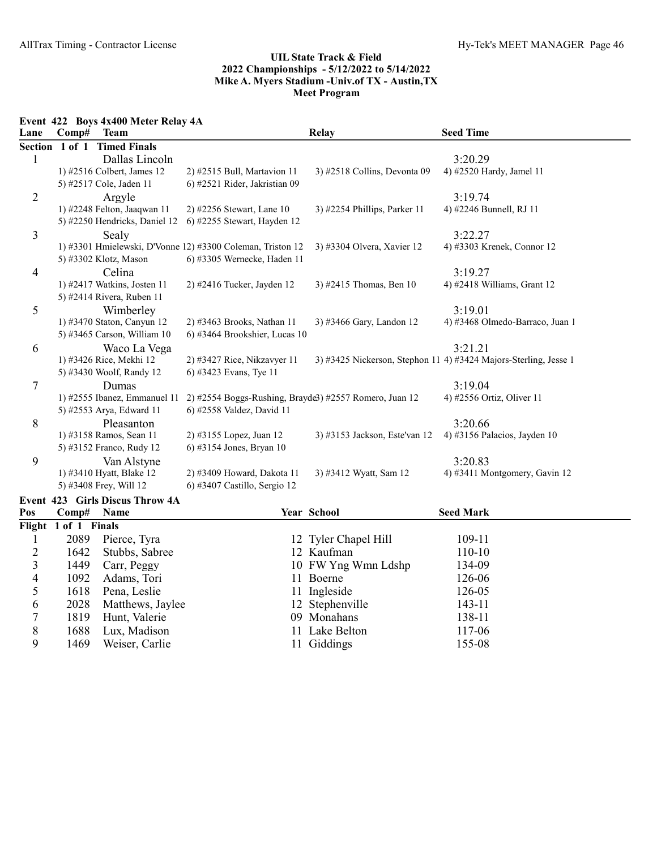Event 422 Boys 4x400 Meter Relay 4A

| 4) #3468 Olmedo-Barraco, Juan 1<br>3) #3425 Nickerson, Stephon 11 4) #3424 Majors-Sterling, Jesse 1 |
|-----------------------------------------------------------------------------------------------------|

9 1469 Weiser, Carlie 11 Giddings 155-08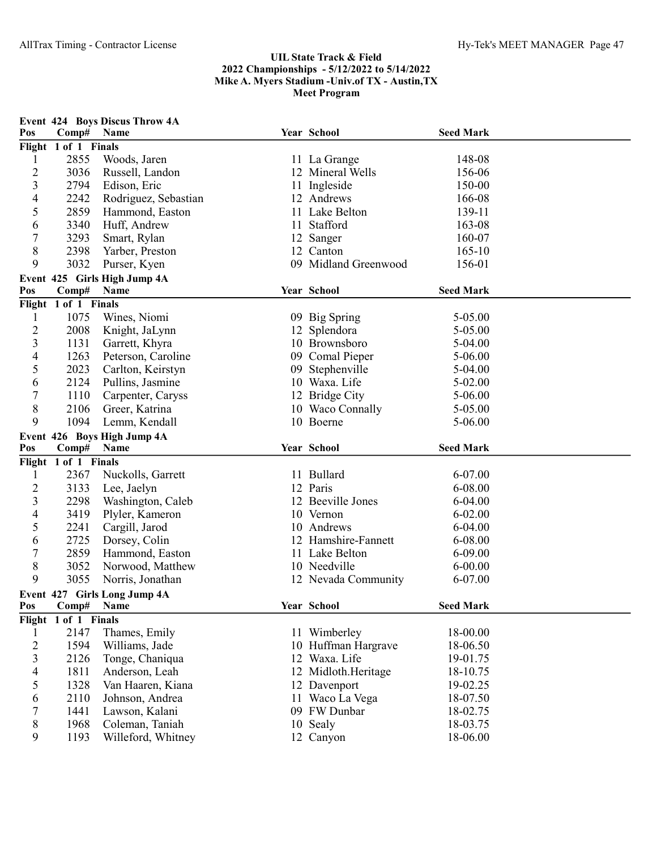| Pos                      | Comp#                | Event 424 Boys Discus Throw 4A<br>Name | Year School          | <b>Seed Mark</b> |  |
|--------------------------|----------------------|----------------------------------------|----------------------|------------------|--|
|                          | Flight 1 of 1 Finals |                                        |                      |                  |  |
| 1                        | 2855                 | Woods, Jaren                           | 11 La Grange         | 148-08           |  |
| $\overline{c}$           | 3036                 | Russell, Landon                        | 12 Mineral Wells     | 156-06           |  |
| 3                        | 2794                 | Edison, Eric                           | 11 Ingleside         | 150-00           |  |
| 4                        | 2242                 | Rodriguez, Sebastian                   | 12 Andrews           | 166-08           |  |
| 5                        | 2859                 | Hammond, Easton                        | 11 Lake Belton       | 139-11           |  |
| 6                        | 3340                 | Huff, Andrew                           | 11 Stafford          | 163-08           |  |
| $\boldsymbol{7}$         | 3293                 | Smart, Rylan                           | 12 Sanger            | 160-07           |  |
| 8                        | 2398                 | Yarber, Preston                        | 12 Canton            | $165 - 10$       |  |
| 9                        | 3032                 | Purser, Kyen                           | 09 Midland Greenwood | 156-01           |  |
|                          |                      | Event 425 Girls High Jump 4A           |                      |                  |  |
| Pos                      | Comp#                | Name                                   | Year School          | <b>Seed Mark</b> |  |
|                          | Flight 1 of 1 Finals |                                        |                      |                  |  |
| $\mathbf{1}$             | 1075                 | Wines, Niomi                           | 09 Big Spring        | 5-05.00          |  |
| $\overline{2}$           | 2008                 | Knight, JaLynn                         | 12 Splendora         | 5-05.00          |  |
| $\overline{3}$           | 1131                 | Garrett, Khyra                         | 10 Brownsboro        | 5-04.00          |  |
| 4                        | 1263                 | Peterson, Caroline                     | 09 Comal Pieper      | 5-06.00          |  |
| 5                        | 2023                 | Carlton, Keirstyn                      | 09 Stephenville      | 5-04.00          |  |
| 6                        | 2124                 | Pullins, Jasmine                       | 10 Waxa. Life        | 5-02.00          |  |
| $\boldsymbol{7}$         | 1110                 | Carpenter, Caryss                      | 12 Bridge City       | 5-06.00          |  |
| 8                        | 2106                 | Greer, Katrina                         | 10 Waco Connally     | 5-05.00          |  |
| 9                        | 1094                 | Lemm, Kendall                          | 10 Boerne            | 5-06.00          |  |
|                          |                      | Event 426 Boys High Jump 4A            |                      |                  |  |
| Pos                      | Comp#                | Name                                   | Year School          | <b>Seed Mark</b> |  |
|                          | Flight 1 of 1 Finals |                                        |                      |                  |  |
| 1                        | 2367                 | Nuckolls, Garrett                      | 11 Bullard           | 6-07.00          |  |
| $\overline{c}$           | 3133                 | Lee, Jaelyn                            | 12 Paris             | 6-08.00          |  |
| 3                        | 2298                 | Washington, Caleb                      | 12 Beeville Jones    | $6 - 04.00$      |  |
| 4                        | 3419                 | Plyler, Kameron                        | 10 Vernon            | $6 - 02.00$      |  |
| 5                        | 2241                 | Cargill, Jarod                         | 10 Andrews           | 6-04.00          |  |
| 6                        | 2725                 | Dorsey, Colin                          | 12 Hamshire-Fannett  | 6-08.00          |  |
| $\boldsymbol{7}$         | 2859                 | Hammond, Easton                        | 11 Lake Belton       | $6 - 09.00$      |  |
| 8                        | 3052                 | Norwood, Matthew                       | 10 Needville         | $6 - 00.00$      |  |
| 9                        | 3055                 | Norris, Jonathan                       | 12 Nevada Community  | 6-07.00          |  |
|                          |                      | Event 427 Girls Long Jump 4A           |                      |                  |  |
| Pos                      | Comp#                | Name                                   | Year School          | <b>Seed Mark</b> |  |
|                          | Flight 1 of 1 Finals |                                        |                      |                  |  |
| 1                        | 2147                 | Thames, Emily                          | 11 Wimberley         | 18-00.00         |  |
| $\overline{2}$           | 1594                 | Williams, Jade                         | 10 Huffman Hargrave  | 18-06.50         |  |
| $\overline{3}$           | 2126                 | Tonge, Chaniqua                        | 12 Waxa. Life        | 19-01.75         |  |
| $\overline{\mathcal{A}}$ | 1811                 | Anderson, Leah                         | 12 Midloth.Heritage  | 18-10.75         |  |
| 5                        | 1328                 | Van Haaren, Kiana                      | 12 Davenport         | 19-02.25         |  |
| 6                        | 2110                 | Johnson, Andrea                        | 11 Waco La Vega      | 18-07.50         |  |
| 7                        | 1441                 | Lawson, Kalani                         | 09 FW Dunbar         | 18-02.75         |  |
| $8\,$                    | 1968                 | Coleman, Taniah                        | 10 Sealy             | 18-03.75         |  |
| 9                        | 1193                 | Willeford, Whitney                     | 12 Canyon            | 18-06.00         |  |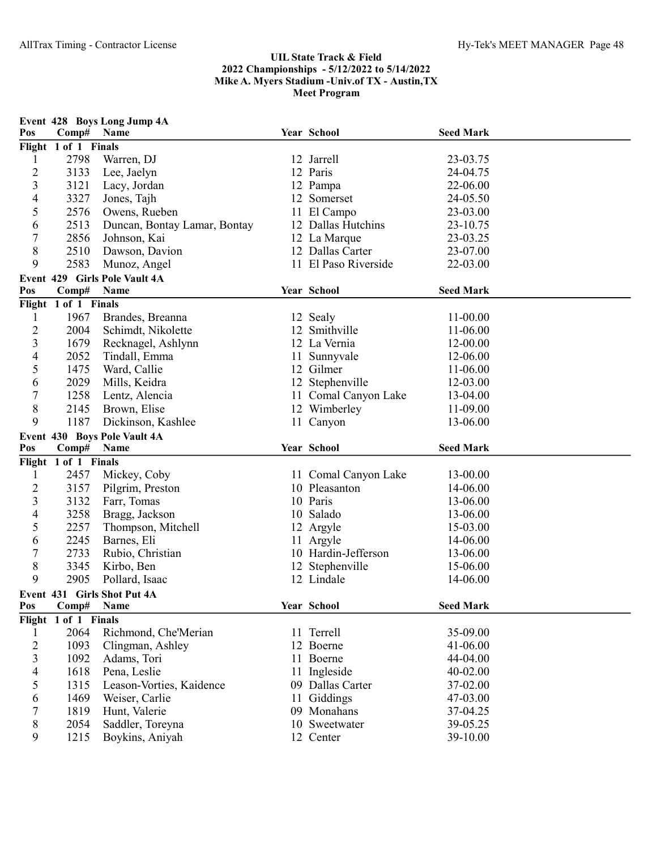|                   |                      | Event 428 Boys Long Jump 4A         |    |                         |                  |  |
|-------------------|----------------------|-------------------------------------|----|-------------------------|------------------|--|
| Pos               | Comp# Name           |                                     |    | Year School             | <b>Seed Mark</b> |  |
|                   | Flight 1 of 1 Finals |                                     |    |                         |                  |  |
| 1                 | 2798                 | Warren, DJ                          |    | 12 Jarrell              | 23-03.75         |  |
| $\overline{c}$    | 3133                 | Lee, Jaelyn                         |    | 12 Paris                | 24-04.75         |  |
| 3                 | 3121                 | Lacy, Jordan                        |    | 12 Pampa                | 22-06.00         |  |
| 4                 | 3327                 | Jones, Tajh                         |    | 12 Somerset             | 24-05.50         |  |
| 5                 | 2576                 | Owens, Rueben                       |    | 11 El Campo             | 23-03.00         |  |
| 6                 | 2513                 | Duncan, Bontay Lamar, Bontay        |    | 12 Dallas Hutchins      | 23-10.75         |  |
| 7                 | 2856                 | Johnson, Kai                        |    | 12 La Marque            | 23-03.25         |  |
| 8                 | 2510                 | Dawson, Davion                      |    | 12 Dallas Carter        | 23-07.00         |  |
| 9                 | 2583                 | Munoz, Angel                        |    | 11 El Paso Riverside    | 22-03.00         |  |
|                   |                      | Event 429 Girls Pole Vault 4A       |    |                         |                  |  |
| Pos               | Comp#                | Name                                |    | Year School             | <b>Seed Mark</b> |  |
|                   | Flight 1 of 1 Finals |                                     |    |                         |                  |  |
| 1                 | 1967                 | Brandes, Breanna                    |    | 12 Sealy                | 11-00.00         |  |
| $\overline{c}$    | 2004                 | Schimdt, Nikolette                  |    | 12 Smithville           | 11-06.00         |  |
| 3                 | 1679                 | Recknagel, Ashlynn                  |    | 12 La Vernia            | 12-00.00         |  |
| 4                 | 2052                 | Tindall, Emma                       |    | 11 Sunnyvale            | 12-06.00         |  |
| 5                 | 1475                 | Ward, Callie                        |    | 12 Gilmer               | 11-06.00         |  |
| 6                 | 2029                 | Mills, Keidra                       |    | 12 Stephenville         | 12-03.00         |  |
| 7                 | 1258                 | Lentz, Alencia                      |    | 11 Comal Canyon Lake    | 13-04.00         |  |
| 8                 | 2145                 | Brown, Elise                        |    | 12 Wimberley            | 11-09.00         |  |
| 9                 | 1187                 | Dickinson, Kashlee                  |    | 11 Canyon               | 13-06.00         |  |
|                   |                      | Event 430 Boys Pole Vault 4A        |    |                         |                  |  |
| Pos               | Comp# Name           |                                     |    | Year School             | <b>Seed Mark</b> |  |
|                   | Flight 1 of 1 Finals |                                     |    |                         |                  |  |
| 1                 | 2457                 | Mickey, Coby                        |    | 11 Comal Canyon Lake    | 13-00.00         |  |
|                   |                      |                                     |    |                         |                  |  |
| $\overline{c}$    | 3157                 | Pilgrim, Preston                    |    | 10 Pleasanton           | 14-06.00         |  |
| 3                 | 3132                 | Farr, Tomas                         |    | 10 Paris                | 13-06.00         |  |
| 4                 | 3258                 | Bragg, Jackson                      |    | 10 Salado               | 13-06.00         |  |
| 5                 | 2257                 | Thompson, Mitchell                  |    | 12 Argyle               | 15-03.00         |  |
| 6                 | 2245                 | Barnes, Eli                         |    | 11 Argyle               | 14-06.00         |  |
| 7                 | 2733                 | Rubio, Christian                    |    | 10 Hardin-Jefferson     | 13-06.00         |  |
| 8                 | 3345                 | Kirbo, Ben                          |    | 12 Stephenville         | 15-06.00         |  |
| 9                 | 2905                 | Pollard, Isaac                      |    | 12 Lindale              | 14-06.00         |  |
|                   |                      |                                     |    |                         |                  |  |
| Pos               | Comp#                | Event 431 Girls Shot Put 4A<br>Name |    | Year School             | <b>Seed Mark</b> |  |
| Flight            | 1 of 1 Finals        |                                     |    |                         |                  |  |
| 1                 | 2064                 | Richmond, Che'Merian                |    | 11 Terrell              | 35-09.00         |  |
|                   | 1093                 |                                     |    | 12 Boerne               | 41-06.00         |  |
| $\mathbf{2}$<br>3 | 1092                 | Clingman, Ashley<br>Adams, Tori     |    | 11 Boerne               | 44-04.00         |  |
| 4                 | 1618                 |                                     |    | Ingleside               | 40-02.00         |  |
| 5                 | 1315                 | Pena, Leslie                        |    | 09 Dallas Carter        | 37-02.00         |  |
| 6                 | 1469                 | Leason-Vorties, Kaidence            | 11 |                         | 47-03.00         |  |
| 7                 | 1819                 | Weiser, Carlie<br>Hunt, Valerie     |    | Giddings<br>09 Monahans | 37-04.25         |  |
| 8                 | 2054                 | Saddler, Toreyna                    |    | 10 Sweetwater           | 39-05.25         |  |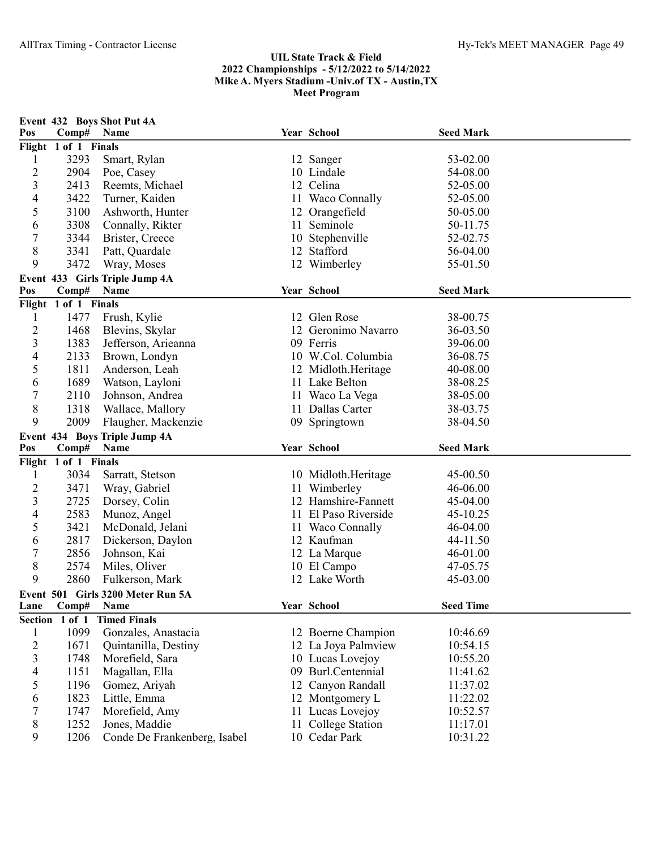| Pos            | Comp#                | Event 432 Boys Shot Put 4A<br>Name            | Year School                         | <b>Seed Mark</b>     |  |
|----------------|----------------------|-----------------------------------------------|-------------------------------------|----------------------|--|
|                | Flight 1 of 1 Finals |                                               |                                     |                      |  |
| 1              | 3293                 | Smart, Rylan                                  | 12 Sanger                           | 53-02.00             |  |
| $\overline{c}$ | 2904                 | Poe, Casey                                    | 10 Lindale                          | 54-08.00             |  |
| 3              | 2413                 | Reemts, Michael                               | 12 Celina                           | 52-05.00             |  |
| 4              | 3422                 | Turner, Kaiden                                | 11 Waco Connally                    | 52-05.00             |  |
| 5              | 3100                 | Ashworth, Hunter                              | 12 Orangefield                      | 50-05.00             |  |
| 6              | 3308                 | Connally, Rikter                              | 11 Seminole                         | 50-11.75             |  |
| 7              | 3344                 | Brister, Creece                               | 10 Stephenville                     | 52-02.75             |  |
| 8              | 3341                 | Patt, Quardale                                | 12 Stafford                         | 56-04.00             |  |
| 9              | 3472                 | Wray, Moses                                   | 12 Wimberley                        | 55-01.50             |  |
|                |                      | Event 433 Girls Triple Jump 4A                |                                     |                      |  |
| Pos            | Comp#                | Name                                          | Year School                         | <b>Seed Mark</b>     |  |
|                | Flight 1 of 1 Finals |                                               |                                     |                      |  |
| 1              | 1477                 | Frush, Kylie                                  | 12 Glen Rose                        | 38-00.75             |  |
| $\overline{c}$ | 1468                 | Blevins, Skylar                               | 12 Geronimo Navarro                 | 36-03.50             |  |
| 3              | 1383                 | Jefferson, Arieanna                           | 09 Ferris                           | 39-06.00             |  |
| 4              | 2133                 | Brown, Londyn                                 | 10 W.Col. Columbia                  | 36-08.75             |  |
| 5              | 1811                 | Anderson, Leah                                | 12 Midloth.Heritage                 | 40-08.00             |  |
| 6              | 1689                 | Watson, Layloni                               | 11 Lake Belton                      | 38-08.25             |  |
| 7              | 2110                 | Johnson, Andrea                               | 11 Waco La Vega                     | 38-05.00             |  |
| $\,$ $\,$      | 1318                 | Wallace, Mallory                              | 11 Dallas Carter                    | 38-03.75             |  |
| 9              | 2009                 | Flaugher, Mackenzie                           | 09 Springtown                       | 38-04.50             |  |
|                |                      | Event 434 Boys Triple Jump 4A                 |                                     |                      |  |
| Pos            | Comp#                | Name                                          | Year School                         | <b>Seed Mark</b>     |  |
|                | Flight 1 of 1 Finals |                                               |                                     |                      |  |
| 1              | 3034                 | Sarratt, Stetson                              | 10 Midloth.Heritage                 | 45-00.50             |  |
| $\overline{c}$ | 3471                 | Wray, Gabriel                                 | 11 Wimberley                        | 46-06.00             |  |
| 3              | 2725                 | Dorsey, Colin                                 | 12 Hamshire-Fannett                 | 45-04.00             |  |
| 4              | 2583                 | Munoz, Angel                                  | 11 El Paso Riverside                | 45-10.25             |  |
| 5              | 3421                 | McDonald, Jelani                              | 11 Waco Connally                    | 46-04.00             |  |
| 6              | 2817                 | Dickerson, Daylon                             |                                     |                      |  |
| 7              |                      |                                               | 12 Kaufman                          | 44-11.50             |  |
| 8              | 2856                 | Johnson, Kai                                  | 12 La Marque                        | 46-01.00             |  |
|                | 2574                 | Miles, Oliver                                 | 10 El Campo                         | 47-05.75             |  |
| 9              | 2860                 | Fulkerson, Mark                               | 12 Lake Worth                       | 45-03.00             |  |
|                |                      | Event 501 Girls 3200 Meter Run 5A             |                                     |                      |  |
| Lane           | Comp#                | <b>Name</b>                                   | Year School                         | <b>Seed Time</b>     |  |
|                | Section 1 of 1       | <b>Timed Finals</b>                           |                                     |                      |  |
| $\mathbf{1}$   | 1099                 | Gonzales, Anastacia                           | 12 Boerne Champion                  | 10:46.69             |  |
| $\overline{c}$ | 1671                 | Quintanilla, Destiny                          | 12 La Joya Palmview                 | 10:54.15             |  |
| 3              | 1748                 | Morefield, Sara                               | 10 Lucas Lovejoy                    | 10:55.20             |  |
| 4              | 1151                 | Magallan, Ella                                | 09 Burl.Centennial                  | 11:41.62             |  |
| 5              | 1196                 | Gomez, Ariyah                                 | 12 Canyon Randall                   | 11:37.02             |  |
| 6              | 1823                 | Little, Emma                                  | 12 Montgomery L                     | 11:22.02             |  |
| 7              | 1747                 | Morefield, Amy                                | 11 Lucas Lovejoy                    | 10:52.57             |  |
| 8<br>9         | 1252<br>1206         | Jones, Maddie<br>Conde De Frankenberg, Isabel | 11 College Station<br>10 Cedar Park | 11:17.01<br>10:31.22 |  |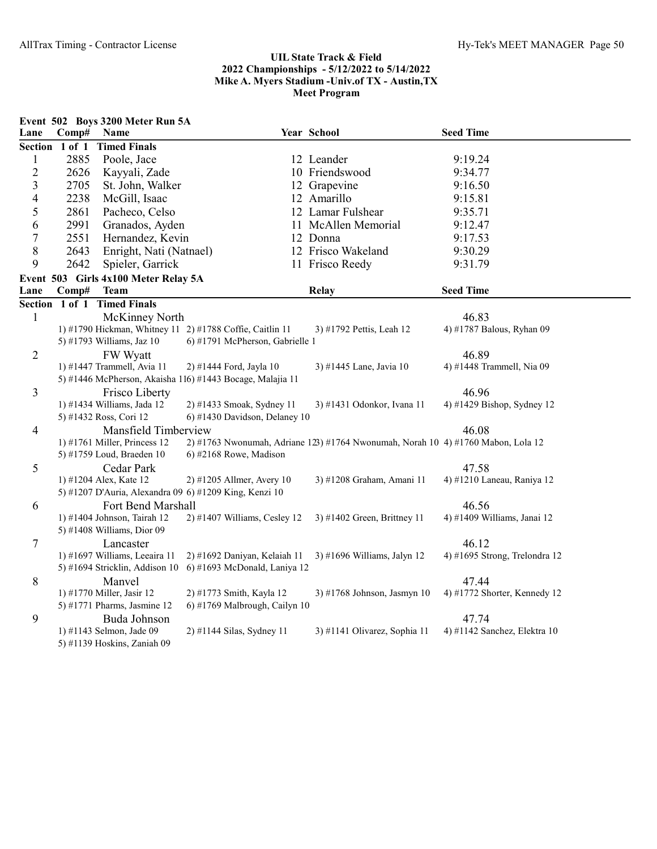|                         |                | Event 502 Boys 3200 Meter Run 5A                          |                                 |                                                                                  |                                        |
|-------------------------|----------------|-----------------------------------------------------------|---------------------------------|----------------------------------------------------------------------------------|----------------------------------------|
| Lane                    | Comp#          | Name                                                      |                                 | Year School                                                                      | <b>Seed Time</b>                       |
|                         | Section 1 of 1 | <b>Timed Finals</b>                                       |                                 |                                                                                  |                                        |
| $\mathbf{1}$            | 2885           | Poole, Jace                                               |                                 | 12 Leander                                                                       | 9:19.24                                |
| $\overline{c}$          | 2626           | Kayyali, Zade                                             |                                 | 10 Friendswood                                                                   | 9:34.77                                |
| $\overline{\mathbf{3}}$ | 2705           | St. John, Walker                                          |                                 | 12 Grapevine                                                                     | 9:16.50                                |
| $\overline{4}$          | 2238           | McGill, Isaac                                             |                                 | 12 Amarillo                                                                      | 9:15.81                                |
| 5                       | 2861           | Pacheco, Celso                                            |                                 | 12 Lamar Fulshear                                                                | 9:35.71                                |
| 6                       | 2991           | Granados, Ayden                                           |                                 | 11 McAllen Memorial                                                              | 9:12.47                                |
| $\boldsymbol{7}$        | 2551           | Hernandez, Kevin                                          |                                 | 12 Donna                                                                         | 9:17.53                                |
| 8                       | 2643           | Enright, Nati (Natnael)                                   |                                 | 12 Frisco Wakeland                                                               | 9:30.29                                |
| 9                       | 2642           | Spieler, Garrick                                          |                                 | 11 Frisco Reedy                                                                  | 9:31.79                                |
|                         |                | Event 503 Girls 4x100 Meter Relay 5A                      |                                 |                                                                                  |                                        |
| Lane                    | Comp#          | <b>Team</b>                                               |                                 | <b>Relay</b>                                                                     | <b>Seed Time</b>                       |
|                         | Section 1 of 1 | <b>Timed Finals</b>                                       |                                 |                                                                                  |                                        |
| $\mathbf{1}$            |                | McKinney North                                            |                                 |                                                                                  | 46.83                                  |
|                         |                | 1) #1790 Hickman, Whitney 11 2) #1788 Coffie, Caitlin 11  |                                 | 3) #1792 Pettis, Leah 12                                                         | 4) #1787 Balous, Ryhan 09              |
|                         |                | 5) #1793 Williams, Jaz 10                                 | 6) #1791 McPherson, Gabrielle 1 |                                                                                  |                                        |
| $\overline{2}$          |                | FW Wyatt                                                  |                                 |                                                                                  | 46.89                                  |
|                         |                | 1) #1447 Trammell, Avia 11                                | 2) #1444 Ford, Jayla 10         | 3) #1445 Lane, Javia 10                                                          | 4) #1448 Trammell, Nia 09              |
|                         |                | 5) #1446 McPherson, Akaisha 116) #1443 Bocage, Malajia 11 |                                 |                                                                                  |                                        |
| 3                       |                | Frisco Liberty                                            |                                 |                                                                                  | 46.96                                  |
|                         |                | 1) #1434 Williams, Jada 12                                | 2) #1433 Smoak, Sydney 11       | 3) #1431 Odonkor, Ivana 11                                                       | 4) #1429 Bishop, Sydney 12             |
|                         |                | 5) #1432 Ross, Cori 12                                    | 6) #1430 Davidson, Delaney 10   |                                                                                  |                                        |
| 4                       |                | Mansfield Timberview                                      |                                 |                                                                                  | 46.08                                  |
|                         |                | 1) #1761 Miller, Princess $12$                            |                                 | 2) #1763 Nwonumah, Adriane 123) #1764 Nwonumah, Norah 10 4) #1760 Mabon, Lola 12 |                                        |
|                         |                | 5) #1759 Loud, Braeden 10                                 | 6) #2168 Rowe, Madison          |                                                                                  |                                        |
| 5                       |                | Cedar Park                                                |                                 |                                                                                  | 47.58                                  |
|                         |                | 1) #1204 Alex, Kate 12                                    | $2)$ #1205 Allmer, Avery 10     | 3) #1208 Graham, Amani 11                                                        | 4) #1210 Laneau, Raniya 12             |
|                         |                | 5) #1207 D'Auria, Alexandra 09 6) #1209 King, Kenzi 10    |                                 |                                                                                  |                                        |
| 6                       |                | Fort Bend Marshall                                        |                                 |                                                                                  | 46.56                                  |
|                         |                | 1) #1404 Johnson, Tairah 12<br>5) #1408 Williams, Dior 09 | 2) #1407 Williams, Cesley 12    | 3) #1402 Green, Brittney 11                                                      | 4) #1409 Williams, Janai 12            |
|                         |                |                                                           |                                 |                                                                                  |                                        |
| 7                       |                | Lancaster<br>1) #1697 Williams, Leeaira 11                | 2) #1692 Daniyan, Kelaiah 11    | 3) #1696 Williams, Jalyn 12                                                      | 46.12<br>4) #1695 Strong, Trelondra 12 |
|                         |                | 5) #1694 Stricklin, Addison 10                            | 6) #1693 McDonald, Laniya 12    |                                                                                  |                                        |
| 8                       |                | Manvel                                                    |                                 |                                                                                  | 47.44                                  |
|                         |                | 1) #1770 Miller, Jasir 12                                 | 2) #1773 Smith, Kayla 12        | 3) #1768 Johnson, Jasmyn 10                                                      | 4) #1772 Shorter, Kennedy 12           |
|                         |                | 5) #1771 Pharms, Jasmine 12                               | 6) #1769 Malbrough, Cailyn 10   |                                                                                  |                                        |
| 9                       |                | Buda Johnson                                              |                                 |                                                                                  | 47.74                                  |
|                         |                | 1) #1143 Selmon, Jade 09                                  | 2) #1144 Silas, Sydney 11       | 3) #1141 Olivarez, Sophia 11                                                     | 4) #1142 Sanchez, Elektra 10           |
|                         |                | 5) #1139 Hoskins, Zaniah 09                               |                                 |                                                                                  |                                        |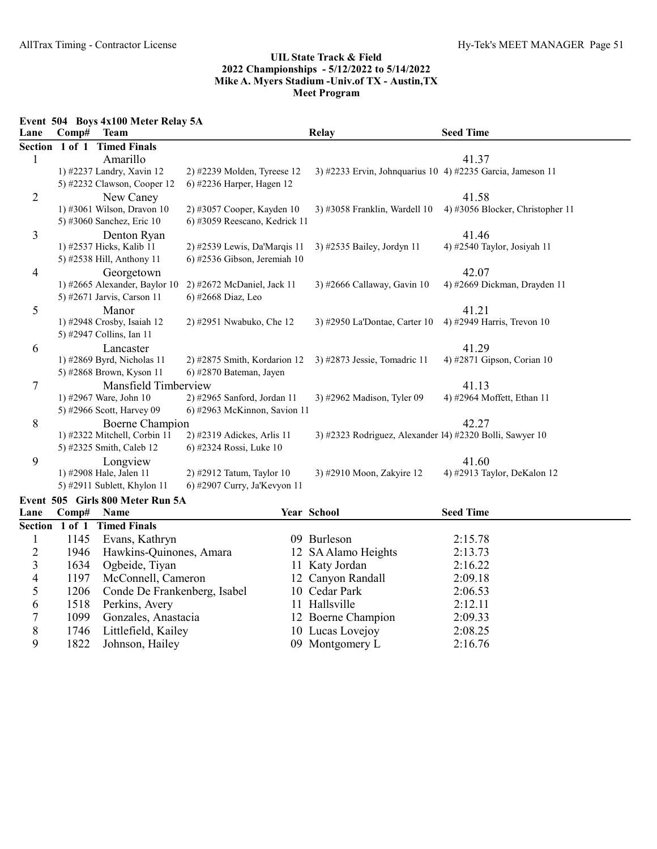Event 504 Boys 4x100 Meter Relay 5A

| Lane           | Comp#          | <b>Team</b>                      |                               | <b>Relay</b>                                               | <b>Seed Time</b>                 |
|----------------|----------------|----------------------------------|-------------------------------|------------------------------------------------------------|----------------------------------|
|                | Section 1 of 1 | <b>Timed Finals</b>              |                               |                                                            |                                  |
| 1              |                | Amarillo                         |                               |                                                            | 41.37                            |
|                |                | 1) #2237 Landry, Xavin 12        | 2) #2239 Molden, Tyreese 12   | 3) #2233 Ervin, Johnquarius 10 4) #2235 Garcia, Jameson 11 |                                  |
|                |                | 5) #2232 Clawson, Cooper 12      | 6) #2236 Harper, Hagen 12     |                                                            |                                  |
| 2              |                | New Caney                        |                               |                                                            | 41.58                            |
|                |                | 1) #3061 Wilson, Dravon 10       | 2) #3057 Cooper, Kayden 10    | 3) #3058 Franklin, Wardell 10                              | 4) #3056 Blocker, Christopher 11 |
|                |                | 5) #3060 Sanchez, Eric 10        | 6) #3059 Reescano, Kedrick 11 |                                                            |                                  |
| 3              |                | Denton Ryan                      |                               |                                                            | 41.46                            |
|                |                | 1) #2537 Hicks, Kalib 11         | 2) #2539 Lewis, Da'Marqis 11  | 3) #2535 Bailey, Jordyn 11                                 | 4) #2540 Taylor, Josiyah 11      |
|                |                | 5) #2538 Hill, Anthony 11        | 6) #2536 Gibson, Jeremiah 10  |                                                            |                                  |
| 4              |                | Georgetown                       |                               |                                                            | 42.07                            |
|                |                | 1) #2665 Alexander, Baylor 10    | 2) #2672 McDaniel, Jack 11    | 3) #2666 Callaway, Gavin 10                                | 4) #2669 Dickman, Drayden 11     |
|                |                | 5) #2671 Jarvis, Carson 11       | 6) #2668 Diaz, Leo            |                                                            |                                  |
| 5              |                | Manor                            |                               |                                                            | 41.21                            |
|                |                | 1) #2948 Crosby, Isaiah 12       | 2) #2951 Nwabuko, Che 12      | 3) #2950 La'Dontae, Carter 10                              | 4) #2949 Harris, Trevon 10       |
|                |                | 5) #2947 Collins, Ian 11         |                               |                                                            |                                  |
| 6              |                | Lancaster                        |                               |                                                            | 41.29                            |
|                |                | 1) #2869 Byrd, Nicholas 11       | 2) #2875 Smith, Kordarion 12  | 3) #2873 Jessie, Tomadric 11                               | 4) #2871 Gipson, Corian 10       |
|                |                | 5) #2868 Brown, Kyson 11         | 6) #2870 Bateman, Jayen       |                                                            |                                  |
| 7              |                | Mansfield Timberview             |                               |                                                            | 41.13                            |
|                |                | 1) #2967 Ware, John 10           | 2) #2965 Sanford, Jordan 11   | 3) #2962 Madison, Tyler 09                                 | 4) #2964 Moffett, Ethan 11       |
|                |                | 5) #2966 Scott, Harvey 09        | 6) #2963 McKinnon, Savion 11  |                                                            |                                  |
| 8              |                | Boerne Champion                  |                               |                                                            | 42.27                            |
|                |                | 1) #2322 Mitchell, Corbin 11     | 2) #2319 Adickes, Arlis 11    | 3) #2323 Rodriguez, Alexander 14) #2320 Bolli, Sawyer 10   |                                  |
|                |                | 5) #2325 Smith, Caleb 12         | 6) #2324 Rossi, Luke 10       |                                                            |                                  |
| 9              |                | Longview                         |                               |                                                            | 41.60                            |
|                |                | 1) #2908 Hale, Jalen 11          | 2) #2912 Tatum, Taylor 10     | 3) #2910 Moon, Zakyire 12                                  | 4) #2913 Taylor, DeKalon 12      |
|                |                | 5) #2911 Sublett, Khylon 11      | 6) #2907 Curry, Ja'Kevyon 11  |                                                            |                                  |
|                |                | Event 505 Girls 800 Meter Run 5A |                               |                                                            |                                  |
| Lane           | Comp#          | Name                             |                               | Year School                                                | <b>Seed Time</b>                 |
|                |                | Section 1 of 1 Timed Finals      |                               |                                                            |                                  |
| 1              | 1145           | Evans, Kathryn                   |                               | 09 Burleson                                                | 2:15.78                          |
| $\overline{c}$ | 1946           | Hawkins-Quinones, Amara          |                               | 12 SA Alamo Heights                                        | 2:13.73                          |
| 3              | 1634           | Ogbeide, Tiyan                   |                               | 11 Katy Jordan                                             | 2:16.22                          |
| 4              | 1197           | McConnell, Cameron               |                               | 12 Canyon Randall                                          | 2:09.18                          |
| 5              | 1206           | Conde De Frankenberg, Isabel     |                               | 10 Cedar Park                                              | 2:06.53                          |

5 1206 Conde De Frankenberg, Isabel 10 Cedar Park 6 1518 Perkins, Avery 11 Hallsville

1822 Johnson, Hailey

1518 Perkins, Avery 11 Hallsville 2:12.11

7 1099 Gonzales, Anastacia 12 Boerne Champion 2:09.33 8 1746 Littlefield, Kailey 10 Lucas Lovejoy 2:08.25<br>
9 1822 Johnson, Hailey 09 Montgomery L 2:16.76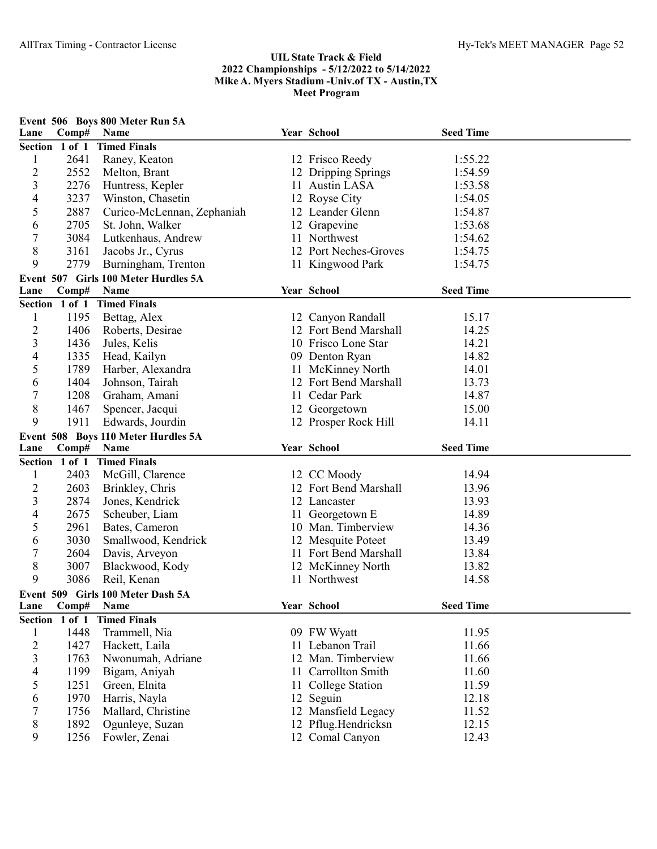| Lane                    | Comp#          | Event 506 Boys 800 Meter Run 5A<br>Name | Year School                            | <b>Seed Time</b> |  |
|-------------------------|----------------|-----------------------------------------|----------------------------------------|------------------|--|
|                         | Section 1 of 1 | <b>Timed Finals</b>                     |                                        |                  |  |
| $\mathbf{1}$            | 2641           | Raney, Keaton                           | 12 Frisco Reedy                        | 1:55.22          |  |
| $\overline{c}$          | 2552           | Melton, Brant                           | 12 Dripping Springs                    | 1:54.59          |  |
| 3                       | 2276           | Huntress, Kepler                        | 11 Austin LASA                         | 1:53.58          |  |
| 4                       | 3237           | Winston, Chasetin                       | 12 Royse City                          | 1:54.05          |  |
| 5                       | 2887           | Curico-McLennan, Zephaniah              | 12 Leander Glenn                       | 1:54.87          |  |
| 6                       | 2705           | St. John, Walker                        | 12 Grapevine                           | 1:53.68          |  |
| 7                       | 3084           | Lutkenhaus, Andrew                      | 11 Northwest                           | 1:54.62          |  |
| 8                       | 3161           | Jacobs Jr., Cyrus                       | 12 Port Neches-Groves                  | 1:54.75          |  |
| 9                       | 2779           | Burningham, Trenton                     | 11 Kingwood Park                       | 1:54.75          |  |
|                         |                | Event 507 Girls 100 Meter Hurdles 5A    |                                        |                  |  |
| Lane                    | Comp#          | Name                                    | Year School                            | <b>Seed Time</b> |  |
|                         | Section 1 of 1 | <b>Timed Finals</b>                     |                                        |                  |  |
| $\mathbf{1}$            | 1195           | Bettag, Alex                            | 12 Canyon Randall                      | 15.17            |  |
| $\overline{c}$          | 1406           | Roberts, Desirae                        | 12 Fort Bend Marshall                  | 14.25            |  |
| 3                       | 1436           |                                         | 10 Frisco Lone Star                    | 14.21            |  |
| 4                       | 1335           | Jules, Kelis<br>Head, Kailyn            |                                        | 14.82            |  |
| 5                       | 1789           |                                         | 09 Denton Ryan                         | 14.01            |  |
|                         |                | Harber, Alexandra                       | 11 McKinney North                      |                  |  |
| 6                       | 1404           | Johnson, Tairah                         | 12 Fort Bend Marshall                  | 13.73            |  |
| 7                       | 1208           | Graham, Amani                           | 11 Cedar Park                          | 14.87            |  |
| 8                       | 1467           | Spencer, Jacqui                         | 12 Georgetown                          | 15.00            |  |
| 9                       | 1911           | Edwards, Jourdin                        | 12 Prosper Rock Hill                   | 14.11            |  |
|                         |                | Event 508 Boys 110 Meter Hurdles 5A     |                                        |                  |  |
| Lane                    | Comp#          | Name                                    | Year School                            | <b>Seed Time</b> |  |
|                         | Section 1 of 1 | <b>Timed Finals</b>                     |                                        |                  |  |
| 1                       | 2403           | McGill, Clarence                        | 12 CC Moody                            | 14.94            |  |
| 2                       | 2603           | Brinkley, Chris                         | 12 Fort Bend Marshall                  | 13.96            |  |
| 3                       | 2874           | Jones, Kendrick                         | 12 Lancaster                           | 13.93            |  |
| 4                       | 2675           | Scheuber, Liam                          | 11 Georgetown E                        | 14.89            |  |
| 5                       | 2961           | Bates, Cameron                          | 10 Man. Timberview                     | 14.36            |  |
| 6                       | 3030           | Smallwood, Kendrick                     | 12 Mesquite Poteet                     | 13.49            |  |
| 7                       | 2604           | Davis, Arveyon                          | 11 Fort Bend Marshall                  | 13.84            |  |
| 8                       | 3007           | Blackwood, Kody                         | 12 McKinney North                      | 13.82            |  |
| 9                       | 3086           | Reil, Kenan                             | 11 Northwest                           | 14.58            |  |
|                         |                | Event 509 Girls 100 Meter Dash 5A       |                                        |                  |  |
| Lane                    | Comp#          | Name                                    | Year School                            | <b>Seed Time</b> |  |
|                         | Section 1 of 1 | <b>Timed Finals</b>                     |                                        |                  |  |
| $\mathbf{1}$            | 1448           | Trammell, Nia                           | 09 FW Wyatt                            | 11.95            |  |
| $\overline{c}$          | 1427           | Hackett, Laila                          | 11 Lebanon Trail                       | 11.66            |  |
| $\overline{\mathbf{3}}$ | 1763           | Nwonumah, Adriane                       | 12 Man. Timberview                     | 11.66            |  |
| 4                       | 1199           | Bigam, Aniyah                           | 11 Carrollton Smith                    | 11.60            |  |
| 5                       | 1251           | Green, Elnita                           | 11 College Station                     | 11.59            |  |
| 6                       | 1970           | Harris, Nayla                           | 12 Seguin                              | 12.18            |  |
| 7                       | 1756           | Mallard, Christine                      | 12 Mansfield Legacy                    | 11.52            |  |
| 8                       |                |                                         |                                        |                  |  |
| 9                       | 1892<br>1256   | Ogunleye, Suzan<br>Fowler, Zenai        | 12 Pflug.Hendricksn<br>12 Comal Canyon | 12.15<br>12.43   |  |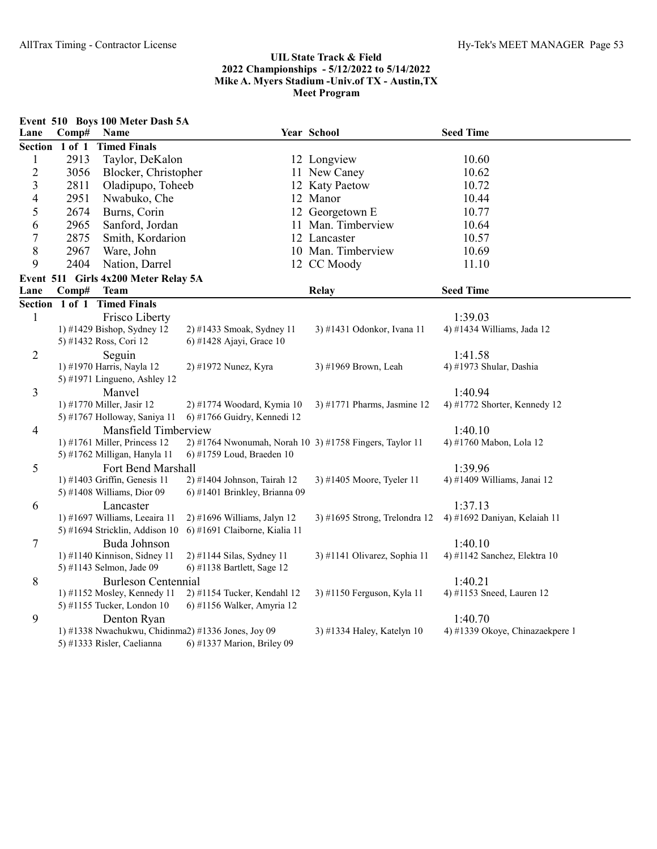|                         |                | Event 510 Boys 100 Meter Dash 5A                          |                                                         |                                                         |                                      |
|-------------------------|----------------|-----------------------------------------------------------|---------------------------------------------------------|---------------------------------------------------------|--------------------------------------|
| Lane                    | Comp#          | Name                                                      |                                                         | Year School                                             | <b>Seed Time</b>                     |
|                         | Section 1 of 1 | <b>Timed Finals</b>                                       |                                                         |                                                         |                                      |
| $\mathbf{1}$            | 2913           | Taylor, DeKalon                                           |                                                         | 12 Longview                                             | 10.60                                |
| $\overline{c}$          | 3056           | Blocker, Christopher                                      |                                                         | 11 New Caney                                            | 10.62                                |
| $\overline{\mathbf{3}}$ | 2811           | Oladipupo, Toheeb                                         |                                                         | 12 Katy Paetow                                          | 10.72                                |
| $\overline{4}$          | 2951           | Nwabuko, Che                                              |                                                         | 12 Manor                                                | 10.44                                |
| 5                       | 2674           | Burns, Corin                                              |                                                         | 12 Georgetown E                                         | 10.77                                |
| 6                       | 2965           | Sanford, Jordan                                           |                                                         | 11 Man. Timberview                                      | 10.64                                |
| $\boldsymbol{7}$        | 2875           | Smith, Kordarion                                          |                                                         | 12 Lancaster                                            | 10.57                                |
| 8                       | 2967           | Ware, John                                                |                                                         | 10 Man. Timberview                                      | 10.69                                |
| 9                       | 2404           | Nation, Darrel                                            |                                                         | 12 CC Moody                                             | 11.10                                |
|                         |                | Event 511 Girls 4x200 Meter Relay 5A                      |                                                         |                                                         |                                      |
| Lane                    | Comp#          | <b>Team</b>                                               |                                                         | Relay                                                   | <b>Seed Time</b>                     |
|                         |                | Section 1 of 1 Timed Finals                               |                                                         |                                                         |                                      |
| $\mathbf{1}$            |                | Frisco Liberty                                            |                                                         |                                                         | 1:39.03                              |
|                         |                | 1) #1429 Bishop, Sydney 12                                | 2) #1433 Smoak, Sydney 11                               | 3) #1431 Odonkor, Ivana 11                              | 4) #1434 Williams, Jada 12           |
|                         |                | 5) #1432 Ross, Cori 12                                    | 6) #1428 Ajayi, Grace 10                                |                                                         |                                      |
| 2                       |                | Seguin                                                    |                                                         |                                                         | 1:41.58                              |
|                         |                | 1) #1970 Harris, Nayla 12                                 | 2) #1972 Nunez, Kyra                                    | 3) #1969 Brown, Leah                                    | 4) #1973 Shular, Dashia              |
|                         |                | 5) #1971 Lingueno, Ashley 12                              |                                                         |                                                         |                                      |
| 3                       |                | Manvel                                                    |                                                         |                                                         | 1:40.94                              |
|                         |                | 1) #1770 Miller, Jasir 12                                 | 2) #1774 Woodard, Kymia 10                              | 3) #1771 Pharms, Jasmine 12                             | 4) #1772 Shorter, Kennedy 12         |
|                         |                | 5) #1767 Holloway, Saniya 11                              | 6) #1766 Guidry, Kennedi 12                             |                                                         |                                      |
| 4                       |                | Mansfield Timberview                                      |                                                         |                                                         | 1:40.10                              |
|                         |                | 1) #1761 Miller, Princess 12                              |                                                         | 2) #1764 Nwonumah, Norah 10 3) #1758 Fingers, Taylor 11 | 4) #1760 Mabon, Lola 12              |
|                         |                | 5) #1762 Milligan, Hanyla 11                              | 6) #1759 Loud, Braeden 10                               |                                                         |                                      |
| 5                       |                | Fort Bend Marshall                                        |                                                         |                                                         | 1:39.96                              |
|                         |                | 1) #1403 Griffin, Genesis 11                              | 2) #1404 Johnson, Tairah 12                             | 3) #1405 Moore, Tyeler 11                               | 4) #1409 Williams, Janai 12          |
|                         |                | 5) #1408 Williams, Dior 09                                | 6) #1401 Brinkley, Brianna 09                           |                                                         |                                      |
| 6                       |                | Lancaster                                                 |                                                         |                                                         | 1:37.13                              |
|                         |                | 1) #1697 Williams, Leeaira 11                             | 2) #1696 Williams, Jalyn 12                             | 3) #1695 Strong, Trelondra 12                           | 4) #1692 Daniyan, Kelaiah 11         |
|                         |                | 5) #1694 Stricklin, Addison 10                            | 6) #1691 Claiborne, Kialia 11                           |                                                         |                                      |
| 7                       |                | Buda Johnson                                              |                                                         |                                                         | 1:40.10                              |
|                         |                | 1) #1140 Kinnison, Sidney 11<br>5) #1143 Selmon, Jade 09  | 2) #1144 Silas, Sydney 11<br>6) #1138 Bartlett, Sage 12 | 3) #1141 Olivarez, Sophia 11                            | 4) #1142 Sanchez, Elektra 10         |
|                         |                |                                                           |                                                         |                                                         |                                      |
| 8                       |                | <b>Burleson Centennial</b><br>1) #1152 Mosley, Kennedy 11 | 2) #1154 Tucker, Kendahl 12                             | 3) #1150 Ferguson, Kyla 11                              | 1:40.21<br>4) #1153 Sneed, Lauren 12 |
|                         |                | 5) #1155 Tucker, London 10                                | 6) #1156 Walker, Amyria 12                              |                                                         |                                      |
| 9                       |                |                                                           |                                                         |                                                         | 1:40.70                              |
|                         |                | Denton Ryan                                               | 1) #1338 Nwachukwu, Chidinma2) #1336 Jones, Joy 09      | 3) #1334 Haley, Katelyn 10                              | 4) #1339 Okoye, Chinazaekpere 1      |
|                         |                | 5) #1333 Risler, Caelianna                                | 6) #1337 Marion, Briley 09                              |                                                         |                                      |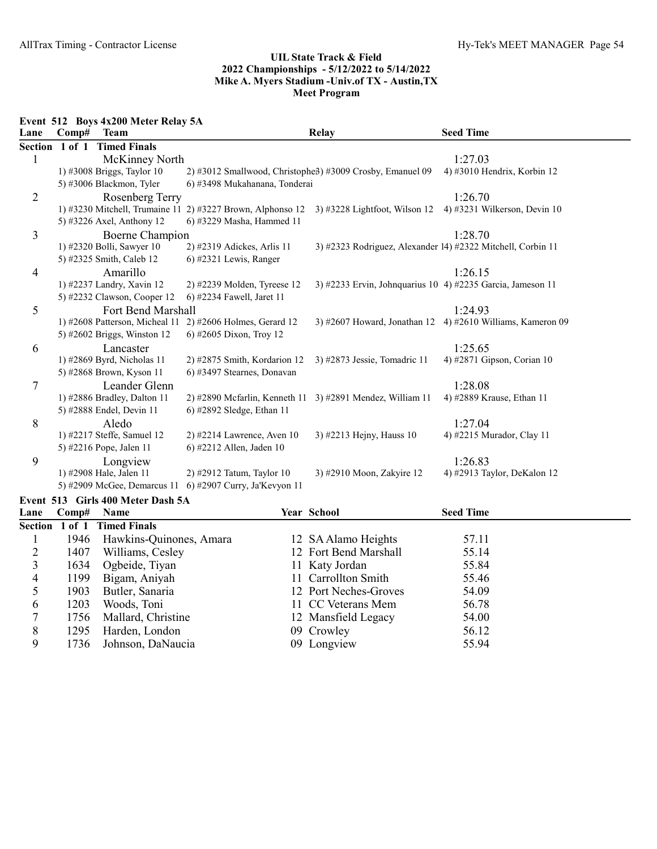Event 512 Boys 4x200 Meter Relay 5A

| Lane           | Comp#          | <b>Team</b>                       |                                                                        | <b>Relay</b>                                                | <b>Seed Time</b>               |
|----------------|----------------|-----------------------------------|------------------------------------------------------------------------|-------------------------------------------------------------|--------------------------------|
|                | Section 1 of 1 | <b>Timed Finals</b>               |                                                                        |                                                             |                                |
|                |                | McKinney North                    |                                                                        |                                                             | 1:27.03                        |
|                |                | $1)$ #3008 Briggs, Taylor 10      | 2) #3012 Smallwood, Christophe <sub>3</sub> ) #3009 Crosby, Emanuel 09 |                                                             | 4) #3010 Hendrix, Korbin 12    |
|                |                | 5) #3006 Blackmon, Tyler          | 6) #3498 Mukahanana, Tonderai                                          |                                                             |                                |
| $\overline{2}$ |                | Rosenberg Terry                   |                                                                        |                                                             | 1:26.70                        |
|                |                |                                   | 1) #3230 Mitchell, Trumaine 11 2) #3227 Brown, Alphonso 12             | $3)$ #3228 Lightfoot, Wilson 12                             | 4) #3231 Wilkerson, Devin $10$ |
|                |                | 5) #3226 Axel, Anthony 12         | 6) #3229 Masha, Hammed 11                                              |                                                             |                                |
| 3              |                | Boerne Champion                   |                                                                        |                                                             | 1:28.70                        |
|                |                | 1) #2320 Bolli, Sawyer 10         | 2) #2319 Adickes, Arlis 11                                             | 3) #2323 Rodriguez, Alexander 14) #2322 Mitchell, Corbin 11 |                                |
|                |                | 5) #2325 Smith, Caleb 12          | $(6)$ #2321 Lewis, Ranger                                              |                                                             |                                |
| $\overline{4}$ |                | Amarillo                          |                                                                        |                                                             | 1:26.15                        |
|                |                | 1) #2237 Landry, Xavin 12         | 2) #2239 Molden, Tyreese 12                                            | 3) #2233 Ervin, Johnquarius 10 4) #2235 Garcia, Jameson 11  |                                |
|                |                | 5) #2232 Clawson, Cooper 12       | 6) #2234 Fawell, Jaret 11                                              |                                                             |                                |
| 5              |                | Fort Bend Marshall                |                                                                        |                                                             | 1:24.93                        |
|                |                | 1) #2608 Patterson, Micheal 11    | $2)$ #2606 Holmes, Gerard 12                                           | $3)$ #2607 Howard, Jonathan 12                              | 4) #2610 Williams, Kameron 09  |
|                |                | 5) #2602 Briggs, Winston $12$     | 6) #2605 Dixon, Troy 12                                                |                                                             |                                |
| 6              |                | Lancaster                         |                                                                        |                                                             | 1:25.65                        |
|                |                | 1) #2869 Byrd, Nicholas 11        | $2)$ #2875 Smith, Kordarion 12                                         | 3) #2873 Jessie, Tomadric 11                                | 4) #2871 Gipson, Corian 10     |
|                |                | 5) #2868 Brown, Kyson 11          | 6) #3497 Stearnes, Donavan                                             |                                                             |                                |
| 7              |                | Leander Glenn                     |                                                                        |                                                             | 1:28.08                        |
|                |                | 1) #2886 Bradley, Dalton 11       | 2) #2890 Mcfarlin, Kenneth 11 3) #2891 Mendez, William 11              |                                                             | 4) #2889 Krause, Ethan 11      |
|                |                | 5) #2888 Endel, Devin 11          | 6) #2892 Sledge, Ethan 11                                              |                                                             |                                |
| 8              |                | Aledo                             |                                                                        |                                                             | 1:27.04                        |
|                |                | 1) #2217 Steffe, Samuel 12        | $2)$ #2214 Lawrence, Aven 10                                           | 3) #2213 Hejny, Hauss 10                                    | 4) #2215 Murador, Clay 11      |
|                |                | 5) #2216 Pope, Jalen 11           | 6) #2212 Allen, Jaden 10                                               |                                                             |                                |
| 9              |                | Longview                          |                                                                        |                                                             | 1:26.83                        |
|                |                | 1) #2908 Hale, Jalen 11           | 2) #2912 Tatum, Taylor 10                                              | 3) #2910 Moon, Zakyire 12                                   | 4) #2913 Taylor, DeKalon 12    |
|                |                |                                   | 5) #2909 McGee, Demarcus 11 6) #2907 Curry, Ja'Kevyon 11               |                                                             |                                |
|                |                | Event 513 Girls 400 Meter Dash 5A |                                                                        |                                                             |                                |

| Lane          | $\bf Comp#$ | <b>Name</b>                 | <b>Year School</b>    | <b>Seed Time</b> |  |
|---------------|-------------|-----------------------------|-----------------------|------------------|--|
|               |             | Section 1 of 1 Timed Finals |                       |                  |  |
|               | 1946        | Hawkins-Quinones, Amara     | 12 SA Alamo Heights   | 57.11            |  |
|               | 1407        | Williams, Cesley            | 12 Fort Bend Marshall | 55.14            |  |
|               | 1634        | Ogbeide, Tiyan              | 11 Katy Jordan        | 55.84            |  |
| 4             | 1199        | Bigam, Aniyah               | 11 Carrollton Smith   | 55.46            |  |
|               | 1903        | Butler, Sanaria             | 12 Port Neches-Groves | 54.09            |  |
| $\mathfrak b$ | 1203        | Woods, Toni                 | 11 CC Veterans Mem    | 56.78            |  |
|               | 1756        | Mallard, Christine          | 12 Mansfield Legacy   | 54.00            |  |
| 8             | 1295        | Harden, London              | 09 Crowley            | 56.12            |  |
| 9             | 1736        | Johnson, DaNaucia           | 09 Longview           | 55.94            |  |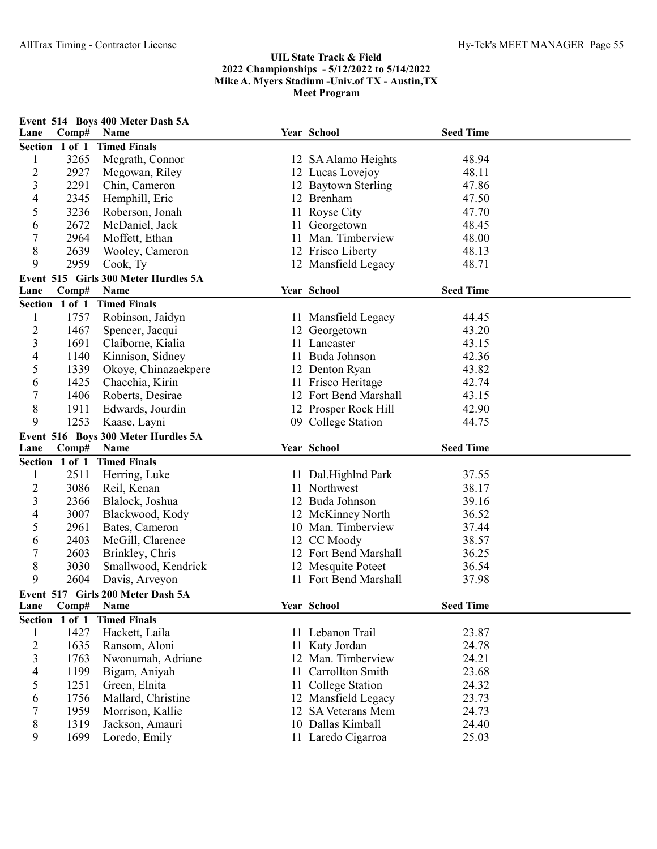|                         |                         | Event 514 Boys 400 Meter Dash 5A     | Year School           | <b>Seed Time</b> |  |
|-------------------------|-------------------------|--------------------------------------|-----------------------|------------------|--|
| Lane                    | Comp#<br>Section 1 of 1 | Name<br><b>Timed Finals</b>          |                       |                  |  |
| $\mathbf{l}$            | 3265                    | Megrath, Connor                      | 12 SA Alamo Heights   | 48.94            |  |
| $\overline{c}$          | 2927                    | Mcgowan, Riley                       | 12 Lucas Lovejoy      | 48.11            |  |
| 3                       | 2291                    | Chin, Cameron                        | 12 Baytown Sterling   | 47.86            |  |
| 4                       | 2345                    | Hemphill, Eric                       | 12 Brenham            | 47.50            |  |
| 5                       | 3236                    | Roberson, Jonah                      | 11 Royse City         | 47.70            |  |
| 6                       | 2672                    | McDaniel, Jack                       | 11 Georgetown         | 48.45            |  |
| 7                       | 2964                    | Moffett, Ethan                       | 11 Man. Timberview    | 48.00            |  |
| 8                       | 2639                    | Wooley, Cameron                      | 12 Frisco Liberty     | 48.13            |  |
| 9                       | 2959                    | Cook, Ty                             | 12 Mansfield Legacy   | 48.71            |  |
|                         |                         | Event 515 Girls 300 Meter Hurdles 5A |                       |                  |  |
| Lane                    | Comp#                   | Name                                 | Year School           | <b>Seed Time</b> |  |
|                         | Section 1 of 1          | <b>Timed Finals</b>                  |                       |                  |  |
| $\mathbf{1}$            | 1757                    | Robinson, Jaidyn                     | 11 Mansfield Legacy   | 44.45            |  |
| 2                       | 1467                    | Spencer, Jacqui                      | 12 Georgetown         | 43.20            |  |
| $\mathfrak{Z}$          | 1691                    | Claiborne, Kialia                    | 11 Lancaster          | 43.15            |  |
| 4                       | 1140                    | Kinnison, Sidney                     | 11 Buda Johnson       | 42.36            |  |
| 5                       | 1339                    | Okoye, Chinazaekpere                 | 12 Denton Ryan        | 43.82            |  |
| 6                       | 1425                    | Chacchia, Kirin                      | 11 Frisco Heritage    | 42.74            |  |
| 7                       | 1406                    | Roberts, Desirae                     | 12 Fort Bend Marshall | 43.15            |  |
| 8                       | 1911                    | Edwards, Jourdin                     | 12 Prosper Rock Hill  | 42.90            |  |
| 9                       | 1253                    | Kaase, Layni                         | 09 College Station    | 44.75            |  |
|                         |                         | Event 516 Boys 300 Meter Hurdles 5A  |                       |                  |  |
| Lane                    | Comp#                   | Name                                 | Year School           | <b>Seed Time</b> |  |
|                         | Section 1 of 1          | <b>Timed Finals</b>                  |                       |                  |  |
| 1                       | 2511                    | Herring, Luke                        | 11 Dal.Highlnd Park   | 37.55            |  |
| 2                       | 3086                    | Reil, Kenan                          | 11 Northwest          | 38.17            |  |
| 3                       | 2366                    | Blalock, Joshua                      | 12 Buda Johnson       | 39.16            |  |
| 4                       | 3007                    | Blackwood, Kody                      | 12 McKinney North     | 36.52            |  |
| 5                       | 2961                    | Bates, Cameron                       | 10 Man. Timberview    | 37.44            |  |
| 6                       | 2403                    | McGill, Clarence                     | 12 CC Moody           | 38.57            |  |
| 7                       | 2603                    | Brinkley, Chris                      | 12 Fort Bend Marshall | 36.25            |  |
| 8                       | 3030                    | Smallwood, Kendrick                  | 12 Mesquite Poteet    | 36.54            |  |
| 9                       | 2604                    | Davis, Arveyon                       | 11 Fort Bend Marshall | 37.98            |  |
|                         |                         | Event 517 Girls 200 Meter Dash 5A    |                       |                  |  |
| Lane                    | Comp#                   | Name                                 | Year School           | <b>Seed Time</b> |  |
|                         | Section 1 of 1          | <b>Timed Finals</b>                  |                       |                  |  |
| $\mathbf{1}$            | 1427                    | Hackett, Laila                       | 11 Lebanon Trail      | 23.87            |  |
| $\overline{c}$          | 1635                    | Ransom, Aloni                        | 11 Katy Jordan        | 24.78            |  |
| $\overline{\mathbf{3}}$ | 1763                    | Nwonumah, Adriane                    | 12 Man. Timberview    | 24.21            |  |
| 4                       | 1199                    | Bigam, Aniyah                        | 11 Carrollton Smith   | 23.68            |  |
| 5                       | 1251                    | Green, Elnita                        | 11 College Station    | 24.32            |  |
| 6                       | 1756                    | Mallard, Christine                   | 12 Mansfield Legacy   | 23.73            |  |
| 7                       | 1959                    | Morrison, Kallie                     | 12 SA Veterans Mem    | 24.73            |  |
| 8                       | 1319                    | Jackson, Amauri                      | 10 Dallas Kimball     | 24.40            |  |
| 9                       | 1699                    | Loredo, Emily                        | 11 Laredo Cigarroa    | 25.03            |  |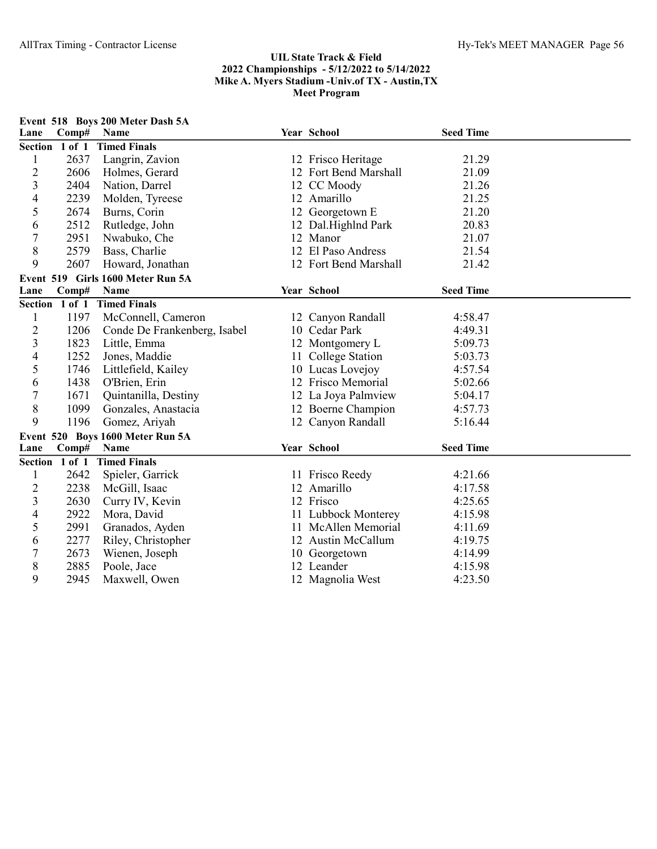|                | Event 518 Boys 200 Meter Dash 5A |                                   |  |                       |                  |  |  |  |
|----------------|----------------------------------|-----------------------------------|--|-----------------------|------------------|--|--|--|
| Lane           | Comp#                            | Name                              |  | Year School           | <b>Seed Time</b> |  |  |  |
|                | Section 1 of 1                   | <b>Timed Finals</b>               |  |                       |                  |  |  |  |
| $\mathbf{1}$   | 2637                             | Langrin, Zavion                   |  | 12 Frisco Heritage    | 21.29            |  |  |  |
| $\overline{c}$ | 2606                             | Holmes, Gerard                    |  | 12 Fort Bend Marshall | 21.09            |  |  |  |
| 3              | 2404                             | Nation, Darrel                    |  | 12 CC Moody           | 21.26            |  |  |  |
| 4              | 2239                             | Molden, Tyreese                   |  | 12 Amarillo           | 21.25            |  |  |  |
| 5              | 2674                             | Burns, Corin                      |  | 12 Georgetown E       | 21.20            |  |  |  |
| 6              | 2512                             | Rutledge, John                    |  | 12 Dal.Highlnd Park   | 20.83            |  |  |  |
| 7              | 2951                             | Nwabuko, Che                      |  | 12 Manor              | 21.07            |  |  |  |
| 8              | 2579                             | Bass, Charlie                     |  | 12 El Paso Andress    | 21.54            |  |  |  |
| 9              | 2607                             | Howard, Jonathan                  |  | 12 Fort Bend Marshall | 21.42            |  |  |  |
|                |                                  | Event 519 Girls 1600 Meter Run 5A |  |                       |                  |  |  |  |
| Lane           | Comp#                            | Name                              |  | Year School           | <b>Seed Time</b> |  |  |  |
|                |                                  | Section 1 of 1 Timed Finals       |  |                       |                  |  |  |  |
| $\mathbf{1}$   | 1197                             | McConnell, Cameron                |  | 12 Canyon Randall     | 4:58.47          |  |  |  |
| 2              | 1206                             | Conde De Frankenberg, Isabel      |  | 10 Cedar Park         | 4:49.31          |  |  |  |
| 3              | 1823                             | Little, Emma                      |  | 12 Montgomery L       | 5:09.73          |  |  |  |
| 4              | 1252                             | Jones, Maddie                     |  | 11 College Station    | 5:03.73          |  |  |  |
| 5              | 1746                             | Littlefield, Kailey               |  | 10 Lucas Lovejoy      | 4:57.54          |  |  |  |
| 6              | 1438                             | O'Brien, Erin                     |  | 12 Frisco Memorial    | 5:02.66          |  |  |  |
| 7              | 1671                             | Quintanilla, Destiny              |  | 12 La Joya Palmview   | 5:04.17          |  |  |  |
| 8              | 1099                             | Gonzales, Anastacia               |  | 12 Boerne Champion    | 4:57.73          |  |  |  |
| 9              | 1196                             | Gomez, Ariyah                     |  | 12 Canyon Randall     | 5:16.44          |  |  |  |
|                |                                  | Event 520 Boys 1600 Meter Run 5A  |  |                       |                  |  |  |  |
| Lane           | Comp#                            | <b>Name</b>                       |  | Year School           | <b>Seed Time</b> |  |  |  |
|                | Section 1 of 1                   | <b>Timed Finals</b>               |  |                       |                  |  |  |  |
| $\mathbf{1}$   | 2642                             | Spieler, Garrick                  |  | 11 Frisco Reedy       | 4:21.66          |  |  |  |
| $\overline{c}$ | 2238                             | McGill, Isaac                     |  | 12 Amarillo           | 4:17.58          |  |  |  |
| 3              | 2630                             | Curry IV, Kevin                   |  | 12 Frisco             | 4:25.65          |  |  |  |
| 4              | 2922                             | Mora, David                       |  | 11 Lubbock Monterey   | 4:15.98          |  |  |  |
| 5              | 2991                             | Granados, Ayden                   |  | 11 McAllen Memorial   | 4:11.69          |  |  |  |
| 6              | 2277                             | Riley, Christopher                |  | 12 Austin McCallum    | 4:19.75          |  |  |  |
| 7              | 2673                             | Wienen, Joseph                    |  | 10 Georgetown         | 4:14.99          |  |  |  |
| 8              | 2885                             | Poole, Jace                       |  | 12 Leander            | 4:15.98          |  |  |  |
| 9              | 2945                             | Maxwell, Owen                     |  | 12 Magnolia West      | 4:23.50          |  |  |  |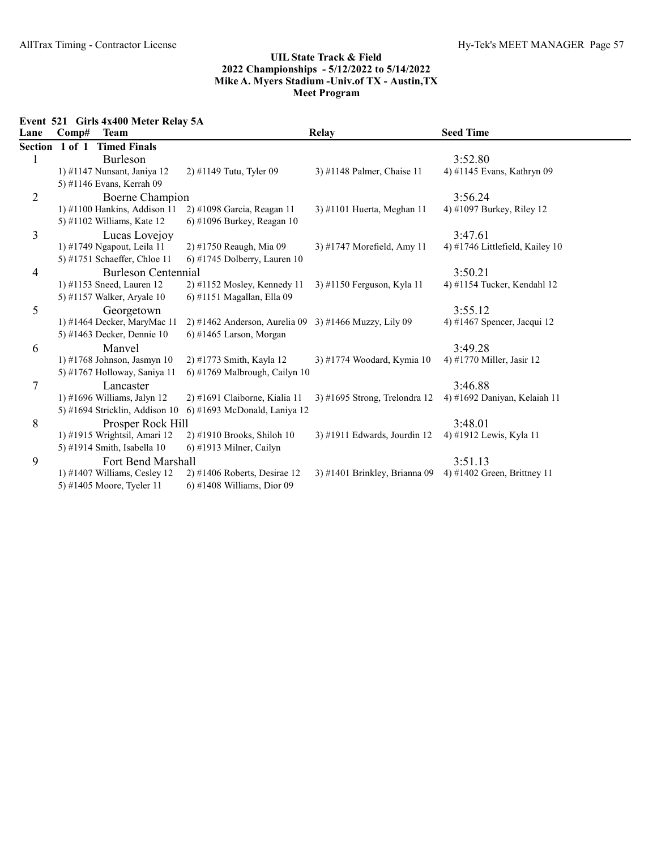Event 521 Girls 4x400 Meter Relay 5A

| Lane | Comp#          | <b>Team</b>                      |                                                       | <b>Relay</b>                    | <b>Seed Time</b>                |
|------|----------------|----------------------------------|-------------------------------------------------------|---------------------------------|---------------------------------|
|      | Section 1 of 1 | <b>Timed Finals</b>              |                                                       |                                 |                                 |
| 1    |                | Burleson                         |                                                       |                                 | 3:52.80                         |
|      |                | 1) #1147 Nunsant, Janiya 12      | 2) #1149 Tutu, Tyler 09                               | 3) #1148 Palmer, Chaise 11      | 4) #1145 Evans, Kathryn 09      |
|      |                | 5) #1146 Evans, Kerrah 09        |                                                       |                                 |                                 |
| 2    |                | Boerne Champion                  |                                                       |                                 | 3:56.24                         |
|      |                | 1) #1100 Hankins, Addison 11     | 2) #1098 Garcia, Reagan 11                            | 3) #1101 Huerta, Meghan 11      | 4) #1097 Burkey, Riley 12       |
|      |                | 5) #1102 Williams, Kate $12$     | $(6)$ #1096 Burkey, Reagan 10                         |                                 |                                 |
| 3    |                | Lucas Lovejoy                    |                                                       |                                 | 3:47.61                         |
|      |                | 1) #1749 Ngapout, Leila 11       | 2) #1750 Reaugh, Mia 09                               | 3) #1747 Morefield, Amy 11      | 4) #1746 Littlefield, Kailey 10 |
|      |                | 5) #1751 Schaeffer, Chloe 11     | 6) #1745 Dolberry, Lauren $10$                        |                                 |                                 |
| 4    |                | <b>Burleson Centennial</b>       |                                                       |                                 | 3:50.21                         |
|      |                | 1) #1153 Sneed, Lauren 12        | 2) #1152 Mosley, Kennedy 11                           | 3) #1150 Ferguson, Kyla 11      | 4) #1154 Tucker, Kendahl 12     |
|      |                | 5) #1157 Walker, Aryale 10       | 6) #1151 Magallan, Ella 09                            |                                 |                                 |
| 5    |                | Georgetown                       |                                                       |                                 | 3:55.12                         |
|      |                | 1) #1464 Decker, MaryMac 11      | 2) #1462 Anderson, Aurelia 09 3) #1466 Muzzy, Lily 09 |                                 | 4) #1467 Spencer, Jacqui 12     |
|      |                | 5) #1463 Decker, Dennie 10       | $6)$ #1465 Larson, Morgan                             |                                 |                                 |
| 6    |                | Manvel                           |                                                       |                                 | 3:49.28                         |
|      |                | 1) #1768 Johnson, Jasmyn 10      | 2) #1773 Smith, Kayla 12                              | 3) #1774 Woodard, Kymia 10      | 4) #1770 Miller, Jasir 12       |
|      |                | 5) #1767 Holloway, Saniya 11     | 6) #1769 Malbrough, Cailyn $10$                       |                                 |                                 |
| 7    |                | Lancaster                        |                                                       |                                 | 3:46.88                         |
|      |                | 1) #1696 Williams, Jalyn 12      | 2) #1691 Claiborne, Kialia 11                         | $3)$ #1695 Strong, Trelondra 12 | 4) #1692 Daniyan, Kelaiah 11    |
|      |                | 5) #1694 Stricklin, Addison $10$ | $6$ ) #1693 McDonald, Laniya 12                       |                                 |                                 |
| 8    |                | Prosper Rock Hill                |                                                       |                                 | 3:48.01                         |
|      |                | 1) #1915 Wrightsil, Amari 12     | 2) #1910 Brooks, Shiloh 10                            | 3) #1911 Edwards, Jourdin 12    | 4) #1912 Lewis, Kyla 11         |
|      |                | 5) #1914 Smith, Isabella 10      | $6$ ) #1913 Milner, Cailyn                            |                                 |                                 |
| 9    |                | Fort Bend Marshall               |                                                       |                                 | 3:51.13                         |
|      |                | 1) #1407 Williams, Cesley 12     | $2)$ #1406 Roberts, Desirae 12                        | 3) #1401 Brinkley, Brianna 09   | 4) #1402 Green, Brittney 11     |
|      |                | 5) #1405 Moore, Tyeler 11        | $6$ ) #1408 Williams, Dior 09                         |                                 |                                 |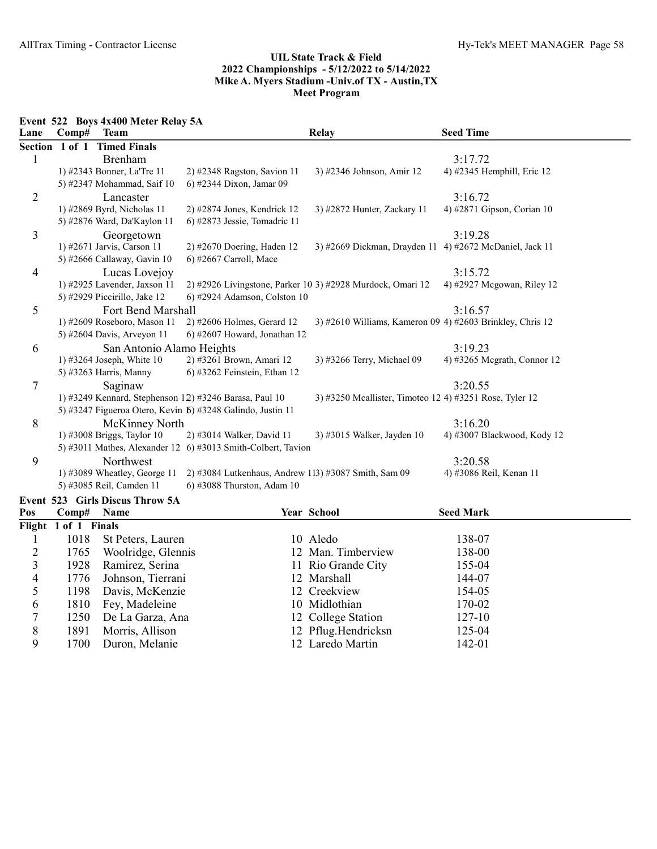Event 522 Boys 4x400 Meter Relay 5A

1700 Duron, Melanie

| Lane           | Comp#                | <b>Team</b>                     |                                                              | Relay                                                      | <b>Seed Time</b>            |
|----------------|----------------------|---------------------------------|--------------------------------------------------------------|------------------------------------------------------------|-----------------------------|
| <b>Section</b> |                      | 1 of 1 Timed Finals             |                                                              |                                                            |                             |
| $\mathbf{1}$   |                      | Brenham                         |                                                              |                                                            | 3:17.72                     |
|                |                      | 1) #2343 Bonner, La'Tre 11      | 2) #2348 Ragston, Savion 11                                  | 3) #2346 Johnson, Amir 12                                  | 4) #2345 Hemphill, Eric 12  |
|                |                      | 5) #2347 Mohammad, Saif 10      | 6) #2344 Dixon, Jamar 09                                     |                                                            |                             |
| $\overline{2}$ |                      | Lancaster                       |                                                              |                                                            | 3:16.72                     |
|                |                      | 1) #2869 Byrd, Nicholas 11      | 2) #2874 Jones, Kendrick 12                                  | 3) #2872 Hunter, Zackary 11                                | 4) #2871 Gipson, Corian 10  |
|                |                      | 5) #2876 Ward, Da'Kaylon 11     | 6) #2873 Jessie, Tomadric 11                                 |                                                            |                             |
| 3              |                      | Georgetown                      |                                                              |                                                            | 3:19.28                     |
|                |                      | 1) #2671 Jarvis, Carson 11      | 2) #2670 Doering, Haden 12                                   | 3) #2669 Dickman, Drayden 11 4) #2672 McDaniel, Jack 11    |                             |
|                |                      | 5) #2666 Callaway, Gavin 10     | $6$ ) #2667 Carroll, Mace                                    |                                                            |                             |
| 4              |                      | Lucas Lovejoy                   |                                                              |                                                            | 3:15.72                     |
|                |                      | 1) #2925 Lavender, Jaxson 11    |                                                              | 2) #2926 Livingstone, Parker 10 3) #2928 Murdock, Omari 12 | 4) #2927 Mcgowan, Riley 12  |
|                |                      | 5) #2929 Piccirillo, Jake 12    | 6) #2924 Adamson, Colston 10                                 |                                                            |                             |
| 5              |                      | Fort Bend Marshall              |                                                              |                                                            | 3:16.57                     |
|                |                      | 1) #2609 Roseboro, Mason 11     | 2) #2606 Holmes, Gerard 12                                   | 3) #2610 Williams, Kameron 09 4) #2603 Brinkley, Chris 12  |                             |
|                |                      | 5) #2604 Davis, Arveyon 11      | 6) #2607 Howard, Jonathan 12                                 |                                                            |                             |
| 6              |                      | San Antonio Alamo Heights       |                                                              |                                                            | 3:19.23                     |
|                |                      | 1) #3264 Joseph, White $10$     | 2) #3261 Brown, Amari 12                                     | 3) #3266 Terry, Michael 09                                 | 4) #3265 Mcgrath, Connor 12 |
|                |                      | 5) #3263 Harris, Manny          | 6) #3262 Feinstein, Ethan 12                                 |                                                            |                             |
| 7              |                      | Saginaw                         |                                                              |                                                            | 3:20.55                     |
|                |                      |                                 | 1) #3249 Kennard, Stephenson 12) #3246 Barasa, Paul 10       | 3) #3250 Mcallister, Timoteo 12 4) #3251 Rose, Tyler 12    |                             |
|                |                      |                                 | 5) #3247 Figueroa Otero, Kevin 6) #3248 Galindo, Justin 11   |                                                            |                             |
| 8              |                      | McKinney North                  |                                                              |                                                            | 3:16.20                     |
|                |                      | 1) #3008 Briggs, Taylor 10      | 2) #3014 Walker, David 11                                    | 3) #3015 Walker, Jayden 10                                 | 4) #3007 Blackwood, Kody 12 |
|                |                      |                                 | 5) #3011 Mathes, Alexander 12 6) #3013 Smith-Colbert, Tavion |                                                            |                             |
| 9              |                      | Northwest                       |                                                              |                                                            | 3:20.58                     |
|                |                      | 1) #3089 Wheatley, George 11    | 2) #3084 Lutkenhaus, Andrew 113) #3087 Smith, Sam 09         |                                                            | 4) #3086 Reil, Kenan 11     |
|                |                      | 5) #3085 Reil, Camden 11        | 6) #3088 Thurston, Adam 10                                   |                                                            |                             |
|                |                      | Event 523 Girls Discus Throw 5A |                                                              |                                                            |                             |
| Pos            | Comp#                | Name                            |                                                              | Year School                                                | <b>Seed Mark</b>            |
|                | Flight 1 of 1 Finals |                                 |                                                              |                                                            |                             |
| 1              | 1018                 | St Peters, Lauren               |                                                              | 10 Aledo                                                   | 138-07                      |
| $\overline{c}$ | 1765                 | Woolridge, Glennis              |                                                              | 12 Man. Timberview                                         | 138-00                      |
| 3              | 1928                 | Ramirez, Serina                 |                                                              | 11 Rio Grande City                                         | 155-04                      |
| 4              | 1776                 | Johnson, Tierrani               |                                                              | 12 Marshall                                                | 144-07                      |
| 5              | 1198                 | Davis, McKenzie                 |                                                              | 12 Creekview                                               | 154-05                      |
| 6              | 1810                 | Fey, Madeleine                  |                                                              | 10 Midlothian                                              | 170-02                      |
| 7              | 1250                 | De La Garza, Ana                |                                                              | 12 College Station                                         | 127-10                      |
| $\,$ $\,$      | 1891                 | Morris, Allison                 |                                                              | 12 Pflug.Hendricksn                                        | 125-04                      |
| 9              | 1700                 | Duron, Melanie                  |                                                              | 12 Laredo Martin                                           | 142-01                      |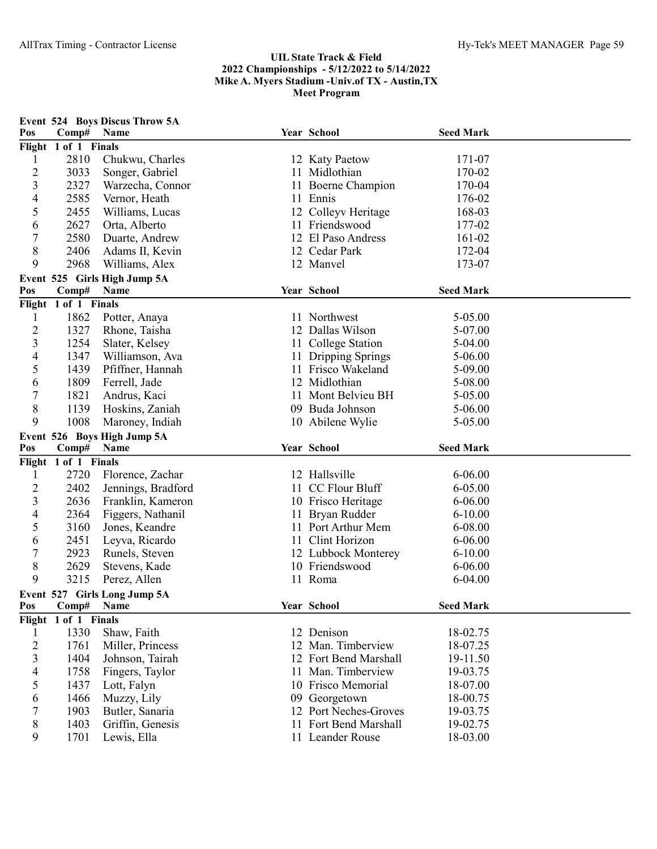|                |                      | Event 524 Boys Discus Throw 5A  |    |                                           |                      |  |
|----------------|----------------------|---------------------------------|----|-------------------------------------------|----------------------|--|
| Pos            | Comp#                | Name                            |    | Year School                               | <b>Seed Mark</b>     |  |
|                | Flight 1 of 1 Finals |                                 |    |                                           |                      |  |
| 1              | 2810                 | Chukwu, Charles                 |    | 12 Katy Paetow                            | 171-07               |  |
| $\overline{c}$ | 3033                 | Songer, Gabriel                 |    | 11 Midlothian                             | 170-02               |  |
| 3              | 2327                 | Warzecha, Connor                |    | 11 Boerne Champion                        | 170-04               |  |
| 4              | 2585                 | Vernor, Heath                   |    | 11 Ennis                                  | 176-02               |  |
| 5              | 2455                 | Williams, Lucas                 |    | 12 Colleyv Heritage                       | 168-03               |  |
| 6              | 2627                 | Orta, Alberto                   |    | 11 Friendswood                            | 177-02               |  |
| 7              | 2580                 | Duarte, Andrew                  |    | 12 El Paso Andress                        | 161-02               |  |
| 8              | 2406                 | Adams II, Kevin                 |    | 12 Cedar Park                             | 172-04               |  |
| 9              | 2968                 | Williams, Alex                  |    | 12 Manvel                                 | 173-07               |  |
|                |                      | Event 525 Girls High Jump 5A    |    |                                           |                      |  |
| Pos            | Comp#                | Name                            |    | Year School                               | <b>Seed Mark</b>     |  |
|                | Flight 1 of 1 Finals |                                 |    |                                           |                      |  |
| 1              | 1862                 | Potter, Anaya                   |    | 11 Northwest                              | 5-05.00              |  |
| $\overline{c}$ | 1327                 | Rhone, Taisha                   |    | 12 Dallas Wilson                          | 5-07.00              |  |
| 3              | 1254                 | Slater, Kelsey                  |    | 11 College Station                        | 5-04.00              |  |
| 4              | 1347                 | Williamson, Ava                 |    | Dripping Springs                          | 5-06.00              |  |
| 5              | 1439                 | Pfiffner, Hannah                | 11 | Frisco Wakeland                           | 5-09.00              |  |
| 6              | 1809                 | Ferrell, Jade                   |    | 12 Midlothian                             | 5-08.00              |  |
| 7              | 1821                 | Andrus, Kaci                    |    | 11 Mont Belvieu BH                        | 5-05.00              |  |
| 8              | 1139                 | Hoskins, Zaniah                 |    | 09 Buda Johnson                           | 5-06.00              |  |
| 9              | 1008                 | Maroney, Indiah                 |    | 10 Abilene Wylie                          | 5-05.00              |  |
|                |                      | Event 526 Boys High Jump 5A     |    |                                           |                      |  |
|                |                      |                                 |    |                                           |                      |  |
| Pos            | Comp#                | <b>Name</b>                     |    | Year School                               | <b>Seed Mark</b>     |  |
|                | Flight 1 of 1 Finals |                                 |    |                                           |                      |  |
| 1              | 2720                 | Florence, Zachar                |    | 12 Hallsville                             | $6 - 06.00$          |  |
| $\overline{c}$ | 2402                 | Jennings, Bradford              |    | 11 CC Flour Bluff                         | $6 - 05.00$          |  |
| 3              | 2636                 | Franklin, Kameron               |    | 10 Frisco Heritage                        | $6 - 06.00$          |  |
| 4              | 2364                 | Figgers, Nathanil               |    | 11 Bryan Rudder                           | $6 - 10.00$          |  |
| 5              | 3160                 | Jones, Keandre                  |    | 11 Port Arthur Mem                        | 6-08.00              |  |
| 6              | 2451                 | Leyva, Ricardo                  |    | 11 Clint Horizon                          | 6-06.00              |  |
| 7              | 2923                 | Runels, Steven                  |    | 12 Lubbock Monterey                       | $6 - 10.00$          |  |
| 8              | 2629                 | Stevens, Kade                   |    | 10 Friendswood                            | $6 - 06.00$          |  |
| 9              | 3215                 | Perez, Allen                    |    | 11 Roma                                   | $6 - 04.00$          |  |
|                |                      | Event 527 Girls Long Jump 5A    |    |                                           |                      |  |
| Pos            | Comp#                | Name                            |    | Year School                               | <b>Seed Mark</b>     |  |
| Flight         | 1 of 1 Finals        |                                 |    |                                           |                      |  |
| 1              | 1330                 | Shaw, Faith                     |    | 12 Denison                                | 18-02.75             |  |
| 2              | 1761                 | Miller, Princess                | 12 | Man. Timberview                           | 18-07.25             |  |
| 3              | 1404                 | Johnson, Tairah                 |    | 12 Fort Bend Marshall                     | 19-11.50             |  |
| 4              | 1758                 | Fingers, Taylor                 |    | Man. Timberview                           | 19-03.75             |  |
| 5              | 1437                 | Lott, Falyn                     |    | 10 Frisco Memorial                        | 18-07.00             |  |
| 6              | 1466                 | Muzzy, Lily                     |    | 09 Georgetown                             | 18-00.75             |  |
| 7              | 1903                 | Butler, Sanaria                 |    | 12 Port Neches-Groves                     | 19-03.75             |  |
| 8<br>9         | 1403<br>1701         | Griffin, Genesis<br>Lewis, Ella |    | 11 Fort Bend Marshall<br>11 Leander Rouse | 19-02.75<br>18-03.00 |  |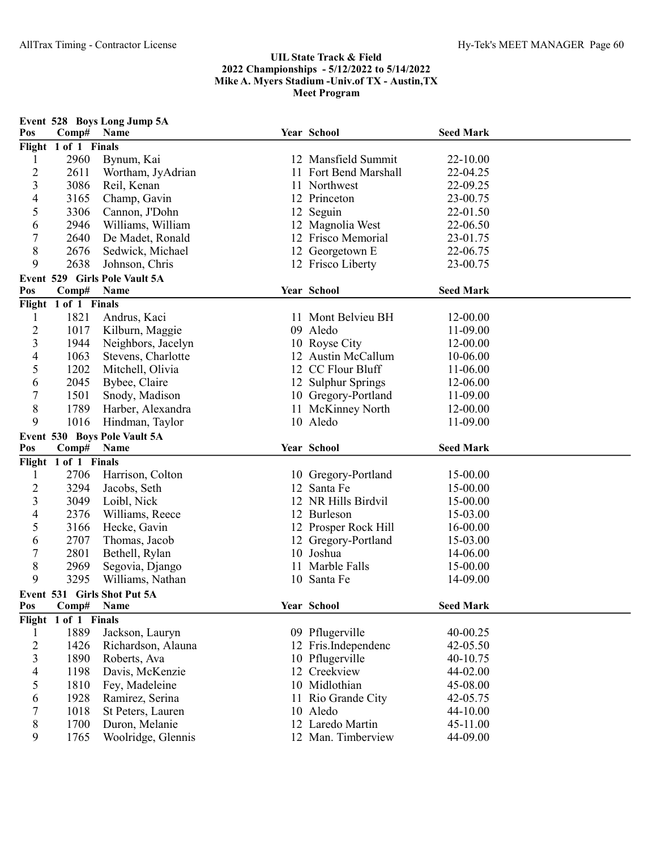|                  |                      | Event 528 Boys Long Jump 5A   |                       |                  |  |
|------------------|----------------------|-------------------------------|-----------------------|------------------|--|
| Pos              | Comp#                | Name                          | Year School           | <b>Seed Mark</b> |  |
|                  | Flight 1 of 1 Finals |                               |                       |                  |  |
| 1                | 2960                 | Bynum, Kai                    | 12 Mansfield Summit   | 22-10.00         |  |
| $\overline{2}$   | 2611                 | Wortham, JyAdrian             | 11 Fort Bend Marshall | 22-04.25         |  |
| 3                | 3086                 | Reil, Kenan                   | 11 Northwest          | 22-09.25         |  |
| $\overline{4}$   | 3165                 | Champ, Gavin                  | 12 Princeton          | 23-00.75         |  |
| 5                | 3306                 | Cannon, J'Dohn                | 12 Seguin             | 22-01.50         |  |
| 6                | 2946                 | Williams, William             | 12 Magnolia West      | 22-06.50         |  |
| $\boldsymbol{7}$ | 2640                 | De Madet, Ronald              | 12 Frisco Memorial    | 23-01.75         |  |
| $8\,$            | 2676                 | Sedwick, Michael              | 12 Georgetown E       | 22-06.75         |  |
| 9                | 2638                 | Johnson, Chris                | 12 Frisco Liberty     | 23-00.75         |  |
|                  |                      | Event 529 Girls Pole Vault 5A |                       |                  |  |
| Pos              | Comp#                | Name                          | Year School           | <b>Seed Mark</b> |  |
|                  | Flight 1 of 1 Finals |                               |                       |                  |  |
| 1                | 1821                 | Andrus, Kaci                  | 11 Mont Belvieu BH    | 12-00.00         |  |
| $\overline{2}$   | 1017                 | Kilburn, Maggie               | 09 Aledo              | 11-09.00         |  |
| 3                | 1944                 | Neighbors, Jacelyn            | 10 Royse City         | 12-00.00         |  |
| $\overline{4}$   | 1063                 | Stevens, Charlotte            | 12 Austin McCallum    | 10-06.00         |  |
| 5                | 1202                 | Mitchell, Olivia              | 12 CC Flour Bluff     | 11-06.00         |  |
| 6                | 2045                 | Bybee, Claire                 | 12 Sulphur Springs    | 12-06.00         |  |
| 7                | 1501                 | Snody, Madison                | 10 Gregory-Portland   | 11-09.00         |  |
| 8                | 1789                 | Harber, Alexandra             | 11 McKinney North     | 12-00.00         |  |
| 9                | 1016                 | Hindman, Taylor               | 10 Aledo              | 11-09.00         |  |
|                  |                      | Event 530 Boys Pole Vault 5A  |                       |                  |  |
| Pos              | Comp#                | Name                          | Year School           | <b>Seed Mark</b> |  |
|                  | Flight 1 of 1 Finals |                               |                       |                  |  |
| 1                | 2706                 | Harrison, Colton              | 10 Gregory-Portland   | 15-00.00         |  |
| $\overline{c}$   | 3294                 | Jacobs, Seth                  | 12 Santa Fe           | 15-00.00         |  |
| $\mathfrak{Z}$   | 3049                 | Loibl, Nick                   | 12 NR Hills Birdvil   | 15-00.00         |  |
| $\overline{4}$   | 2376                 | Williams, Reece               | 12 Burleson           | 15-03.00         |  |
| 5                | 3166                 | Hecke, Gavin                  | 12 Prosper Rock Hill  | 16-00.00         |  |
| 6                | 2707                 | Thomas, Jacob                 | 12 Gregory-Portland   | 15-03.00         |  |
| $\boldsymbol{7}$ | 2801                 | Bethell, Rylan                | 10 Joshua             | 14-06.00         |  |
| $8\,$            | 2969                 | Segovia, Django               | 11 Marble Falls       | 15-00.00         |  |
| 9                | 3295                 | Williams, Nathan              | 10 Santa Fe           | 14-09.00         |  |
|                  |                      | Event 531 Girls Shot Put 5A   |                       |                  |  |
| Pos              | Comp#                | Name                          | Year School           | <b>Seed Mark</b> |  |
| Flight           | 1 of 1 Finals        |                               |                       |                  |  |
| $\mathbf{I}$     | 1889                 | Jackson, Lauryn               | 09 Pflugerville       | 40-00.25         |  |
| $\overline{2}$   | 1426                 | Richardson, Alauna            | 12 Fris.Independenc   | 42-05.50         |  |
| $\overline{3}$   | 1890                 | Roberts, Ava                  | 10 Pflugerville       | 40-10.75         |  |
| 4                | 1198                 | Davis, McKenzie               | 12 Creekview          | 44-02.00         |  |
| 5                | 1810                 | Fey, Madeleine                | 10 Midlothian         | 45-08.00         |  |
| 6                | 1928                 | Ramirez, Serina               | 11 Rio Grande City    | 42-05.75         |  |
| 7                | 1018                 | St Peters, Lauren             | 10 Aledo              | 44-10.00         |  |
| 8                | 1700                 | Duron, Melanie                | 12 Laredo Martin      | 45-11.00         |  |
| 9                | 1765                 | Woolridge, Glennis            | 12 Man. Timberview    | 44-09.00         |  |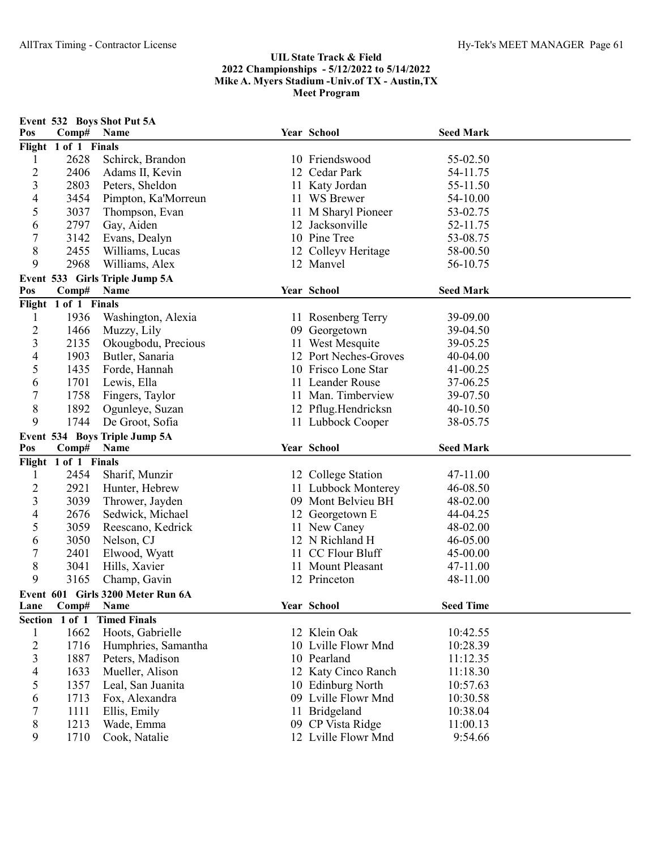| Pos            | Comp#                | Event 532 Boys Shot Put 5A<br>Name | Year School                              | <b>Seed Mark</b>    |  |
|----------------|----------------------|------------------------------------|------------------------------------------|---------------------|--|
|                | Flight 1 of 1 Finals |                                    |                                          |                     |  |
| 1              | 2628                 | Schirck, Brandon                   | 10 Friendswood                           | 55-02.50            |  |
| $\overline{c}$ | 2406                 | Adams II, Kevin                    | 12 Cedar Park                            | 54-11.75            |  |
| 3              | 2803                 | Peters, Sheldon                    | 11 Katy Jordan                           | 55-11.50            |  |
| $\overline{4}$ | 3454                 | Pimpton, Ka'Morreun                | 11 WS Brewer                             | 54-10.00            |  |
| 5              | 3037                 | Thompson, Evan                     | 11 M Sharyl Pioneer                      | 53-02.75            |  |
| 6              | 2797                 | Gay, Aiden                         | 12 Jacksonville                          | 52-11.75            |  |
| $\overline{7}$ | 3142                 | Evans, Dealyn                      | 10 Pine Tree                             | 53-08.75            |  |
| 8              | 2455                 | Williams, Lucas                    | 12 Colleyv Heritage                      | 58-00.50            |  |
| 9              | 2968                 | Williams, Alex                     | 12 Manvel                                | 56-10.75            |  |
|                |                      | Event 533 Girls Triple Jump 5A     |                                          |                     |  |
| Pos            | Comp#                | Name                               | Year School                              | <b>Seed Mark</b>    |  |
|                | Flight 1 of 1 Finals |                                    |                                          |                     |  |
| 1              | 1936                 | Washington, Alexia                 | 11 Rosenberg Terry                       | 39-09.00            |  |
| $\overline{c}$ | 1466                 | Muzzy, Lily                        | 09 Georgetown                            | 39-04.50            |  |
| 3              | 2135                 | Okougbodu, Precious                | 11 West Mesquite                         | 39-05.25            |  |
| 4              | 1903                 | Butler, Sanaria                    | 12 Port Neches-Groves                    | 40-04.00            |  |
| 5              | 1435                 | Forde, Hannah                      | 10 Frisco Lone Star                      | 41-00.25            |  |
| 6              | 1701                 | Lewis, Ella                        | 11 Leander Rouse                         | 37-06.25            |  |
| $\overline{7}$ | 1758                 | Fingers, Taylor                    | 11 Man. Timberview                       | 39-07.50            |  |
| 8              | 1892                 | Ogunleye, Suzan                    |                                          | 40-10.50            |  |
| 9              | 1744                 | De Groot, Sofia                    | 12 Pflug.Hendricksn<br>11 Lubbock Cooper | 38-05.75            |  |
|                |                      |                                    |                                          |                     |  |
|                |                      |                                    |                                          |                     |  |
|                |                      | Event 534 Boys Triple Jump 5A      |                                          |                     |  |
| Pos            | Comp#                | Name                               | Year School                              | <b>Seed Mark</b>    |  |
|                | Flight 1 of 1 Finals |                                    |                                          |                     |  |
| 1              | 2454                 | Sharif, Munzir                     | 12 College Station                       | 47-11.00            |  |
| $\overline{c}$ | 2921                 | Hunter, Hebrew                     | 11 Lubbock Monterey                      | 46-08.50            |  |
| 3              | 3039                 | Thrower, Jayden                    | 09 Mont Belvieu BH                       | 48-02.00            |  |
| $\overline{4}$ | 2676                 | Sedwick, Michael                   | 12 Georgetown E                          | 44-04.25            |  |
| 5              | 3059                 | Reescano, Kedrick                  | 11 New Caney                             | 48-02.00            |  |
| 6              | 3050                 | Nelson, CJ                         | 12 N Richland H                          | 46-05.00            |  |
| $\overline{7}$ | 2401                 | Elwood, Wyatt                      | 11 CC Flour Bluff                        | 45-00.00            |  |
| 8              | 3041                 | Hills, Xavier                      | 11 Mount Pleasant                        | 47-11.00            |  |
| 9              | 3165                 | Champ, Gavin                       | 12 Princeton                             | 48-11.00            |  |
|                |                      | Event 601 Girls 3200 Meter Run 6A  |                                          |                     |  |
| Lane           | Comp#                | <b>Name</b>                        | Year School                              | <b>Seed Time</b>    |  |
|                | Section 1 of 1       | <b>Timed Finals</b>                |                                          |                     |  |
| $\mathbf{1}$   | 1662                 | Hoots, Gabrielle                   | 12 Klein Oak                             | 10:42.55            |  |
| $\overline{c}$ | 1716                 | Humphries, Samantha                | 10 Lville Flowr Mnd                      | 10:28.39            |  |
| 3              | 1887                 | Peters, Madison                    | 10 Pearland                              | 11:12.35            |  |
| 4              | 1633                 | Mueller, Alison                    | 12 Katy Cinco Ranch                      | 11:18.30            |  |
| 5              | 1357                 | Leal, San Juanita                  | 10 Edinburg North                        | 10:57.63            |  |
| 6              | 1713                 | Fox, Alexandra                     | 09 Lville Flowr Mnd                      | 10:30.58            |  |
| 7              | 1111                 | Ellis, Emily                       | 11 Bridgeland                            | 10:38.04            |  |
| 8<br>9         | 1213<br>1710         | Wade, Emma<br>Cook, Natalie        | 09 CP Vista Ridge<br>12 Lville Flowr Mnd | 11:00.13<br>9:54.66 |  |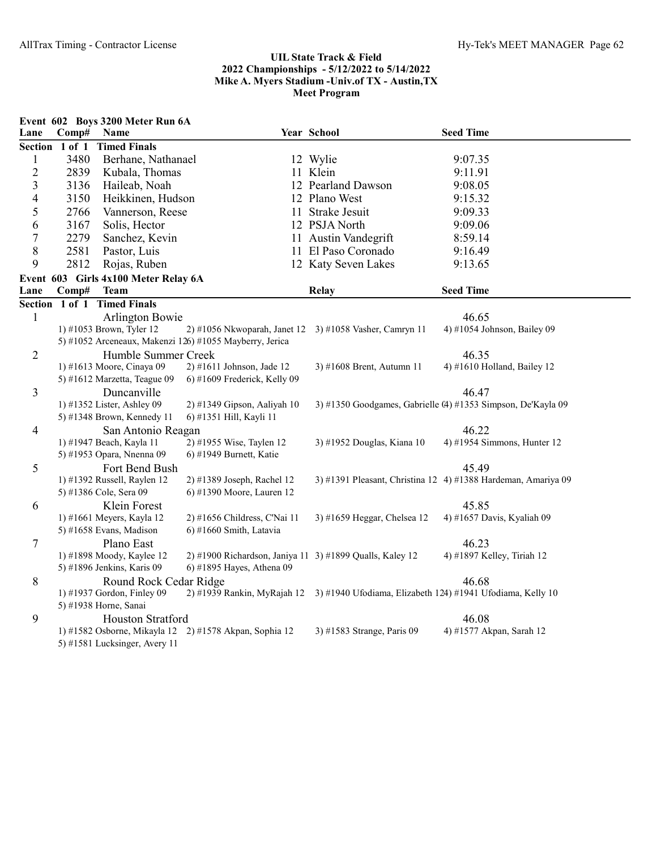|                         |                | Event 602 Boys 3200 Meter Run 6A           |                                                          |                                                            |                                                               |
|-------------------------|----------------|--------------------------------------------|----------------------------------------------------------|------------------------------------------------------------|---------------------------------------------------------------|
| Lane                    | Comp#          | Name                                       |                                                          | Year School                                                | <b>Seed Time</b>                                              |
|                         | Section 1 of 1 | <b>Timed Finals</b>                        |                                                          |                                                            |                                                               |
| $\mathbf{1}$            | 3480           | Berhane, Nathanael                         |                                                          | 12 Wylie                                                   | 9:07.35                                                       |
| $\overline{c}$          | 2839           | Kubala, Thomas                             |                                                          | 11 Klein                                                   | 9:11.91                                                       |
| $\overline{\mathbf{3}}$ | 3136           | Haileab, Noah                              |                                                          | 12 Pearland Dawson                                         | 9:08.05                                                       |
| 4                       | 3150           | Heikkinen, Hudson                          |                                                          | 12 Plano West                                              | 9:15.32                                                       |
| 5                       | 2766           | Vannerson, Reese                           |                                                          | 11 Strake Jesuit                                           | 9:09.33                                                       |
| 6                       | 3167           | Solis, Hector                              |                                                          | 12 PSJA North                                              | 9:09.06                                                       |
| $\boldsymbol{7}$        | 2279           | Sanchez, Kevin                             |                                                          | 11 Austin Vandegrift                                       | 8:59.14                                                       |
| 8                       | 2581           | Pastor, Luis                               |                                                          | 11 El Paso Coronado                                        | 9:16.49                                                       |
| 9                       | 2812           | Rojas, Ruben                               |                                                          | 12 Katy Seven Lakes                                        | 9:13.65                                                       |
|                         |                | Event 603 Girls 4x100 Meter Relay 6A       |                                                          |                                                            |                                                               |
| Lane                    | Comp#          | Team                                       |                                                          | Relay                                                      | <b>Seed Time</b>                                              |
|                         |                | Section 1 of 1 Timed Finals                |                                                          |                                                            |                                                               |
| $\mathbf{1}$            |                | <b>Arlington Bowie</b>                     |                                                          |                                                            | 46.65                                                         |
|                         |                | 1) #1053 Brown, Tyler 12                   |                                                          | 2) #1056 Nkwoparah, Janet 12 3) #1058 Vasher, Camryn 11    | 4) #1054 Johnson, Bailey 09                                   |
|                         |                |                                            | 5) #1052 Arceneaux, Makenzi 126) #1055 Mayberry, Jerica  |                                                            |                                                               |
| $\overline{2}$          |                | Humble Summer Creek                        |                                                          |                                                            | 46.35                                                         |
|                         |                | 1) #1613 Moore, Cinaya 09                  | 2) #1611 Johnson, Jade 12                                | 3) #1608 Brent, Autumn 11                                  | 4) #1610 Holland, Bailey 12                                   |
|                         |                | 5) #1612 Marzetta, Teague 09               | 6) #1609 Frederick, Kelly 09                             |                                                            |                                                               |
| 3                       |                | Duncanville                                |                                                          |                                                            | 46.47                                                         |
|                         |                | 1) #1352 Lister, Ashley 09                 | 2) #1349 Gipson, Aaliyah 10                              |                                                            | 3) #1350 Goodgames, Gabrielle (4) #1353 Simpson, De'Kayla 09  |
|                         |                | 5) #1348 Brown, Kennedy 11                 | 6) #1351 Hill, Kayli 11                                  |                                                            |                                                               |
| 4                       |                | San Antonio Reagan                         |                                                          |                                                            | 46.22                                                         |
|                         |                | 1) #1947 Beach, Kayla 11                   | 2) #1955 Wise, Taylen 12                                 | 3) #1952 Douglas, Kiana 10                                 | 4) #1954 Simmons, Hunter 12                                   |
|                         |                | 5) #1953 Opara, Nnenna 09                  | 6) #1949 Burnett, Katie                                  |                                                            |                                                               |
| 5                       |                | Fort Bend Bush                             |                                                          |                                                            | 45.49                                                         |
|                         |                | 1) #1392 Russell, Raylen 12                | 2) #1389 Joseph, Rachel 12                               |                                                            | 3) #1391 Pleasant, Christina 12 4) #1388 Hardeman, Amariya 09 |
|                         |                | 5) #1386 Cole, Sera 09                     | 6) #1390 Moore, Lauren 12                                |                                                            |                                                               |
| 6                       |                | Klein Forest                               |                                                          |                                                            | 45.85                                                         |
|                         |                | 1) #1661 Meyers, Kayla 12                  | 2) #1656 Childress, C'Nai 11                             | 3) #1659 Heggar, Chelsea 12                                | 4) #1657 Davis, Kyaliah 09                                    |
|                         |                | 5) #1658 Evans, Madison                    | $6$ ) #1660 Smith, Latavia                               |                                                            |                                                               |
| 7                       |                | Plano East                                 |                                                          |                                                            | 46.23                                                         |
|                         |                | 1) #1898 Moody, Kaylee 12                  | 2) #1900 Richardson, Janiya 11 3) #1899 Qualls, Kaley 12 |                                                            | 4) #1897 Kelley, Tiriah 12                                    |
|                         |                | 5) #1896 Jenkins, Karis 09                 | 6) #1895 Hayes, Athena 09                                |                                                            |                                                               |
| 8                       |                | Round Rock Cedar Ridge                     |                                                          |                                                            | 46.68                                                         |
|                         |                | 1) #1937 Gordon, Finley 09                 | 2) #1939 Rankin, MyRajah 12                              | 3) #1940 Ufodiama, Elizabeth 124) #1941 Ufodiama, Kelly 10 |                                                               |
|                         |                | 5) #1938 Horne, Sanai<br>Houston Stratford |                                                          |                                                            | 46.08                                                         |
| 9                       |                |                                            |                                                          |                                                            |                                                               |
|                         |                |                                            | 1) #1582 Osborne, Mikayla 12 2) #1578 Akpan, Sophia 12   | 3) #1583 Strange, Paris 09                                 | 4) #1577 Akpan, Sarah 12                                      |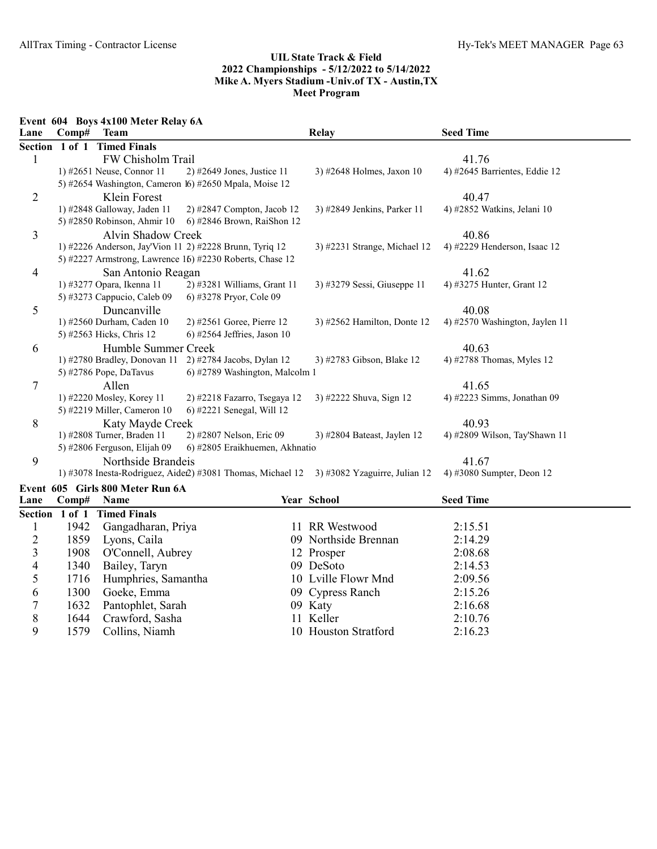Event 604 Boys 4x100 Meter Relay 6A

| <b>Timed Finals</b><br>1 of 1<br><b>Section</b><br>FW Chisholm Trail<br>41.76<br>$\mathbf{1}$<br>1) #2651 Neuse, Connor 11<br>2) #2649 Jones, Justice 11<br>3) #2648 Holmes, Jaxon 10<br>4) #2645 Barrientes, Eddie 12<br>5) #2654 Washington, Cameron 16) #2650 Mpala, Moise 12<br>2<br>Klein Forest<br>40.47 |  |
|----------------------------------------------------------------------------------------------------------------------------------------------------------------------------------------------------------------------------------------------------------------------------------------------------------------|--|
|                                                                                                                                                                                                                                                                                                                |  |
|                                                                                                                                                                                                                                                                                                                |  |
|                                                                                                                                                                                                                                                                                                                |  |
|                                                                                                                                                                                                                                                                                                                |  |
|                                                                                                                                                                                                                                                                                                                |  |
| 4) #2852 Watkins, Jelani 10<br>1) #2848 Galloway, Jaden 11<br>2) #2847 Compton, Jacob 12<br>3) #2849 Jenkins, Parker 11                                                                                                                                                                                        |  |
| 5) #2850 Robinson, Ahmir 10<br>6) #2846 Brown, RaiShon 12                                                                                                                                                                                                                                                      |  |
| 3<br>Alvin Shadow Creek<br>40.86                                                                                                                                                                                                                                                                               |  |
| 1) #2226 Anderson, Jay'Vion 11 2) #2228 Brunn, Tyriq 12<br>4) #2229 Henderson, Isaac 12<br>3) #2231 Strange, Michael 12                                                                                                                                                                                        |  |
| 5) #2227 Armstrong, Lawrence 16) #2230 Roberts, Chase 12                                                                                                                                                                                                                                                       |  |
| 41.62<br>4<br>San Antonio Reagan                                                                                                                                                                                                                                                                               |  |
| 2) #3281 Williams, Grant 11<br>3) #3279 Sessi, Giuseppe 11<br>4) #3275 Hunter, Grant 12<br>1) #3277 Opara, Ikenna 11                                                                                                                                                                                           |  |
| 5) #3273 Cappucio, Caleb 09<br>6) #3278 Pryor, Cole 09                                                                                                                                                                                                                                                         |  |
| 5<br>Duncanville<br>40.08                                                                                                                                                                                                                                                                                      |  |
| 1) #2560 Durham, Caden 10<br>2) #2561 Goree, Pierre 12<br>3) #2562 Hamilton, Donte 12<br>4) #2570 Washington, Jaylen 11                                                                                                                                                                                        |  |
| 5) #2563 Hicks, Chris 12<br>$6)$ #2564 Jeffries, Jason 10                                                                                                                                                                                                                                                      |  |
| Humble Summer Creek<br>40.63<br>6                                                                                                                                                                                                                                                                              |  |
| 2) #2784 Jacobs, Dylan 12<br>1) #2780 Bradley, Donovan 11<br>4) #2788 Thomas, Myles 12<br>3) #2783 Gibson, Blake 12                                                                                                                                                                                            |  |
| 6) #2789 Washington, Malcolm 1<br>5) #2786 Pope, DaTavus                                                                                                                                                                                                                                                       |  |
| 7<br>Allen<br>41.65                                                                                                                                                                                                                                                                                            |  |
| 1) #2220 Mosley, Korey 11<br>2) #2218 Fazarro, Tsegaya 12<br>3) #2222 Shuva, Sign 12<br>4) #2223 Simms, Jonathan 09                                                                                                                                                                                            |  |
| 5) #2219 Miller, Cameron 10<br>6) #2221 Senegal, Will 12                                                                                                                                                                                                                                                       |  |
| 8<br>40.93<br>Katy Mayde Creek                                                                                                                                                                                                                                                                                 |  |
| 2) #2807 Nelson, Eric 09<br>3) #2804 Bateast, Jaylen 12<br>4) #2809 Wilson, Tay'Shawn 11<br>1) #2808 Turner, Braden 11                                                                                                                                                                                         |  |
| 5) #2806 Ferguson, Elijah 09<br>6) #2805 Eraikhuemen, Akhnatio                                                                                                                                                                                                                                                 |  |
| 9<br>41.67<br>Northside Brandeis                                                                                                                                                                                                                                                                               |  |
| 1) #3078 Inesta-Rodriguez, Aide2) #3081 Thomas, Michael 12 3) #3082 Yzaguirre, Julian 12<br>4) #3080 Sumpter, Deon 12                                                                                                                                                                                          |  |
| Event 605 Girls 800 Meter Run 6A                                                                                                                                                                                                                                                                               |  |
| <b>Seed Time</b><br>Year School<br>Lane<br>Name<br>Comp#                                                                                                                                                                                                                                                       |  |
| Section 1 of 1 Timed Finals                                                                                                                                                                                                                                                                                    |  |
| 1942<br>Gangadharan, Priya<br>11 RR Westwood<br>2:15.51<br>1                                                                                                                                                                                                                                                   |  |
| $\overline{c}$<br>1859<br>Lyons, Caila<br>09 Northside Brennan<br>2:14.29                                                                                                                                                                                                                                      |  |
| 3<br>1908<br>O'Connell, Aubrey<br>12 Prosper<br>2:08.68                                                                                                                                                                                                                                                        |  |
| 4<br>09 DeSoto<br>1340<br>Bailey, Taryn<br>2:14.53                                                                                                                                                                                                                                                             |  |
| 5<br>Humphries, Samantha<br>10 Lville Flowr Mnd<br>1716<br>2:09.56                                                                                                                                                                                                                                             |  |
| 6<br>1300<br>Goeke, Emma<br>09 Cypress Ranch<br>2:15.26                                                                                                                                                                                                                                                        |  |
| $\overline{7}$<br>1632<br>09 Katy<br>2:16.68<br>Pantophlet, Sarah                                                                                                                                                                                                                                              |  |
| 8<br>1644<br>Crawford, Sasha<br>Keller<br>2:10.76                                                                                                                                                                                                                                                              |  |
| 9<br>1579<br>Collins, Niamh<br>10 Houston Stratford<br>2:16.23                                                                                                                                                                                                                                                 |  |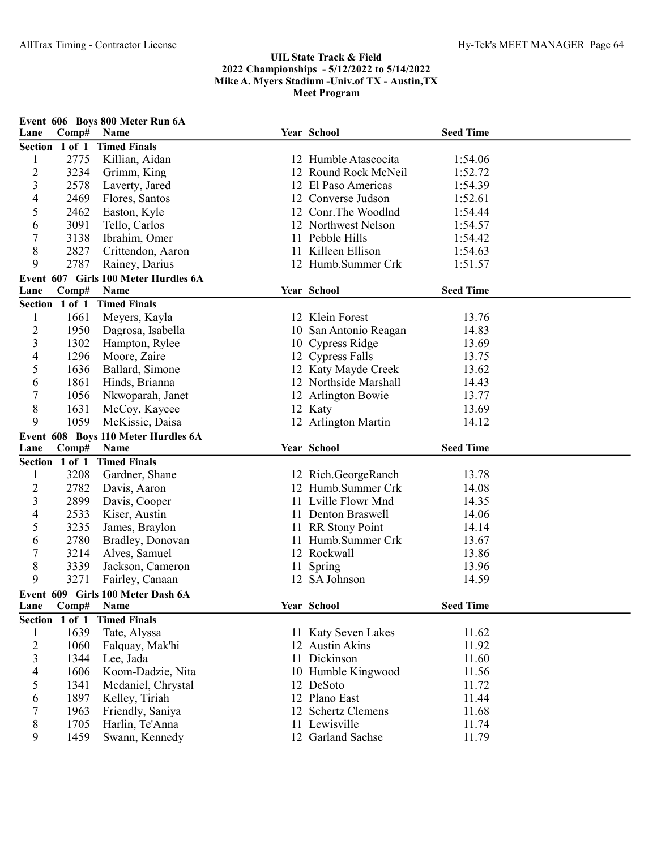| Lane                    | Comp#          | Event 606 Boys 800 Meter Run 6A<br>Name |    | Year School                        | <b>Seed Time</b> |  |
|-------------------------|----------------|-----------------------------------------|----|------------------------------------|------------------|--|
|                         | Section 1 of 1 | <b>Timed Finals</b>                     |    |                                    |                  |  |
| 1                       | 2775           | Killian, Aidan                          |    | 12 Humble Atascocita               | 1:54.06          |  |
| $\overline{c}$          | 3234           | Grimm, King                             |    | 12 Round Rock McNeil               | 1:52.72          |  |
| 3                       | 2578           | Laverty, Jared                          |    | 12 El Paso Americas                | 1:54.39          |  |
| 4                       | 2469           | Flores, Santos                          |    | 12 Converse Judson                 | 1:52.61          |  |
| 5                       | 2462           | Easton, Kyle                            |    | 12 Conr. The Woodlnd               | 1:54.44          |  |
| 6                       | 3091           | Tello, Carlos                           |    | 12 Northwest Nelson                | 1:54.57          |  |
| 7                       | 3138           | Ibrahim, Omer                           |    | 11 Pebble Hills                    | 1:54.42          |  |
| 8                       | 2827           | Crittendon, Aaron                       |    | 11 Killeen Ellison                 | 1:54.63          |  |
| 9                       | 2787           | Rainey, Darius                          |    | 12 Humb.Summer Crk                 | 1:51.57          |  |
|                         |                | Event 607 Girls 100 Meter Hurdles 6A    |    |                                    |                  |  |
| Lane                    | Comp#          | Name                                    |    | Year School                        | <b>Seed Time</b> |  |
|                         |                | Section 1 of 1 Timed Finals             |    |                                    |                  |  |
| $\mathbf{1}$            | 1661           | Meyers, Kayla                           |    | 12 Klein Forest                    | 13.76            |  |
| $\overline{c}$          | 1950           | Dagrosa, Isabella                       |    | 10 San Antonio Reagan              | 14.83            |  |
| 3                       | 1302           | Hampton, Rylee                          |    | 10 Cypress Ridge                   | 13.69            |  |
| 4                       | 1296           | Moore, Zaire                            |    | 12 Cypress Falls                   | 13.75            |  |
| 5                       | 1636           | Ballard, Simone                         |    | 12 Katy Mayde Creek                | 13.62            |  |
| 6                       | 1861           | Hinds, Brianna                          |    | 12 Northside Marshall              | 14.43            |  |
| 7                       | 1056           | Nkwoparah, Janet                        |    | 12 Arlington Bowie                 | 13.77            |  |
| 8                       | 1631           | McCoy, Kaycee                           |    | 12 Katy                            | 13.69            |  |
| 9                       | 1059           | McKissic, Daisa                         |    | 12 Arlington Martin                | 14.12            |  |
|                         |                | Event 608 Boys 110 Meter Hurdles 6A     |    |                                    |                  |  |
| Lane                    | Comp#          | <b>Name</b>                             |    | Year School                        | <b>Seed Time</b> |  |
|                         | Section 1 of 1 | <b>Timed Finals</b>                     |    |                                    |                  |  |
| 1                       | 3208           | Gardner, Shane                          |    | 12 Rich.GeorgeRanch                | 13.78            |  |
| $\overline{c}$          | 2782           | Davis, Aaron                            |    | 12 Humb.Summer Crk                 | 14.08            |  |
| 3                       | 2899           | Davis, Cooper                           |    | 11 Lville Flowr Mnd                | 14.35            |  |
| 4                       | 2533           | Kiser, Austin                           |    | 11 Denton Braswell                 | 14.06            |  |
| 5                       | 3235           | James, Braylon                          |    | 11 RR Stony Point                  | 14.14            |  |
| 6                       | 2780           | Bradley, Donovan                        |    | 11 Humb.Summer Crk                 | 13.67            |  |
| 7                       | 3214           | Alves, Samuel                           |    | 12 Rockwall                        | 13.86            |  |
| 8                       | 3339           | Jackson, Cameron                        | 11 | Spring                             | 13.96            |  |
| 9                       | 3271           | Fairley, Canaan                         |    | 12 SA Johnson                      | 14.59            |  |
|                         |                | Event 609 Girls 100 Meter Dash 6A       |    |                                    |                  |  |
| Lane                    | Comp#          | Name                                    |    | Year School                        | <b>Seed Time</b> |  |
|                         | Section 1 of 1 | <b>Timed Finals</b>                     |    |                                    |                  |  |
| $\mathbf{1}$            | 1639           | Tate, Alyssa                            |    | 11 Katy Seven Lakes                | 11.62            |  |
| $\overline{c}$          | 1060           | Falquay, Mak'hi                         |    | 12 Austin Akins                    | 11.92            |  |
| $\overline{\mathbf{3}}$ |                |                                         |    |                                    | 11.60            |  |
|                         | 1344           | Lee, Jada                               |    | 11 Dickinson                       |                  |  |
| 4                       | 1606           | Koom-Dadzie, Nita                       |    | 10 Humble Kingwood                 | 11.56            |  |
| 5                       | 1341           | Mcdaniel, Chrystal                      |    | 12 DeSoto                          | 11.72            |  |
| 6                       | 1897           | Kelley, Tiriah                          |    | 12 Plano East                      | 11.44            |  |
| 7                       | 1963           | Friendly, Saniya                        |    | 12 Schertz Clemens                 | 11.68            |  |
| 8<br>9                  | 1705<br>1459   | Harlin, Te'Anna<br>Swann, Kennedy       |    | 11 Lewisville<br>12 Garland Sachse | 11.74<br>11.79   |  |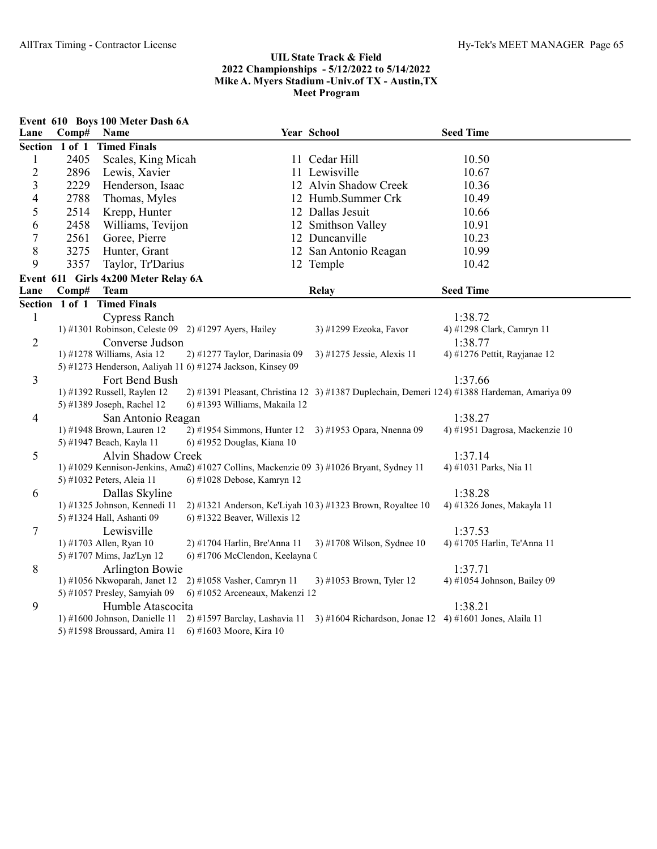|                |                | Event 610 Boys 100 Meter Dash 6A     |                                                            |                                                                                         |                                                                                             |
|----------------|----------------|--------------------------------------|------------------------------------------------------------|-----------------------------------------------------------------------------------------|---------------------------------------------------------------------------------------------|
| Lane           | Comp#          | Name                                 |                                                            | Year School                                                                             | <b>Seed Time</b>                                                                            |
|                | Section 1 of 1 | <b>Timed Finals</b>                  |                                                            |                                                                                         |                                                                                             |
| $\mathbf{1}$   | 2405           | Scales, King Micah                   |                                                            | 11 Cedar Hill                                                                           | 10.50                                                                                       |
| $\overline{2}$ | 2896           | Lewis, Xavier                        |                                                            | 11 Lewisville                                                                           | 10.67                                                                                       |
| 3              | 2229           | Henderson, Isaac                     |                                                            | 12 Alvin Shadow Creek                                                                   | 10.36                                                                                       |
| 4              | 2788           | Thomas, Myles                        |                                                            | 12 Humb.Summer Crk                                                                      | 10.49                                                                                       |
| 5              | 2514           | Krepp, Hunter                        |                                                            | 12 Dallas Jesuit                                                                        | 10.66                                                                                       |
| 6              | 2458           | Williams, Tevijon                    |                                                            | 12 Smithson Valley                                                                      | 10.91                                                                                       |
| $\tau$         | 2561           | Goree, Pierre                        |                                                            | 12 Duncanville                                                                          | 10.23                                                                                       |
| $8\,$          | 3275           | Hunter, Grant                        |                                                            | 12 San Antonio Reagan                                                                   | 10.99                                                                                       |
| 9              | 3357           | Taylor, Tr'Darius                    |                                                            | 12 Temple                                                                               | 10.42                                                                                       |
|                |                | Event 611 Girls 4x200 Meter Relay 6A |                                                            |                                                                                         |                                                                                             |
| Lane           | Comp#          | <b>Team</b>                          |                                                            | <b>Relay</b>                                                                            | <b>Seed Time</b>                                                                            |
|                |                | Section 1 of 1 Timed Finals          |                                                            |                                                                                         |                                                                                             |
| $\mathbf{1}$   |                | <b>Cypress Ranch</b>                 |                                                            |                                                                                         | 1:38.72                                                                                     |
|                |                |                                      | 1) #1301 Robinson, Celeste 09 2) #1297 Ayers, Hailey       | 3) #1299 Ezeoka, Favor                                                                  | 4) #1298 Clark, Camryn 11                                                                   |
| $\overline{2}$ |                | Converse Judson                      |                                                            |                                                                                         | 1:38.77                                                                                     |
|                |                | 1) #1278 Williams, Asia 12           | 2) #1277 Taylor, Darinasia 09                              | 3) #1275 Jessie, Alexis 11                                                              | 4) #1276 Pettit, Rayjanae 12                                                                |
|                |                |                                      | 5) #1273 Henderson, Aaliyah 11 6) #1274 Jackson, Kinsey 09 |                                                                                         |                                                                                             |
| 3              |                | Fort Bend Bush                       |                                                            |                                                                                         | 1:37.66                                                                                     |
|                |                | 1) #1392 Russell, Raylen 12          |                                                            |                                                                                         | 2) #1391 Pleasant, Christina 12 3) #1387 Duplechain, Demeri 124) #1388 Hardeman, Amariya 09 |
|                |                | 5) #1389 Joseph, Rachel 12           | 6) #1393 Williams, Makaila 12                              |                                                                                         |                                                                                             |
| $\overline{4}$ |                | San Antonio Reagan                   |                                                            |                                                                                         | 1:38.27                                                                                     |
|                |                | 1) #1948 Brown, Lauren 12            |                                                            | 2) #1954 Simmons, Hunter 12 3) #1953 Opara, Nnenna 09                                   | 4) #1951 Dagrosa, Mackenzie 10                                                              |
|                |                | 5) #1947 Beach, Kayla 11             | 6) #1952 Douglas, Kiana 10                                 |                                                                                         |                                                                                             |
| 5              |                | Alvin Shadow Creek                   |                                                            | 1) #1029 Kennison-Jenkins, Ama2) #1027 Collins, Mackenzie 09 3) #1026 Bryant, Sydney 11 | 1:37.14                                                                                     |
|                |                | 5) #1032 Peters, Aleia 11            | 6) #1028 Debose, Kamryn 12                                 |                                                                                         | 4) #1031 Parks, Nia 11                                                                      |
| 6              |                | Dallas Skyline                       |                                                            |                                                                                         | 1:38.28                                                                                     |
|                |                | 1) #1325 Johnson, Kennedi 11         |                                                            | 2) #1321 Anderson, Ke'Liyah 103) #1323 Brown, Royaltee 10                               | 4) #1326 Jones, Makayla 11                                                                  |
|                |                | 5) #1324 Hall, Ashanti 09            | 6) #1322 Beaver, Willexis 12                               |                                                                                         |                                                                                             |
| $\tau$         |                | Lewisville                           |                                                            |                                                                                         | 1:37.53                                                                                     |
|                |                | 1) #1703 Allen, Ryan 10              | 2) #1704 Harlin, Bre'Anna 11                               | 3) #1708 Wilson, Sydnee 10                                                              | 4) #1705 Harlin, Te'Anna 11                                                                 |
|                |                | 5) #1707 Mims, Jaz'Lyn 12            | 6) #1706 McClendon, Keelayna 0                             |                                                                                         |                                                                                             |
| $8\,$          |                | <b>Arlington Bowie</b>               |                                                            |                                                                                         | 1:37.71                                                                                     |
|                |                | 1) #1056 Nkwoparah, Janet 12         | 2) #1058 Vasher, Camryn 11                                 | 3) #1053 Brown, Tyler 12                                                                | 4) #1054 Johnson, Bailey 09                                                                 |
|                |                | 5) #1057 Presley, Samyiah 09         | 6) #1052 Arceneaux, Makenzi 12                             |                                                                                         |                                                                                             |
| 9              |                | Humble Atascocita                    |                                                            |                                                                                         | 1:38.21                                                                                     |
|                |                | 1) #1600 Johnson, Danielle 11        |                                                            | 2) #1597 Barclay, Lashavia 11 3) #1604 Richardson, Jonae 12 4) #1601 Jones, Alaila 11   |                                                                                             |
|                |                | 5) #1598 Broussard, Amira 11         | 6) #1603 Moore, Kira 10                                    |                                                                                         |                                                                                             |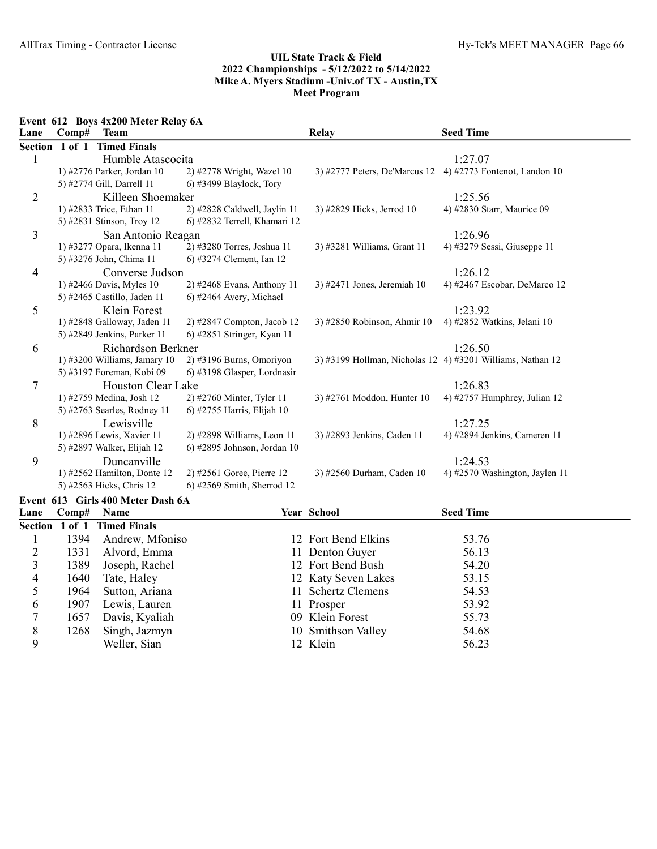Event 612 Boys 4x200 Meter Relay 6A

| Lane           | Comp#  | <b>Team</b>                       |                               | <b>Relay</b>                                               | <b>Seed Time</b>               |
|----------------|--------|-----------------------------------|-------------------------------|------------------------------------------------------------|--------------------------------|
| Section        | 1 of 1 | <b>Timed Finals</b>               |                               |                                                            |                                |
| 1              |        | Humble Atascocita                 |                               |                                                            | 1:27.07                        |
|                |        | 1) #2776 Parker, Jordan 10        | 2) #2778 Wright, Wazel 10     | 3) #2777 Peters, De'Marcus 12                              | 4) #2773 Fontenot, Landon $10$ |
|                |        | 5) #2774 Gill, Darrell 11         | 6) #3499 Blaylock, Tory       |                                                            |                                |
| $\overline{2}$ |        | Killeen Shoemaker                 |                               |                                                            | 1:25.56                        |
|                |        | 1) #2833 Trice, Ethan 11          | 2) #2828 Caldwell, Jaylin 11  | 3) #2829 Hicks, Jerrod 10                                  | 4) #2830 Starr, Maurice 09     |
|                |        | 5) #2831 Stinson, Troy 12         | 6) #2832 Terrell, Khamari 12  |                                                            |                                |
| 3              |        | San Antonio Reagan                |                               |                                                            | 1:26.96                        |
|                |        | 1) #3277 Opara, Ikenna 11         | 2) #3280 Torres, Joshua 11    | 3) #3281 Williams, Grant 11                                | 4) #3279 Sessi, Giuseppe 11    |
|                |        | 5) #3276 John, Chima 11           | 6) #3274 Clement, Ian 12      |                                                            |                                |
| 4              |        | Converse Judson                   |                               |                                                            | 1:26.12                        |
|                |        | 1) #2466 Davis, Myles 10          | 2) #2468 Evans, Anthony 11    | 3) #2471 Jones, Jeremiah $10$                              | 4) #2467 Escobar, DeMarco 12   |
|                |        | 5) #2465 Castillo, Jaden 11       | 6) #2464 Avery, Michael       |                                                            |                                |
| 5              |        | Klein Forest                      |                               |                                                            | 1:23.92                        |
|                |        | 1) #2848 Galloway, Jaden 11       | $2)$ #2847 Compton, Jacob 12  | 3) #2850 Robinson, Ahmir 10                                | 4) #2852 Watkins, Jelani 10    |
|                |        | 5) #2849 Jenkins, Parker 11       | 6) #2851 Stringer, Kyan 11    |                                                            |                                |
| 6              |        | Richardson Berkner                |                               |                                                            | 1:26.50                        |
|                |        | 1) #3200 Williams, Jamary $10$    | $2)$ #3196 Burns, Omoriyon    | 3) #3199 Hollman, Nicholas 12 4) #3201 Williams, Nathan 12 |                                |
|                |        | 5) #3197 Foreman, Kobi 09         | 6) #3198 Glasper, Lordnasir   |                                                            |                                |
| 7              |        | Houston Clear Lake                |                               |                                                            | 1:26.83                        |
|                |        | 1) #2759 Medina, Josh 12          | 2) #2760 Minter, Tyler 11     | 3) #2761 Moddon, Hunter 10                                 | 4) #2757 Humphrey, Julian 12   |
|                |        | 5) #2763 Searles, Rodney 11       | 6) #2755 Harris, Elijah 10    |                                                            |                                |
| 8              |        | Lewisville                        |                               |                                                            | 1:27.25                        |
|                |        | 1) #2896 Lewis, Xavier 11         | $2)$ #2898 Williams, Leon 11  | 3) #2893 Jenkins, Caden 11                                 | 4) #2894 Jenkins, Cameren 11   |
|                |        | 5) #2897 Walker, Elijah 12        | 6) #2895 Johnson, Jordan 10   |                                                            |                                |
| 9              |        | Duncanville                       |                               |                                                            | 1:24.53                        |
|                |        | 1) #2562 Hamilton, Donte 12       | $2)$ #2561 Goree, Pierre 12   | 3) #2560 Durham, Caden 10                                  | 4) #2570 Washington, Jaylen 11 |
|                |        | 5) #2563 Hicks, Chris 12          | $(6)$ #2569 Smith, Sherrod 12 |                                                            |                                |
|                |        | Event 613 Girls 400 Meter Dash 6A |                               |                                                            |                                |
| Lane           | Comp#  | Name                              |                               | Year School                                                | <b>Seed Time</b>               |
|                |        | Section 1 of 1 Timed Finals       |                               |                                                            |                                |

|   |      | Section 1 of 1 Timed Finals |                     |       |
|---|------|-----------------------------|---------------------|-------|
|   | 1394 | Andrew, Mfoniso             | 12 Fort Bend Elkins | 53.76 |
|   | 1331 | Alvord, Emma                | 11 Denton Guyer     | 56.13 |
|   | 1389 | Joseph, Rachel              | 12 Fort Bend Bush   | 54.20 |
| 4 | 1640 | Tate, Haley                 | 12 Katy Seven Lakes | 53.15 |
|   | 1964 | Sutton, Ariana              | 11 Schertz Clemens  | 54.53 |
| 6 | 1907 | Lewis, Lauren               | 11 Prosper          | 53.92 |
|   | 1657 | Davis, Kyaliah              | 09 Klein Forest     | 55.73 |
| 8 | 1268 | Singh, Jazmyn               | 10 Smithson Valley  | 54.68 |
|   |      | Weller, Sian                | 12 Klein            | 56.23 |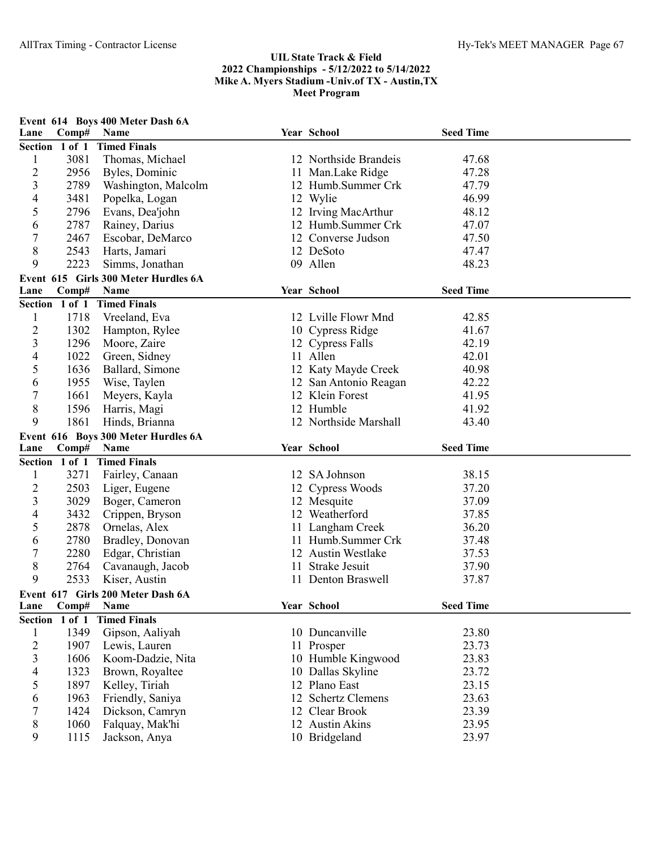| Lane                     | Comp#          | Event 614 Boys 400 Meter Dash 6A<br>Name  |    | Year School            | <b>Seed Time</b> |  |
|--------------------------|----------------|-------------------------------------------|----|------------------------|------------------|--|
|                          | Section 1 of 1 | <b>Timed Finals</b>                       |    |                        |                  |  |
| $\mathbf{1}$             | 3081           | Thomas, Michael                           |    | 12 Northside Brandeis  | 47.68            |  |
| $\overline{c}$           | 2956           | Byles, Dominic                            |    | 11 Man.Lake Ridge      | 47.28            |  |
| 3                        | 2789           | Washington, Malcolm                       |    | 12 Humb.Summer Crk     | 47.79            |  |
| 4                        | 3481           | Popelka, Logan                            |    | 12 Wylie               | 46.99            |  |
| 5                        | 2796           | Evans, Dea'john                           |    | 12 Irving MacArthur    | 48.12            |  |
| 6                        | 2787           | Rainey, Darius                            |    | 12 Humb.Summer Crk     | 47.07            |  |
| 7                        | 2467           | Escobar, DeMarco                          |    | 12 Converse Judson     | 47.50            |  |
| 8                        | 2543           | Harts, Jamari                             |    | 12 DeSoto              | 47.47            |  |
| 9                        | 2223           | Simms, Jonathan                           |    | 09 Allen               | 48.23            |  |
|                          |                | Event 615 Girls 300 Meter Hurdles 6A      |    |                        |                  |  |
| Lane                     | Comp#          | Name                                      |    | Year School            | <b>Seed Time</b> |  |
|                          | Section 1 of 1 | <b>Timed Finals</b>                       |    |                        |                  |  |
| $\mathbf{1}$             | 1718           | Vreeland, Eva                             |    | 12 Lville Flowr Mnd    | 42.85            |  |
| 2                        | 1302           | Hampton, Rylee                            |    | 10 Cypress Ridge       | 41.67            |  |
| 3                        | 1296           | Moore, Zaire                              |    | 12 Cypress Falls       | 42.19            |  |
| 4                        | 1022           | Green, Sidney                             |    | 11 Allen               | 42.01            |  |
| 5                        | 1636           | Ballard, Simone                           |    | 12 Katy Mayde Creek    | 40.98            |  |
| 6                        | 1955           | Wise, Taylen                              |    | 12 San Antonio Reagan  | 42.22            |  |
| 7                        | 1661           | Meyers, Kayla                             |    | 12 Klein Forest        | 41.95            |  |
| 8                        | 1596           | Harris, Magi                              |    | 12 Humble              | 41.92            |  |
| 9                        | 1861           | Hinds, Brianna                            |    | 12 Northside Marshall  | 43.40            |  |
|                          |                | Event 616 Boys 300 Meter Hurdles 6A       |    |                        |                  |  |
| Lane                     | Comp#          | Name                                      |    | Year School            | <b>Seed Time</b> |  |
|                          | Section 1 of 1 | <b>Timed Finals</b>                       |    |                        |                  |  |
| 1                        | 3271           | Fairley, Canaan                           |    | 12 SA Johnson          | 38.15            |  |
| 2                        | 2503           | Liger, Eugene                             |    | 12 Cypress Woods       | 37.20            |  |
| 3                        | 3029           | Boger, Cameron                            |    | 12 Mesquite            | 37.09            |  |
| 4                        | 3432           | Crippen, Bryson                           |    | 12 Weatherford         | 37.85            |  |
| 5                        | 2878           | Ornelas, Alex                             |    | 11 Langham Creek       | 36.20            |  |
| 6                        | 2780           | Bradley, Donovan                          |    | 11 Humb.Summer Crk     | 37.48            |  |
| 7                        | 2280           | Edgar, Christian                          |    | 12 Austin Westlake     | 37.53            |  |
| 8                        | 2764           | Cavanaugh, Jacob                          | 11 | <b>Strake Jesuit</b>   | 37.90            |  |
| 9                        |                |                                           |    |                        |                  |  |
|                          | 2533           | Kiser, Austin                             |    | 11 Denton Braswell     | 37.87            |  |
|                          |                |                                           |    |                        |                  |  |
| Lane                     | Comp#          | Event 617 Girls 200 Meter Dash 6A<br>Name |    | Year School            | <b>Seed Time</b> |  |
|                          | Section 1 of 1 | <b>Timed Finals</b>                       |    |                        |                  |  |
| $\mathbf{1}$             | 1349           | Gipson, Aaliyah                           |    | 10 Duncanville         | 23.80            |  |
| $\overline{c}$           | 1907           | Lewis, Lauren                             |    | 11 Prosper             | 23.73            |  |
| $\overline{\mathbf{3}}$  | 1606           | Koom-Dadzie, Nita                         |    | 10 Humble Kingwood     | 23.83            |  |
| $\overline{\mathcal{A}}$ | 1323           | Brown, Royaltee                           |    | 10 Dallas Skyline      | 23.72            |  |
| 5                        | 1897           | Kelley, Tiriah                            |    | 12 Plano East          | 23.15            |  |
| 6                        | 1963           | Friendly, Saniya                          | 12 | <b>Schertz Clemens</b> | 23.63            |  |
| 7                        | 1424           | Dickson, Camryn                           |    | 12 Clear Brook         | 23.39            |  |
| 8                        | 1060           | Falquay, Mak'hi                           |    | 12 Austin Akins        | 23.95            |  |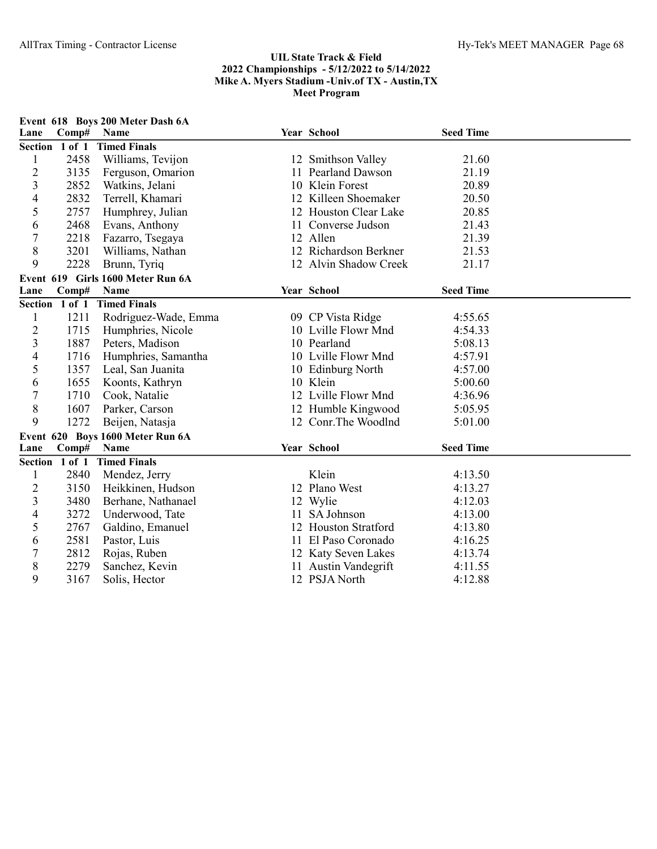| Lane           | Comp# | Event 618 Boys 200 Meter Dash 6A<br>Name |    | Year School           | <b>Seed Time</b> |  |
|----------------|-------|------------------------------------------|----|-----------------------|------------------|--|
| Section 1 of 1 |       | <b>Timed Finals</b>                      |    |                       |                  |  |
| 1              | 2458  | Williams, Tevijon                        |    | 12 Smithson Valley    | 21.60            |  |
| $\overline{c}$ | 3135  | Ferguson, Omarion                        |    | 11 Pearland Dawson    | 21.19            |  |
| 3              | 2852  | Watkins, Jelani                          |    | 10 Klein Forest       | 20.89            |  |
| 4              | 2832  | Terrell, Khamari                         |    | 12 Killeen Shoemaker  | 20.50            |  |
| 5              | 2757  | Humphrey, Julian                         |    | 12 Houston Clear Lake | 20.85            |  |
| 6              | 2468  | Evans, Anthony                           |    | 11 Converse Judson    | 21.43            |  |
| 7              | 2218  | Fazarro, Tsegaya                         |    | 12 Allen              | 21.39            |  |
| 8              | 3201  | Williams, Nathan                         |    | 12 Richardson Berkner | 21.53            |  |
| 9              | 2228  | Brunn, Tyriq                             |    | 12 Alvin Shadow Creek | 21.17            |  |
|                |       | Event 619 Girls 1600 Meter Run 6A        |    |                       |                  |  |
| Lane           | Comp# | Name                                     |    | Year School           | <b>Seed Time</b> |  |
| Section 1 of 1 |       | <b>Timed Finals</b>                      |    |                       |                  |  |
| 1              | 1211  | Rodriguez-Wade, Emma                     |    | 09 CP Vista Ridge     | 4:55.65          |  |
| $\overline{c}$ | 1715  | Humphries, Nicole                        |    | 10 Lville Flowr Mnd   | 4:54.33          |  |
| 3              | 1887  | Peters, Madison                          |    | 10 Pearland           | 5:08.13          |  |
| 4              | 1716  | Humphries, Samantha                      |    | 10 Lville Flowr Mnd   | 4:57.91          |  |
| 5              | 1357  | Leal, San Juanita                        |    | 10 Edinburg North     | 4:57.00          |  |
| 6              | 1655  | Koonts, Kathryn                          |    | 10 Klein              | 5:00.60          |  |
| 7              | 1710  | Cook, Natalie                            |    | 12 Lville Flowr Mnd   | 4:36.96          |  |
| 8              | 1607  | Parker, Carson                           |    | 12 Humble Kingwood    | 5:05.95          |  |
| 9              | 1272  | Beijen, Natasja                          |    | 12 Conr.The Woodlnd   | 5:01.00          |  |
|                |       | Event 620 Boys 1600 Meter Run 6A         |    |                       |                  |  |
| Lane           | Comp# | Name                                     |    | Year School           | <b>Seed Time</b> |  |
| Section 1 of 1 |       | <b>Timed Finals</b>                      |    |                       |                  |  |
| 1              | 2840  | Mendez, Jerry                            |    | Klein                 | 4:13.50          |  |
| $\overline{c}$ | 3150  | Heikkinen, Hudson                        |    | 12 Plano West         | 4:13.27          |  |
| 3              | 3480  | Berhane, Nathanael                       |    | 12 Wylie              | 4:12.03          |  |
| 4              | 3272  | Underwood, Tate                          | 11 | SA Johnson            | 4:13.00          |  |
| 5              | 2767  | Galdino, Emanuel                         |    | 12 Houston Stratford  | 4:13.80          |  |
| 6              | 2581  | Pastor, Luis                             |    | 11 El Paso Coronado   | 4:16.25          |  |
| 7              | 2812  | Rojas, Ruben                             |    | 12 Katy Seven Lakes   | 4:13.74          |  |
| 8              | 2279  | Sanchez, Kevin                           |    | 11 Austin Vandegrift  | 4:11.55          |  |
| 9              | 3167  | Solis, Hector                            |    | 12 PSJA North         | 4:12.88          |  |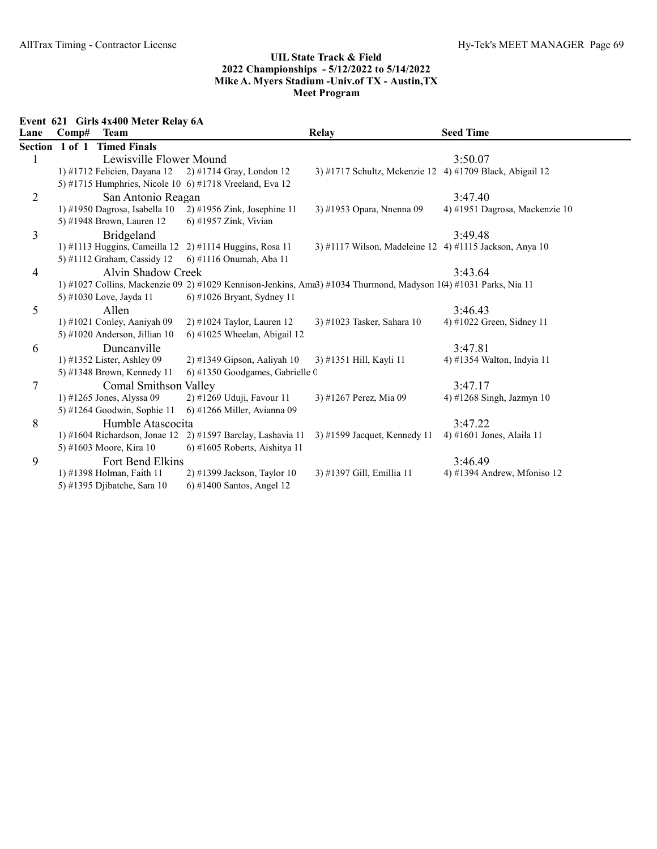Event 621 Girls 4x400 Meter Relay 6A

| Lane           | Comp#             | <b>Team</b>                     |                                                         | <b>Relay</b>                                                                                                        | <b>Seed Time</b>               |
|----------------|-------------------|---------------------------------|---------------------------------------------------------|---------------------------------------------------------------------------------------------------------------------|--------------------------------|
|                | Section 1 of 1    | <b>Timed Finals</b>             |                                                         |                                                                                                                     |                                |
| 1              |                   | Lewisville Flower Mound         |                                                         |                                                                                                                     | 3:50.07                        |
|                |                   | 1) #1712 Felicien, Dayana 12    | 2) #1714 Gray, London 12                                | 3) #1717 Schultz, Mckenzie 12 4) #1709 Black, Abigail 12                                                            |                                |
|                |                   |                                 | 5) #1715 Humphries, Nicole 10 6) #1718 Vreeland, Eva 12 |                                                                                                                     |                                |
| $\overline{2}$ |                   | San Antonio Reagan              |                                                         |                                                                                                                     | 3:47.40                        |
|                |                   | 1) #1950 Dagrosa, Isabella 10   | $2)$ #1956 Zink, Josephine 11                           | 3) #1953 Opara, Nnenna 09                                                                                           | 4) #1951 Dagrosa, Mackenzie 10 |
|                |                   | 5) #1948 Brown, Lauren 12       | 6) #1957 Zink, Vivian                                   |                                                                                                                     |                                |
| 3              |                   | Bridgeland                      |                                                         |                                                                                                                     | 3:49.48                        |
|                |                   |                                 | 1) #1113 Huggins, Cameilla 12 2) #1114 Huggins, Rosa 11 | 3) #1117 Wilson, Madeleine 12 4) #1115 Jackson, Anya 10                                                             |                                |
|                |                   | 5) #1112 Graham, Cassidy 12     | 6) #1116 Onumah, Aba 11                                 |                                                                                                                     |                                |
| 4              |                   | Alvin Shadow Creek              |                                                         |                                                                                                                     | 3:43.64                        |
|                |                   |                                 |                                                         | 1) #1027 Collins, Mackenzie 09 2) #1029 Kennison-Jenkins, Ama3) #1034 Thurmond, Madyson 1 $(4)$ #1031 Parks, Nia 11 |                                |
|                |                   | 5) #1030 Love, Jayda 11         | $6$ ) #1026 Bryant, Sydney 11                           |                                                                                                                     |                                |
| 5              |                   | Allen                           |                                                         |                                                                                                                     | 3:46.43                        |
|                |                   | 1) #1021 Conley, Aaniyah 09     | $2)$ #1024 Taylor, Lauren 12                            | 3) #1023 Tasker, Sahara 10                                                                                          | 4) #1022 Green, Sidney 11      |
|                |                   | 5) #1020 Anderson, Jillian $10$ | $(6)$ #1025 Wheelan, Abigail 12                         |                                                                                                                     |                                |
| 6              |                   | Duncanville                     |                                                         |                                                                                                                     | 3:47.81                        |
|                |                   | 1) #1352 Lister, Ashley 09      | $2)$ #1349 Gipson, Aaliyah 10                           | 3) #1351 Hill, Kayli 11                                                                                             | 4) #1354 Walton, Indyia 11     |
|                |                   | 5) #1348 Brown, Kennedy 11      | $6$ ) #1350 Goodgames, Gabrielle 0                      |                                                                                                                     |                                |
| 7              |                   | <b>Comal Smithson Valley</b>    |                                                         |                                                                                                                     | 3:47.17                        |
|                |                   | 1) #1265 Jones, Alyssa 09       | 2) #1269 Uduji, Favour 11                               | 3) #1267 Perez, Mia 09                                                                                              | 4) #1268 Singh, Jazmyn 10      |
|                |                   | 5) #1264 Goodwin, Sophie 11     | 6) #1266 Miller, Avianna 09                             |                                                                                                                     |                                |
| 8              | Humble Atascocita |                                 |                                                         |                                                                                                                     | 3:47.22                        |
|                |                   | 1) #1604 Richardson, Jonae 12   | $2)$ #1597 Barclay, Lashavia 11                         | $3)$ #1599 Jacquet, Kennedy 11                                                                                      | 4) #1601 Jones, Alaila 11      |
|                |                   | 5) #1603 Moore, Kira 10         | 6) #1605 Roberts, Aishitya 11                           |                                                                                                                     |                                |
| 9              |                   | Fort Bend Elkins                |                                                         |                                                                                                                     | 3:46.49                        |
|                |                   | 1) #1398 Holman, Faith 11       | 2) #1399 Jackson, Taylor 10                             | 3) #1397 Gill, Emillia 11                                                                                           | 4) #1394 Andrew, Mfoniso 12    |
|                |                   | 5) #1395 Djibatche, Sara 10     | $6$ ) #1400 Santos, Angel 12                            |                                                                                                                     |                                |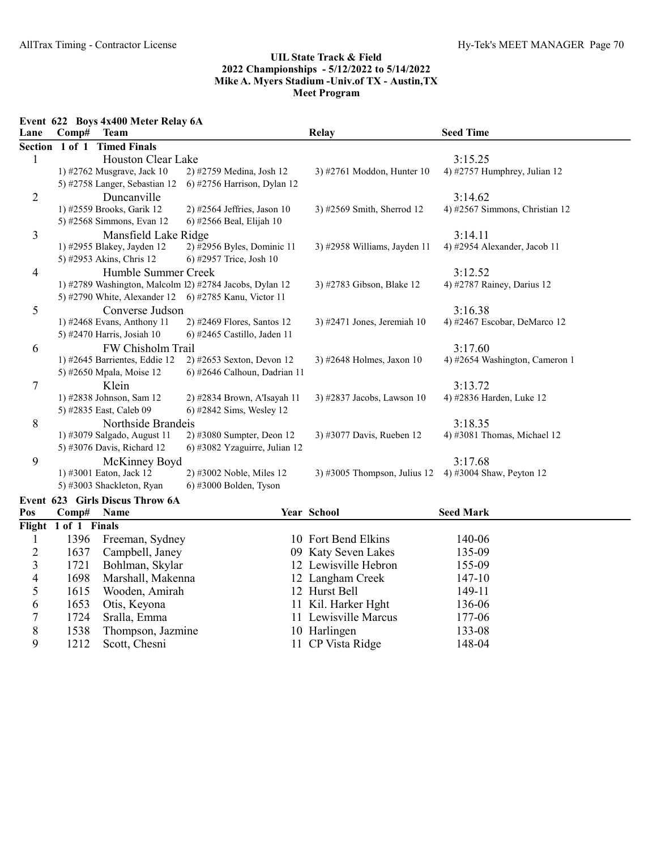Event 622 Boys 4x400 Meter Relay 6A

| Lane                     | Comp#                                                 | <b>Team</b>                     |                                                          | Relay                                                 | <b>Seed Time</b>               |
|--------------------------|-------------------------------------------------------|---------------------------------|----------------------------------------------------------|-------------------------------------------------------|--------------------------------|
|                          | Section 1 of 1                                        | <b>Timed Finals</b>             |                                                          |                                                       |                                |
| $\mathbf{1}$             | Houston Clear Lake                                    |                                 |                                                          |                                                       | 3:15.25                        |
|                          |                                                       | 1) #2762 Musgrave, Jack 10      | 2) #2759 Medina, Josh 12                                 | 3) #2761 Moddon, Hunter 10                            | 4) #2757 Humphrey, Julian 12   |
|                          |                                                       | 5) #2758 Langer, Sebastian 12   | 6) #2756 Harrison, Dylan 12                              |                                                       |                                |
| $\overline{2}$           |                                                       | Duncanville                     |                                                          |                                                       | 3:14.62                        |
|                          |                                                       | 1) #2559 Brooks, Garik 12       | 2) #2564 Jeffries, Jason 10                              | 3) #2569 Smith, Sherrod 12                            | 4) #2567 Simmons, Christian 12 |
|                          |                                                       | 5) #2568 Simmons, Evan 12       | 6) #2566 Beal, Elijah 10                                 |                                                       |                                |
| 3                        |                                                       | Mansfield Lake Ridge            |                                                          |                                                       | 3:14.11                        |
|                          |                                                       | 1) #2955 Blakey, Jayden 12      | 2) #2956 Byles, Dominic 11                               | 3) #2958 Williams, Jayden 11                          | 4) #2954 Alexander, Jacob 11   |
|                          |                                                       | 5) #2953 Akins, Chris 12        | 6) #2957 Trice, Josh 10                                  |                                                       |                                |
| $\overline{4}$           |                                                       | Humble Summer Creek             |                                                          |                                                       | 3:12.52                        |
|                          |                                                       |                                 | 1) #2789 Washington, Malcolm 12) #2784 Jacobs, Dylan 12  | 3) #2783 Gibson, Blake 12                             | 4) #2787 Rainey, Darius 12     |
|                          |                                                       |                                 | 5) #2790 White, Alexander 12    6) #2785 Kanu, Victor 11 |                                                       |                                |
| 5                        |                                                       | Converse Judson                 |                                                          |                                                       | 3:16.38                        |
|                          |                                                       | 1) #2468 Evans, Anthony 11      | 2) #2469 Flores, Santos 12                               | 3) #2471 Jones, Jeremiah 10                           | 4) #2467 Escobar, DeMarco 12   |
|                          |                                                       | 5) #2470 Harris, Josiah 10      | 6) #2465 Castillo, Jaden 11                              |                                                       |                                |
| 6                        | FW Chisholm Trail                                     |                                 |                                                          |                                                       | 3:17.60                        |
|                          |                                                       | 1) #2645 Barrientes, Eddie 12   | 2) #2653 Sexton, Devon 12                                | 3) #2648 Holmes, Jaxon 10                             | 4) #2654 Washington, Cameron 1 |
|                          |                                                       | 5) #2650 Mpala, Moise 12        | 6) #2646 Calhoun, Dadrian 11                             |                                                       |                                |
| 7                        |                                                       | Klein                           |                                                          |                                                       | 3:13.72                        |
|                          |                                                       | 1) #2838 Johnson, Sam 12        | 2) #2834 Brown, A'Isayah 11                              | 3) #2837 Jacobs, Lawson 10                            | 4) #2836 Harden, Luke 12       |
|                          |                                                       | 5) #2835 East, Caleb 09         | 6) #2842 Sims, Wesley 12                                 |                                                       |                                |
| 8                        |                                                       | Northside Brandeis              |                                                          |                                                       | 3:18.35                        |
|                          |                                                       | 1) #3079 Salgado, August 11     | 2) #3080 Sumpter, Deon 12                                | 3) #3077 Davis, Rueben 12                             | 4) #3081 Thomas, Michael $12$  |
|                          |                                                       | 5) #3076 Davis, Richard 12      | 6) #3082 Yzaguirre, Julian 12                            |                                                       |                                |
| 9                        |                                                       | McKinney Boyd                   |                                                          |                                                       | 3:17.68                        |
|                          |                                                       | 1) #3001 Eaton, Jack 12         | 2) #3002 Noble, Miles 12                                 | 3) #3005 Thompson, Julius 12 4) #3004 Shaw, Peyton 12 |                                |
|                          | 5) #3003 Shackleton, Ryan<br>$6)$ #3000 Bolden, Tyson |                                 |                                                          |                                                       |                                |
|                          |                                                       | Event 623 Girls Discus Throw 6A |                                                          |                                                       |                                |
| Pos                      | Comp#                                                 | Name                            |                                                          | Year School                                           | <b>Seed Mark</b>               |
| Flight                   | 1 of 1 Finals                                         |                                 |                                                          |                                                       |                                |
| 1                        | 1396                                                  | Freeman, Sydney                 |                                                          | 10 Fort Bend Elkins                                   | 140-06                         |
| $\overline{c}$           | 1637                                                  | Campbell, Janey                 |                                                          | 09 Katy Seven Lakes                                   | 135-09                         |
| 3                        | 1721                                                  | Bohlman, Skylar                 |                                                          | 12 Lewisville Hebron                                  | 155-09                         |
| $\overline{\mathcal{A}}$ | 1698                                                  | Marshall, Makenna               |                                                          | 12 Langham Creek                                      | 147-10                         |
| 5                        | 1615                                                  | Wooden, Amirah                  |                                                          | 12 Hurst Bell                                         | 149-11                         |
| 6                        | 1653                                                  | Otis, Keyona                    |                                                          | 11 Kil. Harker Hght                                   | 136-06                         |
| $\boldsymbol{7}$         | 1724                                                  | Sralla, Emma                    |                                                          | 11 Lewisville Marcus                                  | 177-06                         |
| $\,$ $\,$                | 1538                                                  | Thompson, Jazmine               |                                                          | 10 Harlingen                                          | 133-08                         |
| 9                        | 1212                                                  | Scott, Chesni                   |                                                          | 11 CP Vista Ridge                                     | 148-04                         |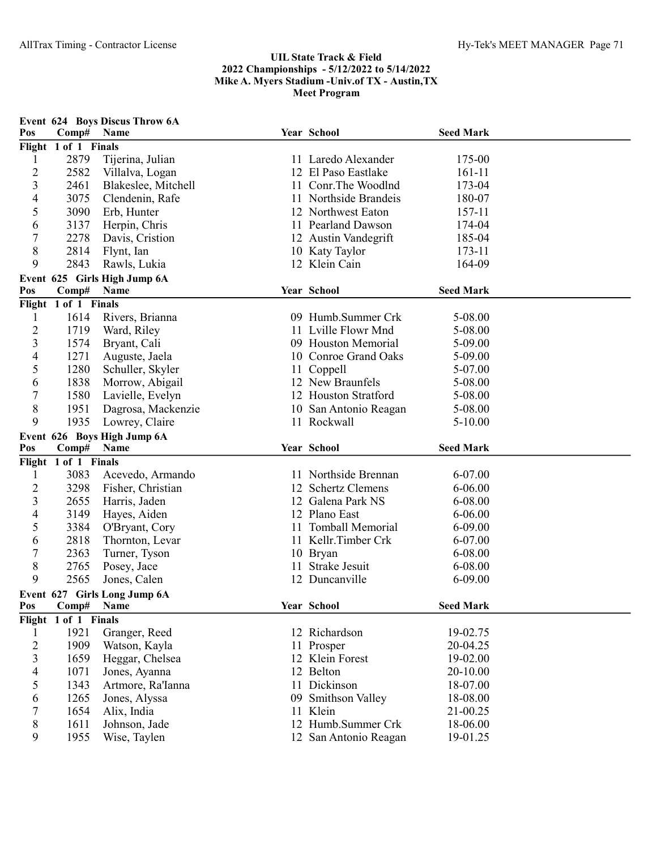|                             | Event 624 Boys Discus Throw 6A |                              |    |                       |                  |  |  |  |
|-----------------------------|--------------------------------|------------------------------|----|-----------------------|------------------|--|--|--|
| Pos                         | Comp#                          | Name                         |    | Year School           | <b>Seed Mark</b> |  |  |  |
| Flight 1 of 1 Finals        |                                |                              |    |                       |                  |  |  |  |
| 1                           | 2879                           | Tijerina, Julian             |    | 11 Laredo Alexander   | 175-00           |  |  |  |
| $\overline{c}$              | 2582                           | Villalva, Logan              |    | 12 El Paso Eastlake   | 161-11           |  |  |  |
| 3                           | 2461                           | Blakeslee, Mitchell          |    | 11 Conr. The Woodlnd  | 173-04           |  |  |  |
| 4                           | 3075                           | Clendenin, Rafe              |    | 11 Northside Brandeis | 180-07           |  |  |  |
| 5                           | 3090                           | Erb, Hunter                  |    | 12 Northwest Eaton    | 157-11           |  |  |  |
| 6                           | 3137                           | Herpin, Chris                |    | 11 Pearland Dawson    | 174-04           |  |  |  |
| 7                           | 2278                           | Davis, Cristion              |    | 12 Austin Vandegrift  | 185-04           |  |  |  |
| 8                           | 2814                           | Flynt, Ian                   |    | 10 Katy Taylor        | 173-11           |  |  |  |
| 9                           | 2843                           | Rawls, Lukia                 |    | 12 Klein Cain         | 164-09           |  |  |  |
|                             |                                | Event 625 Girls High Jump 6A |    |                       |                  |  |  |  |
| Pos                         | Comp#                          | Name                         |    | Year School           | <b>Seed Mark</b> |  |  |  |
| Flight                      | 1 of 1 Finals                  |                              |    |                       |                  |  |  |  |
| 1                           | 1614                           | Rivers, Brianna              |    | 09 Humb.Summer Crk    | 5-08.00          |  |  |  |
| $\overline{c}$              | 1719                           | Ward, Riley                  |    | 11 Lville Flowr Mnd   | 5-08.00          |  |  |  |
| 3                           | 1574                           | Bryant, Cali                 |    | 09 Houston Memorial   | 5-09.00          |  |  |  |
| 4                           | 1271                           | Auguste, Jaela               |    | 10 Conroe Grand Oaks  | 5-09.00          |  |  |  |
| 5                           | 1280                           | Schuller, Skyler             |    | 11 Coppell            | 5-07.00          |  |  |  |
| 6                           | 1838                           | Morrow, Abigail              |    | 12 New Braunfels      | 5-08.00          |  |  |  |
| 7                           | 1580                           | Lavielle, Evelyn             |    | 12 Houston Stratford  | 5-08.00          |  |  |  |
| 8                           | 1951                           | Dagrosa, Mackenzie           |    | 10 San Antonio Reagan | 5-08.00          |  |  |  |
| 9                           | 1935                           | Lowrey, Claire               |    | 11 Rockwall           | $5-10.00$        |  |  |  |
| Event 626 Boys High Jump 6A |                                |                              |    |                       |                  |  |  |  |
|                             |                                |                              |    |                       |                  |  |  |  |
| Pos                         | Comp# Name                     |                              |    | Year School           | <b>Seed Mark</b> |  |  |  |
|                             | Flight 1 of 1 Finals           |                              |    |                       |                  |  |  |  |
| 1                           | 3083                           | Acevedo, Armando             |    | 11 Northside Brennan  | 6-07.00          |  |  |  |
| $\overline{c}$              | 3298                           | Fisher, Christian            |    | 12 Schertz Clemens    | 6-06.00          |  |  |  |
| 3                           | 2655                           | Harris, Jaden                |    | 12 Galena Park NS     | 6-08.00          |  |  |  |
| 4                           | 3149                           | Hayes, Aiden                 |    | 12 Plano East         | $6 - 06.00$      |  |  |  |
| 5                           | 3384                           | O'Bryant, Cory               |    | 11 Tomball Memorial   | $6 - 09.00$      |  |  |  |
| 6                           | 2818                           | Thornton, Levar              |    | 11 Kellr.Timber Crk   | 6-07.00          |  |  |  |
| 7                           | 2363                           | Turner, Tyson                |    | 10 Bryan              | 6-08.00          |  |  |  |
| 8                           | 2765                           | Posey, Jace                  |    | 11 Strake Jesuit      | 6-08.00          |  |  |  |
| 9                           | 2565                           | Jones, Calen                 |    | 12 Duncanville        | 6-09.00          |  |  |  |
|                             |                                | Event 627 Girls Long Jump 6A |    |                       |                  |  |  |  |
| Pos                         | Comp#                          | Name                         |    | Year School           | <b>Seed Mark</b> |  |  |  |
| Flight                      | $1$ of $1$ Finals              |                              |    |                       |                  |  |  |  |
| 1                           | 1921                           | Granger, Reed                |    | 12 Richardson         | 19-02.75         |  |  |  |
| $\mathbf{2}$                | 1909                           | Watson, Kayla                |    | 11 Prosper            | 20-04.25         |  |  |  |
| 3                           | 1659                           | Heggar, Chelsea              |    | 12 Klein Forest       | 19-02.00         |  |  |  |
| 4                           | 1071                           | Jones, Ayanna                |    | 12 Belton             | 20-10.00         |  |  |  |
| 5                           | 1343                           | Artmore, Ra'Ianna            |    | 11 Dickinson          | 18-07.00         |  |  |  |
| 6                           | 1265                           | Jones, Alyssa                | 09 | Smithson Valley       | 18-08.00         |  |  |  |
| 7                           | 1654                           | Alix, India                  |    | 11 Klein              | 21-00.25         |  |  |  |
| 8                           | 1611                           | Johnson, Jade                |    | 12 Humb.Summer Crk    | 18-06.00         |  |  |  |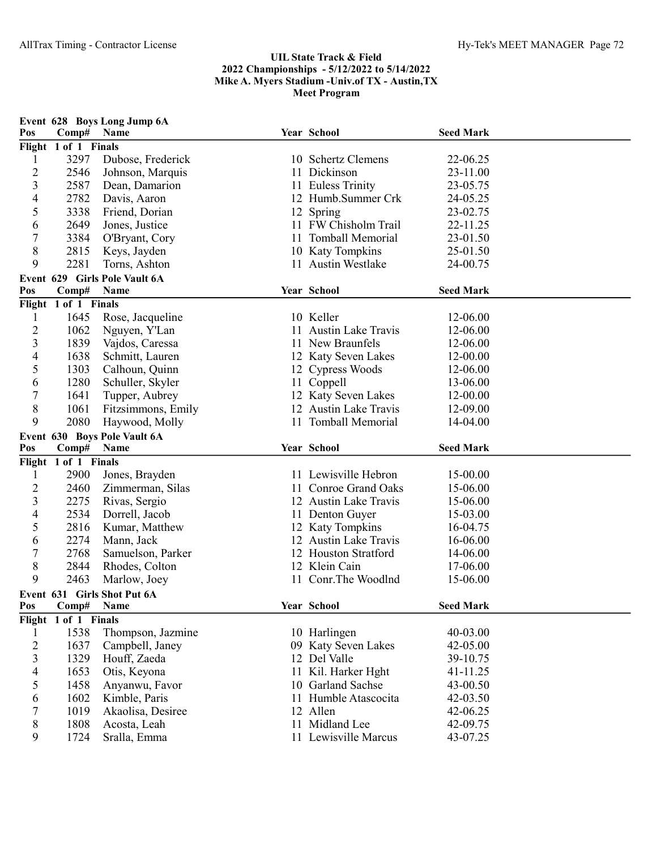| Pos                     | Comp#                | Event 628 Boys Long Jump 6A<br>Name   | Year School                | <b>Seed Mark</b>     |  |
|-------------------------|----------------------|---------------------------------------|----------------------------|----------------------|--|
|                         | Flight 1 of 1 Finals |                                       |                            |                      |  |
| 1                       | 3297                 | Dubose, Frederick                     | 10 Schertz Clemens         | 22-06.25             |  |
| $\overline{c}$          | 2546                 | Johnson, Marquis                      | 11 Dickinson               | 23-11.00             |  |
| 3                       | 2587                 | Dean, Damarion                        | 11 Euless Trinity          | 23-05.75             |  |
| 4                       | 2782                 | Davis, Aaron                          | 12 Humb.Summer Crk         | 24-05.25             |  |
| 5                       | 3338                 | Friend, Dorian                        | 12 Spring                  | 23-02.75             |  |
| 6                       | 2649                 | Jones, Justice                        | 11 FW Chisholm Trail       | 22-11.25             |  |
| 7                       | 3384                 | O'Bryant, Cory                        | 11 Tomball Memorial        | 23-01.50             |  |
| 8                       | 2815                 | Keys, Jayden                          | 10 Katy Tompkins           | 25-01.50             |  |
| 9                       | 2281                 | Torns, Ashton                         | 11 Austin Westlake         | 24-00.75             |  |
|                         |                      |                                       |                            |                      |  |
| Pos                     |                      | Event 629 Girls Pole Vault 6A<br>Name | Year School                | <b>Seed Mark</b>     |  |
|                         | Comp#                |                                       |                            |                      |  |
|                         | Flight 1 of 1 Finals |                                       |                            |                      |  |
| $\mathbf{1}$            | 1645                 | Rose, Jacqueline                      | 10 Keller                  | 12-06.00             |  |
| 2                       | 1062                 | Nguyen, Y'Lan                         | 11 Austin Lake Travis      | 12-06.00             |  |
| $\mathfrak{Z}$          | 1839                 | Vajdos, Caressa                       | 11 New Braunfels           | 12-06.00             |  |
| 4                       | 1638                 | Schmitt, Lauren                       | 12 Katy Seven Lakes        | 12-00.00             |  |
| 5                       | 1303                 | Calhoun, Quinn                        | 12 Cypress Woods           | 12-06.00             |  |
| 6                       | 1280                 | Schuller, Skyler                      | 11 Coppell                 | 13-06.00             |  |
| 7                       | 1641                 | Tupper, Aubrey                        | 12 Katy Seven Lakes        | 12-00.00             |  |
| 8                       | 1061                 | Fitzsimmons, Emily                    | 12 Austin Lake Travis      | 12-09.00             |  |
| 9                       | 2080                 | Haywood, Molly                        | 11 Tomball Memorial        | 14-04.00             |  |
|                         |                      | Event 630 Boys Pole Vault 6A          |                            |                      |  |
| Pos                     | Comp#                | Name                                  | Year School                | <b>Seed Mark</b>     |  |
|                         | Flight 1 of 1 Finals |                                       |                            |                      |  |
| 1                       | 2900                 | Jones, Brayden                        | 11 Lewisville Hebron       | 15-00.00             |  |
| 2                       | 2460                 | Zimmerman, Silas                      | 11 Conroe Grand Oaks       | 15-06.00             |  |
| 3                       | 2275                 | Rivas, Sergio                         | 12 Austin Lake Travis      | 15-06.00             |  |
| 4                       | 2534                 | Dorrell, Jacob                        | 11 Denton Guyer            | 15-03.00             |  |
| 5                       | 2816                 | Kumar, Matthew                        | 12 Katy Tompkins           | 16-04.75             |  |
| 6                       | 2274                 | Mann, Jack                            | 12 Austin Lake Travis      | 16-06.00             |  |
| 7                       | 2768                 | Samuelson, Parker                     | 12 Houston Stratford       | 14-06.00             |  |
| 8                       | 2844                 | Rhodes, Colton                        | 12 Klein Cain              | 17-06.00             |  |
| 9                       | 2463                 | Marlow, Joey                          | 11 Conr. The Woodlnd       | 15-06.00             |  |
|                         |                      | Event 631 Girls Shot Put 6A           |                            |                      |  |
| Pos                     | Comp#                | Name                                  | Year School                | <b>Seed Mark</b>     |  |
|                         | Flight 1 of 1 Finals |                                       |                            |                      |  |
| 1                       | 1538                 | Thompson, Jazmine                     | 10 Harlingen               | 40-03.00             |  |
| $\overline{c}$          | 1637                 | Campbell, Janey                       | 09 Katy Seven Lakes        | 42-05.00             |  |
| $\overline{\mathbf{3}}$ | 1329                 | Houff, Zaeda                          | 12 Del Valle               | 39-10.75             |  |
| 4                       | 1653                 | Otis, Keyona                          | 11 Kil. Harker Hght        | 41-11.25             |  |
| 5                       |                      |                                       |                            |                      |  |
|                         | 1458                 |                                       | 10 Garland Sachse          |                      |  |
|                         |                      | Anyanwu, Favor                        | 11 Humble Atascocita       | 43-00.50             |  |
| 6                       | 1602                 | Kimble, Paris                         |                            | 42-03.50             |  |
| 7<br>8                  | 1019<br>1808         | Akaolisa, Desiree<br>Acosta, Leah     | 12 Allen<br>11 Midland Lee | 42-06.25<br>42-09.75 |  |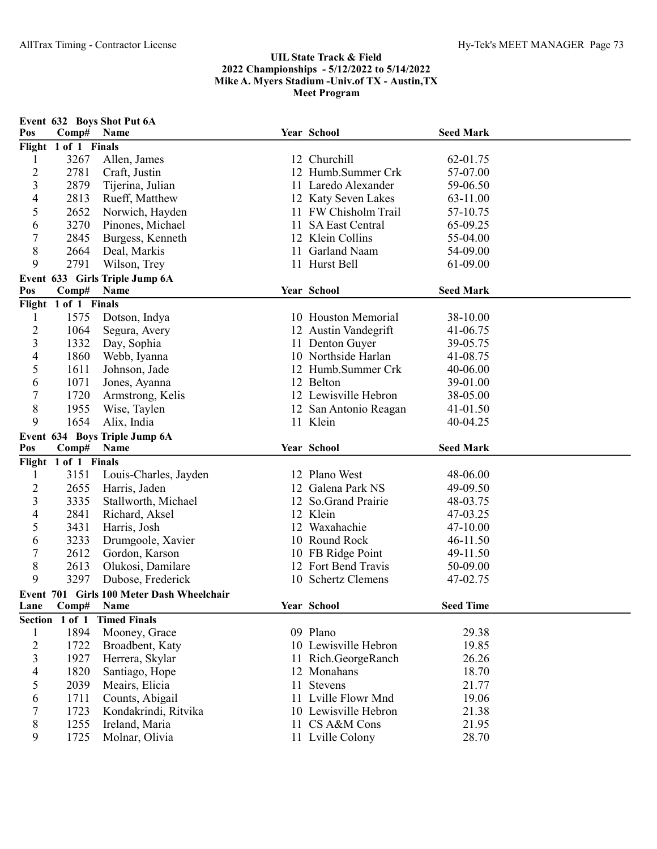## UIL State Track & Field 2022 Championships - 5/12/2022 to 5/14/2022 Mike A. Myers Stadium -Univ.of TX - Austin,TX Meet Program

| Pos            | Comp#                         | Event 632 Boys Shot Put 6A<br>Name        |    | Year School           | <b>Seed Mark</b> |  |  |  |
|----------------|-------------------------------|-------------------------------------------|----|-----------------------|------------------|--|--|--|
|                | Flight 1 of 1 Finals          |                                           |    |                       |                  |  |  |  |
| 1              | 3267                          | Allen, James                              |    | 12 Churchill          | 62-01.75         |  |  |  |
| $\overline{c}$ | 2781                          | Craft, Justin                             | 12 | Humb.Summer Crk       | 57-07.00         |  |  |  |
| 3              | 2879                          | Tijerina, Julian                          |    | 11 Laredo Alexander   | 59-06.50         |  |  |  |
| 4              | 2813                          | Rueff, Matthew                            |    | 12 Katy Seven Lakes   | 63-11.00         |  |  |  |
| 5              | 2652                          | Norwich, Hayden                           |    | 11 FW Chisholm Trail  | 57-10.75         |  |  |  |
| 6              | 3270                          | Pinones, Michael                          |    | 11 SA East Central    | 65-09.25         |  |  |  |
| 7              | 2845                          | Burgess, Kenneth                          |    | 12 Klein Collins      | 55-04.00         |  |  |  |
| 8              | 2664                          | Deal, Markis                              |    | 11 Garland Naam       | 54-09.00         |  |  |  |
| 9              | 2791                          | Wilson, Trey                              |    | 11 Hurst Bell         | 61-09.00         |  |  |  |
|                |                               | Event 633 Girls Triple Jump 6A            |    |                       |                  |  |  |  |
| Pos            | Comp#                         | Name                                      |    | Year School           | <b>Seed Mark</b> |  |  |  |
|                | Flight 1 of 1 Finals          |                                           |    |                       |                  |  |  |  |
| 1              | 1575                          | Dotson, Indya                             |    | 10 Houston Memorial   | 38-10.00         |  |  |  |
| $\overline{2}$ | 1064                          | Segura, Avery                             |    | 12 Austin Vandegrift  | 41-06.75         |  |  |  |
| 3              | 1332                          | Day, Sophia                               |    | 11 Denton Guyer       | 39-05.75         |  |  |  |
| 4              | 1860                          | Webb, Iyanna                              |    | 10 Northside Harlan   | 41-08.75         |  |  |  |
| 5              | 1611                          | Johnson, Jade                             |    | 12 Humb.Summer Crk    | 40-06.00         |  |  |  |
| 6              | 1071                          | Jones, Ayanna                             |    | 12 Belton             | 39-01.00         |  |  |  |
| 7              | 1720                          | Armstrong, Kelis                          |    | 12 Lewisville Hebron  | 38-05.00         |  |  |  |
| 8              | 1955                          | Wise, Taylen                              |    | 12 San Antonio Reagan | 41-01.50         |  |  |  |
| 9              | 1654                          | Alix, India                               |    | 11 Klein              | 40-04.25         |  |  |  |
|                | Event 634 Boys Triple Jump 6A |                                           |    |                       |                  |  |  |  |
|                |                               |                                           |    |                       |                  |  |  |  |
| Pos            | Comp#                         | Name                                      |    | Year School           | <b>Seed Mark</b> |  |  |  |
|                | Flight 1 of 1 Finals          |                                           |    |                       |                  |  |  |  |
| 1              | 3151                          | Louis-Charles, Jayden                     |    | 12 Plano West         | 48-06.00         |  |  |  |
| $\overline{c}$ | 2655                          | Harris, Jaden                             | 12 | Galena Park NS        | 49-09.50         |  |  |  |
| 3              | 3335                          | Stallworth, Michael                       |    | 12 So.Grand Prairie   | 48-03.75         |  |  |  |
| 4              | 2841                          | Richard, Aksel                            |    | 12 Klein              | 47-03.25         |  |  |  |
| 5              | 3431                          | Harris, Josh                              |    | 12 Waxahachie         | 47-10.00         |  |  |  |
| 6              | 3233                          | Drumgoole, Xavier                         |    | 10 Round Rock         | 46-11.50         |  |  |  |
| 7              | 2612                          | Gordon, Karson                            |    | 10 FB Ridge Point     | 49-11.50         |  |  |  |
| 8              | 2613                          | Olukosi, Damilare                         |    | 12 Fort Bend Travis   | 50-09.00         |  |  |  |
| 9              | 3297                          | Dubose, Frederick                         |    | 10 Schertz Clemens    | 47-02.75         |  |  |  |
|                |                               |                                           |    |                       |                  |  |  |  |
| Lane           | Comp# Name                    | Event 701 Girls 100 Meter Dash Wheelchair |    | Year School           | <b>Seed Time</b> |  |  |  |
|                | Section 1 of 1                | <b>Timed Finals</b>                       |    |                       |                  |  |  |  |
| 1              | 1894                          | Mooney, Grace                             |    | 09 Plano              | 29.38            |  |  |  |
| $\overline{c}$ | 1722                          | Broadbent, Katy                           |    | 10 Lewisville Hebron  | 19.85            |  |  |  |
| 3              | 1927                          | Herrera, Skylar                           |    | 11 Rich.GeorgeRanch   | 26.26            |  |  |  |
| 4              | 1820                          | Santiago, Hope                            |    | 12 Monahans           | 18.70            |  |  |  |
| 5              | 2039                          | Meairs, Elicia                            |    | 11 Stevens            | 21.77            |  |  |  |
| 6              | 1711                          | Counts, Abigail                           |    | 11 Lville Flowr Mnd   | 19.06            |  |  |  |
| 7              | 1723                          |                                           |    | 10 Lewisville Hebron  | 21.38            |  |  |  |
| 8              | 1255                          | Kondakrindi, Ritvika<br>Ireland, Maria    |    | 11 CS A&M Cons        | 21.95            |  |  |  |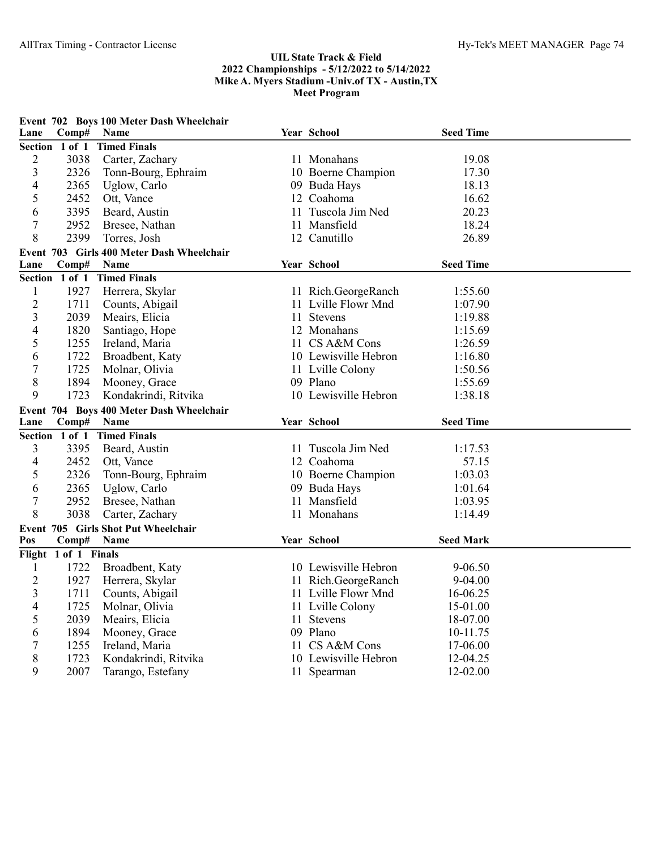## UIL State Track & Field 2022 Championships - 5/12/2022 to 5/14/2022 Mike A. Myers Stadium -Univ.of TX - Austin,TX Meet Program

| Event 702 Boys 100 Meter Dash Wheelchair |                                           |                                          |     |                      |                  |  |  |  |
|------------------------------------------|-------------------------------------------|------------------------------------------|-----|----------------------|------------------|--|--|--|
| Lane                                     | Comp#                                     | Name                                     |     | Year School          | <b>Seed Time</b> |  |  |  |
|                                          | Section 1 of 1                            | <b>Timed Finals</b>                      |     |                      |                  |  |  |  |
| 2                                        | 3038                                      | Carter, Zachary                          |     | 11 Monahans          | 19.08            |  |  |  |
| 3                                        | 2326                                      | Tonn-Bourg, Ephraim                      |     | 10 Boerne Champion   | 17.30            |  |  |  |
| 4                                        | 2365                                      | Uglow, Carlo                             |     | 09 Buda Hays         | 18.13            |  |  |  |
| 5                                        | 2452                                      | Ott, Vance                               |     | 12 Coahoma           | 16.62            |  |  |  |
| 6                                        | 3395                                      | Beard, Austin                            |     | 11 Tuscola Jim Ned   | 20.23            |  |  |  |
| 7                                        | 2952                                      | Bresee, Nathan                           | 11. | Mansfield            | 18.24            |  |  |  |
| 8                                        | 2399                                      | Torres, Josh                             |     | 12 Canutillo         | 26.89            |  |  |  |
|                                          | Event 703 Girls 400 Meter Dash Wheelchair |                                          |     |                      |                  |  |  |  |
| Lane                                     | Comp#                                     | Name                                     |     | Year School          | <b>Seed Time</b> |  |  |  |
|                                          | Section 1 of 1                            | <b>Timed Finals</b>                      |     |                      |                  |  |  |  |
| 1                                        | 1927                                      | Herrera, Skylar                          |     | 11 Rich.GeorgeRanch  | 1:55.60          |  |  |  |
| $\overline{c}$                           | 1711                                      | Counts, Abigail                          |     | 11 Lville Flowr Mnd  | 1:07.90          |  |  |  |
| 3                                        | 2039                                      | Meairs, Elicia                           | 11  | <b>Stevens</b>       | 1:19.88          |  |  |  |
| $\overline{4}$                           | 1820                                      | Santiago, Hope                           |     | 12 Monahans          | 1:15.69          |  |  |  |
| 5                                        | 1255                                      | Ireland, Maria                           |     | 11 CS A&M Cons       | 1:26.59          |  |  |  |
| 6                                        | 1722                                      | Broadbent, Katy                          |     | 10 Lewisville Hebron | 1:16.80          |  |  |  |
| 7                                        | 1725                                      | Molnar, Olivia                           |     | 11 Lville Colony     | 1:50.56          |  |  |  |
| $8\,$                                    | 1894                                      | Mooney, Grace                            |     | 09 Plano             | 1:55.69          |  |  |  |
| 9                                        | 1723                                      | Kondakrindi, Ritvika                     |     | 10 Lewisville Hebron | 1:38.18          |  |  |  |
|                                          |                                           | Event 704 Boys 400 Meter Dash Wheelchair |     |                      |                  |  |  |  |
| Lane                                     | Comp#                                     | Name                                     |     | Year School          | <b>Seed Time</b> |  |  |  |
|                                          |                                           | Section 1 of 1 Timed Finals              |     |                      |                  |  |  |  |
| 3                                        | 3395                                      | Beard, Austin                            |     | 11 Tuscola Jim Ned   | 1:17.53          |  |  |  |
| 4                                        | 2452                                      | Ott, Vance                               |     | 12 Coahoma           | 57.15            |  |  |  |
| 5                                        | 2326                                      | Tonn-Bourg, Ephraim                      |     | 10 Boerne Champion   | 1:03.03          |  |  |  |
| 6                                        | 2365                                      | Uglow, Carlo                             |     | 09 Buda Hays         | 1:01.64          |  |  |  |
| 7                                        | 2952                                      | Bresee, Nathan                           |     | 11 Mansfield         | 1:03.95          |  |  |  |
| 8                                        | 3038                                      | Carter, Zachary                          |     | 11 Monahans          | 1:14.49          |  |  |  |
|                                          | Event 705 Girls Shot Put Wheelchair       |                                          |     |                      |                  |  |  |  |
| Pos                                      | Comp#                                     | Name                                     |     | Year School          | <b>Seed Mark</b> |  |  |  |
|                                          | Flight 1 of 1 Finals                      |                                          |     |                      |                  |  |  |  |
| 1                                        | 1722                                      | Broadbent, Katy                          |     | 10 Lewisville Hebron | 9-06.50          |  |  |  |
| $\overline{2}$                           | 1927                                      | Herrera, Skylar                          |     | 11 Rich.GeorgeRanch  | 9-04.00          |  |  |  |
| 3                                        | 1711                                      | Counts, Abigail                          |     | 11 Lville Flowr Mnd  | 16-06.25         |  |  |  |
| 4                                        | 1725                                      | Molnar, Olivia                           |     | 11 Lville Colony     | 15-01.00         |  |  |  |
| 5                                        | 2039                                      | Meairs, Elicia                           |     | 11 Stevens           | 18-07.00         |  |  |  |
| 6                                        | 1894                                      | Mooney, Grace                            |     | 09 Plano             | 10-11.75         |  |  |  |
| 7                                        | 1255                                      | Ireland, Maria                           |     | 11 CS A&M Cons       | 17-06.00         |  |  |  |
| 8                                        | 1723                                      | Kondakrindi, Ritvika                     |     | 10 Lewisville Hebron | 12-04.25         |  |  |  |
| 9                                        | 2007                                      | Tarango, Estefany                        |     | 11 Spearman          | 12-02.00         |  |  |  |